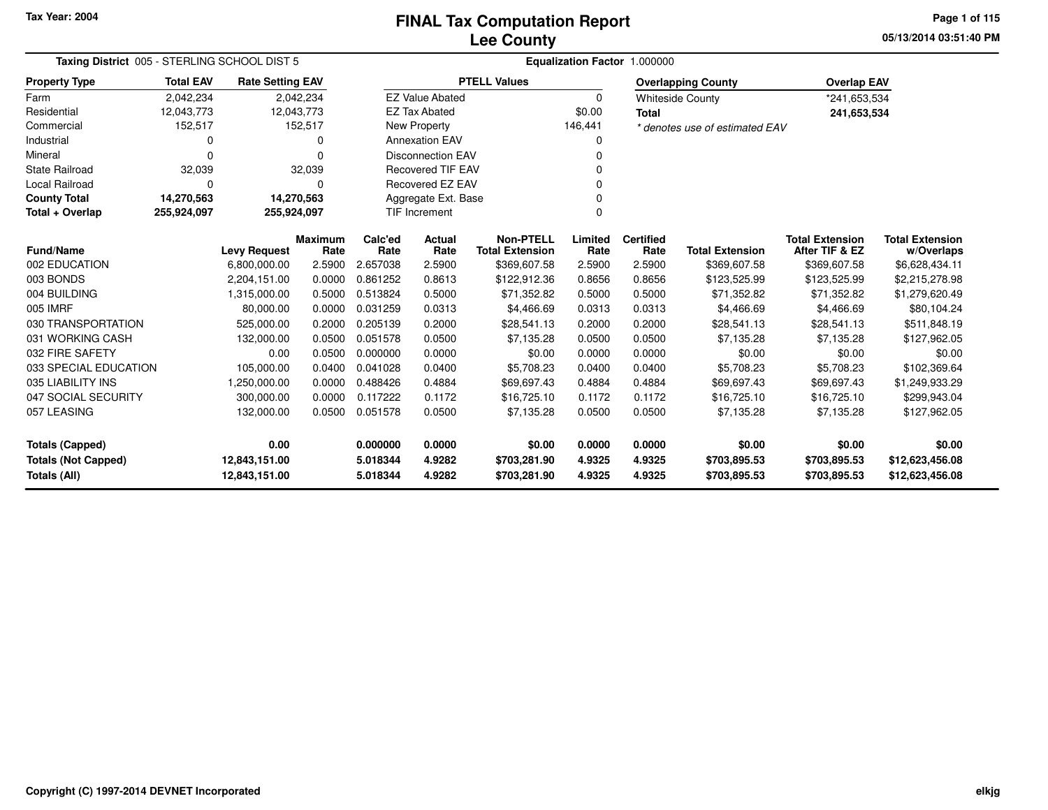# **Lee CountyFINAL Tax Computation Report**

**05/13/2014 03:51:40 PM Page 1 of 115**

|                            | Taxing District 005 - STERLING SCHOOL DIST 5 |                         |                        |                          | Equalization Factor 1.000000 |                                            |                 |                          |                                |                                          |                                      |  |  |  |
|----------------------------|----------------------------------------------|-------------------------|------------------------|--------------------------|------------------------------|--------------------------------------------|-----------------|--------------------------|--------------------------------|------------------------------------------|--------------------------------------|--|--|--|
| <b>Property Type</b>       | <b>Total EAV</b>                             | <b>Rate Setting EAV</b> |                        |                          |                              | <b>PTELL Values</b>                        |                 |                          | <b>Overlapping County</b>      | <b>Overlap EAV</b>                       |                                      |  |  |  |
| Farm                       | 2,042,234                                    |                         | 2,042,234              |                          | <b>EZ Value Abated</b>       |                                            | $\Omega$        |                          | <b>Whiteside County</b>        | *241,653,534                             |                                      |  |  |  |
| Residential                | 12,043,773                                   |                         | 12,043,773             |                          | <b>EZ Tax Abated</b>         |                                            | \$0.00          | <b>Total</b>             |                                |                                          | 241,653,534                          |  |  |  |
| Commercial                 | 152,517                                      |                         | 152,517                |                          | New Property                 |                                            | 146,441         |                          | * denotes use of estimated EAV |                                          |                                      |  |  |  |
| Industrial                 | 0                                            |                         | 0                      |                          | <b>Annexation EAV</b>        |                                            | 0               |                          |                                |                                          |                                      |  |  |  |
| Mineral                    | $\Omega$                                     |                         | $\Omega$               |                          | <b>Disconnection EAV</b>     |                                            | 0               |                          |                                |                                          |                                      |  |  |  |
| <b>State Railroad</b>      | 32,039                                       |                         | 32,039                 | <b>Recovered TIF EAV</b> |                              |                                            |                 |                          |                                |                                          |                                      |  |  |  |
| <b>Local Railroad</b>      | $\Omega$                                     |                         | $\Omega$               |                          | <b>Recovered EZ EAV</b><br>O |                                            |                 |                          |                                |                                          |                                      |  |  |  |
| <b>County Total</b>        | 14,270,563                                   |                         | 14,270,563             | Aggregate Ext. Base      |                              |                                            |                 |                          |                                |                                          |                                      |  |  |  |
| Total + Overlap            | 255,924,097                                  | 255,924,097             |                        |                          | <b>TIF Increment</b>         |                                            | $\Omega$        |                          |                                |                                          |                                      |  |  |  |
| <b>Fund/Name</b>           |                                              | <b>Levy Request</b>     | <b>Maximum</b><br>Rate | Calc'ed<br>Rate          | Actual<br>Rate               | <b>Non-PTELL</b><br><b>Total Extension</b> | Limited<br>Rate | <b>Certified</b><br>Rate | <b>Total Extension</b>         | <b>Total Extension</b><br>After TIF & EZ | <b>Total Extension</b><br>w/Overlaps |  |  |  |
| 002 EDUCATION              |                                              | 6,800,000.00            | 2.5900                 | 2.657038                 | 2.5900                       | \$369,607.58                               | 2.5900          | 2.5900                   | \$369,607.58                   | \$369,607.58                             | \$6,628,434.11                       |  |  |  |
| 003 BONDS                  |                                              | 2,204,151.00            | 0.0000                 | 0.861252                 | 0.8613                       | \$122,912.36                               | 0.8656          | 0.8656                   | \$123,525.99                   | \$123,525.99                             | \$2,215,278.98                       |  |  |  |
| 004 BUILDING               |                                              | 1,315,000.00            | 0.5000                 | 0.513824                 | 0.5000                       | \$71,352.82                                | 0.5000          | 0.5000                   | \$71,352.82                    | \$71,352.82                              | \$1,279,620.49                       |  |  |  |
| 005 IMRF                   |                                              | 80.000.00               | 0.0000                 | 0.031259                 | 0.0313                       | \$4,466.69                                 | 0.0313          | 0.0313                   | \$4,466.69                     | \$4,466.69                               | \$80,104.24                          |  |  |  |
| 030 TRANSPORTATION         |                                              | 525,000.00              | 0.2000                 | 0.205139                 | 0.2000                       | \$28,541.13                                | 0.2000          | 0.2000                   | \$28,541.13                    | \$28,541.13                              | \$511,848.19                         |  |  |  |
| 031 WORKING CASH           |                                              | 132,000.00              | 0.0500                 | 0.051578                 | 0.0500                       | \$7,135.28                                 | 0.0500          | 0.0500                   | \$7,135.28                     | \$7,135.28                               | \$127,962.05                         |  |  |  |
| 032 FIRE SAFETY            |                                              | 0.00                    | 0.0500                 | 0.000000                 | 0.0000                       | \$0.00                                     | 0.0000          | 0.0000                   | \$0.00                         | \$0.00                                   | \$0.00                               |  |  |  |
| 033 SPECIAL EDUCATION      |                                              | 105,000.00              | 0.0400                 | 0.041028                 | 0.0400                       | \$5,708.23                                 | 0.0400          | 0.0400                   | \$5,708.23                     | \$5,708.23                               | \$102,369.64                         |  |  |  |
| 035 LIABILITY INS          |                                              | 1,250,000.00            | 0.0000                 | 0.488426                 | 0.4884                       | \$69,697.43                                | 0.4884          | 0.4884                   | \$69,697.43                    | \$69,697.43                              | \$1,249,933.29                       |  |  |  |
| 047 SOCIAL SECURITY        |                                              | 300,000.00              | 0.0000                 | 0.117222                 | 0.1172                       | \$16,725.10                                | 0.1172          | 0.1172                   | \$16,725.10                    | \$16,725.10                              | \$299,943.04                         |  |  |  |
| 057 LEASING                |                                              | 132,000.00              | 0.0500                 | 0.051578                 | 0.0500                       | \$7,135.28                                 | 0.0500          | 0.0500                   | \$7,135.28                     | \$7,135.28                               | \$127,962.05                         |  |  |  |
| <b>Totals (Capped)</b>     |                                              | 0.00                    |                        | 0.000000                 | 0.0000                       | \$0.00                                     | 0.0000          | 0.0000                   | \$0.00                         | \$0.00                                   | \$0.00                               |  |  |  |
| <b>Totals (Not Capped)</b> |                                              | 12,843,151.00           |                        | 5.018344                 | 4.9282                       | \$703,281.90                               | 4.9325          | 4.9325                   | \$703,895.53                   | \$703,895.53                             | \$12,623,456.08                      |  |  |  |
| <b>Totals (All)</b>        |                                              | 12,843,151.00           |                        | 5.018344                 | 4.9282                       | \$703,281.90                               | 4.9325          | 4.9325                   | \$703,895.53                   | \$703,895.53                             | \$12,623,456.08                      |  |  |  |

۰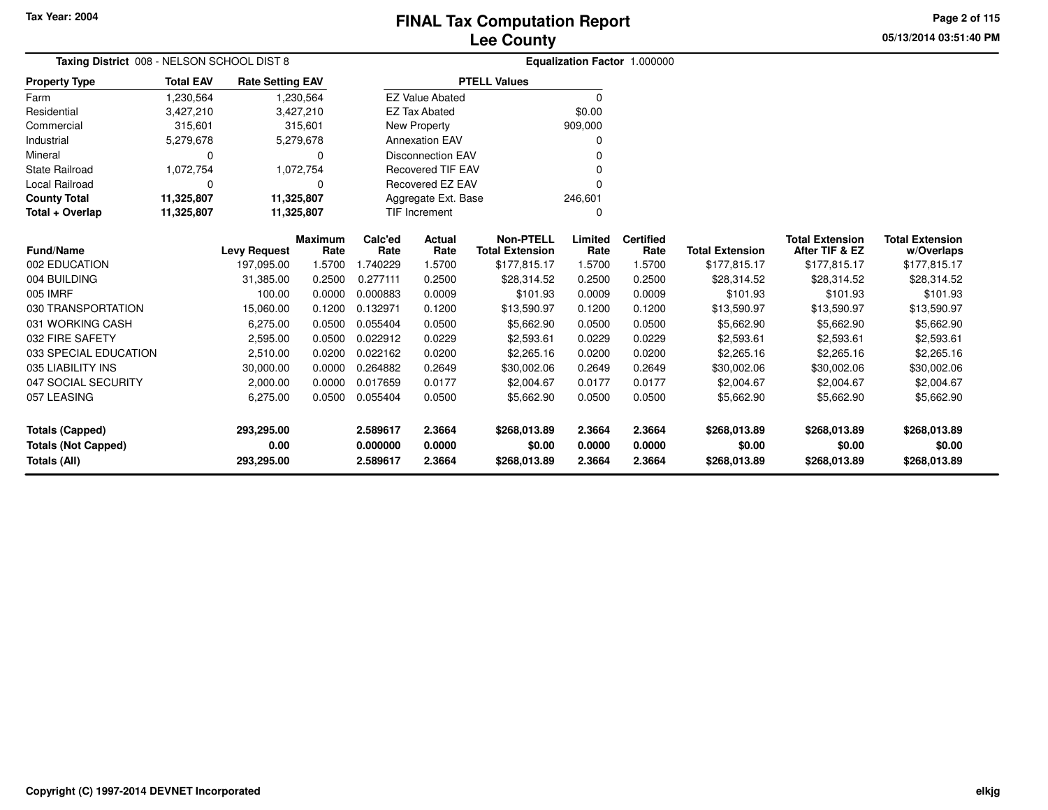**05/13/2014 03:51:40 PM Page 2 of 115**

| Taxing District 008 - NELSON SCHOOL DIST 8 |                  |                         |                        |                 |                          |                                            |                 | Equalization Factor 1.000000 |                        |                                          |                                      |
|--------------------------------------------|------------------|-------------------------|------------------------|-----------------|--------------------------|--------------------------------------------|-----------------|------------------------------|------------------------|------------------------------------------|--------------------------------------|
| <b>Property Type</b>                       | <b>Total EAV</b> | <b>Rate Setting EAV</b> |                        |                 |                          | <b>PTELL Values</b>                        |                 |                              |                        |                                          |                                      |
| Farm                                       | 1,230,564        |                         | 1,230,564              |                 | <b>EZ Value Abated</b>   |                                            | O               |                              |                        |                                          |                                      |
| Residential                                | 3,427,210        | 3,427,210               |                        |                 | <b>EZ Tax Abated</b>     |                                            | \$0.00          |                              |                        |                                          |                                      |
| Commercial                                 | 315,601          |                         | 315,601                |                 | New Property             |                                            | 909,000         |                              |                        |                                          |                                      |
| Industrial                                 | 5,279,678        |                         | 5,279,678              |                 | <b>Annexation EAV</b>    |                                            |                 |                              |                        |                                          |                                      |
| Mineral                                    | 0                |                         | 0                      |                 | <b>Disconnection EAV</b> |                                            |                 |                              |                        |                                          |                                      |
| <b>State Railroad</b>                      | 1,072,754        |                         | 1,072,754              |                 | <b>Recovered TIF EAV</b> |                                            |                 |                              |                        |                                          |                                      |
| <b>Local Railroad</b>                      | 0                |                         | 0                      |                 | Recovered EZ EAV         |                                            |                 |                              |                        |                                          |                                      |
| <b>County Total</b>                        | 11,325,807       | 11,325,807              |                        |                 | Aggregate Ext. Base      |                                            | 246,601         |                              |                        |                                          |                                      |
| Total + Overlap                            | 11,325,807       | 11,325,807              |                        |                 | TIF Increment            |                                            | 0               |                              |                        |                                          |                                      |
| <b>Fund/Name</b>                           |                  | <b>Levy Request</b>     | <b>Maximum</b><br>Rate | Calc'ed<br>Rate | Actual<br>Rate           | <b>Non-PTELL</b><br><b>Total Extension</b> | Limited<br>Rate | <b>Certified</b><br>Rate     | <b>Total Extension</b> | <b>Total Extension</b><br>After TIF & EZ | <b>Total Extension</b><br>w/Overlaps |
| 002 EDUCATION                              |                  | 197,095.00              | 1.5700                 | 1.740229        | 1.5700                   | \$177,815.17                               | 1.5700          | 1.5700                       | \$177,815.17           | \$177,815.17                             | \$177,815.17                         |
| 004 BUILDING                               |                  | 31,385.00               | 0.2500                 | 0.277111        | 0.2500                   | \$28,314.52                                | 0.2500          | 0.2500                       | \$28,314.52            | \$28,314.52                              | \$28,314.52                          |
| 005 IMRF                                   |                  | 100.00                  | 0.0000                 | 0.000883        | 0.0009                   | \$101.93                                   | 0.0009          | 0.0009                       | \$101.93               | \$101.93                                 | \$101.93                             |
| 030 TRANSPORTATION                         |                  | 15,060.00               | 0.1200                 | 0.132971        | 0.1200                   | \$13,590.97                                | 0.1200          | 0.1200                       | \$13,590.97            | \$13,590.97                              | \$13,590.97                          |
| 031 WORKING CASH                           |                  | 6,275.00                | 0.0500                 | 0.055404        | 0.0500                   | \$5,662.90                                 | 0.0500          | 0.0500                       | \$5,662.90             | \$5,662.90                               | \$5,662.90                           |
| 032 FIRE SAFETY                            |                  | 2,595.00                | 0.0500                 | 0.022912        | 0.0229                   | \$2,593.61                                 | 0.0229          | 0.0229                       | \$2,593.61             | \$2,593.61                               | \$2,593.61                           |
| 033 SPECIAL EDUCATION                      |                  | 2,510.00                | 0.0200                 | 0.022162        | 0.0200                   | \$2,265.16                                 | 0.0200          | 0.0200                       | \$2,265.16             | \$2,265.16                               | \$2,265.16                           |
| 035 LIABILITY INS                          |                  | 30,000.00               | 0.0000                 | 0.264882        | 0.2649                   | \$30,002.06                                | 0.2649          | 0.2649                       | \$30,002.06            | \$30,002.06                              | \$30,002.06                          |
| 047 SOCIAL SECURITY                        |                  | 2,000.00                | 0.0000                 | 0.017659        | 0.0177                   | \$2,004.67                                 | 0.0177          | 0.0177                       | \$2,004.67             | \$2,004.67                               | \$2,004.67                           |
| 057 LEASING                                |                  | 6,275.00                | 0.0500                 | 0.055404        | 0.0500                   | \$5,662.90                                 | 0.0500          | 0.0500                       | \$5,662.90             | \$5,662.90                               | \$5,662.90                           |
| <b>Totals (Capped)</b>                     |                  | 293,295.00              |                        | 2.589617        | 2.3664                   | \$268,013.89                               | 2.3664          | 2.3664                       | \$268,013.89           | \$268,013.89                             | \$268,013.89                         |
| <b>Totals (Not Capped)</b>                 |                  | 0.00                    |                        | 0.000000        | 0.0000                   | \$0.00                                     | 0.0000          | 0.0000                       | \$0.00                 | \$0.00                                   | \$0.00                               |
| Totals (All)                               |                  | 293,295.00              |                        | 2.589617        | 2.3664                   | \$268,013.89                               | 2.3664          | 2.3664                       | \$268,013.89           | \$268,013.89                             | \$268,013.89                         |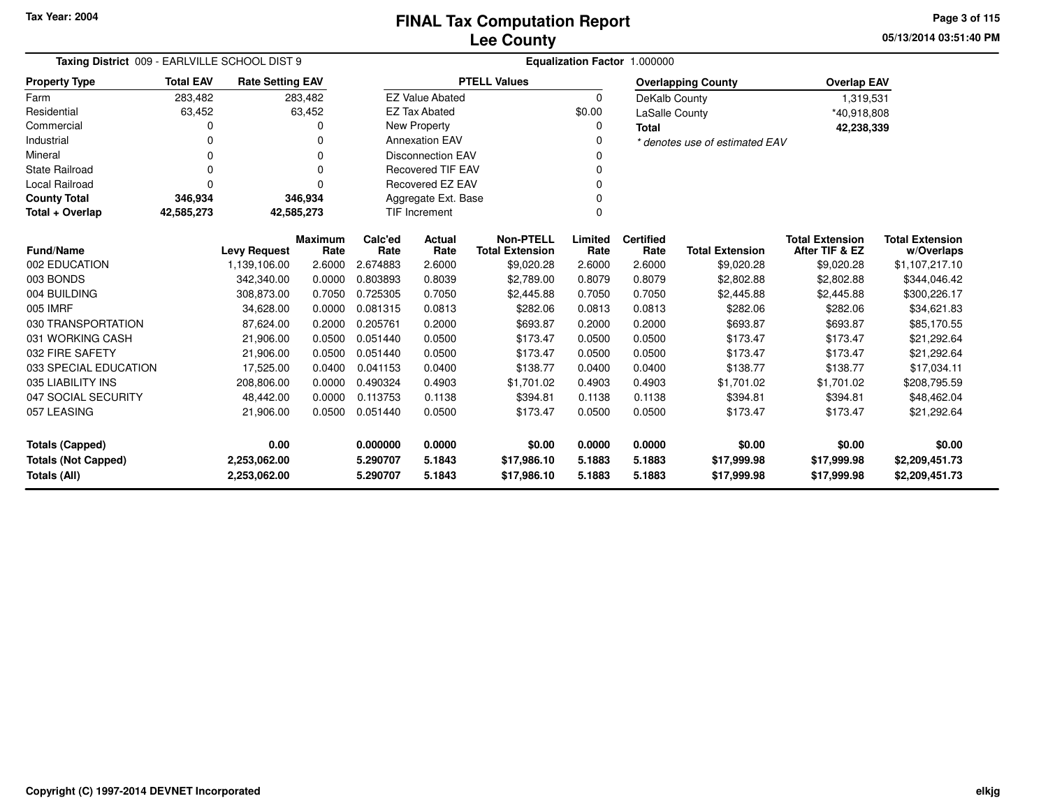**05/13/2014 03:51:40 PM Page 3 of 115**

| Taxing District 009 - EARLVILLE SCHOOL DIST 9                                                |                  |                                     |                | Equalization Factor 1.000000 |                          |                                      |                |                  |                                      |                                          |                                |  |
|----------------------------------------------------------------------------------------------|------------------|-------------------------------------|----------------|------------------------------|--------------------------|--------------------------------------|----------------|------------------|--------------------------------------|------------------------------------------|--------------------------------|--|
| <b>Property Type</b>                                                                         | <b>Total EAV</b> | <b>Rate Setting EAV</b>             |                |                              |                          | <b>PTELL Values</b>                  |                |                  | <b>Overlapping County</b>            | <b>Overlap EAV</b>                       |                                |  |
| Farm                                                                                         | 283,482          |                                     | 283,482        |                              | <b>EZ Value Abated</b>   |                                      | $\Omega$       | DeKalb County    |                                      | 1,319,531                                |                                |  |
| Residential                                                                                  | 63,452           |                                     | 63,452         |                              | <b>EZ Tax Abated</b>     |                                      | \$0.00         | LaSalle County   |                                      | *40,918,808                              |                                |  |
| Commercial                                                                                   |                  |                                     | O              |                              | New Property             |                                      | 0              | <b>Total</b>     |                                      | 42,238,339                               |                                |  |
| Industrial                                                                                   | U                |                                     |                |                              | <b>Annexation EAV</b>    |                                      |                |                  | * denotes use of estimated EAV       |                                          |                                |  |
| Mineral                                                                                      | 0                |                                     | $\Omega$       |                              | <b>Disconnection EAV</b> |                                      |                |                  |                                      |                                          |                                |  |
| <b>State Railroad</b>                                                                        | 0                |                                     | $\Omega$       |                              | <b>Recovered TIF EAV</b> |                                      |                |                  |                                      |                                          |                                |  |
| <b>Local Railroad</b>                                                                        | 0                |                                     | ŋ              |                              | <b>Recovered EZ EAV</b>  |                                      |                |                  |                                      |                                          |                                |  |
| <b>County Total</b>                                                                          | 346,934          |                                     | 346,934        |                              | Aggregate Ext. Base      |                                      |                |                  |                                      |                                          |                                |  |
| Total + Overlap                                                                              | 42,585,273       | 42,585,273                          |                |                              | <b>TIF Increment</b>     |                                      | $\Omega$       |                  |                                      |                                          |                                |  |
| <b>Fund/Name</b>                                                                             |                  |                                     | Maximum        | Calc'ed                      | Actual<br>Rate           | <b>Non-PTELL</b>                     | Limited        | <b>Certified</b> |                                      | <b>Total Extension</b><br>After TIF & EZ | <b>Total Extension</b>         |  |
| 002 EDUCATION                                                                                |                  | <b>Levy Request</b><br>1,139,106.00 | Rate<br>2.6000 | Rate<br>2.674883             | 2.6000                   | <b>Total Extension</b><br>\$9,020.28 | Rate<br>2.6000 | Rate<br>2.6000   | <b>Total Extension</b><br>\$9,020.28 | \$9,020.28                               | w/Overlaps                     |  |
| 003 BONDS                                                                                    |                  | 342.340.00                          | 0.0000         | 0.803893                     | 0.8039                   | \$2,789.00                           | 0.8079         | 0.8079           | \$2,802.88                           | \$2,802.88                               | \$1,107,217.10<br>\$344,046.42 |  |
|                                                                                              |                  |                                     |                |                              |                          |                                      |                |                  |                                      |                                          |                                |  |
| 004 BUILDING                                                                                 |                  | 308,873.00                          | 0.7050         | 0.725305                     | 0.7050                   | \$2,445.88                           | 0.7050         | 0.7050           | \$2,445.88                           | \$2,445.88                               | \$300,226.17                   |  |
| 005 IMRF                                                                                     |                  | 34,628.00                           | 0.0000         | 0.081315                     | 0.0813                   | \$282.06                             | 0.0813         | 0.0813           | \$282.06                             | \$282.06                                 | \$34,621.83                    |  |
| 030 TRANSPORTATION                                                                           |                  | 87,624.00                           | 0.2000         | 0.205761                     | 0.2000                   | \$693.87                             | 0.2000         | 0.2000           | \$693.87                             | \$693.87                                 | \$85,170.55                    |  |
| 031 WORKING CASH                                                                             |                  | 21,906.00                           | 0.0500         | 0.051440                     | 0.0500                   | \$173.47                             | 0.0500         | 0.0500           | \$173.47                             | \$173.47                                 | \$21,292.64                    |  |
| 032 FIRE SAFETY                                                                              |                  | 21,906.00                           | 0.0500         | 0.051440                     | 0.0500                   | \$173.47                             | 0.0500         | 0.0500           | \$173.47                             | \$173.47                                 | \$21,292.64                    |  |
| 033 SPECIAL EDUCATION                                                                        |                  | 17,525.00                           | 0.0400         | 0.041153                     | 0.0400                   | \$138.77                             | 0.0400         | 0.0400           | \$138.77                             | \$138.77                                 | \$17,034.11                    |  |
| 035 LIABILITY INS                                                                            |                  | 208,806.00                          | 0.0000         | 0.490324                     | 0.4903                   | \$1,701.02                           | 0.4903         | 0.4903           | \$1,701.02                           | \$1,701.02                               | \$208,795.59                   |  |
| 047 SOCIAL SECURITY                                                                          |                  | 48,442.00                           | 0.0000         | 0.113753                     | 0.1138                   | \$394.81                             | 0.1138         | 0.1138           | \$394.81                             | \$394.81                                 | \$48,462.04                    |  |
| 057 LEASING                                                                                  |                  | 21,906.00                           | 0.0500         | 0.051440                     | 0.0500                   | \$173.47                             | 0.0500         | 0.0500           | \$173.47                             | \$173.47                                 | \$21,292.64                    |  |
| 0.00<br><b>Totals (Capped)</b>                                                               |                  |                                     | 0.000000       | 0.0000                       | \$0.00                   | 0.0000                               | 0.0000         | \$0.00           | \$0.00                               | \$0.00                                   |                                |  |
| <b>Totals (Not Capped)</b><br>2,253,062.00<br>5.290707                                       |                  |                                     | 5.1843         | \$17,986.10                  | 5.1883                   | 5.1883                               | \$17,999.98    | \$17,999.98      | \$2,209,451.73                       |                                          |                                |  |
| <b>Totals (All)</b><br>5.1843<br>\$17,986.10<br>5.1883<br>5.1883<br>2,253,062.00<br>5.290707 |                  |                                     |                | \$17,999.98                  | \$17,999.98              | \$2,209,451.73                       |                |                  |                                      |                                          |                                |  |

 $\overline{\phantom{0}}$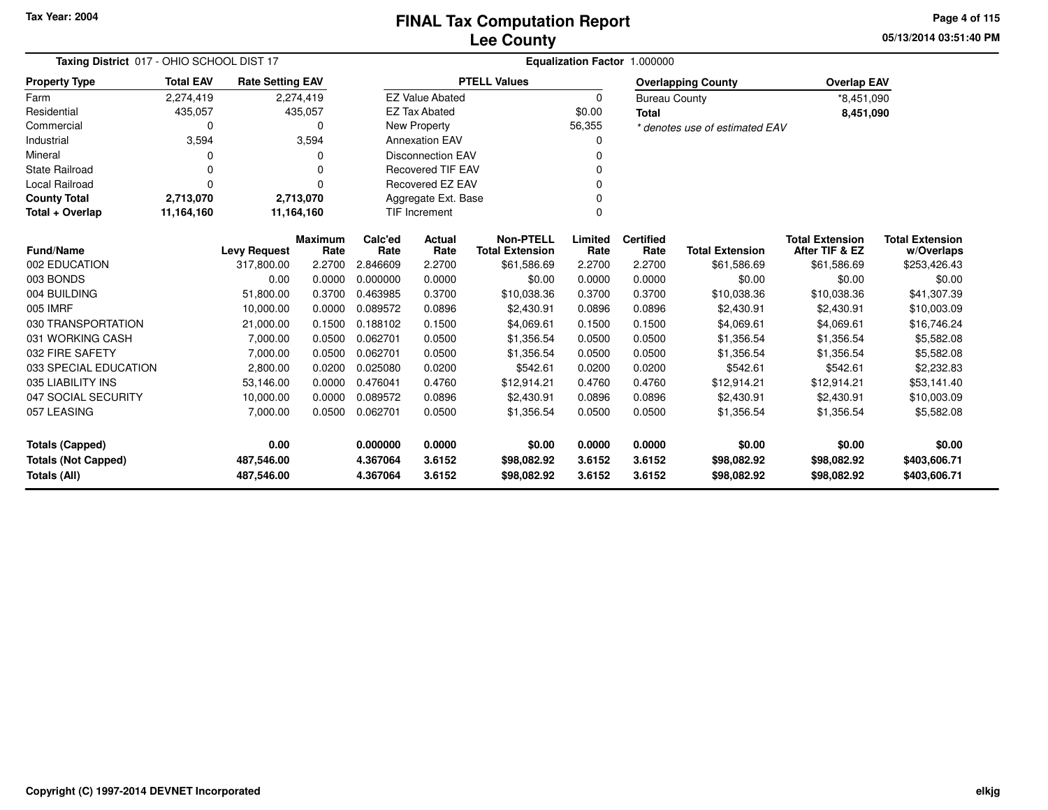**05/13/2014 03:51:40 PMPage 4 of 115**

|                            | Taxing District 017 - OHIO SCHOOL DIST 17 |                         |              |          |                                  | Equalization Factor 1.000000 |          |                      |                                |                        |                        |  |  |  |  |
|----------------------------|-------------------------------------------|-------------------------|--------------|----------|----------------------------------|------------------------------|----------|----------------------|--------------------------------|------------------------|------------------------|--|--|--|--|
| <b>Property Type</b>       | <b>Total EAV</b>                          | <b>Rate Setting EAV</b> |              |          |                                  | <b>PTELL Values</b>          |          |                      | <b>Overlapping County</b>      | <b>Overlap EAV</b>     |                        |  |  |  |  |
| Farm                       | 2,274,419                                 |                         | 2,274,419    |          | <b>EZ Value Abated</b>           |                              | $\Omega$ | <b>Bureau County</b> |                                | *8,451,090             |                        |  |  |  |  |
| Residential                | 435,057                                   |                         | 435,057      |          | <b>EZ Tax Abated</b>             |                              | \$0.00   | <b>Total</b>         |                                | 8,451,090              |                        |  |  |  |  |
| Commercial                 | 0                                         |                         | $\Omega$     |          | <b>New Property</b>              |                              | 56,355   |                      | * denotes use of estimated EAV |                        |                        |  |  |  |  |
| Industrial                 | 3,594                                     |                         | 3,594        |          | <b>Annexation EAV</b>            |                              |          |                      |                                |                        |                        |  |  |  |  |
| Mineral                    | 0                                         |                         | <sup>0</sup> |          | <b>Disconnection EAV</b>         |                              | $\Omega$ |                      |                                |                        |                        |  |  |  |  |
| <b>State Railroad</b>      | 0                                         |                         | $\Omega$     |          | <b>Recovered TIF EAV</b>         |                              |          |                      |                                |                        |                        |  |  |  |  |
| <b>Local Railroad</b>      | 0                                         |                         | $\Omega$     |          | <b>Recovered EZ EAV</b><br>ŋ     |                              |          |                      |                                |                        |                        |  |  |  |  |
| <b>County Total</b>        | 2,713,070                                 |                         | 2,713,070    |          | Aggregate Ext. Base              |                              |          |                      |                                |                        |                        |  |  |  |  |
| Total + Overlap            | 11,164,160                                |                         | 11,164,160   |          | <b>TIF Increment</b><br>$\Omega$ |                              |          |                      |                                |                        |                        |  |  |  |  |
|                            |                                           |                         | Maximum      | Calc'ed  | Actual                           | <b>Non-PTELL</b>             | Limited  | <b>Certified</b>     |                                | <b>Total Extension</b> | <b>Total Extension</b> |  |  |  |  |
| <b>Fund/Name</b>           |                                           | <b>Levy Request</b>     | Rate         | Rate     | Rate                             | <b>Total Extension</b>       | Rate     | Rate                 | <b>Total Extension</b>         | After TIF & EZ         | w/Overlaps             |  |  |  |  |
| 002 EDUCATION              |                                           | 317,800.00              | 2.2700       | 2.846609 | 2.2700                           | \$61,586.69                  | 2.2700   | 2.2700               | \$61,586.69                    | \$61,586.69            | \$253,426.43           |  |  |  |  |
| 003 BONDS                  |                                           | 0.00                    | 0.0000       | 0.000000 | 0.0000                           | \$0.00                       | 0.0000   | 0.0000               | \$0.00                         | \$0.00                 | \$0.00                 |  |  |  |  |
| 004 BUILDING               |                                           | 51,800.00               | 0.3700       | 0.463985 | 0.3700                           | \$10,038.36                  | 0.3700   | 0.3700               | \$10,038.36                    | \$10,038.36            | \$41,307.39            |  |  |  |  |
| 005 IMRF                   |                                           | 10,000.00               | 0.0000       | 0.089572 | 0.0896                           | \$2,430.91                   | 0.0896   | 0.0896               | \$2,430.91                     | \$2,430.91             | \$10,003.09            |  |  |  |  |
| 030 TRANSPORTATION         |                                           | 21,000.00               | 0.1500       | 0.188102 | 0.1500                           | \$4,069.61                   | 0.1500   | 0.1500               | \$4,069.61                     | \$4,069.61             | \$16,746.24            |  |  |  |  |
| 031 WORKING CASH           |                                           | 7,000.00                | 0.0500       | 0.062701 | 0.0500                           | \$1,356.54                   | 0.0500   | 0.0500               | \$1,356.54                     | \$1,356.54             | \$5,582.08             |  |  |  |  |
| 032 FIRE SAFETY            |                                           | 7,000.00                | 0.0500       | 0.062701 | 0.0500                           | \$1,356.54                   | 0.0500   | 0.0500               | \$1,356.54                     | \$1,356.54             | \$5,582.08             |  |  |  |  |
| 033 SPECIAL EDUCATION      |                                           | 2,800.00                | 0.0200       | 0.025080 | 0.0200                           | \$542.61                     | 0.0200   | 0.0200               | \$542.61                       | \$542.61               | \$2,232.83             |  |  |  |  |
| 035 LIABILITY INS          |                                           | 53,146.00               | 0.0000       | 0.476041 | 0.4760                           | \$12,914.21                  | 0.4760   | 0.4760               | \$12,914.21                    | \$12,914.21            | \$53,141.40            |  |  |  |  |
| 047 SOCIAL SECURITY        |                                           | 10,000.00               | 0.0000       | 0.089572 | 0.0896                           | \$2,430.91                   | 0.0896   | 0.0896               | \$2,430.91                     | \$2,430.91             | \$10,003.09            |  |  |  |  |
| 057 LEASING                |                                           | 7,000.00                | 0.0500       | 0.062701 | 0.0500                           | \$1,356.54                   | 0.0500   | 0.0500               | \$1,356.54                     | \$1,356.54             | \$5,582.08             |  |  |  |  |
| <b>Totals (Capped)</b>     |                                           | 0.00                    |              | 0.000000 | 0.0000                           | \$0.00                       | 0.0000   | 0.0000               | \$0.00                         | \$0.00                 | \$0.00                 |  |  |  |  |
| <b>Totals (Not Capped)</b> |                                           | 487,546.00              |              | 4.367064 | 3.6152                           | \$98,082.92                  | 3.6152   | 3.6152               | \$98,082.92                    | \$98,082.92            | \$403,606.71           |  |  |  |  |
| Totals (All)               |                                           | 487,546.00              |              | 4.367064 | 3.6152                           | \$98,082.92                  | 3.6152   | 3.6152               | \$98,082.92                    | \$98,082.92            | \$403,606.71           |  |  |  |  |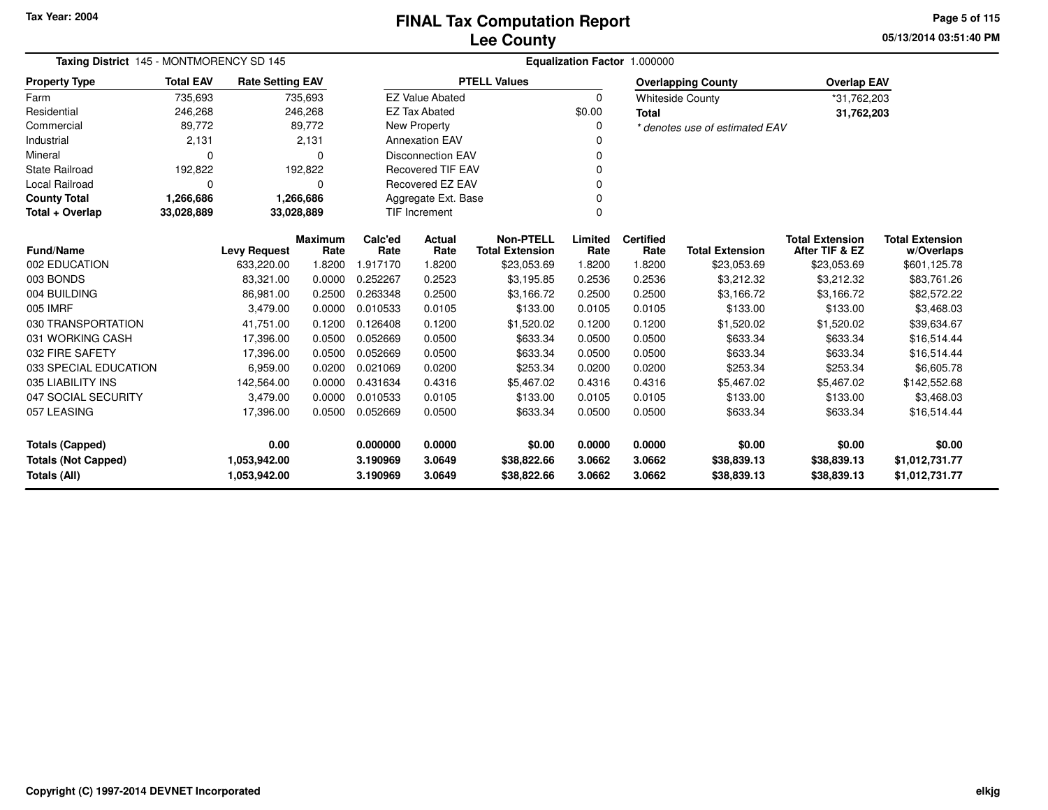**05/13/2014 03:51:40 PM Page 5 of 115**

| Taxing District 145 - MONTMORENCY SD 145 |                  |                         |                 | Equalization Factor 1.000000 |                                  |                                            |                 |                          |                                |                                          |                                      |  |  |
|------------------------------------------|------------------|-------------------------|-----------------|------------------------------|----------------------------------|--------------------------------------------|-----------------|--------------------------|--------------------------------|------------------------------------------|--------------------------------------|--|--|
| <b>Property Type</b>                     | <b>Total EAV</b> | <b>Rate Setting EAV</b> |                 |                              |                                  | <b>PTELL Values</b>                        |                 |                          | <b>Overlapping County</b>      | <b>Overlap EAV</b>                       |                                      |  |  |
| Farm                                     | 735,693          |                         | 735,693         |                              | <b>EZ Value Abated</b>           |                                            | $\Omega$        |                          | <b>Whiteside County</b>        | *31,762,203                              |                                      |  |  |
| Residential                              | 246,268          |                         | 246,268         |                              | <b>EZ Tax Abated</b>             |                                            | \$0.00          | <b>Total</b>             |                                | 31,762,203                               |                                      |  |  |
| Commercial                               | 89,772           |                         | 89,772          |                              | <b>New Property</b>              |                                            |                 |                          | * denotes use of estimated EAV |                                          |                                      |  |  |
| Industrial                               | 2,131            |                         | 2,131           |                              | <b>Annexation EAV</b>            |                                            |                 |                          |                                |                                          |                                      |  |  |
| Mineral                                  | 0                |                         | $\Omega$        | <b>Disconnection EAV</b>     |                                  |                                            |                 |                          |                                |                                          |                                      |  |  |
| State Railroad                           | 192,822          |                         | 192,822         | <b>Recovered TIF EAV</b>     |                                  |                                            |                 |                          |                                |                                          |                                      |  |  |
| Local Railroad                           | $\Omega$         |                         | $\Omega$        | <b>Recovered EZ EAV</b>      |                                  |                                            |                 |                          |                                |                                          |                                      |  |  |
| <b>County Total</b>                      | 1,266,686        |                         | 1,266,686       | Aggregate Ext. Base          |                                  |                                            |                 |                          |                                |                                          |                                      |  |  |
| Total + Overlap                          | 33,028,889       | 33,028,889              |                 |                              | <b>TIF Increment</b><br>$\Omega$ |                                            |                 |                          |                                |                                          |                                      |  |  |
| <b>Fund/Name</b>                         |                  | <b>Levy Request</b>     | Maximum<br>Rate | Calc'ed<br>Rate              | Actual<br>Rate                   | <b>Non-PTELL</b><br><b>Total Extension</b> | Limited<br>Rate | <b>Certified</b><br>Rate | <b>Total Extension</b>         | <b>Total Extension</b><br>After TIF & EZ | <b>Total Extension</b><br>w/Overlaps |  |  |
| 002 EDUCATION                            |                  | 633,220.00              | 1.8200          | 1.917170                     | 1.8200                           | \$23,053.69                                | 1.8200          | 1.8200                   | \$23,053.69                    | \$23,053.69                              | \$601,125.78                         |  |  |
| 003 BONDS                                |                  | 83,321.00               | 0.0000          | 0.252267                     | 0.2523                           | \$3,195.85                                 | 0.2536          | 0.2536                   | \$3,212.32                     | \$3,212.32                               | \$83,761.26                          |  |  |
| 004 BUILDING                             |                  | 86,981.00               | 0.2500          | 0.263348                     | 0.2500                           | \$3,166.72                                 | 0.2500          | 0.2500                   | \$3,166.72                     | \$3,166.72                               | \$82,572.22                          |  |  |
| 005 IMRF                                 |                  | 3,479.00                | 0.0000          | 0.010533                     | 0.0105                           | \$133.00                                   | 0.0105          | 0.0105                   | \$133.00                       | \$133.00                                 | \$3,468.03                           |  |  |
| 030 TRANSPORTATION                       |                  | 41,751.00               | 0.1200          | 0.126408                     | 0.1200                           | \$1,520.02                                 | 0.1200          | 0.1200                   | \$1,520.02                     | \$1,520.02                               | \$39,634.67                          |  |  |
| 031 WORKING CASH                         |                  | 17,396.00               | 0.0500          | 0.052669                     | 0.0500                           | \$633.34                                   | 0.0500          | 0.0500                   | \$633.34                       | \$633.34                                 | \$16,514.44                          |  |  |
| 032 FIRE SAFETY                          |                  | 17,396.00               | 0.0500          | 0.052669                     | 0.0500                           | \$633.34                                   | 0.0500          | 0.0500                   | \$633.34                       | \$633.34                                 | \$16,514.44                          |  |  |
| 033 SPECIAL EDUCATION                    |                  | 6,959.00                | 0.0200          | 0.021069                     | 0.0200                           | \$253.34                                   | 0.0200          | 0.0200                   | \$253.34                       | \$253.34                                 | \$6,605.78                           |  |  |
| 035 LIABILITY INS                        |                  | 142,564.00              | 0.0000          | 0.431634                     | 0.4316                           | \$5,467.02                                 | 0.4316          | 0.4316                   | \$5,467.02                     | \$5,467.02                               | \$142,552.68                         |  |  |
| 047 SOCIAL SECURITY                      |                  | 3,479.00                | 0.0000          | 0.010533                     | 0.0105                           | \$133.00                                   | 0.0105          | 0.0105                   | \$133.00                       | \$133.00                                 | \$3,468.03                           |  |  |
| 057 LEASING                              |                  | 17,396.00               | 0.0500          | 0.052669                     | 0.0500                           | \$633.34                                   | 0.0500          | 0.0500                   | \$633.34                       | \$633.34                                 | \$16,514.44                          |  |  |
| Totals (Capped)                          |                  | 0.00                    |                 | 0.000000                     | 0.0000                           | \$0.00                                     | 0.0000          | 0.0000                   | \$0.00                         | \$0.00                                   | \$0.00                               |  |  |
| <b>Totals (Not Capped)</b>               |                  | 1,053,942.00            |                 | 3.190969                     | 3.0649                           | \$38,822.66                                | 3.0662          | 3.0662                   | \$38,839.13                    | \$38,839.13                              | \$1,012,731.77                       |  |  |
| Totals (All)                             |                  | 1,053,942.00            |                 | 3.190969                     | 3.0649                           | \$38,822.66                                | 3.0662          | 3.0662                   | \$38,839.13                    | \$38,839.13                              | \$1,012,731.77                       |  |  |

 $\overline{\phantom{0}}$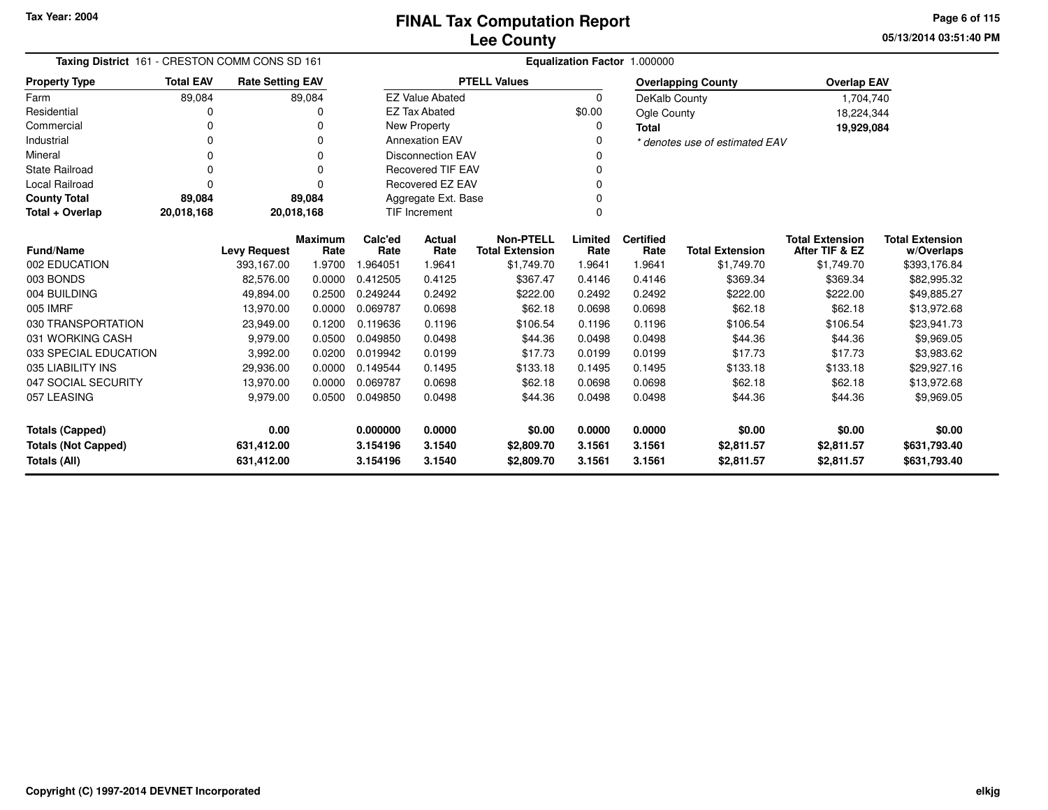**05/13/2014 03:51:40 PMPage 6 of 115**

| Taxing District 161 - CRESTON COMM CONS SD 161 |                  |                         |                        | Equalization Factor 1.000000    |                          |                                            |                 |                          |                                |                                          |                                      |  |
|------------------------------------------------|------------------|-------------------------|------------------------|---------------------------------|--------------------------|--------------------------------------------|-----------------|--------------------------|--------------------------------|------------------------------------------|--------------------------------------|--|
| <b>Property Type</b>                           | <b>Total EAV</b> | <b>Rate Setting EAV</b> |                        |                                 |                          | <b>PTELL Values</b>                        |                 |                          | <b>Overlapping County</b>      | <b>Overlap EAV</b>                       |                                      |  |
| Farm                                           | 89,084           |                         | 89,084                 |                                 | <b>EZ Value Abated</b>   |                                            | 0               | DeKalb County            |                                | 1,704,740                                |                                      |  |
| Residential                                    | 0                |                         | 0                      |                                 | <b>EZ Tax Abated</b>     |                                            | \$0.00          | <b>Ogle County</b>       |                                | 18,224,344                               |                                      |  |
| Commercial                                     | 0                |                         | 0                      |                                 | New Property             |                                            | 0               | <b>Total</b>             |                                | 19,929,084                               |                                      |  |
| Industrial                                     | 0                |                         | 0                      | <b>Annexation EAV</b><br>0      |                          |                                            |                 |                          | * denotes use of estimated EAV |                                          |                                      |  |
| Mineral                                        | $\Omega$         |                         | $\Omega$               | <b>Disconnection EAV</b><br>0   |                          |                                            |                 |                          |                                |                                          |                                      |  |
| <b>State Railroad</b>                          | $\Omega$         |                         | $\Omega$               |                                 | <b>Recovered TIF EAV</b> |                                            | 0               |                          |                                |                                          |                                      |  |
| <b>Local Railroad</b>                          | $\Omega$         |                         | $\Omega$               | Recovered EZ EAV<br>0           |                          |                                            |                 |                          |                                |                                          |                                      |  |
| <b>County Total</b>                            | 89,084           |                         | 89,084                 | Aggregate Ext. Base<br>$\Omega$ |                          |                                            |                 |                          |                                |                                          |                                      |  |
| Total + Overlap                                | 20,018,168       |                         | 20,018,168             |                                 | <b>TIF Increment</b>     |                                            | $\Omega$        |                          |                                |                                          |                                      |  |
| <b>Fund/Name</b>                               |                  | <b>Levy Request</b>     | <b>Maximum</b><br>Rate | Calc'ed<br>Rate                 | <b>Actual</b><br>Rate    | <b>Non-PTELL</b><br><b>Total Extension</b> | Limited<br>Rate | <b>Certified</b><br>Rate | <b>Total Extension</b>         | <b>Total Extension</b><br>After TIF & EZ | <b>Total Extension</b><br>w/Overlaps |  |
| 002 EDUCATION                                  |                  | 393,167.00              | 1.9700                 | .964051                         | 1.9641                   | \$1,749.70                                 | 1.9641          | 1.9641                   | \$1,749.70                     | \$1,749.70                               | \$393,176.84                         |  |
| 003 BONDS                                      |                  | 82,576.00               | 0.0000                 | 0.412505                        | 0.4125                   | \$367.47                                   | 0.4146          | 0.4146                   | \$369.34                       | \$369.34                                 | \$82,995.32                          |  |
| 004 BUILDING                                   |                  | 49,894.00               | 0.2500                 | 0.249244                        | 0.2492                   | \$222.00                                   | 0.2492          | 0.2492                   | \$222.00                       | \$222.00                                 | \$49,885.27                          |  |
| 005 IMRF                                       |                  | 13,970.00               | 0.0000                 | 0.069787                        | 0.0698                   | \$62.18                                    | 0.0698          | 0.0698                   | \$62.18                        | \$62.18                                  | \$13,972.68                          |  |
| 030 TRANSPORTATION                             |                  | 23,949.00               | 0.1200                 | 0.119636                        | 0.1196                   | \$106.54                                   | 0.1196          | 0.1196                   | \$106.54                       | \$106.54                                 | \$23,941.73                          |  |
| 031 WORKING CASH                               |                  | 9,979.00                | 0.0500                 | 0.049850                        | 0.0498                   | \$44.36                                    | 0.0498          | 0.0498                   | \$44.36                        | \$44.36                                  | \$9,969.05                           |  |
| 033 SPECIAL EDUCATION                          |                  | 3,992.00                | 0.0200                 | 0.019942                        | 0.0199                   | \$17.73                                    | 0.0199          | 0.0199                   | \$17.73                        | \$17.73                                  | \$3,983.62                           |  |
| 035 LIABILITY INS                              |                  | 29,936.00               | 0.0000                 | 0.149544                        | 0.1495                   | \$133.18                                   | 0.1495          | 0.1495                   | \$133.18                       | \$133.18                                 | \$29,927.16                          |  |
| 047 SOCIAL SECURITY                            |                  | 13,970.00               | 0.0000                 | 0.069787                        | 0.0698                   | \$62.18                                    | 0.0698          | 0.0698                   | \$62.18                        | \$62.18                                  | \$13,972.68                          |  |
| 057 LEASING                                    |                  | 9,979.00                | 0.0500                 | 0.049850                        | 0.0498                   | \$44.36                                    | 0.0498          | 0.0498                   | \$44.36                        | \$44.36                                  | \$9,969.05                           |  |
| Totals (Capped)                                |                  | 0.00                    |                        | 0.000000                        | 0.0000                   | \$0.00                                     | 0.0000          | 0.0000                   | \$0.00                         | \$0.00                                   | \$0.00                               |  |
| <b>Totals (Not Capped)</b>                     |                  | 631,412.00              |                        | 3.154196                        | 3.1540                   | \$2,809.70                                 | 3.1561          | 3.1561                   | \$2,811.57                     | \$2,811.57                               | \$631,793.40                         |  |
| Totals (All)                                   |                  | 631,412.00              |                        | 3.154196                        | 3.1540                   | \$2,809.70                                 | 3.1561          | 3.1561                   | \$2,811.57                     | \$2,811.57                               | \$631,793.40                         |  |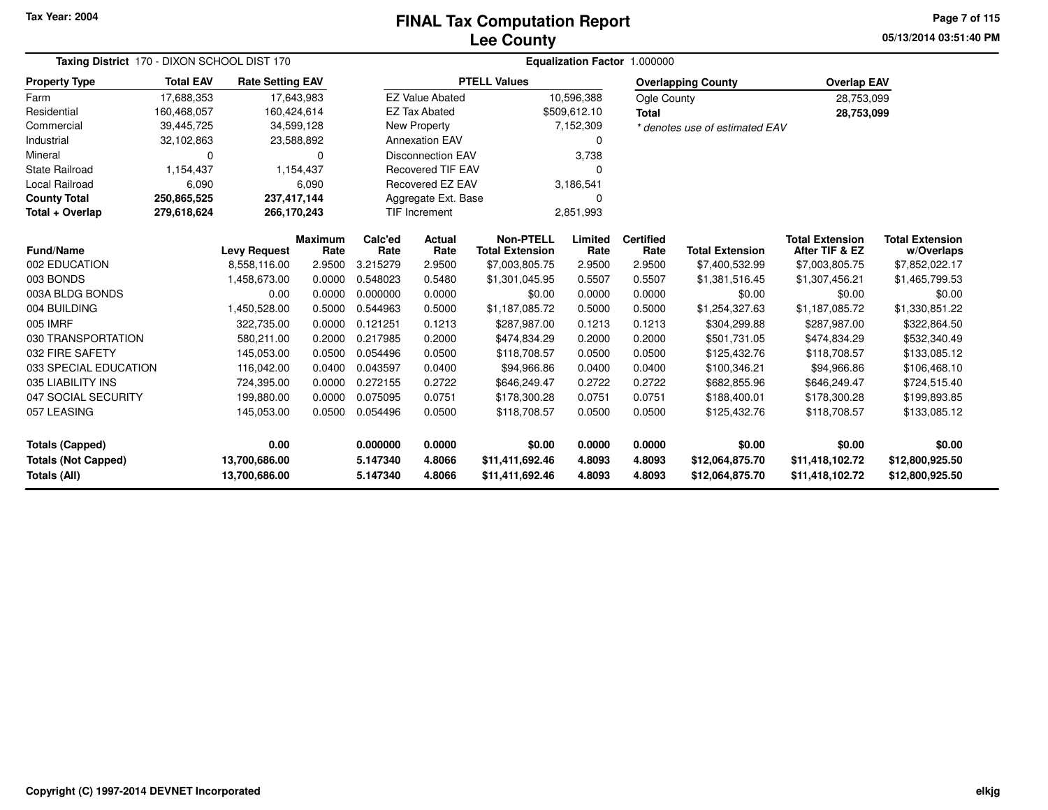# **Lee CountyFINAL Tax Computation Report**

**05/13/2014 03:51:40 PM Page 7 of 115**

| Taxing District 170 - DIXON SCHOOL DIST 170 |                  |                         |                | Equalization Factor 1.000000 |                          |                        |              |                  |                                |                        |                        |  |
|---------------------------------------------|------------------|-------------------------|----------------|------------------------------|--------------------------|------------------------|--------------|------------------|--------------------------------|------------------------|------------------------|--|
| <b>Property Type</b>                        | <b>Total EAV</b> | <b>Rate Setting EAV</b> |                |                              |                          | <b>PTELL Values</b>    |              |                  | <b>Overlapping County</b>      | <b>Overlap EAV</b>     |                        |  |
| Farm                                        | 17,688,353       | 17,643,983              |                |                              | <b>EZ Value Abated</b>   |                        | 10,596,388   | Ogle County      |                                | 28,753,099             |                        |  |
| Residential                                 | 160,468,057      | 160,424,614             |                |                              | <b>EZ Tax Abated</b>     |                        | \$509,612.10 | <b>Total</b>     |                                | 28,753,099             |                        |  |
| Commercial                                  | 39,445,725       | 34,599,128              |                |                              | New Property             |                        | 7,152,309    |                  | * denotes use of estimated EAV |                        |                        |  |
| Industrial                                  | 32,102,863       | 23,588,892              |                |                              | <b>Annexation EAV</b>    |                        | $\Omega$     |                  |                                |                        |                        |  |
| Mineral                                     | $\Omega$         |                         | 0              |                              | <b>Disconnection EAV</b> |                        | 3,738        |                  |                                |                        |                        |  |
| <b>State Railroad</b>                       | 1,154,437        |                         | 1,154,437      |                              | <b>Recovered TIF EAV</b> |                        | 0            |                  |                                |                        |                        |  |
| Local Railroad                              | 6,090            |                         | 6,090          |                              | Recovered EZ EAV         |                        | 3,186,541    |                  |                                |                        |                        |  |
| <b>County Total</b>                         | 250,865,525      | 237,417,144             |                |                              | Aggregate Ext. Base      |                        | 0            |                  |                                |                        |                        |  |
| Total + Overlap                             | 279,618,624      | 266,170,243             |                |                              | <b>TIF Increment</b>     |                        | 2,851,993    |                  |                                |                        |                        |  |
|                                             |                  |                         | <b>Maximum</b> | Calc'ed                      | Actual                   | <b>Non-PTELL</b>       | Limited      | <b>Certified</b> |                                | <b>Total Extension</b> | <b>Total Extension</b> |  |
| Fund/Name                                   |                  | <b>Levy Request</b>     | Rate           | Rate                         | Rate                     | <b>Total Extension</b> | Rate         | Rate             | <b>Total Extension</b>         | After TIF & EZ         | w/Overlaps             |  |
| 002 EDUCATION                               |                  | 8,558,116.00            | 2.9500         | 3.215279                     | 2.9500                   | \$7,003,805.75         | 2.9500       | 2.9500           | \$7,400,532.99                 | \$7,003,805.75         | \$7,852,022.17         |  |
| 003 BONDS                                   |                  | 1,458,673.00            | 0.0000         | 0.548023                     | 0.5480                   | \$1,301,045.95         | 0.5507       | 0.5507           | \$1,381,516.45                 | \$1,307,456.21         | \$1,465,799.53         |  |
| 003A BLDG BONDS                             |                  | 0.00                    | 0.0000         | 0.000000                     | 0.0000                   | \$0.00                 | 0.0000       | 0.0000           | \$0.00                         | \$0.00                 | \$0.00                 |  |
| 004 BUILDING                                |                  | 1,450,528.00            | 0.5000         | 0.544963                     | 0.5000                   | \$1,187,085.72         | 0.5000       | 0.5000           | \$1,254,327.63                 | \$1,187,085.72         | \$1,330,851.22         |  |
| 005 IMRF                                    |                  | 322,735.00              | 0.0000         | 0.121251                     | 0.1213                   | \$287,987.00           | 0.1213       | 0.1213           | \$304,299.88                   | \$287,987.00           | \$322,864.50           |  |
| 030 TRANSPORTATION                          |                  | 580,211.00              | 0.2000         | 0.217985                     | 0.2000                   | \$474,834.29           | 0.2000       | 0.2000           | \$501,731.05                   | \$474,834.29           | \$532,340.49           |  |
| 032 FIRE SAFETY                             |                  | 145,053.00              | 0.0500         | 0.054496                     | 0.0500                   | \$118,708.57           | 0.0500       | 0.0500           | \$125,432.76                   | \$118,708.57           | \$133,085.12           |  |
| 033 SPECIAL EDUCATION                       |                  | 116,042.00              | 0.0400         | 0.043597                     | 0.0400                   | \$94,966.86            | 0.0400       | 0.0400           | \$100,346.21                   | \$94,966.86            | \$106,468.10           |  |
| 035 LIABILITY INS                           |                  | 724,395.00              | 0.0000         | 0.272155                     | 0.2722                   | \$646,249.47           | 0.2722       | 0.2722           | \$682,855.96                   | \$646,249.47           | \$724,515.40           |  |
| 047 SOCIAL SECURITY                         |                  | 199,880.00              | 0.0000         | 0.075095                     | 0.0751                   | \$178,300.28           | 0.0751       | 0.0751           | \$188,400.01                   | \$178,300.28           | \$199,893.85           |  |
| 057 LEASING                                 |                  | 145,053.00              | 0.0500         | 0.054496                     | 0.0500                   | \$118,708.57           | 0.0500       | 0.0500           | \$125,432.76                   | \$118,708.57           | \$133,085.12           |  |
| 0.00<br><b>Totals (Capped)</b>              |                  |                         | 0.000000       | 0.0000                       | \$0.00                   | 0.0000                 | 0.0000       | \$0.00           | \$0.00                         | \$0.00                 |                        |  |
| <b>Totals (Not Capped)</b>                  |                  | 13,700,686.00           |                | 5.147340                     | 4.8066                   | \$11,411,692.46        | 4.8093       | 4.8093           | \$12,064,875.70                | \$11,418,102.72        | \$12,800,925.50        |  |
| Totals (All)                                |                  | 13,700,686.00           |                | 5.147340                     | 4.8066                   | \$11,411,692.46        | 4.8093       | 4.8093           | \$12,064,875.70                | \$11,418,102.72        | \$12,800,925.50        |  |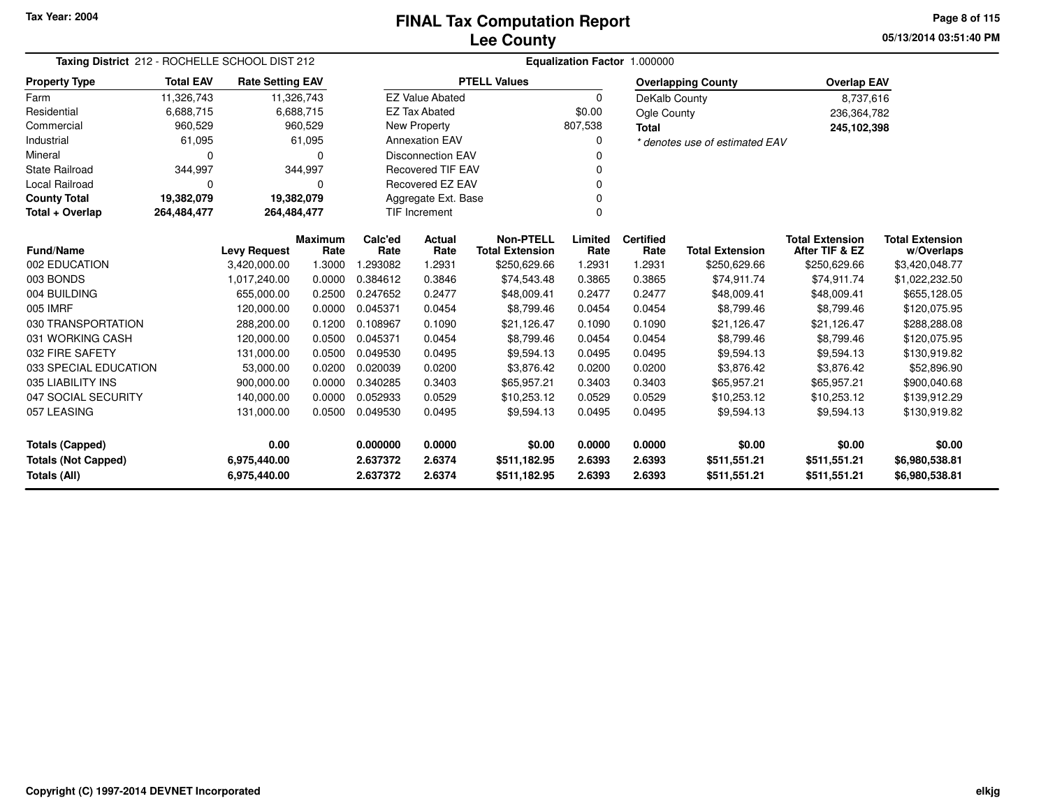**05/13/2014 03:51:40 PMPage 8 of 115**

| Taxing District 212 - ROCHELLE SCHOOL DIST 212                                                                                |                  |                         |                        | Equalization Factor 1.000000 |                          |                                            |                 |                          |                                |                                          |                                      |  |
|-------------------------------------------------------------------------------------------------------------------------------|------------------|-------------------------|------------------------|------------------------------|--------------------------|--------------------------------------------|-----------------|--------------------------|--------------------------------|------------------------------------------|--------------------------------------|--|
| <b>Property Type</b>                                                                                                          | <b>Total EAV</b> | <b>Rate Setting EAV</b> |                        |                              |                          | <b>PTELL Values</b>                        |                 |                          | <b>Overlapping County</b>      | <b>Overlap EAV</b>                       |                                      |  |
| Farm                                                                                                                          | 11,326,743       |                         | 11,326,743             |                              | <b>EZ Value Abated</b>   |                                            | $\Omega$        | DeKalb County            |                                | 8,737,616                                |                                      |  |
| Residential                                                                                                                   | 6,688,715        |                         | 6,688,715              |                              | <b>EZ Tax Abated</b>     |                                            | \$0.00          | Ogle County              |                                | 236,364,782                              |                                      |  |
| Commercial                                                                                                                    | 960,529          |                         | 960,529                |                              | <b>New Property</b>      |                                            | 807,538         | <b>Total</b>             |                                | 245,102,398                              |                                      |  |
| Industrial                                                                                                                    | 61,095           |                         | 61,095                 |                              | <b>Annexation EAV</b>    |                                            | 0               |                          | * denotes use of estimated EAV |                                          |                                      |  |
| Mineral                                                                                                                       | $\Omega$         |                         | 0                      |                              | <b>Disconnection EAV</b> |                                            | <sup>0</sup>    |                          |                                |                                          |                                      |  |
| <b>State Railroad</b>                                                                                                         | 344,997          |                         | 344,997                |                              | <b>Recovered TIF EAV</b> |                                            |                 |                          |                                |                                          |                                      |  |
| <b>Local Railroad</b>                                                                                                         | $\Omega$         |                         | 0                      |                              | Recovered EZ EAV         |                                            | $\Omega$        |                          |                                |                                          |                                      |  |
| <b>County Total</b>                                                                                                           | 19,382,079       | 19,382,079              |                        |                              | Aggregate Ext. Base      |                                            |                 |                          |                                |                                          |                                      |  |
| Total + Overlap                                                                                                               | 264,484,477      | 264,484,477             |                        |                              | <b>TIF Increment</b>     |                                            | $\Omega$        |                          |                                |                                          |                                      |  |
| <b>Fund/Name</b>                                                                                                              |                  | <b>Levy Request</b>     | <b>Maximum</b><br>Rate | Calc'ed<br>Rate              | Actual<br>Rate           | <b>Non-PTELL</b><br><b>Total Extension</b> | Limited<br>Rate | <b>Certified</b><br>Rate | <b>Total Extension</b>         | <b>Total Extension</b><br>After TIF & EZ | <b>Total Extension</b><br>w/Overlaps |  |
| 002 EDUCATION                                                                                                                 |                  | 3,420,000.00            | 1.3000                 | .293082                      | 1.2931                   | \$250,629.66                               | 1.2931          | 1.2931                   | \$250,629.66                   | \$250,629.66                             | \$3,420,048.77                       |  |
| 003 BONDS                                                                                                                     |                  | 1,017,240.00            | 0.0000                 | 0.384612                     | 0.3846                   | \$74,543.48                                | 0.3865          | 0.3865                   | \$74,911.74                    | \$74,911.74                              | \$1,022,232.50                       |  |
| 004 BUILDING                                                                                                                  |                  | 655,000.00              | 0.2500                 | 0.247652                     | 0.2477                   | \$48,009.41                                | 0.2477          | 0.2477                   | \$48,009.41                    | \$48,009.41                              | \$655,128.05                         |  |
| 005 IMRF                                                                                                                      |                  | 120,000.00              | 0.0000                 | 0.045371                     | 0.0454                   | \$8,799.46                                 | 0.0454          | 0.0454                   | \$8,799.46                     | \$8,799.46                               | \$120,075.95                         |  |
| 030 TRANSPORTATION                                                                                                            |                  | 288,200.00              | 0.1200                 | 0.108967                     | 0.1090                   | \$21,126.47                                | 0.1090          | 0.1090                   | \$21,126.47                    | \$21,126.47                              | \$288,288.08                         |  |
| 031 WORKING CASH                                                                                                              |                  | 120,000.00              | 0.0500                 | 0.045371                     | 0.0454                   | \$8,799.46                                 | 0.0454          | 0.0454                   | \$8,799.46                     | \$8,799.46                               | \$120,075.95                         |  |
| 032 FIRE SAFETY                                                                                                               |                  | 131,000.00              | 0.0500                 | 0.049530                     | 0.0495                   | \$9,594.13                                 | 0.0495          | 0.0495                   | \$9,594.13                     | \$9,594.13                               | \$130,919.82                         |  |
| 033 SPECIAL EDUCATION                                                                                                         |                  | 53,000.00               | 0.0200                 | 0.020039                     | 0.0200                   | \$3,876.42                                 | 0.0200          | 0.0200                   | \$3,876.42                     | \$3,876.42                               | \$52,896.90                          |  |
| 035 LIABILITY INS                                                                                                             |                  | 900,000.00              | 0.0000                 | 0.340285                     | 0.3403                   | \$65,957.21                                | 0.3403          | 0.3403                   | \$65,957.21                    | \$65,957.21                              | \$900,040.68                         |  |
| 047 SOCIAL SECURITY                                                                                                           |                  | 140,000.00              | 0.0000                 | 0.052933                     | 0.0529                   | \$10,253.12                                | 0.0529          | 0.0529                   | \$10,253.12                    | \$10,253.12                              | \$139,912.29                         |  |
| 057 LEASING                                                                                                                   |                  | 131,000.00              | 0.0500                 | 0.049530                     | 0.0495                   | \$9,594.13                                 | 0.0495          | 0.0495                   | \$9,594.13                     | \$9,594.13                               | \$130,919.82                         |  |
| 0.00<br><b>Totals (Capped)</b>                                                                                                |                  |                         |                        | 0.000000                     | 0.0000                   | \$0.00                                     | 0.0000          | 0.0000                   | \$0.00                         | \$0.00                                   | \$0.00                               |  |
| <b>Totals (Not Capped)</b>                                                                                                    |                  | 6,975,440.00            |                        | 2.637372                     | 2.6374                   | \$511,182.95                               | 2.6393          | 2.6393                   | \$511,551.21                   | \$511,551.21                             | \$6,980,538.81                       |  |
| <b>Totals (All)</b><br>2.637372<br>2.6374<br>2.6393<br>2.6393<br>6,975,440.00<br>\$511,182.95<br>\$511,551.21<br>\$511,551.21 |                  |                         |                        |                              |                          | \$6,980,538.81                             |                 |                          |                                |                                          |                                      |  |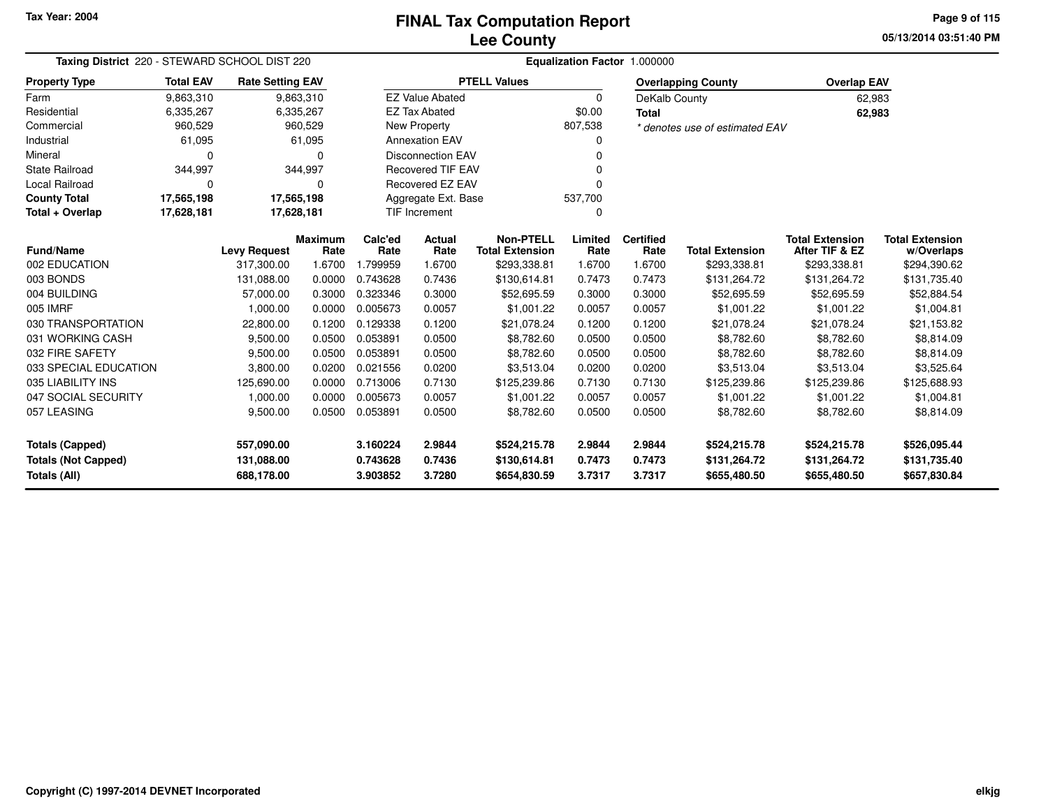**05/13/2014 03:51:40 PMPage 9 of 115**

| Taxing District 220 - STEWARD SCHOOL DIST 220 |                  |                         |                |          | Equalization Factor 1.000000   |                        |          |                  |                                |                        |                        |  |  |
|-----------------------------------------------|------------------|-------------------------|----------------|----------|--------------------------------|------------------------|----------|------------------|--------------------------------|------------------------|------------------------|--|--|
| <b>Property Type</b>                          | <b>Total EAV</b> | <b>Rate Setting EAV</b> |                |          |                                | <b>PTELL Values</b>    |          |                  | <b>Overlapping County</b>      | <b>Overlap EAV</b>     |                        |  |  |
| Farm                                          | 9,863,310        |                         | 9,863,310      |          | <b>EZ Value Abated</b>         |                        | $\Omega$ | DeKalb County    |                                |                        | 62,983                 |  |  |
| Residential                                   | 6,335,267        |                         | 6,335,267      |          | <b>EZ Tax Abated</b>           |                        | \$0.00   | <b>Total</b>     |                                |                        | 62,983                 |  |  |
| Commercial                                    | 960,529          |                         | 960,529        |          | New Property                   |                        | 807,538  |                  | * denotes use of estimated EAV |                        |                        |  |  |
| Industrial                                    | 61,095           |                         | 61,095         |          | <b>Annexation EAV</b>          |                        | 0        |                  |                                |                        |                        |  |  |
| Mineral                                       | $\Omega$         |                         | O              |          | <b>Disconnection EAV</b>       |                        |          |                  |                                |                        |                        |  |  |
| <b>State Railroad</b>                         | 344,997          |                         | 344,997        |          | <b>Recovered TIF EAV</b>       |                        |          |                  |                                |                        |                        |  |  |
| <b>Local Railroad</b>                         | $\Omega$         |                         | 0              |          | Recovered EZ EAV               |                        | 0        |                  |                                |                        |                        |  |  |
| <b>County Total</b>                           | 17,565,198       |                         | 17,565,198     |          | 537,700<br>Aggregate Ext. Base |                        |          |                  |                                |                        |                        |  |  |
| Total + Overlap                               | 17,628,181       | 17,628,181              |                |          | TIF Increment                  |                        | 0        |                  |                                |                        |                        |  |  |
|                                               |                  |                         | <b>Maximum</b> | Calc'ed  | Actual                         | <b>Non-PTELL</b>       | Limited  | <b>Certified</b> |                                | <b>Total Extension</b> | <b>Total Extension</b> |  |  |
| <b>Fund/Name</b>                              |                  | <b>Levy Request</b>     | Rate           | Rate     | Rate                           | <b>Total Extension</b> | Rate     | Rate             | <b>Total Extension</b>         | After TIF & EZ         | w/Overlaps             |  |  |
| 002 EDUCATION                                 |                  | 317,300.00              | 1.6700         | 1.799959 | 1.6700                         | \$293,338.81           | 1.6700   | 1.6700           | \$293,338.81                   | \$293,338.81           | \$294,390.62           |  |  |
| 003 BONDS                                     |                  | 131,088.00              | 0.0000         | 0.743628 | 0.7436                         | \$130,614.81           | 0.7473   | 0.7473           | \$131,264.72                   | \$131,264.72           | \$131,735.40           |  |  |
| 004 BUILDING                                  |                  | 57,000.00               | 0.3000         | 0.323346 | 0.3000                         | \$52,695.59            | 0.3000   | 0.3000           | \$52,695.59                    | \$52,695.59            | \$52,884.54            |  |  |
| 005 IMRF                                      |                  | 1,000.00                | 0.0000         | 0.005673 | 0.0057                         | \$1,001.22             | 0.0057   | 0.0057           | \$1,001.22                     | \$1,001.22             | \$1,004.81             |  |  |
| 030 TRANSPORTATION                            |                  | 22,800.00               | 0.1200         | 0.129338 | 0.1200                         | \$21,078.24            | 0.1200   | 0.1200           | \$21,078.24                    | \$21,078.24            | \$21,153.82            |  |  |
| 031 WORKING CASH                              |                  | 9,500.00                | 0.0500         | 0.053891 | 0.0500                         | \$8,782.60             | 0.0500   | 0.0500           | \$8,782.60                     | \$8,782.60             | \$8,814.09             |  |  |
| 032 FIRE SAFETY                               |                  | 9,500.00                | 0.0500         | 0.053891 | 0.0500                         | \$8,782.60             | 0.0500   | 0.0500           | \$8,782.60                     | \$8,782.60             | \$8,814.09             |  |  |
| 033 SPECIAL EDUCATION                         |                  | 3,800.00                | 0.0200         | 0.021556 | 0.0200                         | \$3,513.04             | 0.0200   | 0.0200           | \$3,513.04                     | \$3,513.04             | \$3,525.64             |  |  |
| 035 LIABILITY INS                             |                  | 125,690.00              | 0.0000         | 0.713006 | 0.7130                         | \$125,239.86           | 0.7130   | 0.7130           | \$125,239.86                   | \$125,239.86           | \$125,688.93           |  |  |
| 047 SOCIAL SECURITY                           |                  | 1,000.00                | 0.0000         | 0.005673 | 0.0057                         | \$1,001.22             | 0.0057   | 0.0057           | \$1,001.22                     | \$1,001.22             | \$1,004.81             |  |  |
| 057 LEASING                                   |                  | 9,500.00                | 0.0500         | 0.053891 | 0.0500                         | \$8,782.60             | 0.0500   | 0.0500           | \$8,782.60                     | \$8,782.60             | \$8,814.09             |  |  |
| <b>Totals (Capped)</b>                        |                  | 557,090.00              |                | 3.160224 | 2.9844                         | \$524,215.78           | 2.9844   | 2.9844           | \$524,215.78                   | \$524,215.78           | \$526,095.44           |  |  |
| <b>Totals (Not Capped)</b>                    |                  | 131,088.00              |                | 0.743628 | 0.7436                         | \$130,614.81           | 0.7473   | 0.7473           | \$131,264.72                   | \$131,264.72           | \$131,735.40           |  |  |
| Totals (All)                                  |                  | 688,178.00              |                | 3.903852 | 3.7280                         | \$654,830.59           | 3.7317   | 3.7317           | \$655,480.50                   | \$655,480.50           | \$657,830.84           |  |  |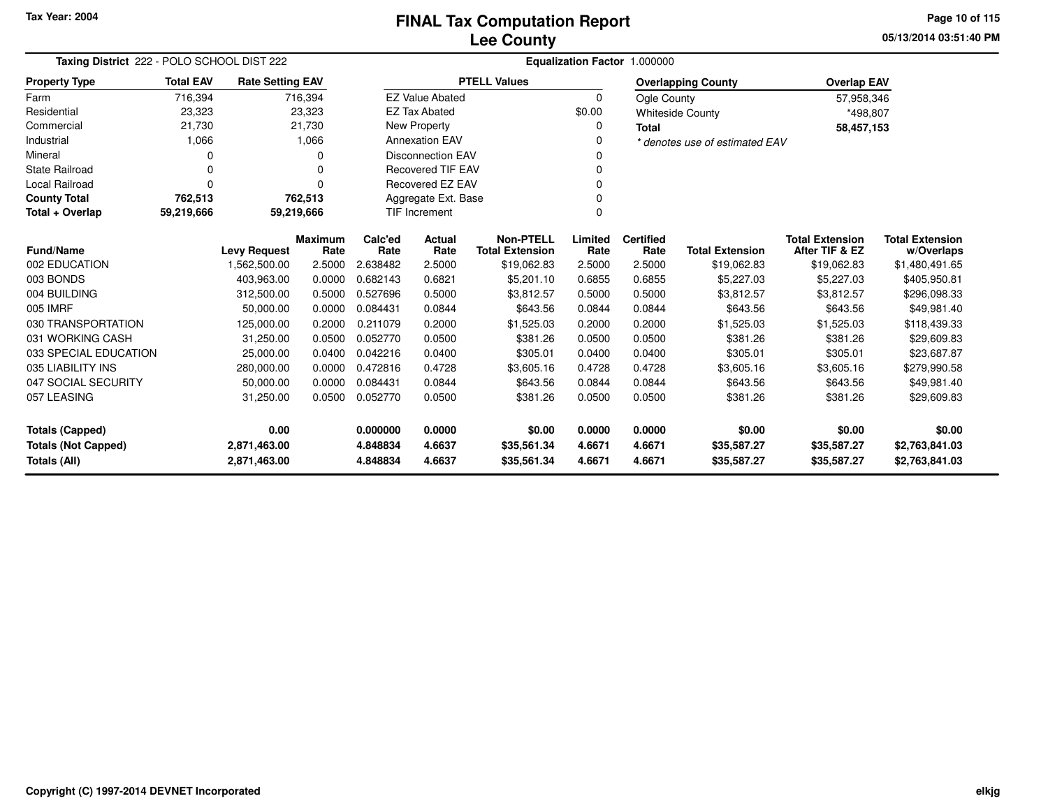# **Lee CountyFINAL Tax Computation Report**

**05/13/2014 03:51:40 PM Page 10 of 115**

| Taxing District 222 - POLO SCHOOL DIST 222<br><b>Rate Setting EAV</b> |                  |                     |                        |                                      |                          |                                            |                 | Equalization Factor 1.000000 |                                |                                          |                                      |
|-----------------------------------------------------------------------|------------------|---------------------|------------------------|--------------------------------------|--------------------------|--------------------------------------------|-----------------|------------------------------|--------------------------------|------------------------------------------|--------------------------------------|
| <b>Property Type</b>                                                  | <b>Total EAV</b> |                     |                        |                                      |                          | <b>PTELL Values</b>                        |                 |                              | <b>Overlapping County</b>      | <b>Overlap EAV</b>                       |                                      |
| Farm                                                                  | 716,394          |                     | 716,394                |                                      | <b>EZ Value Abated</b>   |                                            | $\Omega$        | Ogle County                  |                                | 57,958,346                               |                                      |
| Residential                                                           | 23,323           |                     | 23,323                 |                                      | <b>EZ Tax Abated</b>     |                                            | \$0.00          |                              | <b>Whiteside County</b>        | *498,807                                 |                                      |
| Commercial                                                            | 21,730           |                     | 21,730                 |                                      | <b>New Property</b>      |                                            | $\Omega$        | <b>Total</b>                 |                                | 58,457,153                               |                                      |
| Industrial                                                            | 1,066            |                     | 1,066                  |                                      | <b>Annexation EAV</b>    |                                            | $\Omega$        |                              | * denotes use of estimated EAV |                                          |                                      |
| Mineral                                                               |                  |                     | 0                      |                                      | <b>Disconnection EAV</b> |                                            |                 |                              |                                |                                          |                                      |
| <b>State Railroad</b>                                                 |                  |                     | 0                      | <b>Recovered TIF EAV</b><br>$\Omega$ |                          |                                            |                 |                              |                                |                                          |                                      |
| <b>Local Railroad</b>                                                 |                  |                     | n                      | Recovered EZ EAV                     |                          |                                            |                 |                              |                                |                                          |                                      |
| <b>County Total</b>                                                   | 762,513          |                     | 762,513                |                                      | Aggregate Ext. Base      |                                            |                 |                              |                                |                                          |                                      |
| Total + Overlap                                                       | 59,219,666       |                     | 59,219,666             |                                      | TIF Increment            |                                            | $\Omega$        |                              |                                |                                          |                                      |
| <b>Fund/Name</b>                                                      |                  | <b>Levy Request</b> | <b>Maximum</b><br>Rate | Calc'ed<br>Rate                      | Actual<br>Rate           | <b>Non-PTELL</b><br><b>Total Extension</b> | Limited<br>Rate | <b>Certified</b><br>Rate     | <b>Total Extension</b>         | <b>Total Extension</b><br>After TIF & EZ | <b>Total Extension</b><br>w/Overlaps |
| 002 EDUCATION                                                         |                  | 1,562,500.00        | 2.5000                 | 2.638482                             | 2.5000                   | \$19,062.83                                | 2.5000          | 2.5000                       | \$19,062.83                    | \$19,062.83                              | \$1,480,491.65                       |
| 003 BONDS                                                             |                  | 403,963.00          | 0.0000                 | 0.682143                             | 0.6821                   | \$5,201.10                                 | 0.6855          | 0.6855                       | \$5,227.03                     | \$5,227.03                               | \$405,950.81                         |
| 004 BUILDING                                                          |                  | 312,500.00          | 0.5000                 | 0.527696                             | 0.5000                   | \$3.812.57                                 | 0.5000          | 0.5000                       | \$3,812.57                     | \$3.812.57                               | \$296,098.33                         |
| 005 IMRF                                                              |                  | 50.000.00           | 0.0000                 | 0.084431                             | 0.0844                   | \$643.56                                   | 0.0844          | 0.0844                       | \$643.56                       | \$643.56                                 | \$49,981.40                          |
| 030 TRANSPORTATION                                                    |                  | 125,000.00          | 0.2000                 | 0.211079                             | 0.2000                   | \$1,525.03                                 | 0.2000          | 0.2000                       | \$1,525.03                     | \$1,525.03                               | \$118,439.33                         |
| 031 WORKING CASH                                                      |                  | 31,250.00           | 0.0500                 | 0.052770                             | 0.0500                   | \$381.26                                   | 0.0500          | 0.0500                       | \$381.26                       | \$381.26                                 | \$29,609.83                          |
| 033 SPECIAL EDUCATION                                                 |                  | 25,000.00           | 0.0400                 | 0.042216                             | 0.0400                   | \$305.01                                   | 0.0400          | 0.0400                       | \$305.01                       | \$305.01                                 | \$23,687.87                          |
| 035 LIABILITY INS                                                     |                  | 280,000.00          | 0.0000                 | 0.472816                             | 0.4728                   | \$3,605.16                                 | 0.4728          | 0.4728                       | \$3,605.16                     | \$3,605.16                               | \$279,990.58                         |
| 047 SOCIAL SECURITY                                                   |                  | 50,000.00           | 0.0000                 | 0.084431                             | 0.0844                   | \$643.56                                   | 0.0844          | 0.0844                       | \$643.56                       | \$643.56                                 | \$49,981.40                          |
| 057 LEASING                                                           |                  | 31,250.00           | 0.0500                 | 0.052770                             | 0.0500                   | \$381.26                                   | 0.0500          | 0.0500                       | \$381.26                       | \$381.26                                 | \$29,609.83                          |
| <b>Totals (Capped)</b>                                                |                  | 0.00                |                        | 0.000000                             | 0.0000                   | \$0.00                                     | 0.0000          | 0.0000                       | \$0.00                         | \$0.00                                   | \$0.00                               |
| <b>Totals (Not Capped)</b>                                            |                  | 2,871,463.00        |                        | 4.848834                             | 4.6637                   | \$35,561.34                                | 4.6671          | 4.6671                       | \$35,587.27                    | \$35,587.27                              | \$2,763,841.03                       |
| Totals (All)                                                          |                  | 2,871,463.00        |                        | 4.848834                             | 4.6637                   | \$35,561.34                                | 4.6671          | 4.6671                       | \$35,587.27                    | \$35,587.27                              | \$2,763,841.03                       |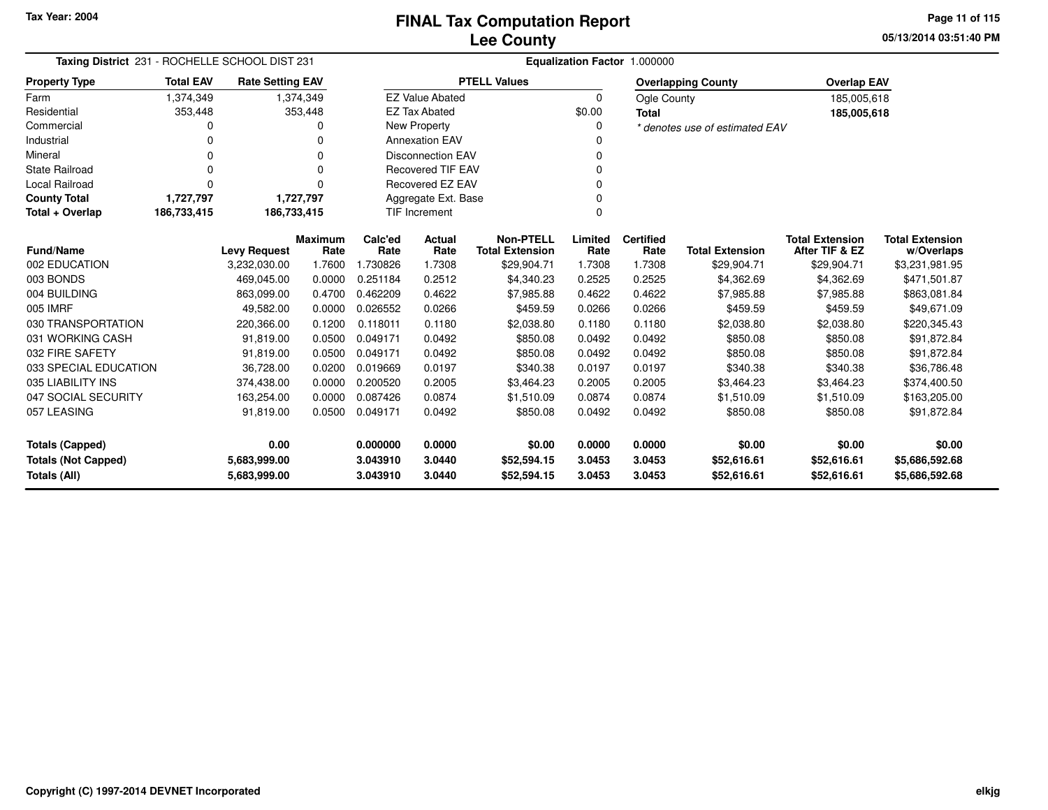**05/13/2014 03:51:40 PM Page 11 of 115**

| Taxing District 231 - ROCHELLE SCHOOL DIST 231 |                  |                         |                        | Equalization Factor 1.000000 |                                  |                                            |                 |                          |                                |                                          |                                      |  |
|------------------------------------------------|------------------|-------------------------|------------------------|------------------------------|----------------------------------|--------------------------------------------|-----------------|--------------------------|--------------------------------|------------------------------------------|--------------------------------------|--|
| <b>Property Type</b>                           | <b>Total EAV</b> | <b>Rate Setting EAV</b> |                        |                              |                                  | <b>PTELL Values</b>                        |                 |                          | <b>Overlapping County</b>      | <b>Overlap EAV</b>                       |                                      |  |
| Farm                                           | 1,374,349        |                         | 1,374,349              |                              | <b>EZ Value Abated</b>           |                                            | 0               | Ogle County              |                                | 185,005,618                              |                                      |  |
| Residential                                    | 353,448          |                         | 353,448                |                              | <b>EZ Tax Abated</b>             |                                            | \$0.00          | <b>Total</b>             |                                | 185,005,618                              |                                      |  |
| Commercial                                     | 0                |                         |                        |                              | <b>New Property</b>              |                                            | 0               |                          | * denotes use of estimated EAV |                                          |                                      |  |
| Industrial                                     | O                |                         | 0                      |                              | <b>Annexation EAV</b>            |                                            | O               |                          |                                |                                          |                                      |  |
| Mineral                                        | 0                |                         | 0                      |                              | <b>Disconnection EAV</b>         |                                            | 0               |                          |                                |                                          |                                      |  |
| <b>State Railroad</b>                          | O                |                         | 0                      |                              | <b>Recovered TIF EAV</b>         |                                            | O               |                          |                                |                                          |                                      |  |
| <b>Local Railroad</b>                          | $\Omega$         |                         | ŋ                      |                              | Recovered EZ EAV                 |                                            | 0               |                          |                                |                                          |                                      |  |
| <b>County Total</b>                            | 1,727,797        |                         | 1,727,797              |                              | Aggregate Ext. Base              |                                            | 0               |                          |                                |                                          |                                      |  |
| Total + Overlap                                | 186,733,415      | 186,733,415             |                        |                              | <b>TIF Increment</b><br>$\Omega$ |                                            |                 |                          |                                |                                          |                                      |  |
| <b>Fund/Name</b>                               |                  | <b>Levy Request</b>     | <b>Maximum</b><br>Rate | Calc'ed<br>Rate              | Actual<br>Rate                   | <b>Non-PTELL</b><br><b>Total Extension</b> | Limited<br>Rate | <b>Certified</b><br>Rate | <b>Total Extension</b>         | <b>Total Extension</b><br>After TIF & EZ | <b>Total Extension</b><br>w/Overlaps |  |
| 002 EDUCATION                                  |                  | 3,232,030.00            | 1.7600                 | 1.730826                     | 1.7308                           | \$29,904.71                                | 1.7308          | 1.7308                   | \$29,904.71                    | \$29,904.71                              | \$3,231,981.95                       |  |
| 003 BONDS                                      |                  | 469,045.00              | 0.0000                 | 0.251184                     | 0.2512                           | \$4,340.23                                 | 0.2525          | 0.2525                   | \$4,362.69                     | \$4,362.69                               | \$471,501.87                         |  |
| 004 BUILDING                                   |                  | 863,099.00              | 0.4700                 | 0.462209                     | 0.4622                           | \$7,985.88                                 | 0.4622          | 0.4622                   | \$7,985.88                     | \$7,985.88                               | \$863,081.84                         |  |
| 005 IMRF                                       |                  | 49,582.00               | 0.0000                 | 0.026552                     | 0.0266                           | \$459.59                                   | 0.0266          | 0.0266                   | \$459.59                       | \$459.59                                 | \$49,671.09                          |  |
| 030 TRANSPORTATION                             |                  | 220,366.00              | 0.1200                 | 0.118011                     | 0.1180                           | \$2,038.80                                 | 0.1180          | 0.1180                   | \$2,038.80                     | \$2,038.80                               | \$220,345.43                         |  |
| 031 WORKING CASH                               |                  | 91,819.00               | 0.0500                 | 0.049171                     | 0.0492                           | \$850.08                                   | 0.0492          | 0.0492                   | \$850.08                       | \$850.08                                 | \$91,872.84                          |  |
| 032 FIRE SAFETY                                |                  | 91,819.00               | 0.0500                 | 0.049171                     | 0.0492                           | \$850.08                                   | 0.0492          | 0.0492                   | \$850.08                       | \$850.08                                 | \$91,872.84                          |  |
| 033 SPECIAL EDUCATION                          |                  | 36,728.00               | 0.0200                 | 0.019669                     | 0.0197                           | \$340.38                                   | 0.0197          | 0.0197                   | \$340.38                       | \$340.38                                 | \$36,786.48                          |  |
| 035 LIABILITY INS                              |                  | 374,438.00              | 0.0000                 | 0.200520                     | 0.2005                           | \$3,464.23                                 | 0.2005          | 0.2005                   | \$3,464.23                     | \$3,464.23                               | \$374,400.50                         |  |
| 047 SOCIAL SECURITY                            |                  | 163,254.00              | 0.0000                 | 0.087426                     | 0.0874                           | \$1,510.09                                 | 0.0874          | 0.0874                   | \$1,510.09                     | \$1,510.09                               | \$163,205.00                         |  |
| 057 LEASING                                    |                  | 91,819.00               | 0.0500                 | 0.049171                     | 0.0492                           | \$850.08                                   | 0.0492          | 0.0492                   | \$850.08                       | \$850.08                                 | \$91,872.84                          |  |
| 0.00<br><b>Totals (Capped)</b>                 |                  |                         | 0.000000               | 0.0000                       | \$0.00                           | 0.0000                                     | 0.0000          | \$0.00                   | \$0.00                         | \$0.00                                   |                                      |  |
| <b>Totals (Not Capped)</b><br>5,683,999.00     |                  |                         | 3.043910               | 3.0440                       | \$52,594.15                      | 3.0453                                     | 3.0453          | \$52,616.61              | \$52,616.61                    | \$5,686,592.68                           |                                      |  |
| Totals (All)                                   |                  | 5,683,999.00            |                        | 3.043910                     | 3.0440                           | \$52,594.15                                | 3.0453          | 3.0453                   | \$52,616.61                    | \$52,616.61                              | \$5,686,592.68                       |  |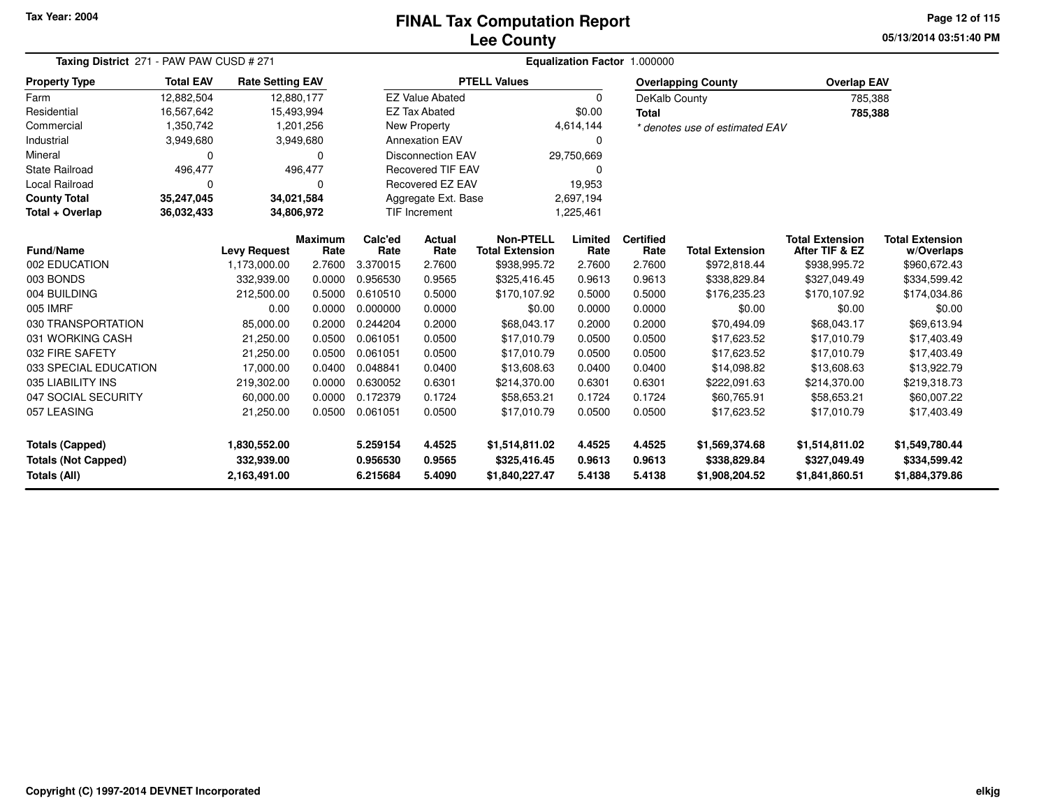# **Lee CountyFINAL Tax Computation Report**

**05/13/2014 03:51:40 PM Page 12 of 115**

| Taxing District 271 - PAW PAW CUSD # 271 |                                                                                                                           |                         |                 |                          | Equalization Factor 1.000000           |                                          |                                      |                |                                |                    |                |  |
|------------------------------------------|---------------------------------------------------------------------------------------------------------------------------|-------------------------|-----------------|--------------------------|----------------------------------------|------------------------------------------|--------------------------------------|----------------|--------------------------------|--------------------|----------------|--|
| <b>Property Type</b>                     | <b>Total EAV</b>                                                                                                          | <b>Rate Setting EAV</b> |                 |                          |                                        | <b>PTELL Values</b>                      |                                      |                | <b>Overlapping County</b>      | <b>Overlap EAV</b> |                |  |
| Farm                                     | 12,882,504                                                                                                                | 12,880,177              |                 |                          | <b>EZ Value Abated</b>                 |                                          | 0                                    | DeKalb County  |                                | 785,388            |                |  |
| Residential                              | 16,567,642                                                                                                                | 15,493,994              |                 |                          | <b>EZ Tax Abated</b>                   |                                          | \$0.00                               |                |                                | 785,388            |                |  |
| Commercial                               | 1,350,742                                                                                                                 |                         | 1,201,256       |                          | <b>New Property</b>                    |                                          | 4,614,144                            |                | * denotes use of estimated EAV |                    |                |  |
| Industrial                               | 3,949,680                                                                                                                 |                         | 3,949,680       |                          | <b>Annexation EAV</b>                  |                                          | $\Omega$                             |                |                                |                    |                |  |
| Mineral                                  | 0                                                                                                                         |                         | 0               |                          | <b>Disconnection EAV</b><br>29,750,669 |                                          |                                      |                |                                |                    |                |  |
| <b>State Railroad</b>                    | 496,477                                                                                                                   |                         | 496,477         |                          | <b>Recovered TIF EAV</b><br>$\Omega$   |                                          |                                      |                |                                |                    |                |  |
| <b>Local Railroad</b>                    | 0                                                                                                                         |                         | 0               |                          | Recovered EZ EAV<br>19,953             |                                          |                                      |                |                                |                    |                |  |
| <b>County Total</b>                      | 35,247,045                                                                                                                | 34,021,584              |                 |                          | Aggregate Ext. Base<br>2,697,194       |                                          |                                      |                |                                |                    |                |  |
| Total + Overlap                          | 36,032,433                                                                                                                | 34,806,972              |                 |                          | <b>TIF Increment</b>                   |                                          | 1,225,461                            |                |                                |                    |                |  |
| <b>Fund/Name</b>                         | <b>Non-PTELL</b><br>Calc'ed<br>Maximum<br>Actual<br><b>Levy Request</b><br>Rate<br><b>Total Extension</b><br>Rate<br>Rate |                         | Limited<br>Rate | <b>Certified</b><br>Rate | <b>Total Extension</b>                 | <b>Total Extension</b><br>After TIF & EZ | <b>Total Extension</b><br>w/Overlaps |                |                                |                    |                |  |
| 002 EDUCATION                            |                                                                                                                           | 1,173,000.00            | 2.7600          | 3.370015                 | 2.7600                                 | \$938,995.72                             | 2.7600                               | 2.7600         | \$972,818.44                   | \$938,995.72       | \$960,672.43   |  |
| 003 BONDS                                |                                                                                                                           | 332,939.00              | 0.0000          | 0.956530                 | 0.9565                                 | \$325,416.45                             | 0.9613                               | 0.9613         | \$338,829.84                   | \$327,049.49       | \$334,599.42   |  |
| 004 BUILDING                             |                                                                                                                           | 212,500.00              | 0.5000          | 0.610510                 | 0.5000                                 | \$170,107.92                             | 0.5000                               | 0.5000         | \$176,235.23                   | \$170,107.92       | \$174,034.86   |  |
| 005 IMRF                                 |                                                                                                                           | 0.00                    | 0.0000          | 0.000000                 | 0.0000                                 | \$0.00                                   | 0.0000                               | 0.0000         | \$0.00                         | \$0.00             | \$0.00         |  |
| 030 TRANSPORTATION                       |                                                                                                                           | 85,000.00               | 0.2000          | 0.244204                 | 0.2000                                 | \$68,043.17                              | 0.2000                               | 0.2000         | \$70,494.09                    | \$68,043.17        | \$69,613.94    |  |
| 031 WORKING CASH                         |                                                                                                                           | 21,250.00               | 0.0500          | 0.061051                 | 0.0500                                 | \$17,010.79                              | 0.0500                               | 0.0500         | \$17,623.52                    | \$17,010.79        | \$17,403.49    |  |
| 032 FIRE SAFETY                          |                                                                                                                           | 21,250.00               | 0.0500          | 0.061051                 | 0.0500                                 | \$17,010.79                              | 0.0500                               | 0.0500         | \$17,623.52                    | \$17,010.79        | \$17,403.49    |  |
| 033 SPECIAL EDUCATION                    |                                                                                                                           | 17,000.00               | 0.0400          | 0.048841                 | 0.0400                                 | \$13,608.63                              | 0.0400                               | 0.0400         | \$14,098.82                    | \$13,608.63        | \$13,922.79    |  |
| 035 LIABILITY INS                        |                                                                                                                           | 219,302.00              | 0.0000          | 0.630052                 | 0.6301                                 | \$214,370.00                             | 0.6301                               | 0.6301         | \$222,091.63                   | \$214,370.00       | \$219,318.73   |  |
| 047 SOCIAL SECURITY                      |                                                                                                                           | 60,000.00               | 0.0000          | 0.172379                 | 0.1724                                 | \$58,653.21                              | 0.1724                               | 0.1724         | \$60,765.91                    | \$58,653.21        | \$60,007.22    |  |
| 057 LEASING                              |                                                                                                                           | 21,250.00               | 0.0500          | 0.061051                 | 0.0500                                 | \$17,010.79                              | 0.0500                               | 0.0500         | \$17,623.52                    | \$17,010.79        | \$17,403.49    |  |
| <b>Totals (Capped)</b><br>1,830,552.00   |                                                                                                                           |                         | 5.259154        | 4.4525                   | \$1,514,811.02                         | 4.4525                                   | 4.4525                               | \$1,569,374.68 | \$1,514,811.02                 | \$1,549,780.44     |                |  |
| <b>Totals (Not Capped)</b>               |                                                                                                                           | 332,939.00              |                 | 0.956530                 | 0.9565                                 | \$325,416.45                             | 0.9613                               | 0.9613         | \$338,829.84                   | \$327,049.49       | \$334,599.42   |  |
| Totals (All)                             |                                                                                                                           | 2,163,491.00            |                 | 6.215684                 | 5.4090                                 | \$1,840,227.47                           | 5.4138                               | 5.4138         | \$1,908,204.52                 | \$1,841,860.51     | \$1,884,379.86 |  |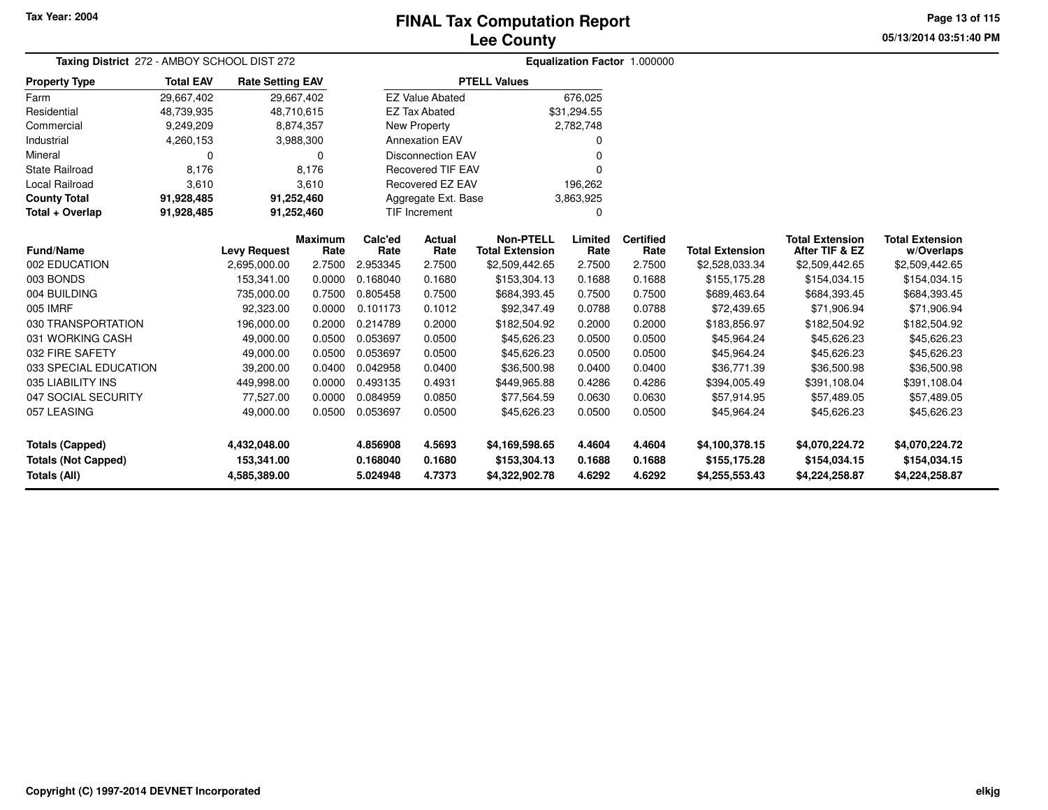# **Lee CountyFINAL Tax Computation Report**

**05/13/2014 03:51:40 PM Page 13 of 115**

| Taxing District 272 - AMBOY SCHOOL DIST 272 |                  | Equalization Factor 1.000000        |                |                 |                          |                                          |                 |                  |                        |                                          |                              |
|---------------------------------------------|------------------|-------------------------------------|----------------|-----------------|--------------------------|------------------------------------------|-----------------|------------------|------------------------|------------------------------------------|------------------------------|
| <b>Property Type</b>                        | <b>Total EAV</b> | <b>Rate Setting EAV</b>             |                |                 |                          | <b>PTELL Values</b>                      |                 |                  |                        |                                          |                              |
| Farm                                        | 29,667,402       |                                     | 29,667,402     |                 | <b>EZ Value Abated</b>   |                                          | 676,025         |                  |                        |                                          |                              |
| Residential                                 | 48,739,935       |                                     | 48,710,615     |                 | <b>EZ Tax Abated</b>     |                                          | \$31,294.55     |                  |                        |                                          |                              |
| Commercial                                  | 9,249,209        |                                     | 8,874,357      |                 | New Property             |                                          | 2,782,748       |                  |                        |                                          |                              |
| Industrial                                  | 4,260,153        |                                     | 3,988,300      |                 | <b>Annexation EAV</b>    |                                          |                 |                  |                        |                                          |                              |
| Mineral                                     | 0                |                                     | $\mathbf 0$    |                 | <b>Disconnection EAV</b> |                                          |                 |                  |                        |                                          |                              |
| <b>State Railroad</b>                       | 8,176            |                                     | 8,176          |                 | <b>Recovered TIF EAV</b> |                                          |                 |                  |                        |                                          |                              |
| <b>Local Railroad</b>                       | 3,610            |                                     | 3,610          |                 | <b>Recovered EZ EAV</b>  |                                          | 196,262         |                  |                        |                                          |                              |
| <b>County Total</b>                         | 91,928,485       |                                     | 91,252,460     |                 | Aggregate Ext. Base      |                                          | 3,863,925       |                  |                        |                                          |                              |
| Total + Overlap                             | 91,928,485       |                                     | 91,252,460     | TIF Increment   |                          |                                          | $\Omega$        |                  |                        |                                          |                              |
| <b>Fund/Name</b>                            |                  |                                     | <b>Maximum</b> | Calc'ed<br>Rate | Actual<br>Rate           | <b>Non-PTELL</b>                         | Limited<br>Rate | <b>Certified</b> | <b>Total Extension</b> | <b>Total Extension</b><br>After TIF & EZ | <b>Total Extension</b>       |
| 002 EDUCATION                               |                  | <b>Levy Request</b><br>2,695,000.00 | Rate<br>2.7500 | 2.953345        | 2.7500                   | <b>Total Extension</b><br>\$2,509,442.65 | 2.7500          | Rate<br>2.7500   | \$2,528,033.34         | \$2,509,442.65                           | w/Overlaps<br>\$2,509,442.65 |
| 003 BONDS                                   |                  | 153,341.00                          | 0.0000         | 0.168040        | 0.1680                   | \$153,304.13                             | 0.1688          | 0.1688           | \$155,175.28           | \$154,034.15                             | \$154,034.15                 |
| 004 BUILDING                                |                  | 735,000.00                          | 0.7500         | 0.805458        | 0.7500                   | \$684,393.45                             | 0.7500          | 0.7500           | \$689,463.64           | \$684,393.45                             | \$684,393.45                 |
| 005 IMRF                                    |                  | 92,323.00                           | 0.0000         | 0.101173        | 0.1012                   | \$92,347.49                              | 0.0788          | 0.0788           | \$72,439.65            | \$71,906.94                              | \$71,906.94                  |
| 030 TRANSPORTATION                          |                  | 196,000.00                          | 0.2000         | 0.214789        | 0.2000                   | \$182,504.92                             | 0.2000          | 0.2000           | \$183,856.97           | \$182,504.92                             | \$182,504.92                 |
| 031 WORKING CASH                            |                  | 49,000.00                           | 0.0500         | 0.053697        | 0.0500                   | \$45,626.23                              | 0.0500          | 0.0500           | \$45,964.24            | \$45,626.23                              | \$45,626.23                  |
| 032 FIRE SAFETY                             |                  | 49,000.00                           | 0.0500         | 0.053697        | 0.0500                   | \$45,626.23                              | 0.0500          | 0.0500           | \$45,964.24            | \$45,626.23                              | \$45,626.23                  |
| 033 SPECIAL EDUCATION                       |                  | 39,200.00                           | 0.0400         | 0.042958        | 0.0400                   | \$36,500.98                              | 0.0400          | 0.0400           | \$36,771.39            | \$36,500.98                              | \$36,500.98                  |
| 035 LIABILITY INS                           |                  | 449,998.00                          | 0.0000         | 0.493135        | 0.4931                   | \$449,965.88                             | 0.4286          | 0.4286           | \$394,005.49           | \$391,108.04                             | \$391,108.04                 |
| 047 SOCIAL SECURITY                         |                  | 77,527.00                           | 0.0000         | 0.084959        | 0.0850                   | \$77,564.59                              | 0.0630          | 0.0630           | \$57,914.95            | \$57,489.05                              | \$57,489.05                  |
| 057 LEASING                                 |                  | 49,000.00                           | 0.0500         | 0.053697        | 0.0500                   | \$45,626.23                              | 0.0500          | 0.0500           | \$45,964.24            | \$45,626.23                              | \$45,626.23                  |
|                                             |                  |                                     |                |                 |                          |                                          |                 |                  |                        |                                          |                              |
| <b>Totals (Capped)</b>                      |                  | 4,432,048.00                        |                | 4.856908        | 4.5693                   | \$4,169,598.65                           | 4.4604          | 4.4604           | \$4,100,378.15         | \$4,070,224.72                           | \$4,070,224.72               |
| <b>Totals (Not Capped)</b>                  |                  | 153,341.00                          |                | 0.168040        | 0.1680                   | \$153,304.13                             | 0.1688          | 0.1688           | \$155,175.28           | \$154,034.15                             | \$154,034.15                 |
| Totals (All)                                |                  | 4,585,389.00                        |                | 5.024948        | 4.7373                   | \$4,322,902.78                           | 4.6292          | 4.6292           | \$4,255,553.43         | \$4,224,258.87                           | \$4,224,258.87               |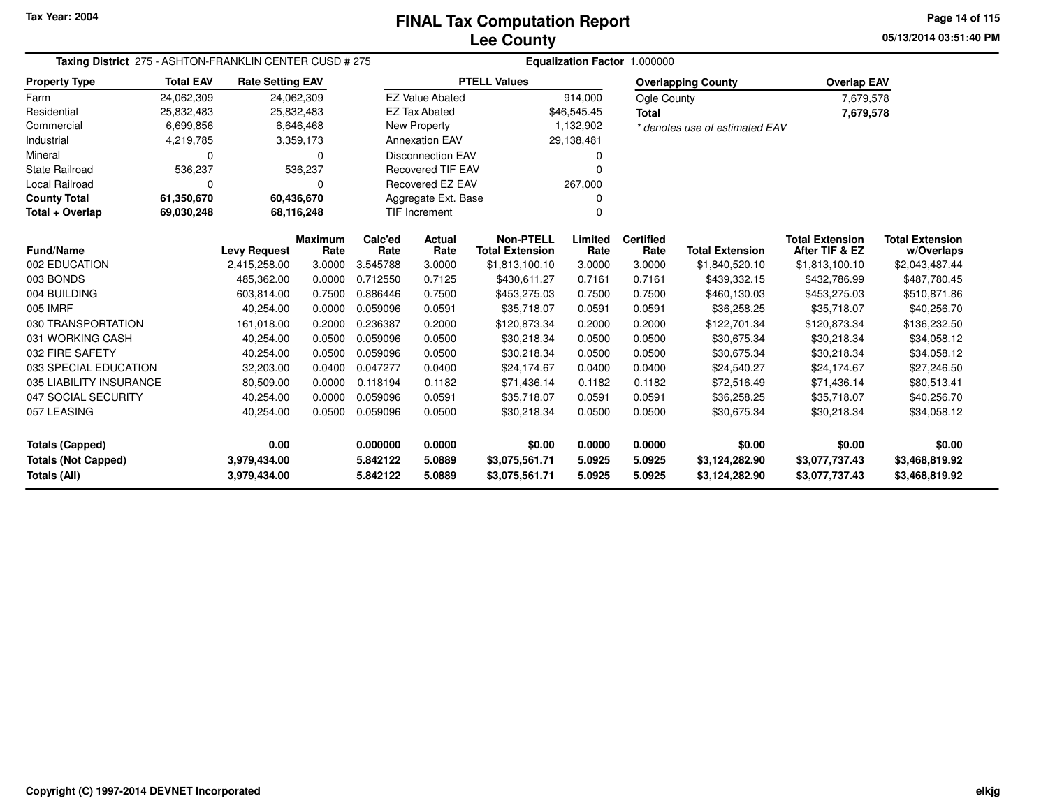**05/13/2014 03:51:40 PMPage 14 of 115**

| Taxing District 275 - ASHTON-FRANKLIN CENTER CUSD # 275 |                  |                         |                                                |                 |                          |                                            | Equalization Factor 1.000000 |                          |                                |                                          |                                      |
|---------------------------------------------------------|------------------|-------------------------|------------------------------------------------|-----------------|--------------------------|--------------------------------------------|------------------------------|--------------------------|--------------------------------|------------------------------------------|--------------------------------------|
| <b>Property Type</b>                                    | <b>Total EAV</b> | <b>Rate Setting EAV</b> |                                                |                 |                          | <b>PTELL Values</b>                        |                              |                          | <b>Overlapping County</b>      | <b>Overlap EAV</b>                       |                                      |
| Farm                                                    | 24,062,309       |                         | 24,062,309                                     |                 | <b>EZ Value Abated</b>   |                                            | 914,000                      | Ogle County              |                                | 7,679,578                                |                                      |
| Residential                                             | 25,832,483       |                         | 25,832,483                                     |                 | <b>EZ Tax Abated</b>     |                                            | \$46,545.45                  | <b>Total</b>             |                                | 7,679,578                                |                                      |
| Commercial                                              | 6,699,856        |                         | 6,646,468                                      |                 | New Property             |                                            | 1,132,902                    |                          | * denotes use of estimated EAV |                                          |                                      |
| Industrial                                              | 4,219,785        |                         | 3,359,173                                      |                 | <b>Annexation EAV</b>    |                                            | 29,138,481                   |                          |                                |                                          |                                      |
| Mineral                                                 | 0                |                         | $\Omega$                                       |                 | <b>Disconnection EAV</b> |                                            |                              |                          |                                |                                          |                                      |
| <b>State Railroad</b>                                   | 536,237          |                         | 536,237                                        |                 | <b>Recovered TIF EAV</b> |                                            |                              |                          |                                |                                          |                                      |
| Local Railroad                                          | 0                |                         | 0                                              |                 | Recovered EZ EAV         |                                            | 267,000                      |                          |                                |                                          |                                      |
| <b>County Total</b>                                     | 61,350,670       |                         | 60,436,670                                     |                 | Aggregate Ext. Base      |                                            | ŋ                            |                          |                                |                                          |                                      |
| Total + Overlap                                         | 69.030,248       |                         | <b>TIF Increment</b><br>68,116,248<br>$\Omega$ |                 |                          |                                            |                              |                          |                                |                                          |                                      |
| <b>Fund/Name</b>                                        |                  | <b>Levy Request</b>     | <b>Maximum</b><br>Rate                         | Calc'ed<br>Rate | Actual<br>Rate           | <b>Non-PTELL</b><br><b>Total Extension</b> | Limited<br>Rate              | <b>Certified</b><br>Rate | <b>Total Extension</b>         | <b>Total Extension</b><br>After TIF & EZ | <b>Total Extension</b><br>w/Overlaps |
| 002 EDUCATION                                           |                  | 2,415,258.00            | 3.0000                                         | 3.545788        | 3.0000                   | \$1,813,100.10                             | 3.0000                       | 3.0000                   | \$1,840,520.10                 | \$1,813,100.10                           | \$2,043,487.44                       |
| 003 BONDS                                               |                  | 485,362.00              | 0.0000                                         | 0.712550        | 0.7125                   | \$430,611.27                               | 0.7161                       | 0.7161                   | \$439,332.15                   | \$432,786.99                             | \$487,780.45                         |
| 004 BUILDING                                            |                  | 603,814.00              | 0.7500                                         | 0.886446        | 0.7500                   | \$453,275.03                               | 0.7500                       | 0.7500                   | \$460,130.03                   | \$453,275.03                             | \$510,871.86                         |
| 005 IMRF                                                |                  | 40,254.00               | 0.0000                                         | 0.059096        | 0.0591                   | \$35,718.07                                | 0.0591                       | 0.0591                   | \$36,258.25                    | \$35,718.07                              | \$40,256.70                          |
| 030 TRANSPORTATION                                      |                  | 161,018.00              | 0.2000                                         | 0.236387        | 0.2000                   | \$120,873.34                               | 0.2000                       | 0.2000                   | \$122,701.34                   | \$120,873.34                             | \$136,232.50                         |
| 031 WORKING CASH                                        |                  | 40,254.00               | 0.0500                                         | 0.059096        | 0.0500                   | \$30,218.34                                | 0.0500                       | 0.0500                   | \$30,675.34                    | \$30,218.34                              | \$34,058.12                          |
| 032 FIRE SAFETY                                         |                  | 40,254.00               | 0.0500                                         | 0.059096        | 0.0500                   | \$30,218.34                                | 0.0500                       | 0.0500                   | \$30,675.34                    | \$30,218.34                              | \$34,058.12                          |
| 033 SPECIAL EDUCATION                                   |                  | 32,203.00               | 0.0400                                         | 0.047277        | 0.0400                   | \$24,174.67                                | 0.0400                       | 0.0400                   | \$24,540.27                    | \$24,174.67                              | \$27,246.50                          |
| 035 LIABILITY INSURANCE                                 |                  | 80,509.00               | 0.0000                                         | 0.118194        | 0.1182                   | \$71,436.14                                | 0.1182                       | 0.1182                   | \$72,516.49                    | \$71,436.14                              | \$80,513.41                          |
| 047 SOCIAL SECURITY                                     |                  | 40,254.00               | 0.0000                                         | 0.059096        | 0.0591                   | \$35,718.07                                | 0.0591                       | 0.0591                   | \$36,258.25                    | \$35,718.07                              | \$40,256.70                          |
| 057 LEASING                                             |                  | 40,254.00               | 0.0500                                         | 0.059096        | 0.0500                   | \$30,218.34                                | 0.0500                       | 0.0500                   | \$30,675.34                    | \$30,218.34                              | \$34,058.12                          |
| <b>Totals (Capped)</b>                                  |                  | 0.00                    |                                                | 0.000000        | 0.0000                   | \$0.00                                     | 0.0000                       | 0.0000                   | \$0.00                         | \$0.00                                   | \$0.00                               |
| <b>Totals (Not Capped)</b>                              |                  | 3,979,434.00            |                                                | 5.842122        | 5.0889                   | \$3,075,561.71                             | 5.0925                       | 5.0925                   | \$3,124,282.90                 | \$3,077,737.43                           | \$3,468,819.92                       |
| Totals (All)                                            |                  | 3,979,434.00            |                                                | 5.842122        | 5.0889                   | \$3,075,561.71                             | 5.0925                       | 5.0925                   | \$3,124,282.90                 | \$3,077,737.43                           | \$3,468,819.92                       |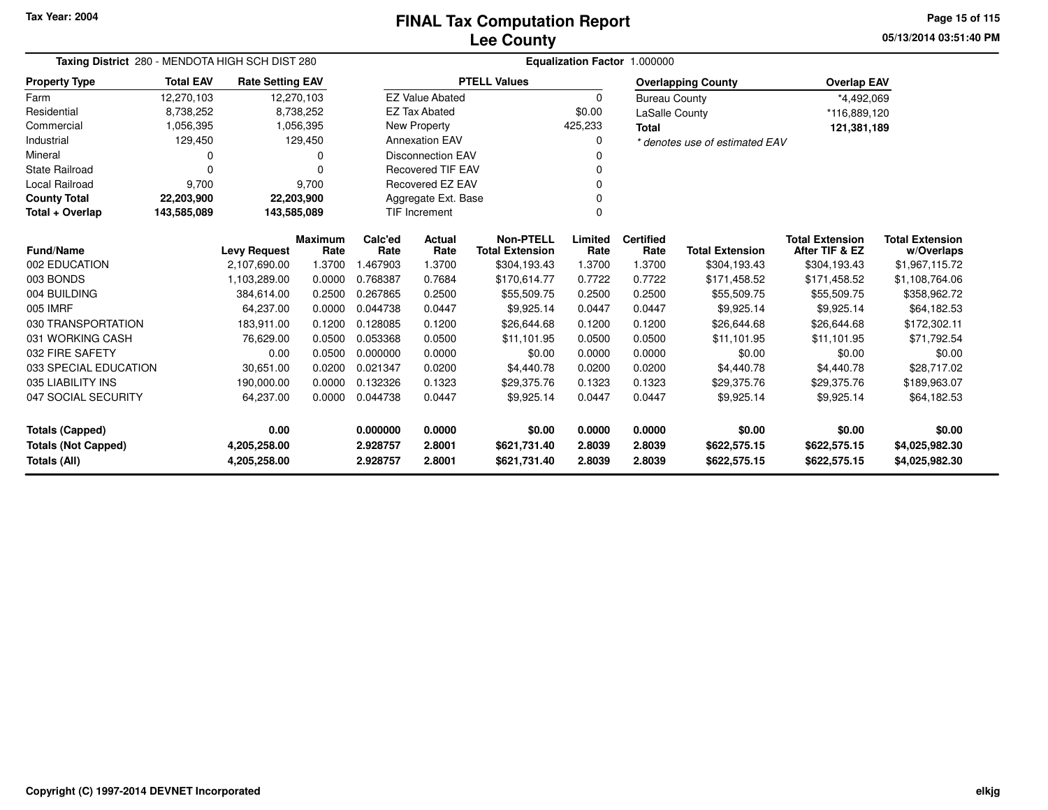**05/13/2014 03:51:40 PMPage 15 of 115**

| Taxing District 280 - MENDOTA HIGH SCH DIST 280 |                  |                              |                        | Equalization Factor 1.000000  |                        |                                            |                  |                          |                                |                                          |                                      |  |  |
|-------------------------------------------------|------------------|------------------------------|------------------------|-------------------------------|------------------------|--------------------------------------------|------------------|--------------------------|--------------------------------|------------------------------------------|--------------------------------------|--|--|
| <b>Property Type</b>                            | <b>Total EAV</b> | <b>Rate Setting EAV</b>      |                        |                               |                        | <b>PTELL Values</b>                        |                  |                          | <b>Overlapping County</b>      | <b>Overlap EAV</b>                       |                                      |  |  |
| Farm                                            | 12,270,103       |                              | 12,270,103             |                               | <b>EZ Value Abated</b> |                                            | 0                | <b>Bureau County</b>     |                                | *4,492,069                               |                                      |  |  |
| Residential                                     | 8,738,252        |                              | 8,738,252              |                               | <b>EZ Tax Abated</b>   |                                            | \$0.00           | LaSalle County           |                                | *116,889,120                             |                                      |  |  |
| Commercial                                      | 1,056,395        |                              | 1,056,395              |                               | <b>New Property</b>    |                                            | 425,233          | <b>Total</b>             |                                | 121,381,189                              |                                      |  |  |
| Industrial                                      | 129,450          |                              | 129,450                | <b>Annexation EAV</b><br>0    |                        |                                            |                  |                          | * denotes use of estimated EAV |                                          |                                      |  |  |
| Mineral                                         | 0                |                              |                        | <b>Disconnection EAV</b>      |                        |                                            |                  |                          |                                |                                          |                                      |  |  |
| <b>State Railroad</b>                           | $\Omega$         |                              | ŋ                      | <b>Recovered TIF EAV</b><br>O |                        |                                            |                  |                          |                                |                                          |                                      |  |  |
| <b>Local Railroad</b>                           | 9,700            |                              | 9,700                  | Recovered EZ EAV<br>O         |                        |                                            |                  |                          |                                |                                          |                                      |  |  |
| <b>County Total</b>                             | 22,203,900       |                              | 22,203,900             |                               | Aggregate Ext. Base    |                                            |                  |                          |                                |                                          |                                      |  |  |
| Total + Overlap                                 | 143,585,089      | 143,585,089                  |                        |                               | TIF Increment          |                                            | $\Omega$         |                          |                                |                                          |                                      |  |  |
| <b>Fund/Name</b>                                |                  | <b>Levy Request</b>          | <b>Maximum</b><br>Rate | Calc'ed<br>Rate               | Actual<br>Rate         | <b>Non-PTELL</b><br><b>Total Extension</b> | Limited<br>Rate  | <b>Certified</b><br>Rate | <b>Total Extension</b>         | <b>Total Extension</b><br>After TIF & EZ | <b>Total Extension</b><br>w/Overlaps |  |  |
| 002 EDUCATION                                   |                  | 2,107,690.00                 | 1.3700                 | 1.467903                      | 1.3700                 | \$304,193.43                               | 1.3700           | 1.3700                   | \$304,193.43                   | \$304,193.43                             | \$1,967,115.72                       |  |  |
| 003 BONDS                                       |                  | 1,103,289.00                 | 0.0000                 | 0.768387                      | 0.7684                 | \$170,614.77                               | 0.7722           | 0.7722                   | \$171,458.52                   | \$171,458.52                             | \$1,108,764.06                       |  |  |
| 004 BUILDING                                    |                  | 384,614.00                   | 0.2500                 | 0.267865                      | 0.2500                 | \$55,509.75                                | 0.2500           | 0.2500                   | \$55,509.75                    | \$55,509.75                              | \$358,962.72                         |  |  |
| 005 IMRF                                        |                  | 64,237.00                    | 0.0000                 | 0.044738                      | 0.0447                 | \$9,925.14                                 | 0.0447           | 0.0447                   | \$9,925.14                     | \$9,925.14                               | \$64,182.53                          |  |  |
| 030 TRANSPORTATION                              |                  | 183,911.00                   | 0.1200                 | 0.128085                      | 0.1200                 | \$26,644.68                                | 0.1200           | 0.1200                   | \$26,644.68                    | \$26,644.68                              | \$172,302.11                         |  |  |
| 031 WORKING CASH                                |                  | 76,629.00                    | 0.0500                 | 0.053368                      | 0.0500                 | \$11,101.95                                | 0.0500           | 0.0500                   | \$11,101.95                    | \$11.101.95                              | \$71,792.54                          |  |  |
| 032 FIRE SAFETY                                 |                  | 0.00                         | 0.0500                 | 0.000000                      | 0.0000                 | \$0.00                                     | 0.0000           | 0.0000                   | \$0.00                         | \$0.00                                   | \$0.00                               |  |  |
| 033 SPECIAL EDUCATION                           |                  | 30,651.00                    | 0.0200                 | 0.021347                      | 0.0200                 | \$4,440.78                                 | 0.0200           | 0.0200                   | \$4,440.78                     | \$4,440.78                               | \$28,717.02                          |  |  |
| 035 LIABILITY INS                               |                  | 190,000.00                   | 0.0000                 | 0.132326                      | 0.1323                 | \$29,375.76                                | 0.1323           | 0.1323                   | \$29,375.76                    | \$29,375.76                              | \$189,963.07                         |  |  |
| 047 SOCIAL SECURITY                             |                  | 64,237.00                    | 0.0000                 | 0.044738                      | 0.0447                 | \$9,925.14                                 | 0.0447           | 0.0447                   | \$9,925.14                     | \$9,925.14                               | \$64,182.53                          |  |  |
| <b>Totals (Capped)</b>                          |                  | 0.00                         |                        | 0.000000                      | 0.0000                 | \$0.00                                     | 0.0000           | 0.0000                   | \$0.00                         | \$0.00                                   | \$0.00                               |  |  |
| <b>Totals (Not Capped)</b><br>Totals (All)      |                  | 4,205,258.00<br>4,205,258.00 |                        | 2.928757<br>2.928757          | 2.8001<br>2.8001       | \$621,731.40<br>\$621,731.40               | 2.8039<br>2.8039 | 2.8039<br>2.8039         | \$622,575.15<br>\$622,575.15   | \$622,575.15<br>\$622,575.15             | \$4,025,982.30<br>\$4,025,982.30     |  |  |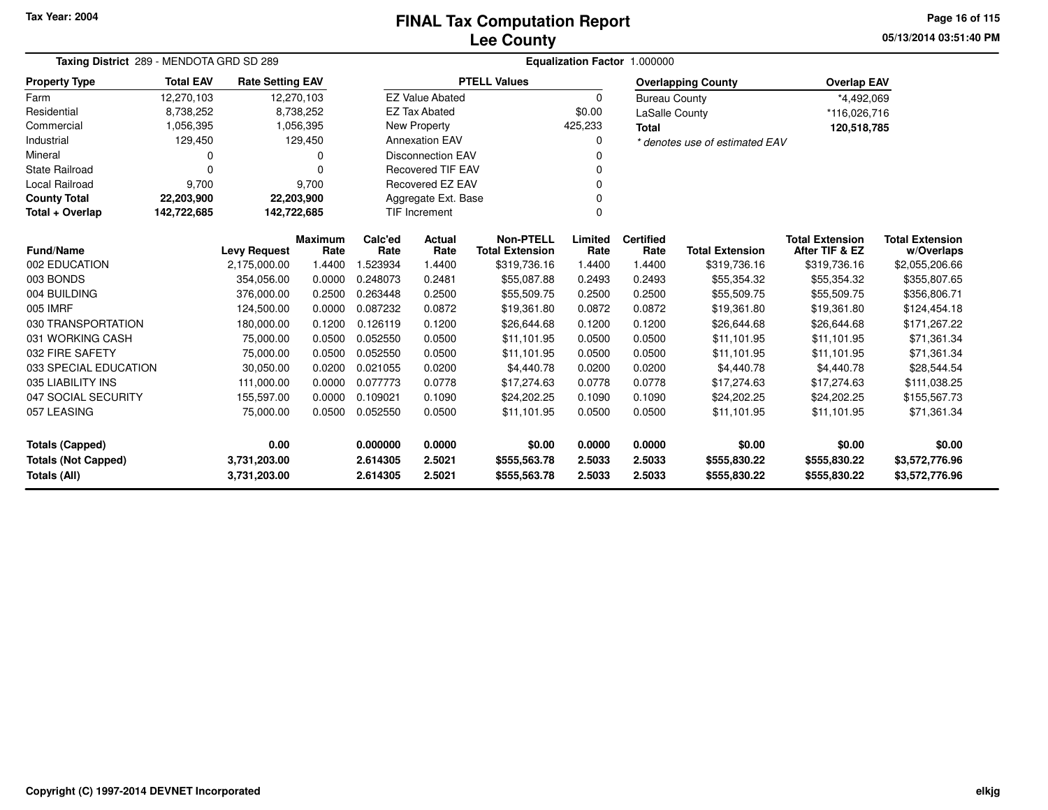# **Lee CountyFINAL Tax Computation Report**

**05/13/2014 03:51:40 PM Page 16 of 115**

| Taxing District 289 - MENDOTA GRD SD 289   |                            |                                     |                  | Equalization Factor 1.000000 |                          |                                        |                  |                       |                                        |                                          |                                  |  |
|--------------------------------------------|----------------------------|-------------------------------------|------------------|------------------------------|--------------------------|----------------------------------------|------------------|-----------------------|----------------------------------------|------------------------------------------|----------------------------------|--|
| <b>Property Type</b>                       | <b>Total EAV</b>           | <b>Rate Setting EAV</b>             |                  |                              |                          | <b>PTELL Values</b>                    |                  |                       | <b>Overlapping County</b>              | <b>Overlap EAV</b>                       |                                  |  |
| Farm                                       | 12,270,103                 | 12,270,103                          |                  |                              | <b>EZ Value Abated</b>   |                                        | $\Omega$         | <b>Bureau County</b>  |                                        | *4,492,069                               |                                  |  |
| Residential                                | 8,738,252                  |                                     | 8,738,252        |                              | <b>EZ Tax Abated</b>     |                                        | \$0.00           | <b>LaSalle County</b> |                                        | *116,026,716                             |                                  |  |
| Commercial                                 | 1,056,395                  |                                     | 1,056,395        |                              | New Property             |                                        | 425,233          | <b>Total</b>          |                                        | 120,518,785                              |                                  |  |
| Industrial                                 | 129,450                    |                                     | 129,450          |                              | <b>Annexation EAV</b>    |                                        |                  |                       | * denotes use of estimated EAV         |                                          |                                  |  |
| Mineral                                    | 0                          |                                     | 0                | <b>Disconnection EAV</b>     |                          |                                        |                  |                       |                                        |                                          |                                  |  |
| <b>State Railroad</b>                      | $\Omega$                   |                                     | $\Omega$         |                              | <b>Recovered TIF EAV</b> |                                        |                  |                       |                                        |                                          |                                  |  |
| Local Railroad                             | 9,700                      |                                     | 9,700            |                              | Recovered EZ EAV         |                                        | 0                |                       |                                        |                                          |                                  |  |
| <b>County Total</b>                        | 22,203,900                 | 22,203,900                          |                  |                              | Aggregate Ext. Base      |                                        |                  |                       |                                        |                                          |                                  |  |
| Total + Overlap                            | 142,722,685<br>142,722,685 |                                     |                  |                              | <b>TIF Increment</b>     |                                        | $\Omega$         |                       |                                        |                                          |                                  |  |
| <b>Fund/Name</b>                           |                            |                                     | <b>Maximum</b>   | Calc'ed                      | Actual                   | <b>Non-PTELL</b>                       | Limited          | <b>Certified</b>      |                                        | <b>Total Extension</b><br>After TIF & EZ | <b>Total Extension</b>           |  |
| 002 EDUCATION                              |                            | <b>Levy Request</b><br>2,175,000.00 | Rate<br>1.4400   | Rate<br>.523934              | Rate<br>1.4400           | <b>Total Extension</b><br>\$319,736.16 | Rate<br>1.4400   | Rate<br>1.4400        | <b>Total Extension</b><br>\$319,736.16 |                                          | w/Overlaps                       |  |
| 003 BONDS                                  |                            | 354.056.00                          | 0.0000           | 0.248073                     | 0.2481                   | \$55,087.88                            | 0.2493           | 0.2493                | \$55,354.32                            | \$319,736.16<br>\$55,354.32              | \$2,055,206.66<br>\$355,807.65   |  |
| 004 BUILDING                               |                            |                                     |                  | 0.263448                     |                          |                                        |                  |                       |                                        |                                          |                                  |  |
| 005 IMRF                                   |                            | 376,000.00                          | 0.2500           | 0.087232                     | 0.2500<br>0.0872         | \$55,509.75                            | 0.2500<br>0.0872 | 0.2500<br>0.0872      | \$55,509.75                            | \$55,509.75<br>\$19,361.80               | \$356,806.71                     |  |
| 030 TRANSPORTATION                         |                            | 124,500.00<br>180,000.00            | 0.0000<br>0.1200 | 0.126119                     | 0.1200                   | \$19,361.80<br>\$26,644.68             | 0.1200           | 0.1200                | \$19,361.80<br>\$26,644.68             | \$26,644.68                              | \$124,454.18<br>\$171,267.22     |  |
| 031 WORKING CASH                           |                            | 75,000.00                           | 0.0500           | 0.052550                     | 0.0500                   | \$11,101.95                            | 0.0500           | 0.0500                | \$11,101.95                            | \$11,101.95                              | \$71,361.34                      |  |
| 032 FIRE SAFETY                            |                            | 75,000.00                           | 0.0500           | 0.052550                     | 0.0500                   | \$11,101.95                            | 0.0500           | 0.0500                | \$11,101.95                            | \$11,101.95                              | \$71,361.34                      |  |
| 033 SPECIAL EDUCATION                      |                            | 30,050.00                           | 0.0200           | 0.021055                     | 0.0200                   | \$4,440.78                             | 0.0200           | 0.0200                | \$4,440.78                             | \$4,440.78                               | \$28,544.54                      |  |
| 035 LIABILITY INS                          |                            | 111,000.00                          | 0.0000           | 0.077773                     | 0.0778                   | \$17,274.63                            | 0.0778           | 0.0778                | \$17,274.63                            | \$17,274.63                              | \$111,038.25                     |  |
| 047 SOCIAL SECURITY                        |                            | 155,597.00                          | 0.0000           | 0.109021                     | 0.1090                   | \$24,202.25                            | 0.1090           | 0.1090                | \$24,202.25                            | \$24,202.25                              | \$155,567.73                     |  |
| 057 LEASING                                |                            | 75,000.00                           | 0.0500           | 0.052550                     | 0.0500                   | \$11,101.95                            | 0.0500           | 0.0500                | \$11,101.95                            | \$11,101.95                              | \$71,361.34                      |  |
| <b>Totals (Capped)</b>                     |                            | 0.00                                |                  | 0.000000                     | 0.0000                   | \$0.00                                 | 0.0000           | 0.0000                | \$0.00                                 | \$0.00                                   | \$0.00                           |  |
| <b>Totals (Not Capped)</b><br>Totals (All) |                            | 3,731,203.00<br>3,731,203.00        |                  | 2.614305<br>2.614305         | 2.5021<br>2.5021         | \$555,563.78<br>\$555,563.78           | 2.5033<br>2.5033 | 2.5033<br>2.5033      | \$555,830.22<br>\$555,830.22           | \$555,830.22<br>\$555,830.22             | \$3,572,776.96<br>\$3,572,776.96 |  |

 $\overline{\phantom{0}}$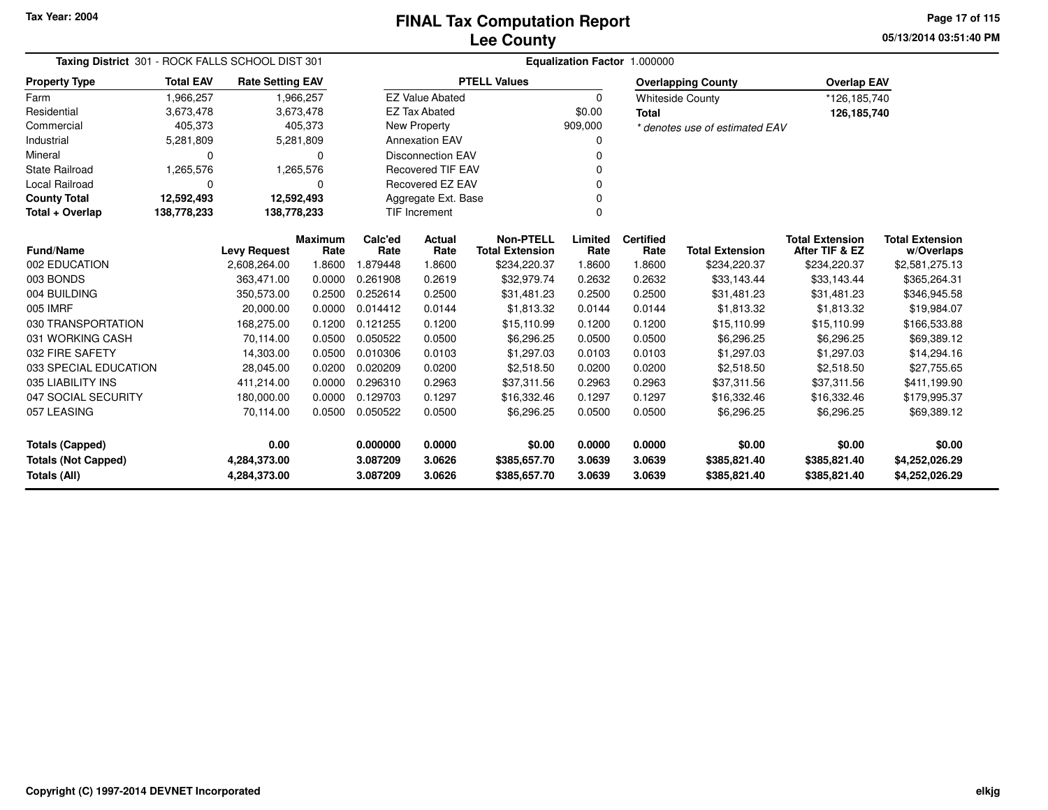**05/13/2014 03:51:40 PMPage 17 of 115**

| Taxing District 301 - ROCK FALLS SCHOOL DIST 301 |                            |                         |           | Equalization Factor 1.000000 |                          |                        |          |                  |                                |                        |                        |  |  |  |
|--------------------------------------------------|----------------------------|-------------------------|-----------|------------------------------|--------------------------|------------------------|----------|------------------|--------------------------------|------------------------|------------------------|--|--|--|
| <b>Property Type</b>                             | <b>Total EAV</b>           | <b>Rate Setting EAV</b> |           |                              |                          | <b>PTELL Values</b>    |          |                  | <b>Overlapping County</b>      | <b>Overlap EAV</b>     |                        |  |  |  |
| Farm                                             | 1,966,257                  |                         | 1,966,257 |                              | <b>EZ Value Abated</b>   |                        | $\Omega$ |                  | <b>Whiteside County</b>        | *126,185,740           |                        |  |  |  |
| Residential                                      | 3,673,478                  |                         | 3,673,478 |                              | <b>EZ Tax Abated</b>     |                        | \$0.00   | <b>Total</b>     |                                | 126,185,740            |                        |  |  |  |
| Commercial                                       | 405,373                    |                         | 405,373   |                              | <b>New Property</b>      |                        | 909,000  |                  | * denotes use of estimated EAV |                        |                        |  |  |  |
| Industrial                                       | 5,281,809                  |                         | 5,281,809 |                              | <b>Annexation EAV</b>    |                        |          |                  |                                |                        |                        |  |  |  |
| Mineral                                          | 0                          |                         | $\Omega$  |                              | <b>Disconnection EAV</b> |                        |          |                  |                                |                        |                        |  |  |  |
| <b>State Railroad</b>                            | 1,265,576                  |                         | 1,265,576 |                              | <b>Recovered TIF EAV</b> |                        |          |                  |                                |                        |                        |  |  |  |
| Local Railroad                                   | 0                          |                         | $\Omega$  |                              | <b>Recovered EZ EAV</b>  |                        | ŋ        |                  |                                |                        |                        |  |  |  |
| <b>County Total</b>                              | 12,592,493                 | 12,592,493              |           |                              | Aggregate Ext. Base      |                        |          |                  |                                |                        |                        |  |  |  |
| Total + Overlap                                  | 138,778,233<br>138,778,233 |                         |           | TIF Increment                |                          | $\Omega$               |          |                  |                                |                        |                        |  |  |  |
|                                                  |                            |                         | Maximum   | Calc'ed                      | Actual                   | <b>Non-PTELL</b>       | Limited  | <b>Certified</b> |                                | <b>Total Extension</b> | <b>Total Extension</b> |  |  |  |
| <b>Fund/Name</b>                                 |                            | <b>Levy Request</b>     | Rate      | Rate                         | Rate                     | <b>Total Extension</b> | Rate     | Rate             | <b>Total Extension</b>         | After TIF & EZ         | w/Overlaps             |  |  |  |
| 002 EDUCATION                                    |                            | 2,608,264.00            | 1.8600    | 1.879448                     | 1.8600                   | \$234,220.37           | 1.8600   | 1.8600           | \$234,220.37                   | \$234,220.37           | \$2,581,275.13         |  |  |  |
| 003 BONDS                                        |                            | 363,471.00              | 0.0000    | 0.261908                     | 0.2619                   | \$32,979.74            | 0.2632   | 0.2632           | \$33,143.44                    | \$33,143.44            | \$365,264.31           |  |  |  |
| 004 BUILDING                                     |                            | 350,573.00              | 0.2500    | 0.252614                     | 0.2500                   | \$31,481.23            | 0.2500   | 0.2500           | \$31,481.23                    | \$31,481.23            | \$346,945.58           |  |  |  |
| 005 IMRF                                         |                            | 20,000.00               | 0.0000    | 0.014412                     | 0.0144                   | \$1,813.32             | 0.0144   | 0.0144           | \$1,813.32                     | \$1,813.32             | \$19,984.07            |  |  |  |
| 030 TRANSPORTATION                               |                            | 168,275.00              | 0.1200    | 0.121255                     | 0.1200                   | \$15,110.99            | 0.1200   | 0.1200           | \$15,110.99                    | \$15,110.99            | \$166,533.88           |  |  |  |
| 031 WORKING CASH                                 |                            | 70,114.00               | 0.0500    | 0.050522                     | 0.0500                   | \$6,296.25             | 0.0500   | 0.0500           | \$6,296.25                     | \$6,296.25             | \$69,389.12            |  |  |  |
| 032 FIRE SAFETY                                  |                            | 14,303.00               | 0.0500    | 0.010306                     | 0.0103                   | \$1,297.03             | 0.0103   | 0.0103           | \$1,297.03                     | \$1,297.03             | \$14,294.16            |  |  |  |
| 033 SPECIAL EDUCATION                            |                            | 28,045.00               | 0.0200    | 0.020209                     | 0.0200                   | \$2,518.50             | 0.0200   | 0.0200           | \$2,518.50                     | \$2,518.50             | \$27,755.65            |  |  |  |
| 035 LIABILITY INS                                |                            | 411,214.00              | 0.0000    | 0.296310                     | 0.2963                   | \$37,311.56            | 0.2963   | 0.2963           | \$37,311.56                    | \$37,311.56            | \$411,199.90           |  |  |  |
| 047 SOCIAL SECURITY                              |                            | 180,000.00              | 0.0000    | 0.129703                     | 0.1297                   | \$16,332.46            | 0.1297   | 0.1297           | \$16,332.46                    | \$16,332.46            | \$179,995.37           |  |  |  |
| 057 LEASING                                      |                            | 70,114.00               | 0.0500    | 0.050522                     | 0.0500                   | \$6,296.25             | 0.0500   | 0.0500           | \$6,296.25                     | \$6,296.25             | \$69,389.12            |  |  |  |
| <b>Totals (Capped)</b>                           |                            | 0.00                    |           | 0.000000                     | 0.0000                   | \$0.00                 | 0.0000   | 0.0000           | \$0.00                         | \$0.00                 | \$0.00                 |  |  |  |
| <b>Totals (Not Capped)</b>                       |                            | 4,284,373.00            |           | 3.087209                     | 3.0626                   | \$385,657.70           | 3.0639   | 3.0639           | \$385,821.40                   | \$385,821.40           | \$4,252,026.29         |  |  |  |
| Totals (All)                                     |                            | 4,284,373.00            |           | 3.087209                     | 3.0626                   | \$385,657.70           | 3.0639   | 3.0639           | \$385,821.40                   | \$385,821.40           | \$4,252,026.29         |  |  |  |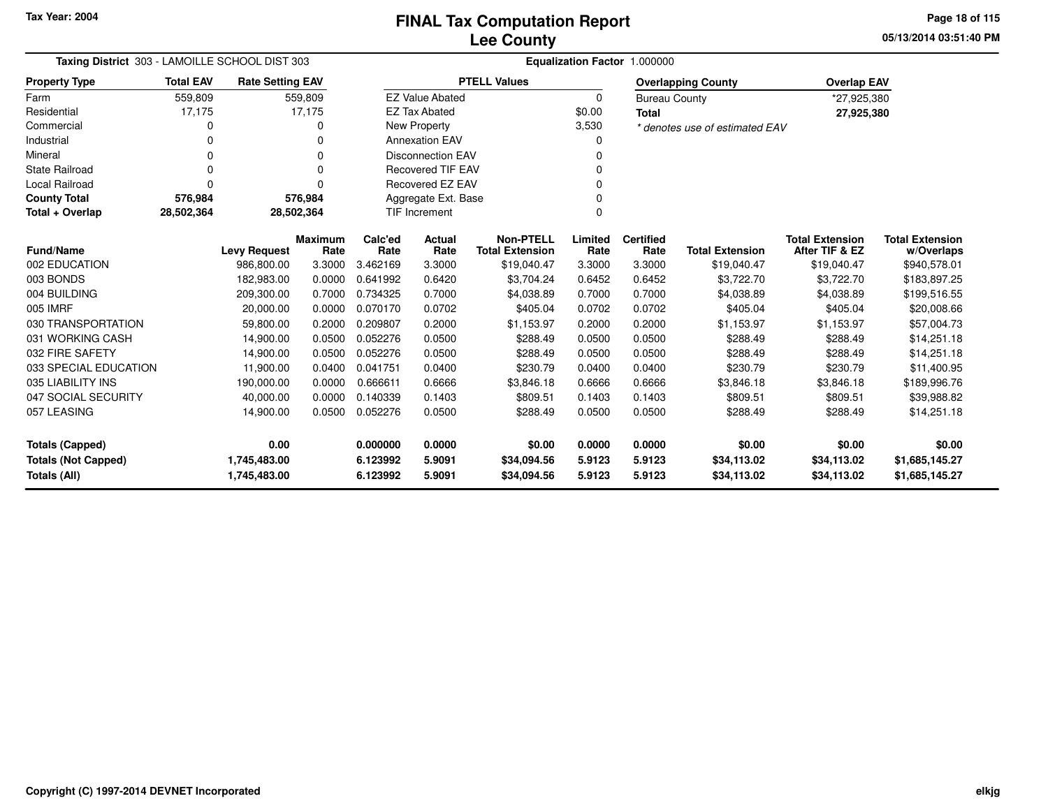**05/13/2014 03:51:40 PMPage 18 of 115**

| Taxing District 303 - LAMOILLE SCHOOL DIST 303 |                  |                         |                |          | Equalization Factor 1.000000        |                        |         |                      |                                |                        |                        |  |  |
|------------------------------------------------|------------------|-------------------------|----------------|----------|-------------------------------------|------------------------|---------|----------------------|--------------------------------|------------------------|------------------------|--|--|
| <b>Property Type</b>                           | <b>Total EAV</b> | <b>Rate Setting EAV</b> |                |          |                                     | <b>PTELL Values</b>    |         |                      | <b>Overlapping County</b>      | <b>Overlap EAV</b>     |                        |  |  |
| Farm                                           | 559,809          |                         | 559,809        |          | <b>EZ Value Abated</b>              |                        | 0       | <b>Bureau County</b> |                                | *27,925,380            |                        |  |  |
| Residential                                    | 17,175           |                         | 17,175         |          | <b>EZ Tax Abated</b>                |                        | \$0.00  | <b>Total</b>         |                                | 27,925,380             |                        |  |  |
| Commercial                                     | 0                |                         | 0              |          | New Property<br>3,530               |                        |         |                      | * denotes use of estimated EAV |                        |                        |  |  |
| Industrial                                     | 0                |                         | $\Omega$       |          | <b>Annexation EAV</b>               |                        | 0       |                      |                                |                        |                        |  |  |
| Mineral                                        | $\Omega$         |                         | $\Omega$       |          | <b>Disconnection EAV</b>            |                        | 0       |                      |                                |                        |                        |  |  |
| <b>State Railroad</b>                          | $\Omega$         |                         | 0              |          | <b>Recovered TIF EAV</b>            |                        |         |                      |                                |                        |                        |  |  |
| <b>Local Railroad</b>                          | $\Omega$         |                         | $\Omega$       |          | <b>Recovered EZ EAV</b><br>$\Omega$ |                        |         |                      |                                |                        |                        |  |  |
| <b>County Total</b>                            | 576,984          |                         | 576,984        |          | Aggregate Ext. Base                 |                        |         |                      |                                |                        |                        |  |  |
| Total + Overlap                                | 28,502,364       | 28,502,364              |                |          | <b>TIF Increment</b><br>$\Omega$    |                        |         |                      |                                |                        |                        |  |  |
|                                                |                  |                         | <b>Maximum</b> | Calc'ed  | <b>Actual</b>                       | <b>Non-PTELL</b>       | Limited | <b>Certified</b>     |                                | <b>Total Extension</b> | <b>Total Extension</b> |  |  |
| <b>Fund/Name</b>                               |                  | <b>Levy Request</b>     | Rate           | Rate     | Rate                                | <b>Total Extension</b> | Rate    | Rate                 | <b>Total Extension</b>         | After TIF & EZ         | w/Overlaps             |  |  |
| 002 EDUCATION                                  |                  | 986,800.00              | 3.3000         | 3.462169 | 3.3000                              | \$19,040.47            | 3.3000  | 3.3000               | \$19,040.47                    | \$19,040.47            | \$940,578.01           |  |  |
| 003 BONDS                                      |                  | 182,983.00              | 0.0000         | 0.641992 | 0.6420                              | \$3,704.24             | 0.6452  | 0.6452               | \$3,722.70                     | \$3,722.70             | \$183,897.25           |  |  |
| 004 BUILDING                                   |                  | 209,300.00              | 0.7000         | 0.734325 | 0.7000                              | \$4,038.89             | 0.7000  | 0.7000               | \$4,038.89                     | \$4,038.89             | \$199,516.55           |  |  |
| 005 IMRF                                       |                  | 20,000.00               | 0.0000         | 0.070170 | 0.0702                              | \$405.04               | 0.0702  | 0.0702               | \$405.04                       | \$405.04               | \$20,008.66            |  |  |
| 030 TRANSPORTATION                             |                  | 59,800.00               | 0.2000         | 0.209807 | 0.2000                              | \$1,153.97             | 0.2000  | 0.2000               | \$1,153.97                     | \$1,153.97             | \$57,004.73            |  |  |
| 031 WORKING CASH                               |                  | 14,900.00               | 0.0500         | 0.052276 | 0.0500                              | \$288.49               | 0.0500  | 0.0500               | \$288.49                       | \$288.49               | \$14,251.18            |  |  |
| 032 FIRE SAFETY                                |                  | 14,900.00               | 0.0500         | 0.052276 | 0.0500                              | \$288.49               | 0.0500  | 0.0500               | \$288.49                       | \$288.49               | \$14,251.18            |  |  |
| 033 SPECIAL EDUCATION                          |                  | 11,900.00               | 0.0400         | 0.041751 | 0.0400                              | \$230.79               | 0.0400  | 0.0400               | \$230.79                       | \$230.79               | \$11,400.95            |  |  |
| 035 LIABILITY INS                              |                  | 190,000.00              | 0.0000         | 0.666611 | 0.6666                              | \$3,846.18             | 0.6666  | 0.6666               | \$3,846.18                     | \$3,846.18             | \$189,996.76           |  |  |
| 047 SOCIAL SECURITY                            |                  | 40,000.00               | 0.0000         | 0.140339 | 0.1403                              | \$809.51               | 0.1403  | 0.1403               | \$809.51                       | \$809.51               | \$39,988.82            |  |  |
| 057 LEASING                                    |                  | 14,900.00               | 0.0500         | 0.052276 | 0.0500                              | \$288.49               | 0.0500  | 0.0500               | \$288.49                       | \$288.49               | \$14,251.18            |  |  |
| <b>Totals (Capped)</b>                         |                  | 0.00                    |                | 0.000000 | 0.0000                              | \$0.00                 | 0.0000  | 0.0000               | \$0.00                         | \$0.00                 | \$0.00                 |  |  |
| <b>Totals (Not Capped)</b>                     |                  | 1,745,483.00            |                | 6.123992 | 5.9091                              | \$34,094.56            | 5.9123  | 5.9123               | \$34,113.02                    | \$34,113.02            | \$1,685,145.27         |  |  |
| Totals (All)                                   |                  | 1,745,483.00            |                | 6.123992 | 5.9091                              | \$34,094.56            | 5.9123  | 5.9123               | \$34,113.02                    | \$34,113.02            | \$1,685,145.27         |  |  |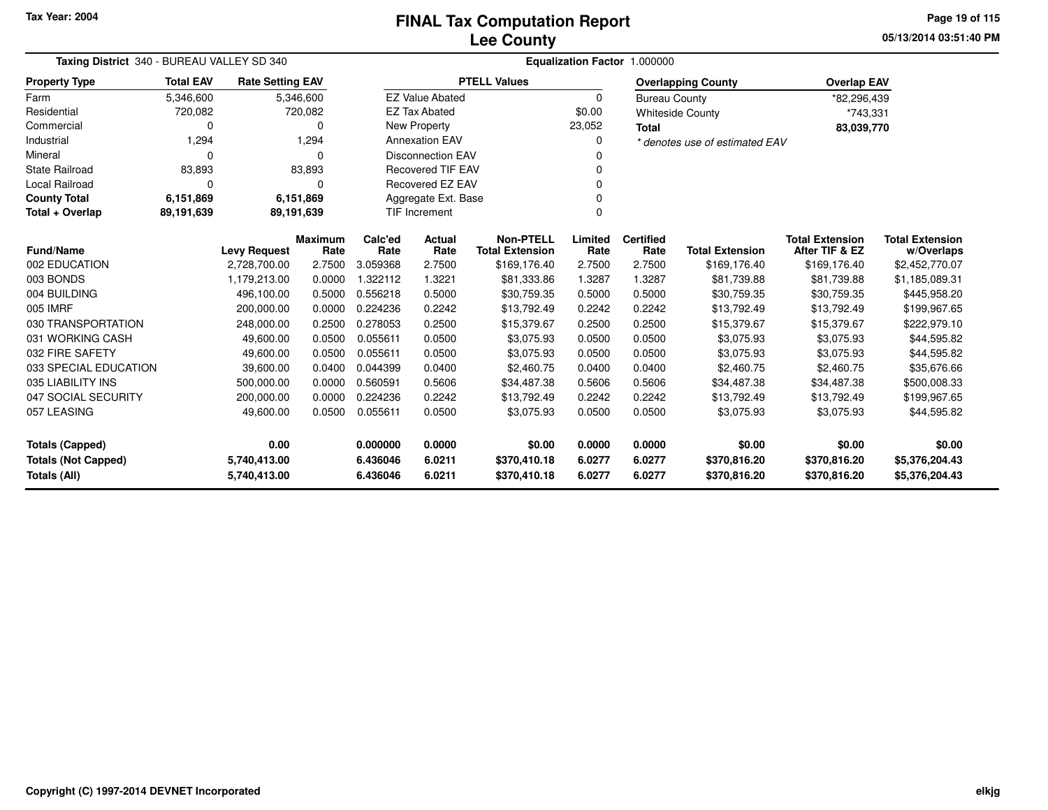**05/13/2014 03:51:40 PM Page 19 of 115**

| Taxing District 340 - BUREAU VALLEY SD 340                                 |                  |                         |                        | Equalization Factor 1.000000      |                                  |                                            |                  |                              |                                |                                          |                                      |  |  |
|----------------------------------------------------------------------------|------------------|-------------------------|------------------------|-----------------------------------|----------------------------------|--------------------------------------------|------------------|------------------------------|--------------------------------|------------------------------------------|--------------------------------------|--|--|
| <b>Property Type</b>                                                       | <b>Total EAV</b> | <b>Rate Setting EAV</b> |                        |                                   |                                  | <b>PTELL Values</b>                        |                  |                              | <b>Overlapping County</b>      | <b>Overlap EAV</b>                       |                                      |  |  |
| Farm                                                                       | 5,346,600        |                         | 5,346,600              |                                   | <b>EZ Value Abated</b>           |                                            | $\Omega$         | <b>Bureau County</b>         |                                | *82,296,439                              |                                      |  |  |
| Residential                                                                | 720,082          |                         | 720,082                |                                   | <b>EZ Tax Abated</b>             |                                            | \$0.00           |                              | <b>Whiteside County</b>        | *743,331                                 |                                      |  |  |
| Commercial                                                                 | 0                |                         | o                      |                                   | <b>New Property</b>              |                                            | 23,052           | <b>Total</b>                 |                                | 83,039,770                               |                                      |  |  |
| Industrial                                                                 | 1,294            |                         | 1,294                  | <b>Annexation EAV</b><br>$\Omega$ |                                  |                                            |                  |                              | * denotes use of estimated EAV |                                          |                                      |  |  |
| Mineral                                                                    | $\Omega$         |                         | n                      | <b>Disconnection EAV</b>          |                                  |                                            | ŋ                |                              |                                |                                          |                                      |  |  |
| <b>State Railroad</b>                                                      | 83,893           |                         | 83,893                 | <b>Recovered TIF EAV</b>          |                                  |                                            |                  |                              |                                |                                          |                                      |  |  |
| Local Railroad                                                             | $\Omega$         |                         | 0                      | Recovered EZ EAV<br>0             |                                  |                                            |                  |                              |                                |                                          |                                      |  |  |
| <b>County Total</b>                                                        | 6,151,869        |                         | 6,151,869              | Aggregate Ext. Base               |                                  |                                            |                  |                              |                                |                                          |                                      |  |  |
| Total + Overlap                                                            | 89,191,639       |                         | 89,191,639             |                                   | <b>TIF Increment</b><br>$\Omega$ |                                            |                  |                              |                                |                                          |                                      |  |  |
| <b>Fund/Name</b>                                                           |                  | <b>Levy Request</b>     | <b>Maximum</b><br>Rate | Calc'ed<br>Rate                   | Actual<br>Rate                   | <b>Non-PTELL</b><br><b>Total Extension</b> | Limited<br>Rate  | <b>Certified</b><br>Rate     | <b>Total Extension</b>         | <b>Total Extension</b><br>After TIF & EZ | <b>Total Extension</b><br>w/Overlaps |  |  |
| 002 EDUCATION                                                              |                  | 2,728,700.00            | 2.7500                 | 3.059368                          | 2.7500                           | \$169,176.40                               | 2.7500           | 2.7500                       | \$169,176.40                   | \$169,176.40                             | \$2,452,770.07                       |  |  |
| 003 BONDS                                                                  |                  | 1,179,213.00            | 0.0000                 | 1.322112                          | 1.3221                           | \$81,333.86                                | 1.3287           | 1.3287                       | \$81,739.88                    | \$81,739.88                              | \$1,185,089.31                       |  |  |
| 004 BUILDING                                                               |                  | 496,100.00              | 0.5000                 | 0.556218                          | 0.5000                           | \$30,759.35                                | 0.5000           | 0.5000                       | \$30,759.35                    | \$30,759.35                              | \$445,958.20                         |  |  |
| 005 IMRF                                                                   |                  | 200,000.00              | 0.0000                 | 0.224236                          | 0.2242                           | \$13,792.49                                | 0.2242           | 0.2242                       | \$13,792.49                    | \$13,792.49                              | \$199,967.65                         |  |  |
| 030 TRANSPORTATION                                                         |                  | 248,000.00              | 0.2500                 | 0.278053                          | 0.2500                           | \$15,379.67                                | 0.2500           | 0.2500                       | \$15,379.67                    | \$15,379.67                              | \$222,979.10                         |  |  |
| 031 WORKING CASH                                                           |                  | 49,600.00               | 0.0500                 | 0.055611                          | 0.0500                           | \$3,075.93                                 | 0.0500           | 0.0500                       | \$3,075.93                     | \$3,075.93                               | \$44,595.82                          |  |  |
| 032 FIRE SAFETY                                                            |                  | 49,600.00               | 0.0500                 | 0.055611                          | 0.0500                           | \$3,075.93                                 | 0.0500           | 0.0500                       | \$3,075.93                     | \$3,075.93                               | \$44,595.82                          |  |  |
| 033 SPECIAL EDUCATION                                                      |                  | 39,600.00               | 0.0400                 | 0.044399                          | 0.0400                           | \$2,460.75                                 | 0.0400           | 0.0400                       | \$2,460.75                     | \$2,460.75                               | \$35,676.66                          |  |  |
| 035 LIABILITY INS                                                          |                  | 500,000.00              | 0.0000                 | 0.560591                          | 0.5606                           | \$34,487.38                                | 0.5606           | 0.5606                       | \$34,487.38                    | \$34,487.38                              | \$500,008.33                         |  |  |
| 047 SOCIAL SECURITY                                                        |                  | 200,000.00              | 0.0000                 | 0.224236                          | 0.2242                           | \$13,792.49                                | 0.2242           | 0.2242                       | \$13,792.49                    | \$13,792.49                              | \$199,967.65                         |  |  |
| 057 LEASING                                                                |                  | 49,600.00               | 0.0500                 | 0.055611                          | 0.0500                           | \$3,075.93                                 | 0.0500           | 0.0500                       | \$3,075.93                     | \$3,075.93                               | \$44,595.82                          |  |  |
| 0.00<br><b>Totals (Capped)</b>                                             |                  | 0.000000                | 0.0000                 | \$0.00                            | 0.0000                           | 0.0000                                     | \$0.00           | \$0.00                       | \$0.00                         |                                          |                                      |  |  |
| <b>Totals (Not Capped)</b><br>5,740,413.00<br>Totals (All)<br>5,740,413.00 |                  |                         | 6.436046<br>6.436046   | 6.0211<br>6.0211                  | \$370,410.18<br>\$370,410.18     | 6.0277<br>6.0277                           | 6.0277<br>6.0277 | \$370,816.20<br>\$370,816.20 | \$370,816.20<br>\$370,816.20   | \$5,376,204.43<br>\$5,376,204.43         |                                      |  |  |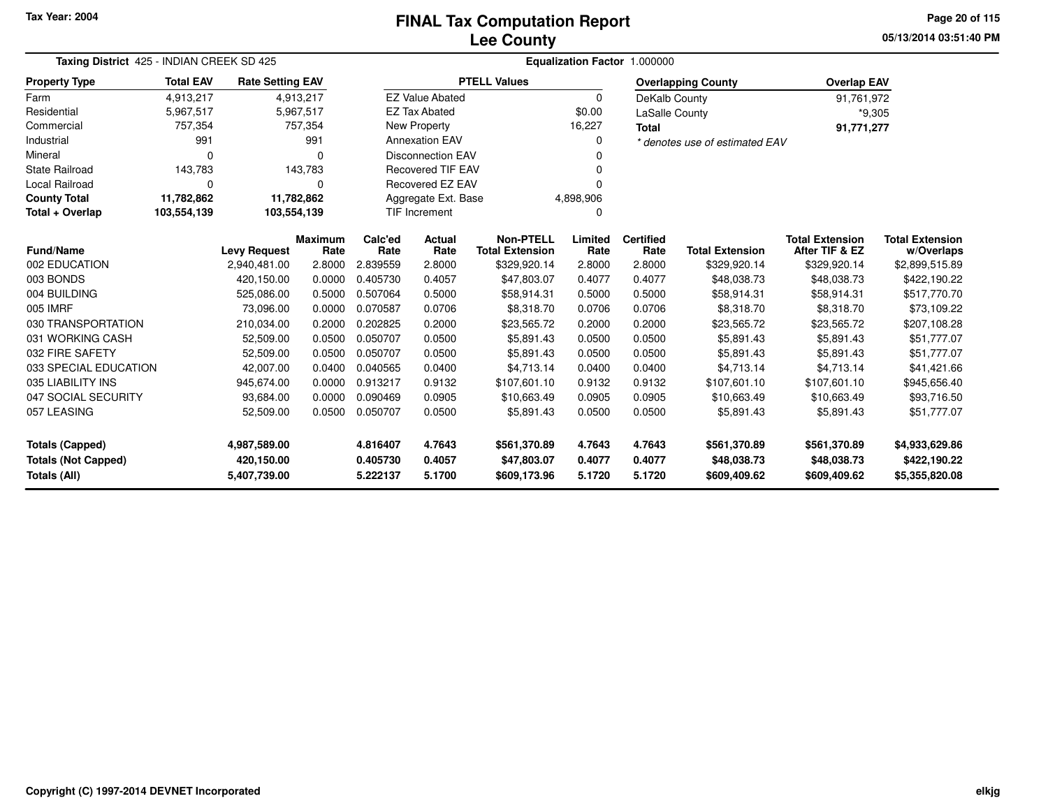**05/13/2014 03:51:40 PMPage 20 of 115**

| Taxing District 425 - INDIAN CREEK SD 425         | Equalization Factor 1.000000 |                            |                                          |                      |                          |                                        |                  |                       |                                |                                          |                                |
|---------------------------------------------------|------------------------------|----------------------------|------------------------------------------|----------------------|--------------------------|----------------------------------------|------------------|-----------------------|--------------------------------|------------------------------------------|--------------------------------|
| <b>Property Type</b>                              | <b>Total EAV</b>             | <b>Rate Setting EAV</b>    |                                          |                      |                          | <b>PTELL Values</b>                    |                  |                       | <b>Overlapping County</b>      | <b>Overlap EAV</b>                       |                                |
| Farm                                              | 4,913,217                    |                            | 4,913,217                                |                      | <b>EZ Value Abated</b>   |                                        | $\Omega$         | DeKalb County         |                                | 91,761,972                               |                                |
| Residential                                       | 5,967,517                    |                            | 5,967,517                                |                      | <b>EZ Tax Abated</b>     |                                        | \$0.00           | <b>LaSalle County</b> |                                |                                          | $*9,305$                       |
| Commercial                                        | 757,354                      |                            | 757,354                                  |                      | New Property             |                                        | 16,227           | <b>Total</b>          |                                | 91,771,277                               |                                |
| Industrial                                        | 991                          |                            | 991                                      |                      | <b>Annexation EAV</b>    |                                        | 0                |                       | * denotes use of estimated EAV |                                          |                                |
| Mineral                                           | 0                            |                            | $\Omega$                                 |                      | <b>Disconnection EAV</b> |                                        |                  |                       |                                |                                          |                                |
| <b>State Railroad</b>                             | 143,783                      |                            | 143,783                                  |                      | <b>Recovered TIF EAV</b> |                                        | 0                |                       |                                |                                          |                                |
| <b>Local Railroad</b>                             | 0                            |                            | $\Omega$                                 |                      | <b>Recovered EZ EAV</b>  |                                        | U                |                       |                                |                                          |                                |
| <b>County Total</b>                               | 11,782,862                   | 11,782,862                 |                                          |                      | Aggregate Ext. Base      |                                        | 4,898,906        |                       |                                |                                          |                                |
| Total + Overlap                                   | 103,554,139                  |                            | <b>TIF Increment</b><br>103,554,139<br>0 |                      |                          |                                        |                  |                       |                                |                                          |                                |
| <b>Fund/Name</b>                                  |                              | <b>Levy Request</b>        | <b>Maximum</b>                           | Calc'ed<br>Rate      | <b>Actual</b><br>Rate    | <b>Non-PTELL</b>                       | Limited<br>Rate  | <b>Certified</b>      | <b>Total Extension</b>         | <b>Total Extension</b><br>After TIF & EZ | <b>Total Extension</b>         |
| 002 EDUCATION                                     |                              | 2,940,481.00               | Rate<br>2.8000                           | 2.839559             | 2.8000                   | <b>Total Extension</b><br>\$329,920.14 | 2.8000           | Rate<br>2.8000        | \$329,920.14                   | \$329,920.14                             | w/Overlaps<br>\$2,899,515.89   |
| 003 BONDS                                         |                              | 420,150.00                 | 0.0000                                   | 0.405730             | 0.4057                   | \$47,803.07                            | 0.4077           | 0.4077                | \$48,038.73                    | \$48,038.73                              | \$422,190.22                   |
| 004 BUILDING                                      |                              | 525,086.00                 | 0.5000                                   | 0.507064             | 0.5000                   | \$58,914.31                            | 0.5000           | 0.5000                | \$58,914.31                    | \$58,914.31                              | \$517,770.70                   |
| 005 IMRF                                          |                              | 73.096.00                  | 0.0000                                   | 0.070587             | 0.0706                   | \$8,318.70                             | 0.0706           | 0.0706                | \$8,318.70                     | \$8,318.70                               | \$73,109.22                    |
| 030 TRANSPORTATION                                |                              | 210,034.00                 | 0.2000                                   | 0.202825             | 0.2000                   | \$23,565.72                            | 0.2000           | 0.2000                | \$23,565.72                    | \$23,565.72                              | \$207,108.28                   |
| 031 WORKING CASH                                  |                              | 52,509.00                  | 0.0500                                   | 0.050707             | 0.0500                   | \$5,891.43                             | 0.0500           | 0.0500                | \$5,891.43                     | \$5,891.43                               | \$51,777.07                    |
| 032 FIRE SAFETY                                   |                              | 52,509.00                  | 0.0500                                   | 0.050707             | 0.0500                   | \$5,891.43                             | 0.0500           | 0.0500                | \$5,891.43                     | \$5,891.43                               | \$51,777.07                    |
| 033 SPECIAL EDUCATION                             |                              | 42,007.00                  | 0.0400                                   | 0.040565             | 0.0400                   | \$4,713.14                             | 0.0400           | 0.0400                | \$4,713.14                     | \$4,713.14                               | \$41,421.66                    |
| 035 LIABILITY INS                                 |                              | 945,674.00                 | 0.0000                                   | 0.913217             | 0.9132                   | \$107,601.10                           | 0.9132           | 0.9132                | \$107,601.10                   | \$107,601.10                             | \$945,656.40                   |
| 047 SOCIAL SECURITY                               |                              | 93,684.00                  | 0.0000                                   | 0.090469             | 0.0905                   | \$10,663.49                            | 0.0905           | 0.0905                | \$10,663.49                    | \$10,663.49                              | \$93,716.50                    |
| 057 LEASING                                       |                              | 52,509.00                  | 0.0500                                   | 0.050707             | 0.0500                   | \$5,891.43                             | 0.0500           | 0.0500                | \$5,891.43                     | \$5,891.43                               | \$51,777.07                    |
| <b>Totals (Capped)</b>                            |                              | 4,987,589.00               |                                          | 4.816407             | 4.7643                   | \$561,370.89                           | 4.7643           | 4.7643                | \$561,370.89                   | \$561,370.89                             | \$4,933,629.86                 |
| <b>Totals (Not Capped)</b><br><b>Totals (All)</b> |                              | 420,150.00<br>5,407,739.00 |                                          | 0.405730<br>5.222137 | 0.4057<br>5.1700         | \$47,803.07<br>\$609,173.96            | 0.4077<br>5.1720 | 0.4077<br>5.1720      | \$48,038.73<br>\$609,409.62    | \$48,038.73<br>\$609,409.62              | \$422,190.22<br>\$5,355,820.08 |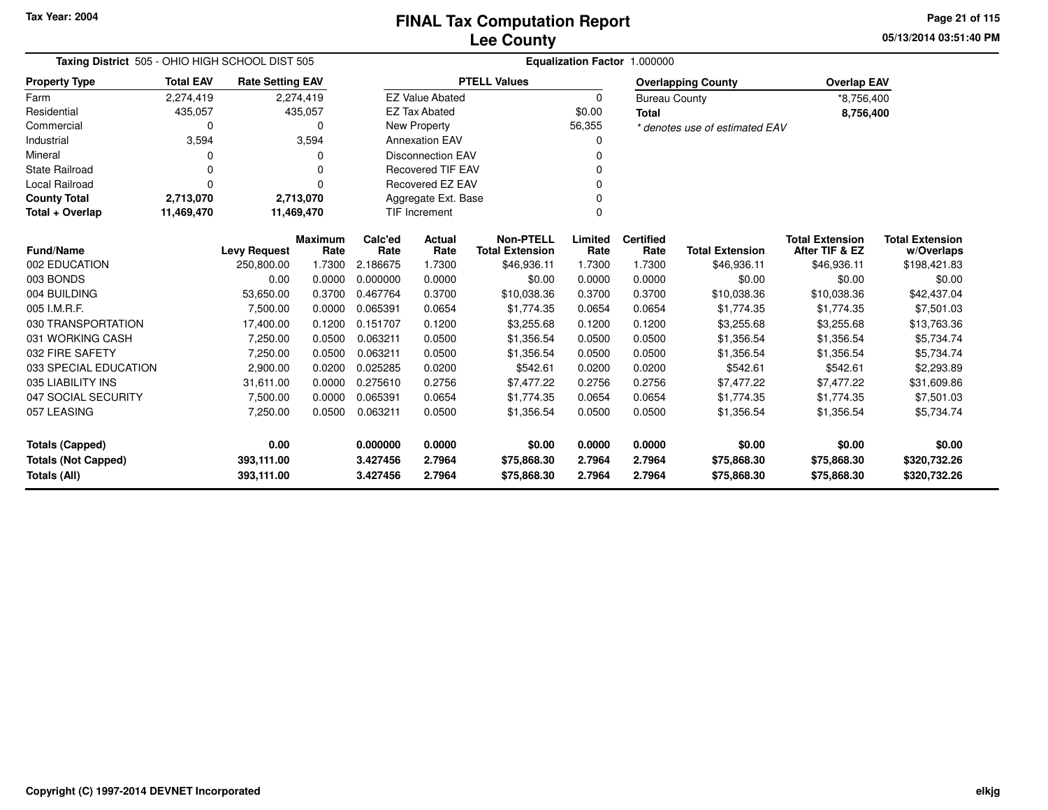**05/13/2014 03:51:40 PMPage 21 of 115**

| Taxing District 505 - OHIO HIGH SCHOOL DIST 505 |                  |                         |                | Equalization Factor 1.000000 |                          |                        |          |                      |                                |                        |                        |  |  |
|-------------------------------------------------|------------------|-------------------------|----------------|------------------------------|--------------------------|------------------------|----------|----------------------|--------------------------------|------------------------|------------------------|--|--|
| <b>Property Type</b>                            | <b>Total EAV</b> | <b>Rate Setting EAV</b> |                |                              |                          | <b>PTELL Values</b>    |          |                      | <b>Overlapping County</b>      | <b>Overlap EAV</b>     |                        |  |  |
| Farm                                            | 2,274,419        |                         | 2,274,419      |                              | <b>EZ Value Abated</b>   |                        | $\Omega$ | <b>Bureau County</b> |                                | *8,756,400             |                        |  |  |
| Residential                                     | 435,057          |                         | 435,057        |                              | <b>EZ Tax Abated</b>     |                        | \$0.00   | <b>Total</b>         |                                | 8,756,400              |                        |  |  |
| Commercial                                      | 0                |                         | 0              |                              | New Property             |                        | 56,355   |                      | * denotes use of estimated EAV |                        |                        |  |  |
| Industrial                                      | 3,594            |                         | 3,594          |                              | <b>Annexation EAV</b>    |                        | ი        |                      |                                |                        |                        |  |  |
| Mineral                                         | 0                |                         | 0              |                              | <b>Disconnection EAV</b> |                        | O        |                      |                                |                        |                        |  |  |
| <b>State Railroad</b>                           | 0                |                         | 0              | <b>Recovered TIF EAV</b>     |                          |                        |          |                      |                                |                        |                        |  |  |
| <b>Local Railroad</b>                           | 0                |                         | $\Omega$       | Recovered EZ EAV<br>n        |                          |                        |          |                      |                                |                        |                        |  |  |
| <b>County Total</b>                             | 2,713,070        |                         | 2,713,070      | Aggregate Ext. Base          |                          |                        |          |                      |                                |                        |                        |  |  |
| Total + Overlap                                 | 11,469,470       |                         | 11,469,470     |                              | <b>TIF Increment</b>     |                        | $\Omega$ |                      |                                |                        |                        |  |  |
|                                                 |                  |                         | <b>Maximum</b> | Calc'ed                      | <b>Actual</b>            | <b>Non-PTELL</b>       | Limited  | <b>Certified</b>     |                                | <b>Total Extension</b> | <b>Total Extension</b> |  |  |
| <b>Fund/Name</b><br>002 EDUCATION               |                  | <b>Levy Request</b>     | Rate           | Rate                         | Rate                     | <b>Total Extension</b> | Rate     | Rate                 | <b>Total Extension</b>         | After TIF & EZ         | w/Overlaps             |  |  |
|                                                 |                  | 250,800.00              | 1.7300         | 2.186675                     | 1.7300                   | \$46,936.11            | 1.7300   | 1.7300               | \$46,936.11                    | \$46,936.11            | \$198,421.83           |  |  |
| 003 BONDS                                       |                  | 0.00                    | 0.0000         | 0.000000                     | 0.0000                   | \$0.00                 | 0.0000   | 0.0000               | \$0.00                         | \$0.00                 | \$0.00                 |  |  |
| 004 BUILDING                                    |                  | 53,650.00               | 0.3700         | 0.467764                     | 0.3700                   | \$10,038.36            | 0.3700   | 0.3700               | \$10,038.36                    | \$10,038.36            | \$42,437.04            |  |  |
| 005 I.M.R.F.                                    |                  | 7,500.00                | 0.0000         | 0.065391                     | 0.0654                   | \$1,774.35             | 0.0654   | 0.0654               | \$1,774.35                     | \$1,774.35             | \$7,501.03             |  |  |
| 030 TRANSPORTATION                              |                  | 17,400.00               | 0.1200         | 0.151707                     | 0.1200                   | \$3,255.68             | 0.1200   | 0.1200               | \$3,255.68                     | \$3,255.68             | \$13,763.36            |  |  |
| 031 WORKING CASH                                |                  | 7,250.00                | 0.0500         | 0.063211                     | 0.0500                   | \$1,356.54             | 0.0500   | 0.0500               | \$1,356.54                     | \$1,356.54             | \$5,734.74             |  |  |
| 032 FIRE SAFETY                                 |                  | 7,250.00                | 0.0500         | 0.063211                     | 0.0500                   | \$1,356.54             | 0.0500   | 0.0500               | \$1,356.54                     | \$1,356.54             | \$5,734.74             |  |  |
| 033 SPECIAL EDUCATION                           |                  | 2,900.00                | 0.0200         | 0.025285                     | 0.0200                   | \$542.61               | 0.0200   | 0.0200               | \$542.61                       | \$542.61               | \$2,293.89             |  |  |
| 035 LIABILITY INS                               |                  | 31,611.00               | 0.0000         | 0.275610                     | 0.2756                   | \$7,477.22             | 0.2756   | 0.2756               | \$7,477.22                     | \$7,477.22             | \$31,609.86            |  |  |
| 047 SOCIAL SECURITY                             |                  | 7,500.00                | 0.0000         | 0.065391                     | 0.0654                   | \$1,774.35             | 0.0654   | 0.0654               | \$1,774.35                     | \$1,774.35             | \$7,501.03             |  |  |
| 057 LEASING                                     |                  | 7,250.00                | 0.0500         | 0.063211                     | 0.0500                   | \$1,356.54             | 0.0500   | 0.0500               | \$1,356.54                     | \$1,356.54             | \$5,734.74             |  |  |
| <b>Totals (Capped)</b>                          |                  | 0.00                    |                | 0.000000                     | 0.0000                   | \$0.00                 | 0.0000   | 0.0000               | \$0.00                         | \$0.00                 | \$0.00                 |  |  |
| <b>Totals (Not Capped)</b>                      |                  | 393,111.00              |                | 3.427456                     | 2.7964                   | \$75,868.30            | 2.7964   | 2.7964               | \$75,868.30                    | \$75,868.30            | \$320,732.26           |  |  |
| <b>Totals (All)</b>                             |                  | 393,111.00              |                | 3.427456                     | 2.7964                   | \$75,868.30            | 2.7964   | 2.7964               | \$75,868.30                    | \$75,868.30            | \$320,732.26           |  |  |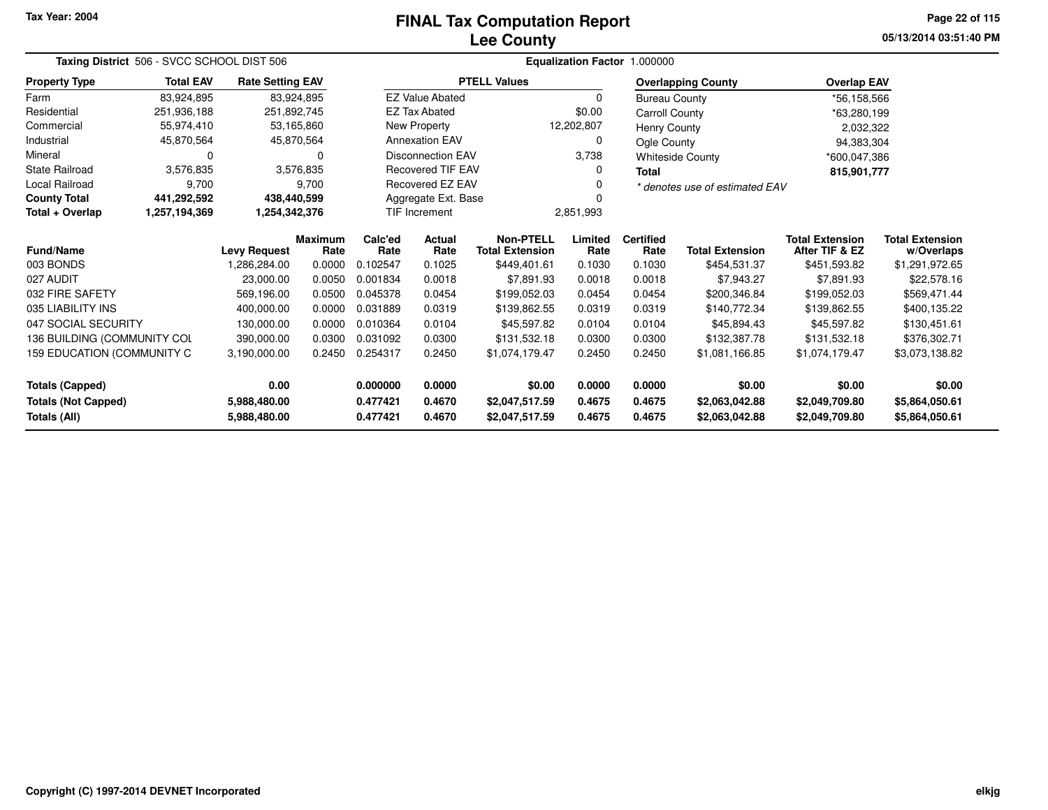## **Lee CountyFINAL Tax Computation Report**

**05/13/2014 03:51:40 PM Page 22 of 115**

| Taxing District 506 - SVCC SCHOOL DIST 506                                        |                  |                         |                        |                                  | Equalization Factor 1.000000 |                                            |                                  |                                  |                                  |                                          |                                      |  |
|-----------------------------------------------------------------------------------|------------------|-------------------------|------------------------|----------------------------------|------------------------------|--------------------------------------------|----------------------------------|----------------------------------|----------------------------------|------------------------------------------|--------------------------------------|--|
| <b>Property Type</b>                                                              | <b>Total EAV</b> | <b>Rate Setting EAV</b> |                        |                                  |                              | <b>PTELL Values</b>                        |                                  |                                  | <b>Overlapping County</b>        | <b>Overlap EAV</b>                       |                                      |  |
| Farm                                                                              | 83,924,895       |                         | 83,924,895             |                                  | <b>EZ Value Abated</b>       |                                            | 0                                | <b>Bureau County</b>             |                                  | *56,158,566                              |                                      |  |
| Residential                                                                       | 251,936,188      | 251,892,745             |                        |                                  | <b>EZ Tax Abated</b>         |                                            | \$0.00                           | <b>Carroll County</b>            |                                  | *63,280,199                              |                                      |  |
| Commercial                                                                        | 55,974,410       |                         | 53,165,860             |                                  | New Property                 |                                            | 12,202,807                       | <b>Henry County</b>              |                                  | 2,032,322                                |                                      |  |
| Industrial                                                                        | 45,870,564       |                         | 45,870,564             |                                  | <b>Annexation EAV</b>        |                                            | 0                                | Ogle County                      |                                  | 94,383,304                               |                                      |  |
| Mineral                                                                           | 0                |                         | 0                      |                                  | <b>Disconnection EAV</b>     |                                            | 3,738                            |                                  | <b>Whiteside County</b>          | *600,047,386                             |                                      |  |
| <b>State Railroad</b>                                                             | 3,576,835        |                         | 3,576,835              |                                  | <b>Recovered TIF EAV</b>     |                                            | 0                                | <b>Total</b>                     |                                  | 815,901,777                              |                                      |  |
| <b>Local Railroad</b>                                                             | 9,700            |                         | 9,700                  |                                  | Recovered EZ EAV             |                                            | O                                |                                  | * denotes use of estimated EAV   |                                          |                                      |  |
| <b>County Total</b>                                                               | 441,292,592      | 438,440,599             |                        |                                  | Aggregate Ext. Base          |                                            |                                  |                                  |                                  |                                          |                                      |  |
| Total + Overlap                                                                   | 1,257,194,369    | 1,254,342,376           |                        |                                  | <b>TIF Increment</b>         |                                            | 2,851,993                        |                                  |                                  |                                          |                                      |  |
| <b>Fund/Name</b>                                                                  |                  | <b>Levy Request</b>     | <b>Maximum</b><br>Rate | Calc'ed<br>Rate                  | <b>Actual</b><br>Rate        | <b>Non-PTELL</b><br><b>Total Extension</b> | Limited<br>Rate                  | <b>Certified</b><br>Rate         | <b>Total Extension</b>           | <b>Total Extension</b><br>After TIF & EZ | <b>Total Extension</b><br>w/Overlaps |  |
| 003 BONDS                                                                         |                  | 1,286,284.00            | 0.0000                 | 0.102547                         | 0.1025                       | \$449,401.61                               | 0.1030                           | 0.1030                           | \$454,531.37                     | \$451,593.82                             | \$1,291,972.65                       |  |
| 027 AUDIT                                                                         |                  | 23,000.00               | 0.0050                 | 0.001834                         | 0.0018                       | \$7,891.93                                 | 0.0018                           | 0.0018                           | \$7,943.27                       | \$7,891.93                               | \$22,578.16                          |  |
| 032 FIRE SAFETY                                                                   |                  | 569,196.00              | 0.0500                 | 0.045378                         | 0.0454                       | \$199,052.03                               | 0.0454                           | 0.0454                           | \$200,346.84                     | \$199,052.03                             | \$569,471.44                         |  |
| 035 LIABILITY INS                                                                 |                  | 400.000.00              | 0.0000                 | 0.031889                         | 0.0319                       | \$139,862.55                               | 0.0319                           | 0.0319                           | \$140,772.34                     | \$139,862.55                             | \$400,135.22                         |  |
| 047 SOCIAL SECURITY                                                               |                  | 130,000.00              | 0.0000                 | 0.010364                         | 0.0104                       | \$45,597.82                                | 0.0104                           | 0.0104                           | \$45,894.43                      | \$45,597.82                              | \$130,451.61                         |  |
| 136 BUILDING (COMMUNITY COL                                                       |                  | 390,000.00              | 0.0300                 | 0.031092                         | 0.0300                       | \$131,532.18                               | 0.0300                           | 0.0300                           | \$132,387.78                     | \$131,532.18                             | \$376,302.71                         |  |
| 159 EDUCATION (COMMUNITY C                                                        |                  | 3,190,000.00            | 0.2450                 | 0.254317                         | 0.2450                       | \$1,074,179.47                             | 0.2450                           | 0.2450                           | \$1,081,166.85                   | \$1,074,179.47                           | \$3,073,138.82                       |  |
| <b>Totals (Capped)</b>                                                            |                  | 0.00                    |                        | 0.000000                         | 0.0000                       | \$0.00                                     | 0.0000                           | 0.0000                           | \$0.00                           | \$0.00                                   | \$0.00                               |  |
| <b>Totals (Not Capped)</b><br>5,988,480.00<br><b>Totals (All)</b><br>5,988,480.00 |                  | 0.477421<br>0.477421    | 0.4670<br>0.4670       | \$2,047,517.59<br>\$2,047,517.59 | 0.4675<br>0.4675             | 0.4675<br>0.4675                           | \$2,063,042.88<br>\$2,063,042.88 | \$2,049,709.80<br>\$2,049,709.80 | \$5,864,050.61<br>\$5,864,050.61 |                                          |                                      |  |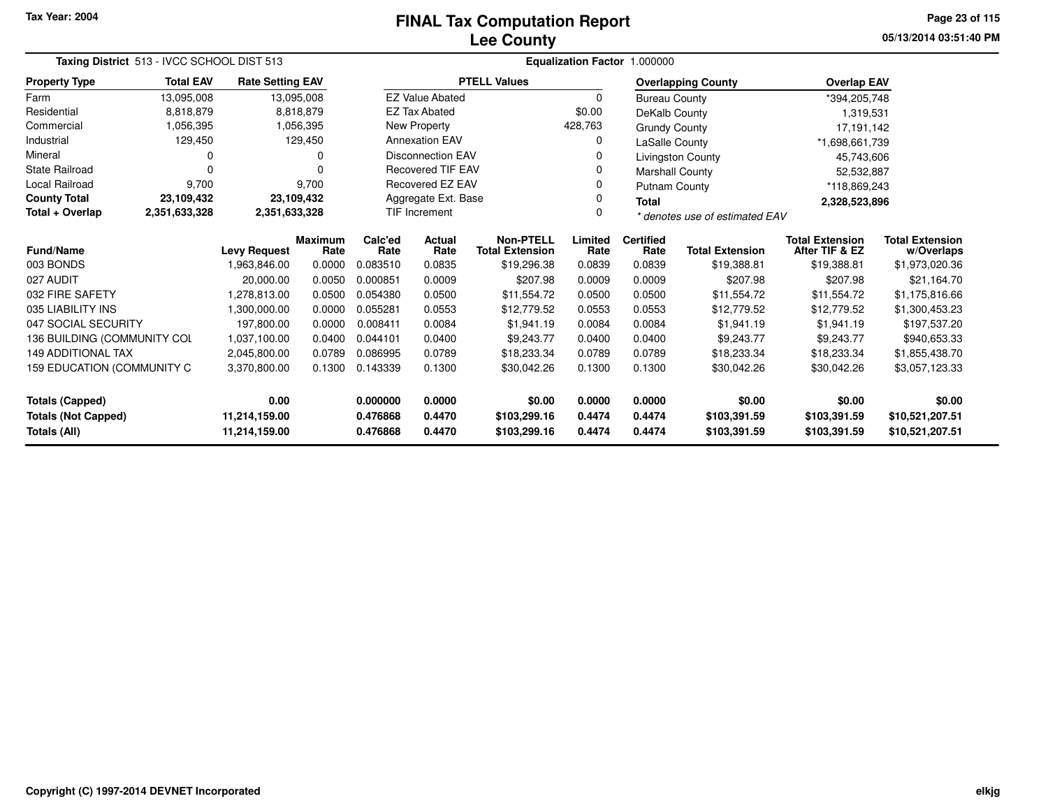## **Lee CountyFINAL Tax Computation Report**

**05/13/2014 03:51:40 PM Page 23 of 115**

|                             | Taxing District 513 - IVCC SCHOOL DIST 513 |                         |                 |                 |                          |                                            |                 | Equalization Factor 1.000000   |                           |                                          |                                      |  |
|-----------------------------|--------------------------------------------|-------------------------|-----------------|-----------------|--------------------------|--------------------------------------------|-----------------|--------------------------------|---------------------------|------------------------------------------|--------------------------------------|--|
| <b>Property Type</b>        | <b>Total EAV</b>                           | <b>Rate Setting EAV</b> |                 |                 |                          | <b>PTELL Values</b>                        |                 |                                | <b>Overlapping County</b> | <b>Overlap EAV</b>                       |                                      |  |
| Farm                        | 13,095,008                                 |                         | 13,095,008      |                 | <b>EZ Value Abated</b>   |                                            | $\Omega$        | <b>Bureau County</b>           |                           | *394,205,748                             |                                      |  |
| Residential                 | 8,818,879                                  |                         | 8,818,879       |                 | <b>EZ Tax Abated</b>     |                                            | \$0.00          | DeKalb County                  |                           | 1,319,531                                |                                      |  |
| Commercial                  | 1,056,395                                  |                         | 1,056,395       |                 | New Property             |                                            | 428,763         | <b>Grundy County</b>           |                           | 17,191,142                               |                                      |  |
| Industrial                  | 129,450                                    |                         | 129,450         |                 | <b>Annexation EAV</b>    |                                            | 0               | <b>LaSalle County</b>          |                           | *1,698,661,739                           |                                      |  |
| Mineral                     | 0                                          |                         | 0               |                 | <b>Disconnection EAV</b> |                                            | 0               |                                | <b>Livingston County</b>  | 45,743,606                               |                                      |  |
| <b>State Railroad</b>       | n                                          |                         |                 |                 | <b>Recovered TIF EAV</b> |                                            |                 | <b>Marshall County</b>         |                           |                                          | 52,532,887                           |  |
| Local Railroad              | 9,700                                      |                         | 9,700           |                 | Recovered EZ EAV         |                                            | 0               | <b>Putnam County</b>           |                           | *118,869,243                             |                                      |  |
| <b>County Total</b>         | 23,109,432                                 | 23,109,432              |                 |                 | Aggregate Ext. Base      |                                            | 0               | <b>Total</b>                   |                           | 2,328,523,896                            |                                      |  |
| Total + Overlap             | 2,351,633,328                              | 2,351,633,328           |                 |                 | <b>TIF Increment</b>     |                                            |                 | * denotes use of estimated EAV |                           |                                          |                                      |  |
| Fund/Name                   |                                            | <b>Levy Request</b>     | Maximum<br>Rate | Calc'ed<br>Rate | Actual<br>Rate           | <b>Non-PTELL</b><br><b>Total Extension</b> | Limited<br>Rate | <b>Certified</b><br>Rate       | <b>Total Extension</b>    | <b>Total Extension</b><br>After TIF & EZ | <b>Total Extension</b><br>w/Overlaps |  |
| 003 BONDS                   |                                            | 1,963,846.00            | 0.0000          | 0.083510        | 0.0835                   | \$19,296.38                                | 0.0839          | 0.0839                         | \$19,388.81               | \$19,388.81                              | \$1,973,020.36                       |  |
| 027 AUDIT                   |                                            | 20,000.00               | 0.0050          | 0.000851        | 0.0009                   | \$207.98                                   | 0.0009          | 0.0009                         | \$207.98                  | \$207.98                                 | \$21,164.70                          |  |
| 032 FIRE SAFETY             |                                            | 1,278,813.00            | 0.0500          | 0.054380        | 0.0500                   | \$11,554.72                                | 0.0500          | 0.0500                         | \$11,554.72               | \$11,554.72                              | \$1,175,816.66                       |  |
| 035 LIABILITY INS           |                                            | 1,300,000.00            | 0.0000          | 0.055281        | 0.0553                   | \$12,779.52                                | 0.0553          | 0.0553                         | \$12,779.52               | \$12,779.52                              | \$1,300,453.23                       |  |
| 047 SOCIAL SECURITY         |                                            | 197.800.00              | 0.0000          | 0.008411        | 0.0084                   | \$1,941.19                                 | 0.0084          | 0.0084                         | \$1,941.19                | \$1,941.19                               | \$197,537.20                         |  |
| 136 BUILDING (COMMUNITY COL |                                            | 1,037,100.00            | 0.0400          | 0.044101        | 0.0400                   | \$9,243.77                                 | 0.0400          | 0.0400                         | \$9,243.77                | \$9,243.77                               | \$940,653.33                         |  |
| <b>149 ADDITIONAL TAX</b>   |                                            | 2,045,800.00            | 0.0789          | 0.086995        | 0.0789                   | \$18,233.34                                | 0.0789          | 0.0789                         | \$18,233.34               | \$18,233.34                              | \$1,855,438.70                       |  |
| 159 EDUCATION (COMMUNITY C  |                                            | 3,370,800.00            | 0.1300          | 0.143339        | 0.1300                   | \$30,042.26                                | 0.1300          | 0.1300                         | \$30,042.26               | \$30,042.26                              | \$3,057,123.33                       |  |
| <b>Totals (Capped)</b>      |                                            | 0.00                    |                 | 0.000000        | 0.0000                   | \$0.00                                     | 0.0000          | 0.0000                         | \$0.00                    | \$0.00                                   | \$0.00                               |  |
| <b>Totals (Not Capped)</b>  |                                            | 11,214,159.00           |                 | 0.476868        | 0.4470                   | \$103,299.16                               | 0.4474          | 0.4474                         | \$103,391.59              | \$103,391.59                             | \$10,521,207.51                      |  |
| Totals (All)                |                                            | 11,214,159.00           |                 | 0.476868        | 0.4470                   | \$103,299.16                               | 0.4474          | 0.4474                         | \$103,391.59              | \$103,391.59                             | \$10,521,207.51                      |  |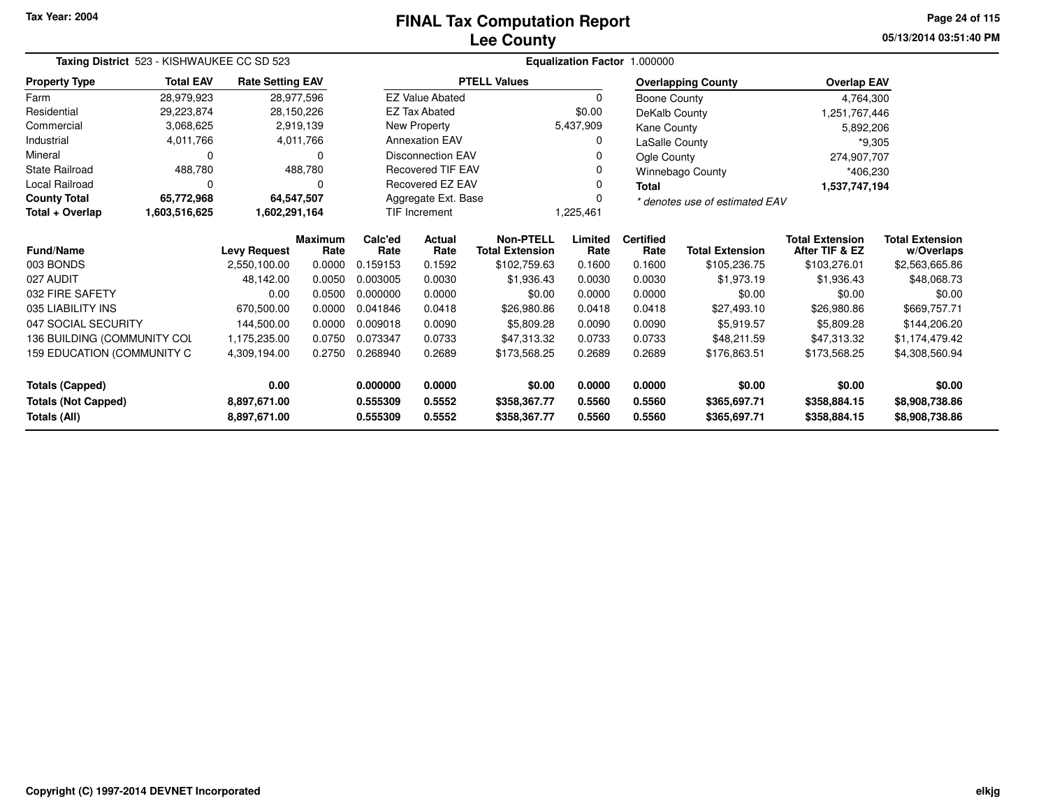## **Lee CountyFINAL Tax Computation Report**

**05/13/2014 03:51:40 PM Page 24 of 115**

|                             | Taxing District 523 - KISHWAUKEE CC SD 523<br><b>Total EAV</b><br><b>Rate Setting EAV</b> |                     |                        |                 |                                       |                                            |                 | Equalization Factor 1.000000 |                                |                                          |                                      |  |
|-----------------------------|-------------------------------------------------------------------------------------------|---------------------|------------------------|-----------------|---------------------------------------|--------------------------------------------|-----------------|------------------------------|--------------------------------|------------------------------------------|--------------------------------------|--|
| <b>Property Type</b>        |                                                                                           |                     |                        |                 |                                       | <b>PTELL Values</b>                        |                 |                              | <b>Overlapping County</b>      | <b>Overlap EAV</b>                       |                                      |  |
| Farm                        | 28,979,923                                                                                |                     | 28,977,596             |                 | <b>EZ Value Abated</b>                |                                            | $\Omega$        | Boone County                 |                                | 4,764,300                                |                                      |  |
| Residential                 | 29,223,874                                                                                |                     | 28,150,226             |                 | <b>EZ Tax Abated</b>                  |                                            | \$0.00          | DeKalb County                |                                | 1,251,767,446                            |                                      |  |
| Commercial                  | 3,068,625                                                                                 |                     | 2,919,139              |                 | New Property                          |                                            | 5,437,909       | Kane County                  |                                | 5,892,206                                |                                      |  |
| Industrial                  | 4,011,766                                                                                 |                     | 4,011,766              |                 | <b>Annexation EAV</b>                 |                                            | 0               | LaSalle County               |                                | $*9,305$                                 |                                      |  |
| Mineral                     | 0                                                                                         |                     | $\Omega$               |                 | <b>Disconnection EAV</b>              |                                            |                 | Ogle County                  |                                | 274,907,707                              |                                      |  |
| <b>State Railroad</b>       | 488,780                                                                                   |                     | 488,780                |                 | <b>Recovered TIF EAV</b>              |                                            | 0               |                              | Winnebago County               | *406,230                                 |                                      |  |
| <b>Local Railroad</b>       | 0                                                                                         |                     | 0                      |                 | Recovered EZ EAV<br>0<br><b>Total</b> |                                            |                 |                              |                                | 1,537,747,194                            |                                      |  |
| <b>County Total</b>         | 65,772,968                                                                                |                     | 64,547,507             |                 | Aggregate Ext. Base                   |                                            | $\Omega$        |                              | * denotes use of estimated EAV |                                          |                                      |  |
| Total + Overlap             | <b>TIF Increment</b><br>1,225,461<br>1,603,516,625<br>1,602,291,164                       |                     |                        |                 |                                       |                                            |                 |                              |                                |                                          |                                      |  |
| <b>Fund/Name</b>            |                                                                                           | <b>Levy Request</b> | <b>Maximum</b><br>Rate | Calc'ed<br>Rate | <b>Actual</b><br>Rate                 | <b>Non-PTELL</b><br><b>Total Extension</b> | Limited<br>Rate | <b>Certified</b><br>Rate     | <b>Total Extension</b>         | <b>Total Extension</b><br>After TIF & EZ | <b>Total Extension</b><br>w/Overlaps |  |
| 003 BONDS                   |                                                                                           | 2,550,100.00        | 0.0000                 | 0.159153        | 0.1592                                | \$102,759.63                               | 0.1600          | 0.1600                       | \$105,236.75                   | \$103,276.01                             | \$2,563,665.86                       |  |
| 027 AUDIT                   |                                                                                           | 48,142.00           | 0.0050                 | 0.003005        | 0.0030                                | \$1,936.43                                 | 0.0030          | 0.0030                       | \$1.973.19                     | \$1,936.43                               | \$48,068.73                          |  |
| 032 FIRE SAFETY             |                                                                                           | 0.00                | 0.0500                 | 0.000000        | 0.0000                                | \$0.00                                     | 0.0000          | 0.0000                       | \$0.00                         | \$0.00                                   | \$0.00                               |  |
| 035 LIABILITY INS           |                                                                                           | 670,500.00          | 0.0000                 | 0.041846        | 0.0418                                | \$26,980.86                                | 0.0418          | 0.0418                       | \$27,493.10                    | \$26,980.86                              | \$669,757.71                         |  |
| 047 SOCIAL SECURITY         |                                                                                           | 144,500.00          | 0.0000                 | 0.009018        | 0.0090                                | \$5,809.28                                 | 0.0090          | 0.0090                       | \$5,919.57                     | \$5,809.28                               | \$144,206.20                         |  |
| 136 BUILDING (COMMUNITY COL |                                                                                           | 1,175,235.00        | 0.0750                 | 0.073347        | 0.0733                                | \$47,313.32                                | 0.0733          | 0.0733                       | \$48,211.59                    | \$47,313.32                              | \$1,174,479.42                       |  |
| 159 EDUCATION (COMMUNITY C  |                                                                                           | 4,309,194.00        | 0.2750                 | 0.268940        | 0.2689                                | \$173,568.25                               | 0.2689          | 0.2689                       | \$176,863.51                   | \$173,568.25                             | \$4,308,560.94                       |  |
| <b>Totals (Capped)</b>      |                                                                                           | 0.00                |                        | 0.000000        | 0.0000                                | \$0.00                                     | 0.0000          | 0.0000                       | \$0.00                         | \$0.00                                   | \$0.00                               |  |
| <b>Totals (Not Capped)</b>  |                                                                                           | 8,897,671.00        |                        | 0.555309        | 0.5552                                | \$358,367.77                               | 0.5560          | 0.5560                       | \$365,697.71                   | \$358,884.15                             | \$8,908,738.86                       |  |
| Totals (All)                |                                                                                           | 8,897,671.00        |                        | 0.555309        | 0.5552                                | \$358,367.77                               | 0.5560          | 0.5560                       | \$365,697.71                   | \$358,884.15                             | \$8,908,738.86                       |  |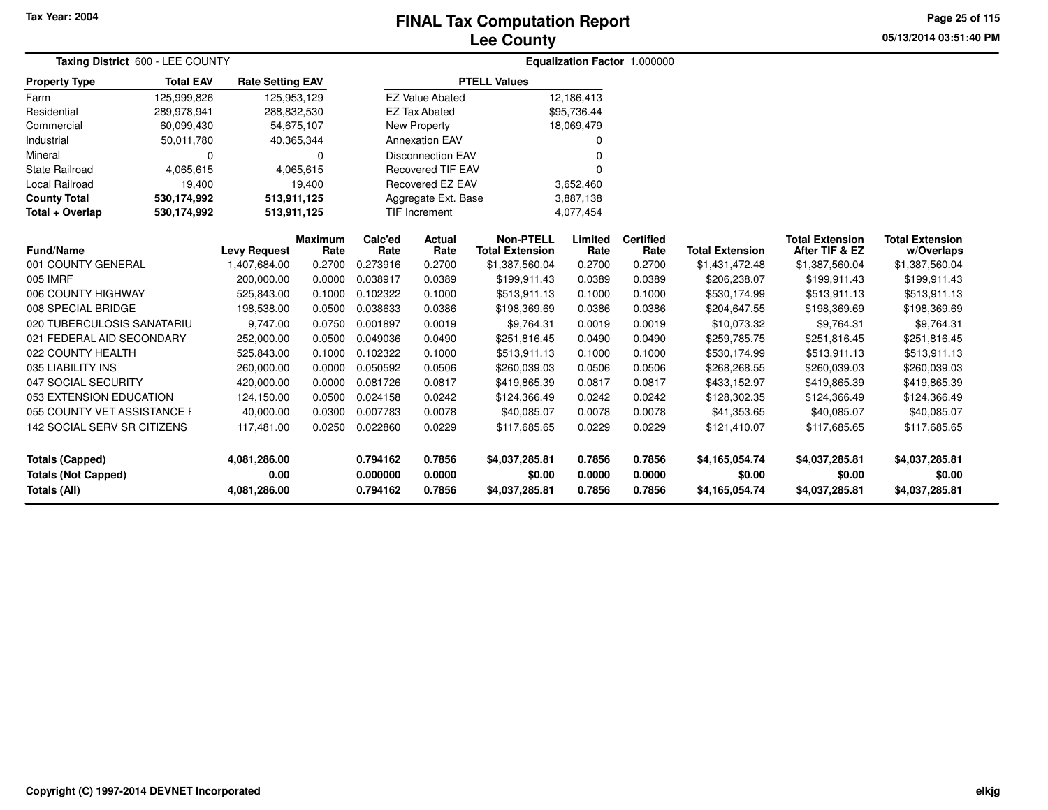# **Lee CountyFINAL Tax Computation Report**

**05/13/2014 03:51:40 PM Page 25 of 115**

| Taxing District 600 - LEE COUNTY                  |                  |                         |                        |                      |                          |                                            |                  | Equalization Factor 1.000000 |                          |                                          |                                      |  |
|---------------------------------------------------|------------------|-------------------------|------------------------|----------------------|--------------------------|--------------------------------------------|------------------|------------------------------|--------------------------|------------------------------------------|--------------------------------------|--|
| <b>Property Type</b>                              | <b>Total EAV</b> | <b>Rate Setting EAV</b> |                        |                      |                          | <b>PTELL Values</b>                        |                  |                              |                          |                                          |                                      |  |
| Farm                                              | 125,999,826      | 125,953,129             |                        |                      | <b>EZ Value Abated</b>   |                                            | 12,186,413       |                              |                          |                                          |                                      |  |
| Residential                                       | 289,978,941      | 288,832,530             |                        |                      | <b>EZ Tax Abated</b>     |                                            | \$95,736.44      |                              |                          |                                          |                                      |  |
| Commercial                                        | 60,099,430       | 54,675,107              |                        |                      | <b>New Property</b>      |                                            | 18,069,479       |                              |                          |                                          |                                      |  |
| Industrial                                        | 50,011,780       | 40,365,344              |                        |                      | <b>Annexation EAV</b>    |                                            | 0                |                              |                          |                                          |                                      |  |
| Mineral                                           | 0                |                         | n                      |                      | <b>Disconnection EAV</b> |                                            | O                |                              |                          |                                          |                                      |  |
| <b>State Railroad</b>                             | 4,065,615        |                         | 4,065,615              |                      | <b>Recovered TIF EAV</b> |                                            | $\Omega$         |                              |                          |                                          |                                      |  |
| Local Railroad                                    | 19,400           |                         | 19,400                 |                      | Recovered EZ EAV         |                                            | 3,652,460        |                              |                          |                                          |                                      |  |
| <b>County Total</b>                               | 530,174,992      | 513,911,125             |                        |                      | Aggregate Ext. Base      |                                            | 3,887,138        |                              |                          |                                          |                                      |  |
| Total + Overlap                                   | 530,174,992      | 513,911,125             |                        |                      | <b>TIF Increment</b>     |                                            | 4,077,454        |                              |                          |                                          |                                      |  |
| <b>Fund/Name</b>                                  |                  | <b>Levy Request</b>     | <b>Maximum</b><br>Rate | Calc'ed<br>Rate      | Actual<br>Rate           | <b>Non-PTELL</b><br><b>Total Extension</b> | Limited<br>Rate  | <b>Certified</b><br>Rate     | <b>Total Extension</b>   | <b>Total Extension</b><br>After TIF & EZ | <b>Total Extension</b><br>w/Overlaps |  |
| 001 COUNTY GENERAL                                |                  | 1,407,684.00            | 0.2700                 | 0.273916             | 0.2700                   | \$1,387,560.04                             | 0.2700           | 0.2700                       | \$1,431,472.48           | \$1,387,560.04                           | \$1,387,560.04                       |  |
| 005 IMRF                                          |                  | 200,000.00              | 0.0000                 | 0.038917             | 0.0389                   | \$199,911.43                               | 0.0389           | 0.0389                       | \$206,238.07             | \$199,911.43                             | \$199,911.43                         |  |
| 006 COUNTY HIGHWAY                                |                  | 525,843.00              | 0.1000                 | 0.102322             | 0.1000                   | \$513,911.13                               | 0.1000           | 0.1000                       | \$530,174.99             | \$513,911.13                             | \$513,911.13                         |  |
| 008 SPECIAL BRIDGE                                |                  | 198,538.00              | 0.0500                 | 0.038633             | 0.0386                   | \$198,369.69                               | 0.0386           | 0.0386                       | \$204,647.55             | \$198,369.69                             | \$198,369.69                         |  |
| 020 TUBERCULOSIS SANATARIU                        |                  | 9,747.00                | 0.0750                 | 0.001897             | 0.0019                   | \$9,764.31                                 | 0.0019           | 0.0019                       | \$10,073.32              | \$9,764.31                               | \$9,764.31                           |  |
| 021 FEDERAL AID SECONDARY                         |                  | 252,000.00              | 0.0500                 | 0.049036             | 0.0490                   | \$251,816.45                               | 0.0490           | 0.0490                       | \$259,785.75             | \$251,816.45                             | \$251,816.45                         |  |
| 022 COUNTY HEALTH                                 |                  | 525,843.00              | 0.1000                 | 0.102322             | 0.1000                   | \$513,911.13                               | 0.1000           | 0.1000                       | \$530,174.99             | \$513,911.13                             | \$513,911.13                         |  |
| 035 LIABILITY INS                                 |                  | 260,000.00              | 0.0000                 | 0.050592             | 0.0506                   | \$260,039.03                               | 0.0506           | 0.0506                       | \$268,268.55             | \$260,039.03                             | \$260,039.03                         |  |
| 047 SOCIAL SECURITY                               |                  | 420,000.00              | 0.0000                 | 0.081726             | 0.0817                   | \$419,865.39                               | 0.0817           | 0.0817                       | \$433,152.97             | \$419,865.39                             | \$419,865.39                         |  |
| 053 EXTENSION EDUCATION                           |                  | 124,150.00              | 0.0500                 | 0.024158             | 0.0242                   | \$124,366.49                               | 0.0242           | 0.0242                       | \$128,302.35             | \$124,366.49                             | \$124,366.49                         |  |
| 055 COUNTY VET ASSISTANCE F                       |                  | 40,000.00               | 0.0300                 | 0.007783             | 0.0078                   | \$40,085.07                                | 0.0078           | 0.0078                       | \$41,353.65              | \$40,085.07                              | \$40,085.07                          |  |
| 142 SOCIAL SERV SR CITIZENS                       |                  | 117,481.00              | 0.0250                 | 0.022860             | 0.0229                   | \$117,685.65                               | 0.0229           | 0.0229                       | \$121,410.07             | \$117,685.65                             | \$117,685.65                         |  |
| <b>Totals (Capped)</b>                            |                  | 4,081,286.00            |                        | 0.794162             | 0.7856                   | \$4,037,285.81                             | 0.7856           | 0.7856                       | \$4,165,054.74           | \$4,037,285.81                           | \$4,037,285.81                       |  |
| <b>Totals (Not Capped)</b><br><b>Totals (All)</b> |                  | 0.00<br>4,081,286.00    |                        | 0.000000<br>0.794162 | 0.0000<br>0.7856         | \$0.00<br>\$4,037,285.81                   | 0.0000<br>0.7856 | 0.0000<br>0.7856             | \$0.00<br>\$4,165,054.74 | \$0.00<br>\$4,037,285.81                 | \$0.00<br>\$4,037,285.81             |  |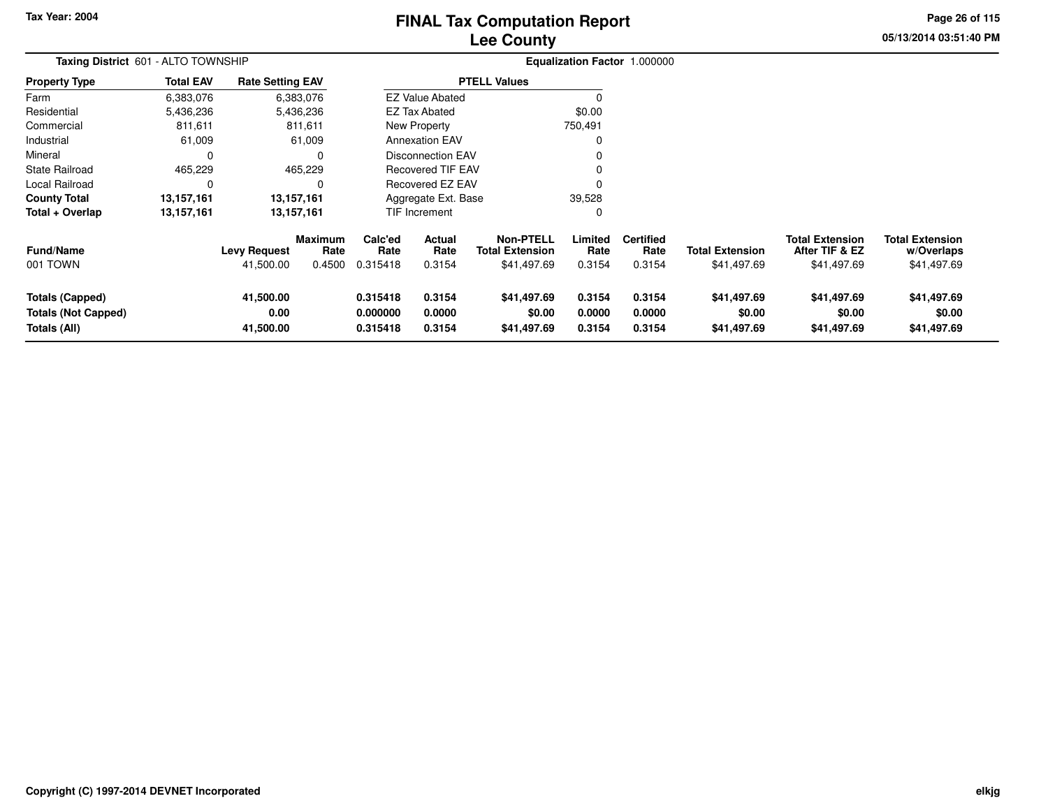# **Lee CountyFINAL Tax Computation Report**

**05/13/2014 03:51:40 PM Page 26 of 115**

| Taxing District 601 - ALTO TOWNSHIP                                  |                  |                                  |                                  |                                  |                                 |                                                           |                            | Equalization Factor 1.000000       |                                       |                                                         |                                                     |
|----------------------------------------------------------------------|------------------|----------------------------------|----------------------------------|----------------------------------|---------------------------------|-----------------------------------------------------------|----------------------------|------------------------------------|---------------------------------------|---------------------------------------------------------|-----------------------------------------------------|
| <b>Property Type</b>                                                 | <b>Total EAV</b> | <b>Rate Setting EAV</b>          |                                  |                                  |                                 | <b>PTELL Values</b>                                       |                            |                                    |                                       |                                                         |                                                     |
| Farm                                                                 | 6,383,076        |                                  | 6,383,076                        |                                  | <b>EZ Value Abated</b>          |                                                           | $\Omega$                   |                                    |                                       |                                                         |                                                     |
| Residential                                                          | 5,436,236        |                                  | 5,436,236                        |                                  | <b>EZ Tax Abated</b>            |                                                           | \$0.00                     |                                    |                                       |                                                         |                                                     |
| Commercial                                                           | 811,611          |                                  | 811,611                          |                                  | New Property                    |                                                           | 750,491                    |                                    |                                       |                                                         |                                                     |
| Industrial                                                           | 61,009           |                                  | 61,009                           |                                  | <b>Annexation EAV</b>           |                                                           | 0                          |                                    |                                       |                                                         |                                                     |
| Mineral                                                              | 0                |                                  | 0                                |                                  | <b>Disconnection EAV</b>        |                                                           |                            |                                    |                                       |                                                         |                                                     |
| State Railroad                                                       | 465,229          |                                  | 465,229                          |                                  | <b>Recovered TIF EAV</b>        |                                                           |                            |                                    |                                       |                                                         |                                                     |
| Local Railroad                                                       | 0                |                                  | 0                                |                                  | Recovered EZ EAV                |                                                           |                            |                                    |                                       |                                                         |                                                     |
| <b>County Total</b>                                                  | 13,157,161       |                                  | 13,157,161                       |                                  | Aggregate Ext. Base             |                                                           | 39,528                     |                                    |                                       |                                                         |                                                     |
| Total + Overlap                                                      | 13,157,161       |                                  | 13,157,161                       |                                  | TIF Increment                   |                                                           | 0                          |                                    |                                       |                                                         |                                                     |
| <b>Fund/Name</b><br>001 TOWN                                         |                  | <b>Levy Request</b><br>41,500.00 | <b>Maximum</b><br>Rate<br>0.4500 | Calc'ed<br>Rate<br>0.315418      | <b>Actual</b><br>Rate<br>0.3154 | <b>Non-PTELL</b><br><b>Total Extension</b><br>\$41,497.69 | Limited<br>Rate<br>0.3154  | <b>Certified</b><br>Rate<br>0.3154 | <b>Total Extension</b><br>\$41,497.69 | <b>Total Extension</b><br>After TIF & EZ<br>\$41,497.69 | <b>Total Extension</b><br>w/Overlaps<br>\$41,497.69 |
| <b>Totals (Capped)</b><br><b>Totals (Not Capped)</b><br>Totals (All) |                  | 41,500.00<br>0.00<br>41,500.00   |                                  | 0.315418<br>0.000000<br>0.315418 | 0.3154<br>0.0000<br>0.3154      | \$41,497.69<br>\$0.00<br>\$41,497.69                      | 0.3154<br>0.0000<br>0.3154 | 0.3154<br>0.0000<br>0.3154         | \$41,497.69<br>\$0.00<br>\$41,497.69  | \$41,497.69<br>\$0.00<br>\$41,497.69                    | \$41,497.69<br>\$0.00<br>\$41,497.69                |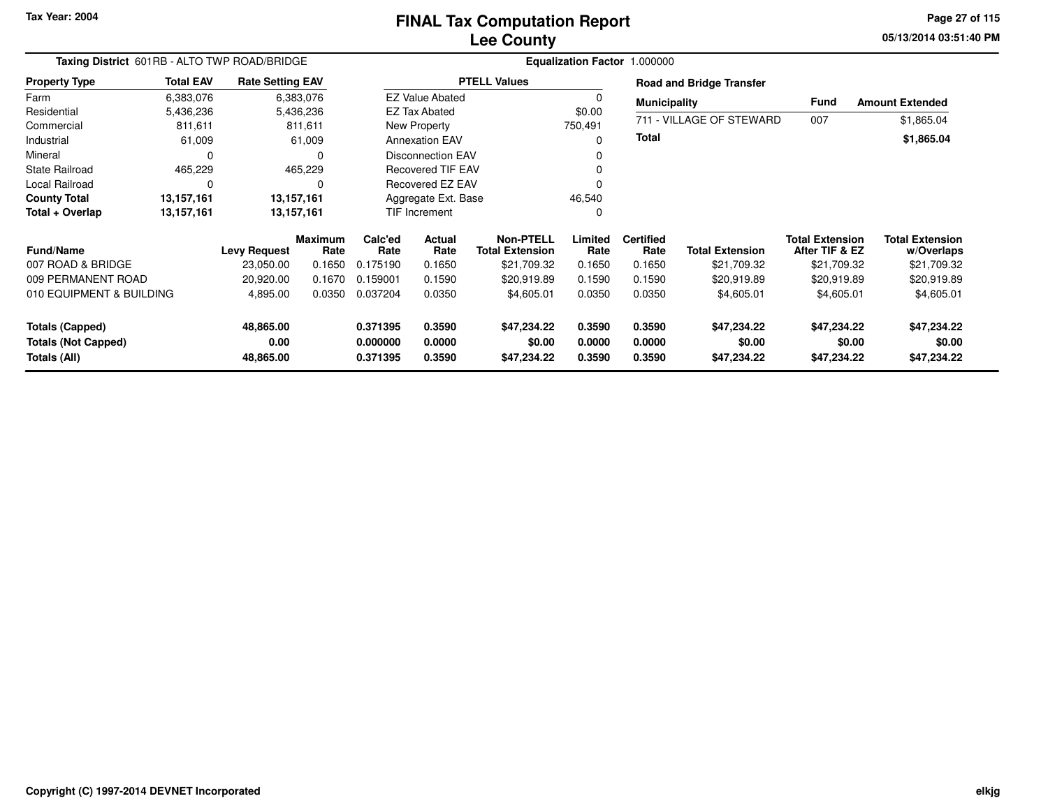# **Lee CountyFINAL Tax Computation Report**

**05/13/2014 03:51:40 PM Page 27 of 115**

| Taxing District 601RB - ALTO TWP ROAD/BRIDGE<br><b>Rate Setting EAV</b> |                  |                     |                        |                      |                          |                                            |                  | Equalization Factor 1.000000 |                                 |                                          |                                      |
|-------------------------------------------------------------------------|------------------|---------------------|------------------------|----------------------|--------------------------|--------------------------------------------|------------------|------------------------------|---------------------------------|------------------------------------------|--------------------------------------|
| <b>Property Type</b>                                                    | <b>Total EAV</b> |                     |                        |                      |                          | <b>PTELL Values</b>                        |                  |                              | <b>Road and Bridge Transfer</b> |                                          |                                      |
| Farm                                                                    | 6,383,076        |                     | 6,383,076              |                      | <b>EZ Value Abated</b>   |                                            |                  | <b>Municipality</b>          |                                 | Fund                                     | <b>Amount Extended</b>               |
| Residential                                                             | 5,436,236        |                     | 5,436,236              |                      | <b>EZ Tax Abated</b>     |                                            | \$0.00           |                              |                                 |                                          |                                      |
| Commercial                                                              | 811,611          |                     | 811,611                |                      | New Property             |                                            | 750,491          |                              | 711 - VILLAGE OF STEWARD        | 007                                      | \$1,865.04                           |
| Industrial                                                              | 61,009           |                     | 61,009                 |                      | <b>Annexation EAV</b>    |                                            | O                | <b>Total</b>                 |                                 |                                          | \$1,865.04                           |
| Mineral                                                                 | 0                |                     | 0                      |                      | <b>Disconnection EAV</b> |                                            |                  |                              |                                 |                                          |                                      |
| <b>State Railroad</b>                                                   | 465,229          |                     | 465,229                |                      | <b>Recovered TIF EAV</b> |                                            |                  |                              |                                 |                                          |                                      |
| <b>Local Railroad</b>                                                   | $\mathbf 0$      |                     | 0                      |                      | Recovered EZ EAV         |                                            |                  |                              |                                 |                                          |                                      |
| <b>County Total</b>                                                     | 13,157,161       |                     | 13,157,161             |                      | Aggregate Ext. Base      |                                            | 46,540           |                              |                                 |                                          |                                      |
| Total + Overlap                                                         | 13,157,161       |                     | 13,157,161             |                      | <b>TIF Increment</b>     |                                            | 0                |                              |                                 |                                          |                                      |
| <b>Fund/Name</b>                                                        |                  | <b>Levy Request</b> | <b>Maximum</b><br>Rate | Calc'ed<br>Rate      | Actual<br>Rate           | <b>Non-PTELL</b><br><b>Total Extension</b> | Limited<br>Rate  | <b>Certified</b><br>Rate     | <b>Total Extension</b>          | <b>Total Extension</b><br>After TIF & EZ | <b>Total Extension</b><br>w/Overlaps |
| 007 ROAD & BRIDGE                                                       |                  | 23,050.00           | 0.1650                 | 0.175190             | 0.1650                   | \$21,709.32                                | 0.1650           | 0.1650                       | \$21,709.32                     | \$21,709.32                              | \$21,709.32                          |
| 009 PERMANENT ROAD                                                      |                  | 20,920.00           | 0.1670                 | 0.159001             | 0.1590                   | \$20,919.89                                | 0.1590           | 0.1590                       | \$20,919.89                     | \$20,919.89                              | \$20,919.89                          |
| 010 EQUIPMENT & BUILDING                                                |                  | 4,895.00            | 0.0350                 | 0.037204             | 0.0350                   | \$4,605.01                                 | 0.0350           | 0.0350                       | \$4,605.01                      | \$4,605.01                               | \$4,605.01                           |
| <b>Totals (Capped)</b>                                                  |                  | 48,865.00           |                        | 0.371395             | 0.3590                   | \$47,234.22                                | 0.3590           | 0.3590                       | \$47,234.22                     | \$47,234.22                              | \$47,234.22                          |
| <b>Totals (Not Capped)</b><br>Totals (All)                              |                  | 0.00<br>48,865.00   |                        | 0.000000<br>0.371395 | 0.0000<br>0.3590         | \$0.00<br>\$47,234.22                      | 0.0000<br>0.3590 | 0.0000<br>0.3590             | \$0.00<br>\$47,234.22           | \$0.00<br>\$47,234.22                    | \$0.00<br>\$47,234.22                |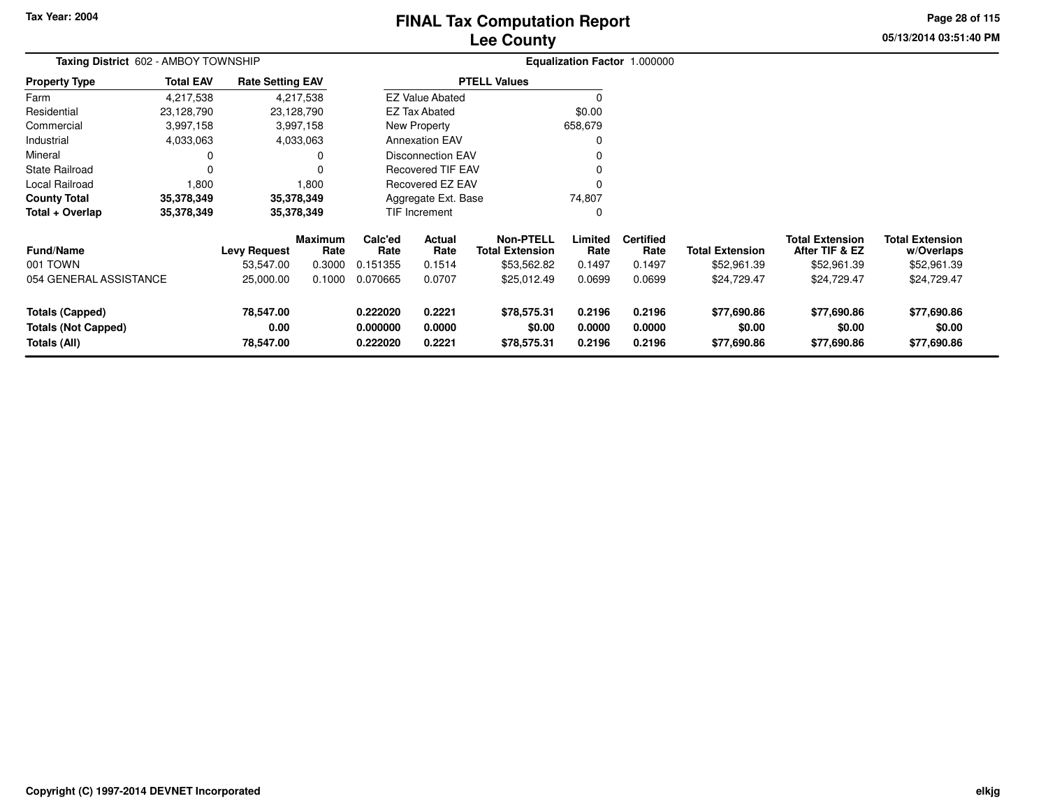# **Lee CountyFINAL Tax Computation Report**

**05/13/2014 03:51:40 PMPage 28 of 115**

| Taxing District 602 - AMBOY TOWNSHIP                                 |                  |                                |                        |                                  |                            |                                            |                            | Equalization Factor 1.000000 |                                      |                                          |                                      |
|----------------------------------------------------------------------|------------------|--------------------------------|------------------------|----------------------------------|----------------------------|--------------------------------------------|----------------------------|------------------------------|--------------------------------------|------------------------------------------|--------------------------------------|
| <b>Property Type</b>                                                 | <b>Total EAV</b> | <b>Rate Setting EAV</b>        |                        |                                  |                            | <b>PTELL Values</b>                        |                            |                              |                                      |                                          |                                      |
| Farm                                                                 | 4,217,538        |                                | 4,217,538              |                                  | <b>EZ Value Abated</b>     |                                            |                            |                              |                                      |                                          |                                      |
| Residential                                                          | 23,128,790       |                                | 23,128,790             |                                  | <b>EZ Tax Abated</b>       |                                            | \$0.00                     |                              |                                      |                                          |                                      |
| Commercial                                                           | 3,997,158        |                                | 3,997,158              |                                  | New Property               |                                            | 658,679                    |                              |                                      |                                          |                                      |
| Industrial                                                           | 4,033,063        |                                | 4,033,063              |                                  | <b>Annexation EAV</b>      |                                            |                            |                              |                                      |                                          |                                      |
| Mineral                                                              |                  |                                | 0                      |                                  | Disconnection EAV          |                                            |                            |                              |                                      |                                          |                                      |
| State Railroad                                                       | 0                |                                | $\Omega$               |                                  | <b>Recovered TIF EAV</b>   |                                            |                            |                              |                                      |                                          |                                      |
| Local Railroad                                                       | 1,800            |                                | 1,800                  |                                  | Recovered EZ EAV           |                                            |                            |                              |                                      |                                          |                                      |
| <b>County Total</b>                                                  | 35,378,349       |                                | 35,378,349             |                                  | Aggregate Ext. Base        |                                            | 74,807                     |                              |                                      |                                          |                                      |
| Total + Overlap                                                      | 35,378,349       |                                | 35,378,349             |                                  | TIF Increment              |                                            | 0                          |                              |                                      |                                          |                                      |
| <b>Fund/Name</b>                                                     |                  | <b>Levy Request</b>            | <b>Maximum</b><br>Rate | Calc'ed<br>Rate                  | Actual<br>Rate             | <b>Non-PTELL</b><br><b>Total Extension</b> | Limited<br>Rate            | <b>Certified</b><br>Rate     | <b>Total Extension</b>               | <b>Total Extension</b><br>After TIF & EZ | <b>Total Extension</b><br>w/Overlaps |
| 001 TOWN                                                             |                  | 53,547.00                      | 0.3000                 | 0.151355                         | 0.1514                     | \$53,562.82                                | 0.1497                     | 0.1497                       | \$52,961.39                          | \$52,961.39                              | \$52,961.39                          |
| 054 GENERAL ASSISTANCE                                               |                  | 25,000.00                      | 0.1000                 | 0.070665                         | 0.0707                     | \$25,012.49                                | 0.0699                     | 0.0699                       | \$24,729.47                          | \$24,729.47                              | \$24,729.47                          |
| <b>Totals (Capped)</b><br><b>Totals (Not Capped)</b><br>Totals (All) |                  | 78,547.00<br>0.00<br>78,547.00 |                        | 0.222020<br>0.000000<br>0.222020 | 0.2221<br>0.0000<br>0.2221 | \$78,575.31<br>\$0.00<br>\$78,575.31       | 0.2196<br>0.0000<br>0.2196 | 0.2196<br>0.0000<br>0.2196   | \$77,690.86<br>\$0.00<br>\$77,690.86 | \$77,690.86<br>\$0.00<br>\$77,690.86     | \$77,690.86<br>\$0.00<br>\$77,690.86 |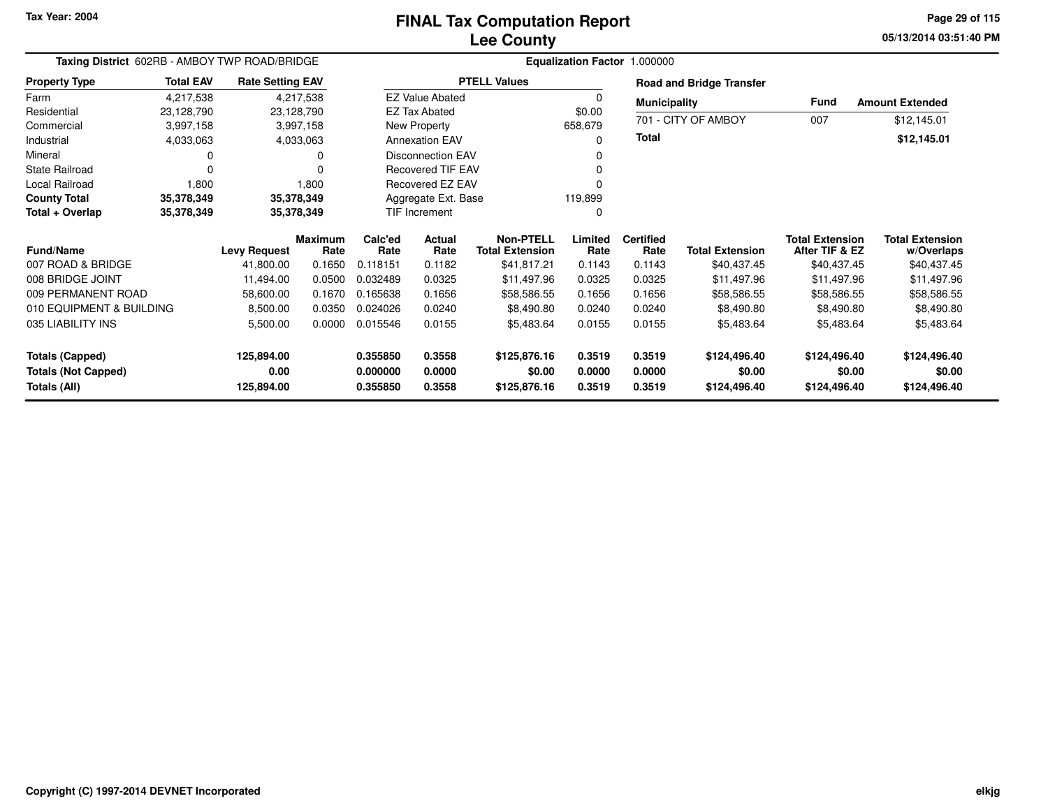## **Lee CountyFINAL Tax Computation Report**

**05/13/2014 03:51:40 PM Page 29 of 115**

| Taxing District 602RB - AMBOY TWP ROAD/BRIDGE<br><b>Total EAV</b><br><b>Rate Setting EAV</b><br><b>Property Type</b> |            |                     |                        |                 |                          | Equalization Factor 1.000000               |                 |                          |                                 |                                          |                                      |
|----------------------------------------------------------------------------------------------------------------------|------------|---------------------|------------------------|-----------------|--------------------------|--------------------------------------------|-----------------|--------------------------|---------------------------------|------------------------------------------|--------------------------------------|
|                                                                                                                      |            |                     |                        |                 |                          | <b>PTELL Values</b>                        |                 |                          | <b>Road and Bridge Transfer</b> |                                          |                                      |
| Farm                                                                                                                 | 4,217,538  |                     | 4,217,538              |                 | <b>EZ Value Abated</b>   |                                            |                 | <b>Municipality</b>      |                                 | <b>Fund</b>                              | <b>Amount Extended</b>               |
| Residential                                                                                                          | 23,128,790 |                     | 23,128,790             |                 | <b>EZ Tax Abated</b>     |                                            | \$0.00          |                          | 701 - CITY OF AMBOY             | 007                                      | \$12,145.01                          |
| Commercial                                                                                                           | 3,997,158  |                     | 3,997,158              |                 | New Property             |                                            | 658,679         |                          |                                 |                                          |                                      |
| Industrial                                                                                                           | 4,033,063  |                     | 4,033,063              |                 | <b>Annexation EAV</b>    |                                            | O               | Total                    |                                 |                                          | \$12,145.01                          |
| Mineral                                                                                                              |            |                     | 0                      |                 | <b>Disconnection EAV</b> |                                            |                 |                          |                                 |                                          |                                      |
| State Railroad                                                                                                       | $\Omega$   |                     | 0                      |                 | Recovered TIF EAV        |                                            |                 |                          |                                 |                                          |                                      |
| Local Railroad                                                                                                       | 1,800      |                     | 1,800                  |                 | Recovered EZ EAV         |                                            |                 |                          |                                 |                                          |                                      |
| <b>County Total</b>                                                                                                  | 35,378,349 |                     | 35,378,349             |                 | Aggregate Ext. Base      |                                            | 119,899         |                          |                                 |                                          |                                      |
| Total + Overlap                                                                                                      | 35,378,349 |                     | 35,378,349             |                 | <b>TIF Increment</b>     |                                            | 0               |                          |                                 |                                          |                                      |
| <b>Fund/Name</b>                                                                                                     |            | <b>Levy Request</b> | <b>Maximum</b><br>Rate | Calc'ed<br>Rate | Actual<br>Rate           | <b>Non-PTELL</b><br><b>Total Extension</b> | Limited<br>Rate | <b>Certified</b><br>Rate | <b>Total Extension</b>          | <b>Total Extension</b><br>After TIF & EZ | <b>Total Extension</b><br>w/Overlaps |
| 007 ROAD & BRIDGE                                                                                                    |            | 41,800.00           | 0.1650                 | 0.118151        | 0.1182                   | \$41,817.21                                | 0.1143          | 0.1143                   | \$40,437.45                     | \$40,437.45                              | \$40,437.45                          |
| 008 BRIDGE JOINT                                                                                                     |            | 11,494.00           | 0.0500                 | 0.032489        | 0.0325                   | \$11,497.96                                | 0.0325          | 0.0325                   | \$11,497.96                     | \$11,497.96                              | \$11,497.96                          |
| 009 PERMANENT ROAD                                                                                                   |            | 58,600.00           | 0.1670                 | 0.165638        | 0.1656                   | \$58,586.55                                | 0.1656          | 0.1656                   | \$58,586.55                     | \$58,586.55                              | \$58,586.55                          |
| 010 EQUIPMENT & BUILDING                                                                                             |            | 8,500.00            | 0.0350                 | 0.024026        | 0.0240                   | \$8,490.80                                 | 0.0240          | 0.0240                   | \$8,490.80                      | \$8,490.80                               | \$8,490.80                           |
| 035 LIABILITY INS                                                                                                    |            | 5,500.00            | 0.0000                 | 0.015546        | 0.0155                   | \$5,483.64                                 | 0.0155          | 0.0155                   | \$5,483.64                      | \$5,483.64                               | \$5,483.64                           |
| <b>Totals (Capped)</b>                                                                                               |            | 125,894.00          |                        | 0.355850        | 0.3558                   | \$125,876.16                               | 0.3519          | 0.3519                   | \$124,496.40                    | \$124,496.40                             | \$124,496.40                         |
| <b>Totals (Not Capped)</b>                                                                                           |            | 0.00                |                        | 0.000000        | 0.0000                   | \$0.00                                     | 0.0000          | 0.0000                   | \$0.00                          | \$0.00                                   | \$0.00                               |
| Totals (All)                                                                                                         |            | 125,894.00          |                        | 0.355850        | 0.3558                   | \$125,876.16                               | 0.3519          | 0.3519                   | \$124,496.40                    | \$124,496.40                             | \$124,496.40                         |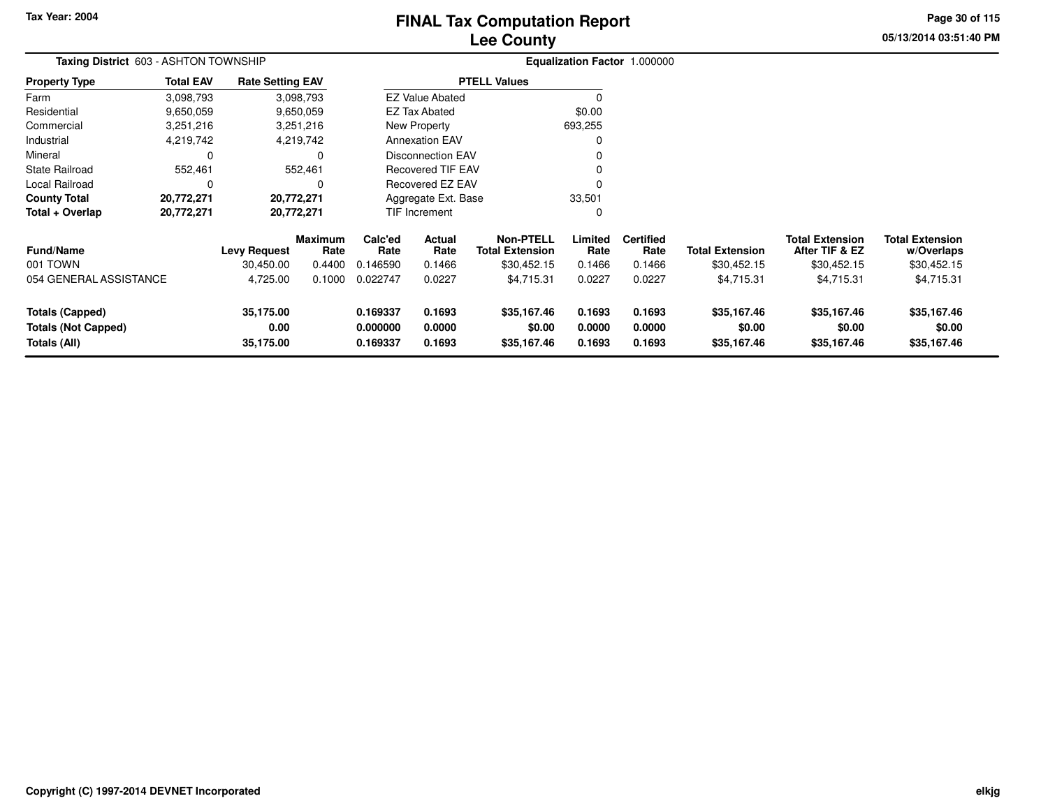# **Lee CountyFINAL Tax Computation Report**

**05/13/2014 03:51:40 PMPage 30 of 115**

| Taxing District 603 - ASHTON TOWNSHIP                                |                  |                                |                        |                                  |                            |                                            |                            | Equalization Factor 1.000000 |                                      |                                          |                                      |
|----------------------------------------------------------------------|------------------|--------------------------------|------------------------|----------------------------------|----------------------------|--------------------------------------------|----------------------------|------------------------------|--------------------------------------|------------------------------------------|--------------------------------------|
| <b>Property Type</b>                                                 | <b>Total EAV</b> | <b>Rate Setting EAV</b>        |                        |                                  |                            | <b>PTELL Values</b>                        |                            |                              |                                      |                                          |                                      |
| Farm                                                                 | 3,098,793        |                                | 3,098,793              |                                  | <b>EZ Value Abated</b>     |                                            |                            |                              |                                      |                                          |                                      |
| Residential                                                          | 9,650,059        |                                | 9,650,059              |                                  | EZ Tax Abated              |                                            | \$0.00                     |                              |                                      |                                          |                                      |
| Commercial                                                           | 3,251,216        |                                | 3,251,216              |                                  | New Property               |                                            | 693,255                    |                              |                                      |                                          |                                      |
| Industrial                                                           | 4,219,742        |                                | 4,219,742              |                                  | <b>Annexation EAV</b>      |                                            |                            |                              |                                      |                                          |                                      |
| Mineral                                                              | 0                |                                | 0                      |                                  | <b>Disconnection EAV</b>   |                                            |                            |                              |                                      |                                          |                                      |
| <b>State Railroad</b>                                                | 552,461          |                                | 552,461                |                                  | Recovered TIF EAV          |                                            |                            |                              |                                      |                                          |                                      |
| Local Railroad                                                       | 0                |                                | 0                      |                                  | Recovered EZ EAV           |                                            |                            |                              |                                      |                                          |                                      |
| <b>County Total</b>                                                  | 20,772,271       |                                | 20,772,271             |                                  | Aggregate Ext. Base        |                                            | 33,501                     |                              |                                      |                                          |                                      |
| Total + Overlap                                                      | 20,772,271       |                                | 20,772,271             |                                  | <b>TIF Increment</b>       |                                            | 0                          |                              |                                      |                                          |                                      |
| <b>Fund/Name</b>                                                     |                  | <b>Levy Request</b>            | <b>Maximum</b><br>Rate | Calc'ed<br>Rate                  | Actual<br>Rate             | <b>Non-PTELL</b><br><b>Total Extension</b> | Limited<br>Rate            | <b>Certified</b><br>Rate     | <b>Total Extension</b>               | <b>Total Extension</b><br>After TIF & EZ | <b>Total Extension</b><br>w/Overlaps |
| 001 TOWN                                                             |                  | 30,450.00                      | 0.4400                 | 0.146590                         | 0.1466                     | \$30,452.15                                | 0.1466                     | 0.1466                       | \$30,452.15                          | \$30,452.15                              | \$30,452.15                          |
| 054 GENERAL ASSISTANCE                                               |                  | 4,725.00                       | 0.1000                 | 0.022747                         | 0.0227                     | \$4,715.31                                 | 0.0227                     | 0.0227                       | \$4,715.31                           | \$4,715.31                               | \$4,715.31                           |
| <b>Totals (Capped)</b><br><b>Totals (Not Capped)</b><br>Totals (All) |                  | 35,175.00<br>0.00<br>35,175.00 |                        | 0.169337<br>0.000000<br>0.169337 | 0.1693<br>0.0000<br>0.1693 | \$35,167.46<br>\$0.00<br>\$35,167.46       | 0.1693<br>0.0000<br>0.1693 | 0.1693<br>0.0000<br>0.1693   | \$35,167.46<br>\$0.00<br>\$35,167.46 | \$35,167.46<br>\$0.00<br>\$35,167.46     | \$35,167.46<br>\$0.00<br>\$35,167.46 |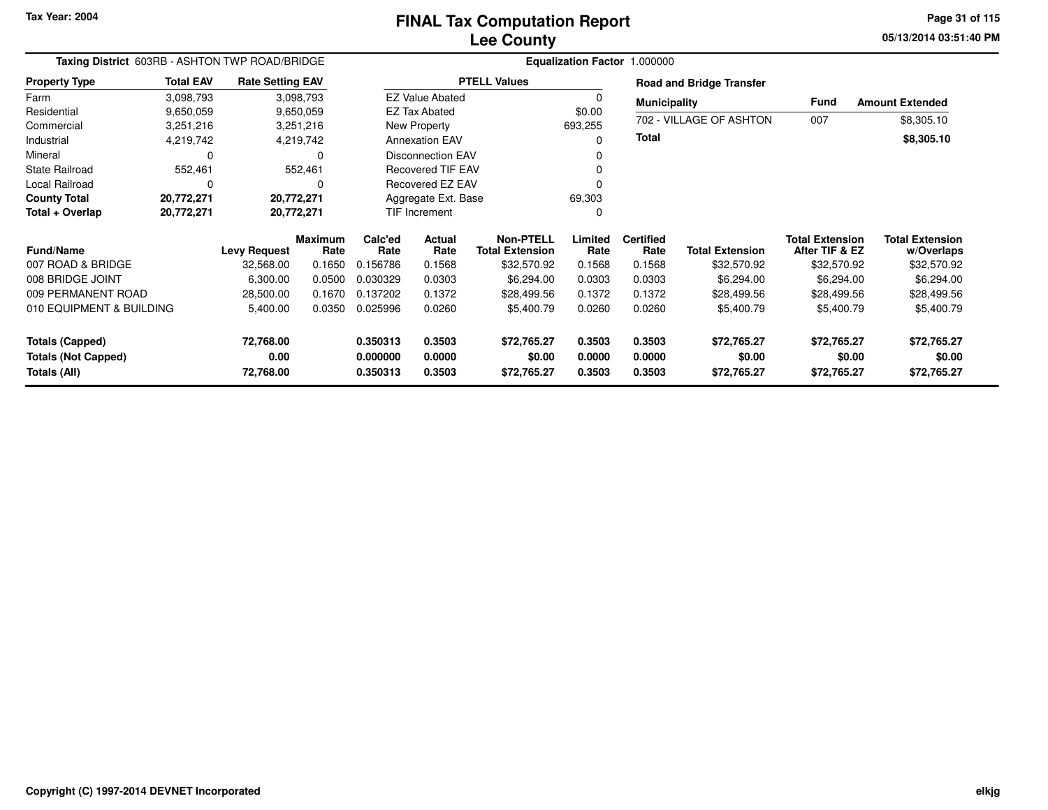**05/13/2014 03:51:40 PM Page 31 of 115**

| Taxing District 603RB - ASHTON TWP ROAD/BRIDGE<br><b>Total EAV</b><br><b>Rate Setting EAV</b> |                        |                     |                        |                      |                                                |                                            | Equalization Factor 1.000000 |                          |                                 |                                          |                                      |
|-----------------------------------------------------------------------------------------------|------------------------|---------------------|------------------------|----------------------|------------------------------------------------|--------------------------------------------|------------------------------|--------------------------|---------------------------------|------------------------------------------|--------------------------------------|
| <b>Property Type</b>                                                                          |                        |                     |                        |                      |                                                | <b>PTELL Values</b>                        |                              |                          | <b>Road and Bridge Transfer</b> |                                          |                                      |
| Farm<br>Residential                                                                           | 3,098,793<br>9,650,059 |                     | 3,098,793<br>9,650,059 |                      | <b>EZ Value Abated</b><br><b>EZ Tax Abated</b> |                                            | 0<br>\$0.00                  | <b>Municipality</b>      |                                 | <b>Fund</b>                              | <b>Amount Extended</b>               |
| Commercial                                                                                    | 3,251,216              |                     | 3,251,216              |                      | New Property                                   |                                            | 693,255                      |                          | 702 - VILLAGE OF ASHTON         | 007                                      | \$8,305.10                           |
| Industrial                                                                                    | 4,219,742              |                     | 4,219,742              |                      | <b>Annexation EAV</b>                          |                                            | 0                            | <b>Total</b>             |                                 |                                          | \$8,305.10                           |
| Mineral                                                                                       | 0                      |                     | 0                      |                      | <b>Disconnection EAV</b>                       |                                            | 0                            |                          |                                 |                                          |                                      |
| <b>State Railroad</b>                                                                         | 552,461                |                     | 552,461                |                      | <b>Recovered TIF EAV</b>                       |                                            |                              |                          |                                 |                                          |                                      |
| Local Railroad                                                                                | $\Omega$               |                     | 0                      |                      | Recovered EZ EAV                               |                                            | 0                            |                          |                                 |                                          |                                      |
| <b>County Total</b>                                                                           | 20,772,271             | 20,772,271          |                        |                      | Aggregate Ext. Base                            |                                            | 69,303                       |                          |                                 |                                          |                                      |
| Total + Overlap                                                                               | 20,772,271             | 20,772,271          |                        |                      | TIF Increment                                  |                                            | 0                            |                          |                                 |                                          |                                      |
| <b>Fund/Name</b>                                                                              |                        | <b>Levy Request</b> | <b>Maximum</b><br>Rate | Calc'ed<br>Rate      | Actual<br>Rate                                 | <b>Non-PTELL</b><br><b>Total Extension</b> | Limited<br>Rate              | <b>Certified</b><br>Rate | <b>Total Extension</b>          | <b>Total Extension</b><br>After TIF & EZ | <b>Total Extension</b><br>w/Overlaps |
| 007 ROAD & BRIDGE                                                                             |                        | 32,568.00           | 0.1650                 | 0.156786             | 0.1568                                         | \$32,570.92                                | 0.1568                       | 0.1568                   | \$32,570.92                     | \$32,570.92                              | \$32,570.92                          |
| 008 BRIDGE JOINT                                                                              |                        | 6,300.00            | 0.0500                 | 0.030329             | 0.0303                                         | \$6,294.00                                 | 0.0303                       | 0.0303                   | \$6,294.00                      | \$6,294.00                               | \$6,294.00                           |
| 009 PERMANENT ROAD                                                                            |                        | 28,500.00           | 0.1670                 | 0.137202             | 0.1372                                         | \$28,499.56                                | 0.1372                       | 0.1372                   | \$28,499.56                     | \$28,499.56                              | \$28,499.56                          |
| 010 EQUIPMENT & BUILDING                                                                      |                        | 5,400.00            | 0.0350                 | 0.025996             | 0.0260                                         | \$5,400.79                                 | 0.0260                       | 0.0260                   | \$5,400.79                      | \$5,400.79                               | \$5,400.79                           |
| <b>Totals (Capped)</b>                                                                        |                        | 72,768.00           |                        | 0.350313             | 0.3503                                         | \$72,765.27                                | 0.3503                       | 0.3503                   | \$72,765.27                     | \$72,765.27                              | \$72,765.27                          |
| <b>Totals (Not Capped)</b><br>Totals (All)                                                    |                        | 0.00<br>72,768.00   |                        | 0.000000<br>0.350313 | 0.0000<br>0.3503                               | \$0.00<br>\$72,765.27                      | 0.0000<br>0.3503             | 0.0000<br>0.3503         | \$0.00<br>\$72,765.27           | \$0.00<br>\$72,765.27                    | \$0.00<br>\$72,765.27                |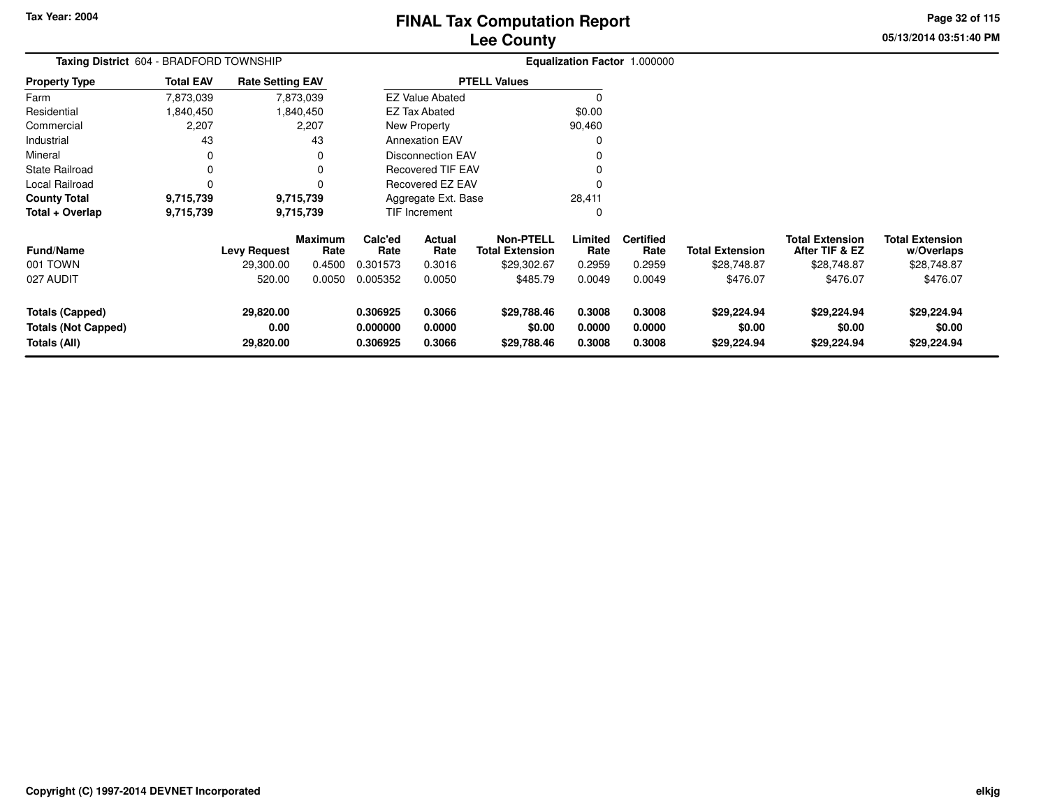**05/13/2014 03:51:40 PM Page 32 of 115**

| Taxing District 604 - BRADFORD TOWNSHIP                       |                  |                                |                        |                                  |                            | Equalization Factor 1.000000               |                            |                            |                                      |                                          |                                      |
|---------------------------------------------------------------|------------------|--------------------------------|------------------------|----------------------------------|----------------------------|--------------------------------------------|----------------------------|----------------------------|--------------------------------------|------------------------------------------|--------------------------------------|
| <b>Property Type</b>                                          | <b>Total EAV</b> | <b>Rate Setting EAV</b>        |                        |                                  |                            | <b>PTELL Values</b>                        |                            |                            |                                      |                                          |                                      |
| Farm                                                          | 7,873,039        |                                | 7,873,039              |                                  | <b>EZ Value Abated</b>     |                                            |                            |                            |                                      |                                          |                                      |
| Residential                                                   | 1,840,450        |                                | 1,840,450              |                                  | <b>EZ Tax Abated</b>       |                                            | \$0.00                     |                            |                                      |                                          |                                      |
| Commercial                                                    | 2,207            |                                | 2,207                  |                                  | New Property               |                                            | 90,460                     |                            |                                      |                                          |                                      |
| Industrial                                                    | 43               |                                | 43                     |                                  | <b>Annexation EAV</b>      |                                            |                            |                            |                                      |                                          |                                      |
| Mineral                                                       | 0                |                                | 0                      |                                  | <b>Disconnection EAV</b>   |                                            |                            |                            |                                      |                                          |                                      |
| <b>State Railroad</b>                                         | 0                |                                | 0                      |                                  | <b>Recovered TIF EAV</b>   |                                            |                            |                            |                                      |                                          |                                      |
| Local Railroad                                                | 0                |                                |                        |                                  | Recovered EZ EAV           |                                            |                            |                            |                                      |                                          |                                      |
| <b>County Total</b>                                           | 9,715,739        |                                | 9,715,739              |                                  | Aggregate Ext. Base        |                                            | 28,411                     |                            |                                      |                                          |                                      |
| Total + Overlap                                               | 9,715,739        |                                | 9,715,739              |                                  | TIF Increment              |                                            | 0                          |                            |                                      |                                          |                                      |
| <b>Fund/Name</b>                                              |                  | <b>Levy Request</b>            | <b>Maximum</b><br>Rate | Calc'ed<br>Rate                  | <b>Actual</b><br>Rate      | <b>Non-PTELL</b><br><b>Total Extension</b> | Limited<br>Rate            | <b>Certified</b><br>Rate   | Total Extension                      | <b>Total Extension</b><br>After TIF & EZ | <b>Total Extension</b><br>w/Overlaps |
| 001 TOWN                                                      |                  | 29,300.00                      | 0.4500                 | 0.301573                         | 0.3016                     | \$29,302.67                                | 0.2959                     | 0.2959                     | \$28,748.87                          | \$28,748.87                              | \$28,748.87                          |
| 027 AUDIT                                                     |                  | 520.00                         | 0.0050                 | 0.005352                         | 0.0050                     | \$485.79                                   | 0.0049                     | 0.0049                     | \$476.07                             | \$476.07                                 | \$476.07                             |
| Totals (Capped)<br><b>Totals (Not Capped)</b><br>Totals (All) |                  | 29,820.00<br>0.00<br>29,820.00 |                        | 0.306925<br>0.000000<br>0.306925 | 0.3066<br>0.0000<br>0.3066 | \$29,788.46<br>\$0.00<br>\$29,788.46       | 0.3008<br>0.0000<br>0.3008 | 0.3008<br>0.0000<br>0.3008 | \$29,224.94<br>\$0.00<br>\$29,224.94 | \$29,224.94<br>\$0.00<br>\$29,224.94     | \$29,224.94<br>\$0.00<br>\$29,224.94 |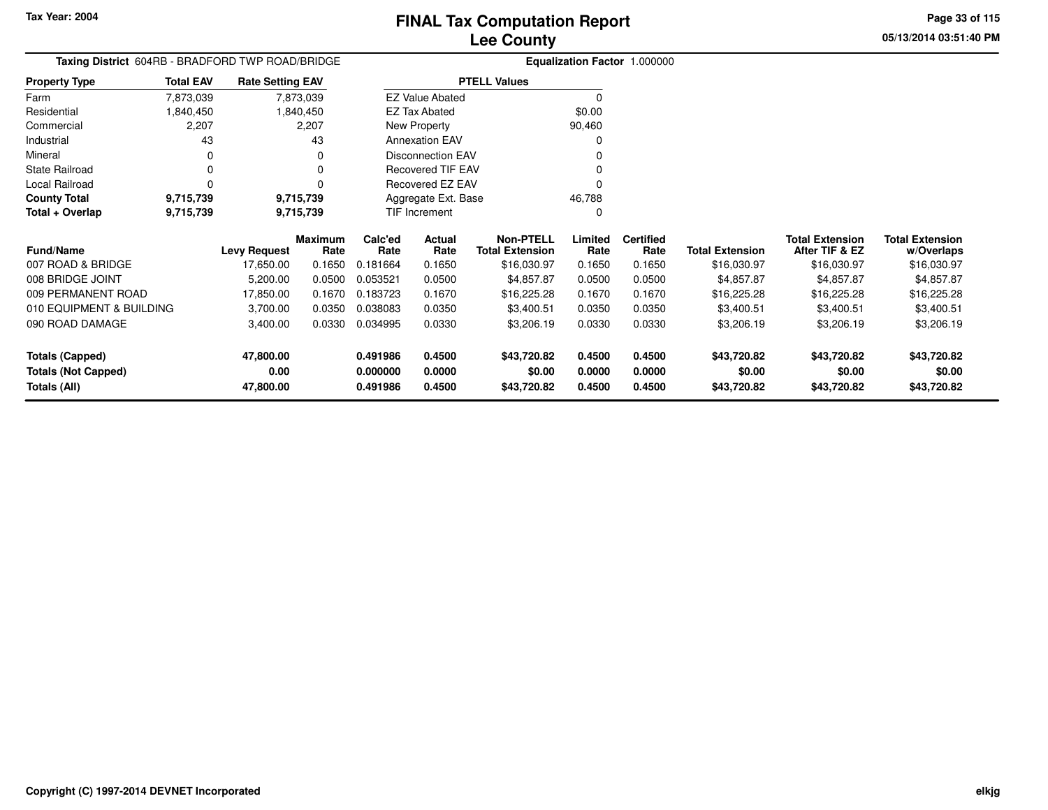**05/13/2014 03:51:40 PMPage 33 of 115**

| Taxing District 604RB - BRADFORD TWP ROAD/BRIDGE |                  |                         |                 |                 |                          | Equalization Factor 1.000000               |                 |                          |                        |                                          |                                      |
|--------------------------------------------------|------------------|-------------------------|-----------------|-----------------|--------------------------|--------------------------------------------|-----------------|--------------------------|------------------------|------------------------------------------|--------------------------------------|
| <b>Property Type</b>                             | <b>Total EAV</b> | <b>Rate Setting EAV</b> |                 |                 |                          | <b>PTELL Values</b>                        |                 |                          |                        |                                          |                                      |
| Farm                                             | 7,873,039        |                         | 7,873,039       |                 | <b>EZ Value Abated</b>   |                                            | $\Omega$        |                          |                        |                                          |                                      |
| Residential                                      | 1,840,450        |                         | 1,840,450       |                 | EZ Tax Abated            |                                            | \$0.00          |                          |                        |                                          |                                      |
| Commercial                                       | 2,207            |                         | 2,207           |                 | New Property             |                                            | 90,460          |                          |                        |                                          |                                      |
| Industrial                                       | 43               |                         | 43              |                 | <b>Annexation EAV</b>    |                                            | $\Omega$        |                          |                        |                                          |                                      |
| Mineral                                          | 0                |                         | 0               |                 | <b>Disconnection EAV</b> |                                            |                 |                          |                        |                                          |                                      |
| <b>State Railroad</b>                            | 0                |                         | 0               |                 | <b>Recovered TIF EAV</b> |                                            |                 |                          |                        |                                          |                                      |
| Local Railroad                                   | 0                |                         | 0               |                 | Recovered EZ EAV         |                                            | 0               |                          |                        |                                          |                                      |
| <b>County Total</b>                              | 9,715,739        |                         | 9,715,739       |                 | Aggregate Ext. Base      |                                            | 46,788          |                          |                        |                                          |                                      |
| Total + Overlap                                  | 9,715,739        | 9,715,739               |                 | TIF Increment   |                          |                                            | $\Omega$        |                          |                        |                                          |                                      |
| <b>Fund/Name</b>                                 |                  | <b>Levy Request</b>     | Maximum<br>Rate | Calc'ed<br>Rate | Actual<br>Rate           | <b>Non-PTELL</b><br><b>Total Extension</b> | Limited<br>Rate | <b>Certified</b><br>Rate | <b>Total Extension</b> | <b>Total Extension</b><br>After TIF & EZ | <b>Total Extension</b><br>w/Overlaps |
| 007 ROAD & BRIDGE                                |                  | 17,650.00               | 0.1650          | 0.181664        | 0.1650                   | \$16,030.97                                | 0.1650          | 0.1650                   | \$16,030.97            | \$16,030.97                              | \$16,030.97                          |
| 008 BRIDGE JOINT                                 |                  | 5,200.00                | 0.0500          | 0.053521        | 0.0500                   | \$4,857.87                                 | 0.0500          | 0.0500                   | \$4,857.87             | \$4,857.87                               | \$4,857.87                           |
| 009 PERMANENT ROAD                               |                  | 17,850.00               | 0.1670          | 0.183723        | 0.1670                   | \$16,225.28                                | 0.1670          | 0.1670                   | \$16,225.28            | \$16,225.28                              | \$16,225.28                          |
| 010 EQUIPMENT & BUILDING                         |                  | 3,700.00                | 0.0350          | 0.038083        | 0.0350                   | \$3,400.51                                 | 0.0350          | 0.0350                   | \$3,400.51             | \$3,400.51                               | \$3,400.51                           |
| 090 ROAD DAMAGE                                  |                  | 3,400.00                | 0.0330          | 0.034995        | 0.0330                   | \$3,206.19                                 | 0.0330          | 0.0330                   | \$3,206.19             | \$3,206.19                               | \$3,206.19                           |
| <b>Totals (Capped)</b>                           |                  | 47,800.00               |                 | 0.491986        | 0.4500                   | \$43,720.82                                | 0.4500          | 0.4500                   | \$43,720.82            | \$43,720.82                              | \$43,720.82                          |
| <b>Totals (Not Capped)</b>                       |                  | 0.00                    |                 | 0.000000        | 0.0000                   | \$0.00                                     | 0.0000          | 0.0000                   | \$0.00                 | \$0.00                                   | \$0.00                               |
| Totals (All)                                     |                  | 47,800.00               |                 | 0.491986        | 0.4500                   | \$43,720.82                                | 0.4500          | 0.4500                   | \$43,720.82            | \$43,720.82                              | \$43,720.82                          |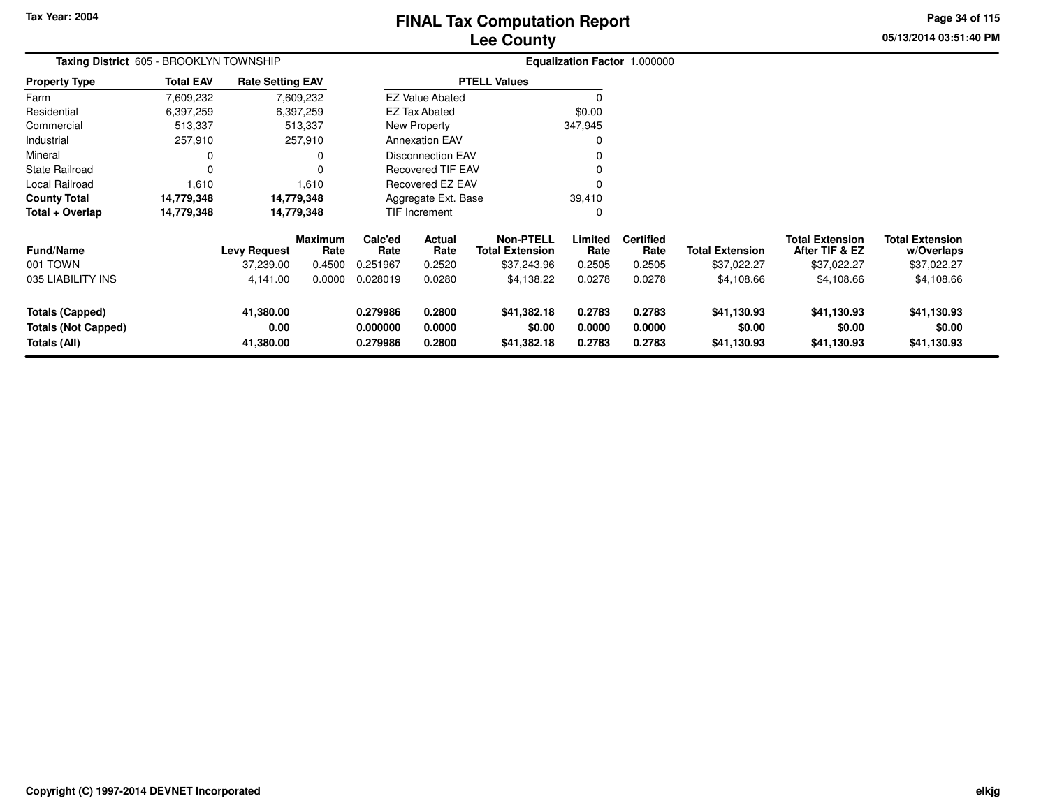# **Lee CountyFINAL Tax Computation Report**

**05/13/2014 03:51:40 PMPage 34 of 115**

| Taxing District 605 - BROOKLYN TOWNSHIP                              |                  |                                |                        |                                  |                            |                                            |                            | Equalization Factor 1.000000 |                                      |                                          |                                      |
|----------------------------------------------------------------------|------------------|--------------------------------|------------------------|----------------------------------|----------------------------|--------------------------------------------|----------------------------|------------------------------|--------------------------------------|------------------------------------------|--------------------------------------|
| <b>Property Type</b>                                                 | <b>Total EAV</b> | <b>Rate Setting EAV</b>        |                        |                                  |                            | <b>PTELL Values</b>                        |                            |                              |                                      |                                          |                                      |
| Farm                                                                 | 7,609,232        |                                | 7,609,232              |                                  | <b>EZ Value Abated</b>     |                                            |                            |                              |                                      |                                          |                                      |
| Residential                                                          | 6,397,259        |                                | 6,397,259              |                                  | EZ Tax Abated              |                                            | \$0.00                     |                              |                                      |                                          |                                      |
| Commercial                                                           | 513,337          |                                | 513,337                |                                  | New Property               |                                            | 347,945                    |                              |                                      |                                          |                                      |
| Industrial                                                           | 257,910          |                                | 257,910                |                                  | <b>Annexation EAV</b>      |                                            | 0                          |                              |                                      |                                          |                                      |
| Mineral                                                              | 0                |                                |                        |                                  | <b>Disconnection EAV</b>   |                                            |                            |                              |                                      |                                          |                                      |
| State Railroad                                                       | 0                |                                |                        |                                  | <b>Recovered TIF EAV</b>   |                                            |                            |                              |                                      |                                          |                                      |
| Local Railroad                                                       | 1,610            |                                | 1,610                  |                                  | Recovered EZ EAV           |                                            | ŋ                          |                              |                                      |                                          |                                      |
| <b>County Total</b>                                                  | 14,779,348       |                                | 14,779,348             |                                  | Aggregate Ext. Base        |                                            | 39,410                     |                              |                                      |                                          |                                      |
| Total + Overlap                                                      | 14,779,348       |                                | 14,779,348             |                                  | TIF Increment              |                                            | 0                          |                              |                                      |                                          |                                      |
| <b>Fund/Name</b>                                                     |                  | <b>Levy Request</b>            | <b>Maximum</b><br>Rate | Calc'ed<br>Rate                  | Actual<br>Rate             | <b>Non-PTELL</b><br><b>Total Extension</b> | Limited<br>Rate            | <b>Certified</b><br>Rate     | <b>Total Extension</b>               | <b>Total Extension</b><br>After TIF & EZ | <b>Total Extension</b><br>w/Overlaps |
| 001 TOWN                                                             |                  | 37,239.00                      | 0.4500                 | 0.251967                         | 0.2520                     | \$37,243.96                                | 0.2505                     | 0.2505                       | \$37,022.27                          | \$37,022.27                              | \$37,022.27                          |
| 035 LIABILITY INS                                                    |                  | 4,141.00                       | 0.0000                 | 0.028019                         | 0.0280                     | \$4,138.22                                 | 0.0278                     | 0.0278                       | \$4,108.66                           | \$4,108.66                               | \$4,108.66                           |
| <b>Totals (Capped)</b><br><b>Totals (Not Capped)</b><br>Totals (All) |                  | 41,380.00<br>0.00<br>41,380.00 |                        | 0.279986<br>0.000000<br>0.279986 | 0.2800<br>0.0000<br>0.2800 | \$41,382.18<br>\$0.00<br>\$41,382.18       | 0.2783<br>0.0000<br>0.2783 | 0.2783<br>0.0000<br>0.2783   | \$41,130.93<br>\$0.00<br>\$41,130.93 | \$41,130.93<br>\$0.00<br>\$41,130.93     | \$41,130.93<br>\$0.00<br>\$41,130.93 |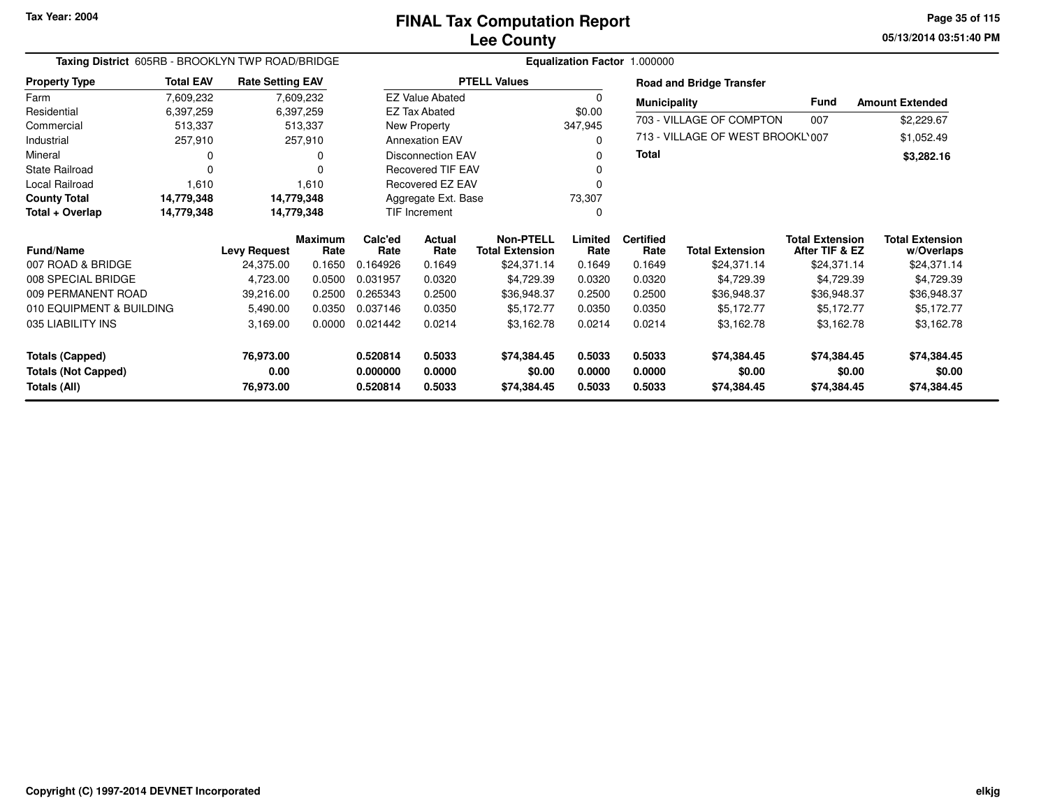**05/13/2014 03:51:40 PM Page 35 of 115**

| Taxing District 605RB - BROOKLYN TWP ROAD/BRIDGE<br><b>Rate Setting EAV</b> |                  |                     |                        |                 |                          |                                            | Equalization Factor 1.000000 |                          |                                  |                                          |                                      |
|-----------------------------------------------------------------------------|------------------|---------------------|------------------------|-----------------|--------------------------|--------------------------------------------|------------------------------|--------------------------|----------------------------------|------------------------------------------|--------------------------------------|
| <b>Property Type</b>                                                        | <b>Total EAV</b> |                     |                        |                 |                          | <b>PTELL Values</b>                        |                              |                          | <b>Road and Bridge Transfer</b>  |                                          |                                      |
| Farm                                                                        | 7,609,232        |                     | 7,609,232              |                 | <b>EZ Value Abated</b>   |                                            | 0                            | <b>Municipality</b>      |                                  | Fund                                     | <b>Amount Extended</b>               |
| Residential                                                                 | 6,397,259        |                     | 6,397,259              |                 | <b>EZ Tax Abated</b>     |                                            | \$0.00                       |                          | 703 - VILLAGE OF COMPTON         | 007                                      | \$2,229.67                           |
| Commercial                                                                  | 513,337          |                     | 513,337                |                 | New Property             |                                            | 347,945                      |                          |                                  |                                          |                                      |
| Industrial                                                                  | 257,910          |                     | 257,910                |                 | <b>Annexation EAV</b>    |                                            | 0                            |                          | 713 - VILLAGE OF WEST BROOKL'007 |                                          | \$1,052.49                           |
| Mineral                                                                     |                  |                     | O                      |                 | <b>Disconnection EAV</b> |                                            | 0                            | <b>Total</b>             |                                  |                                          | \$3,282.16                           |
| <b>State Railroad</b>                                                       | 0                |                     |                        |                 | <b>Recovered TIF EAV</b> |                                            |                              |                          |                                  |                                          |                                      |
| Local Railroad                                                              | 1,610            |                     | 1,610                  |                 | Recovered EZ EAV         |                                            |                              |                          |                                  |                                          |                                      |
| <b>County Total</b>                                                         | 14,779,348       | 14,779,348          |                        |                 | Aggregate Ext. Base      |                                            | 73,307                       |                          |                                  |                                          |                                      |
| Total + Overlap                                                             | 14,779,348       | 14,779,348          |                        | TIF Increment   |                          |                                            | 0                            |                          |                                  |                                          |                                      |
| <b>Fund/Name</b>                                                            |                  | <b>Levy Request</b> | <b>Maximum</b><br>Rate | Calc'ed<br>Rate | Actual<br>Rate           | <b>Non-PTELL</b><br><b>Total Extension</b> | Limited<br>Rate              | <b>Certified</b><br>Rate | <b>Total Extension</b>           | <b>Total Extension</b><br>After TIF & EZ | <b>Total Extension</b><br>w/Overlaps |
| 007 ROAD & BRIDGE                                                           |                  | 24,375.00           | 0.1650                 | 0.164926        | 0.1649                   | \$24,371.14                                | 0.1649                       | 0.1649                   | \$24,371.14                      | \$24,371.14                              | \$24,371.14                          |
| 008 SPECIAL BRIDGE                                                          |                  | 4,723.00            | 0.0500                 | 0.031957        | 0.0320                   | \$4,729.39                                 | 0.0320                       | 0.0320                   | \$4,729.39                       | \$4,729.39                               | \$4,729.39                           |
| 009 PERMANENT ROAD                                                          |                  | 39,216.00           | 0.2500                 | 0.265343        | 0.2500                   | \$36,948.37                                | 0.2500                       | 0.2500                   | \$36,948.37                      | \$36,948.37                              | \$36,948.37                          |
| 010 EQUIPMENT & BUILDING                                                    |                  | 5,490.00            | 0.0350                 | 0.037146        | 0.0350                   | \$5,172.77                                 | 0.0350                       | 0.0350                   | \$5,172.77                       | \$5,172.77                               | \$5,172.77                           |
| 035 LIABILITY INS                                                           |                  | 3,169.00            | 0.0000                 | 0.021442        | 0.0214                   | \$3,162.78                                 | 0.0214                       | 0.0214                   | \$3,162.78                       | \$3,162.78                               | \$3,162.78                           |
| Totals (Capped)                                                             |                  | 76,973.00           |                        | 0.520814        | 0.5033                   | \$74,384.45                                | 0.5033                       | 0.5033                   | \$74,384.45                      | \$74,384.45                              | \$74,384.45                          |
| <b>Totals (Not Capped)</b>                                                  |                  | 0.00                |                        | 0.000000        | 0.0000                   | \$0.00                                     | 0.0000                       | 0.0000                   | \$0.00                           | \$0.00                                   | \$0.00                               |
| Totals (All)                                                                |                  | 76,973.00           |                        | 0.520814        | 0.5033                   | \$74,384.45                                | 0.5033                       | 0.5033                   | \$74,384.45                      | \$74,384.45                              | \$74,384.45                          |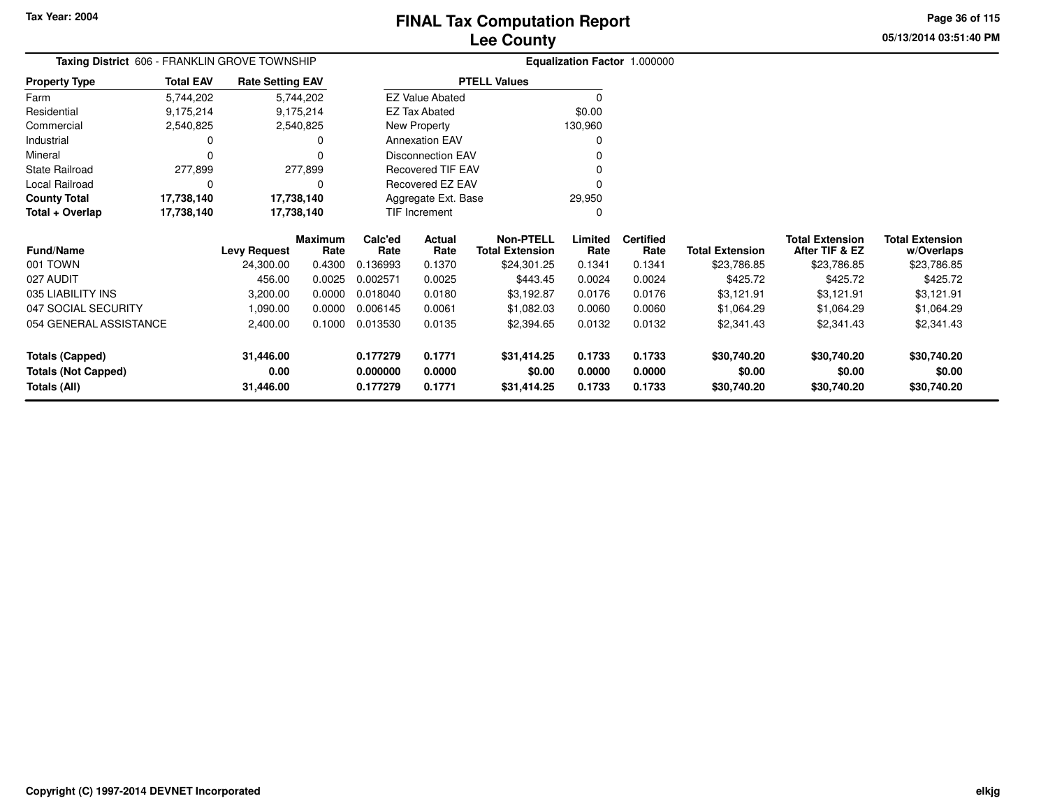**05/13/2014 03:51:40 PMPage 36 of 115**

> **w/Overlaps** \$23,786.85

#### **Equalization Factor** 1.000000 **Taxing District** 606 - FRANKLIN GROVE TOWNSHIP**Property Type**9,175,214 9,175,214 2,540,825 Farm ResidentialCommercial 2,540,825 2,540,825 $\mathbf 0$ Industrial 0  $\mathsf 0$ Mineral 0 0277,899 State Railroad 277,899  $\mathsf 0$ Local Railroad 0 0 17,738,140 **County Total 17,738,140 17,738,140**17,738,140 **Total + Overlap 17,738,140 17,738,140** 5,744,2029,175,214 **Fund/Name Levy Request Rate Limited**Rate **Total ExtensionAfter TIF & EZ** \$23,786.85 **Total ExtensionRate Total Extension Rate Total Extension**\$23,786.85 **Maximum Calc'ed Rate**0.136993 **Actual RateNon-PTELL Certified** \$24,301.25 001 TOWN 24,300.00 0.4300 0.136993 0.1370 \$24,301.25 0.1341 0.1341 \$23,786.85 \$23,786.85 \$23,786.85 027 AUDIT 456.00 0.0025 0.002571 0.0025 \$443.45 0.0024 0.0024 \$425.72 \$425.72 \$425.72 5,744,202**Total EAV Rate Setting EAV PTELL Values**  $\overline{\overline{0}}$  \$0.00 130,960 $\overline{0}$ Annexation EAV v o Disconnection EAV $\sim$  0 Recovered TIF EAV0 v Recovered EZ EAV <sup>0</sup> 29,950 $\mathbf{0}$ New Property EZ Tax AbatedEZ Value AbatedAggregate Ext. BaseTIF Increment0

| 035 LIABILITY INS          | 3.200.00  | 0.0000 | 0.018040 | 0.0180 | \$3.192.87  | 0.0176 | 0.0176 | \$3.121.91  | \$3.121.91  | \$3,121.91  |
|----------------------------|-----------|--------|----------|--------|-------------|--------|--------|-------------|-------------|-------------|
| 047 SOCIAL SECURITY        | 1.090.00  | 0.0000 | 0.006145 | 0.0061 | \$1,082.03  | 0.0060 | 0.0060 | \$1.064.29  | \$1,064.29  | \$1,064.29  |
| 054 GENERAL ASSISTANCE     | 2.400.00  | 0.1000 | 0.013530 | 0.0135 | \$2,394.65  | 0.0132 | 0.0132 | \$2,341.43  | \$2,341.43  | \$2,341.43  |
| Totals (Capped)            | 31.446.00 |        | 0.177279 | 0.1771 | \$31,414.25 | 0.1733 | 0.1733 | \$30.740.20 | \$30,740.20 | \$30,740.20 |
|                            |           |        |          |        |             |        |        |             |             |             |
| <b>Totals (Not Capped)</b> | 0.00      |        | 0.000000 | 0.0000 | \$0.00      | 0.0000 | 0.0000 | \$0.00      | \$0.00      | \$0.00      |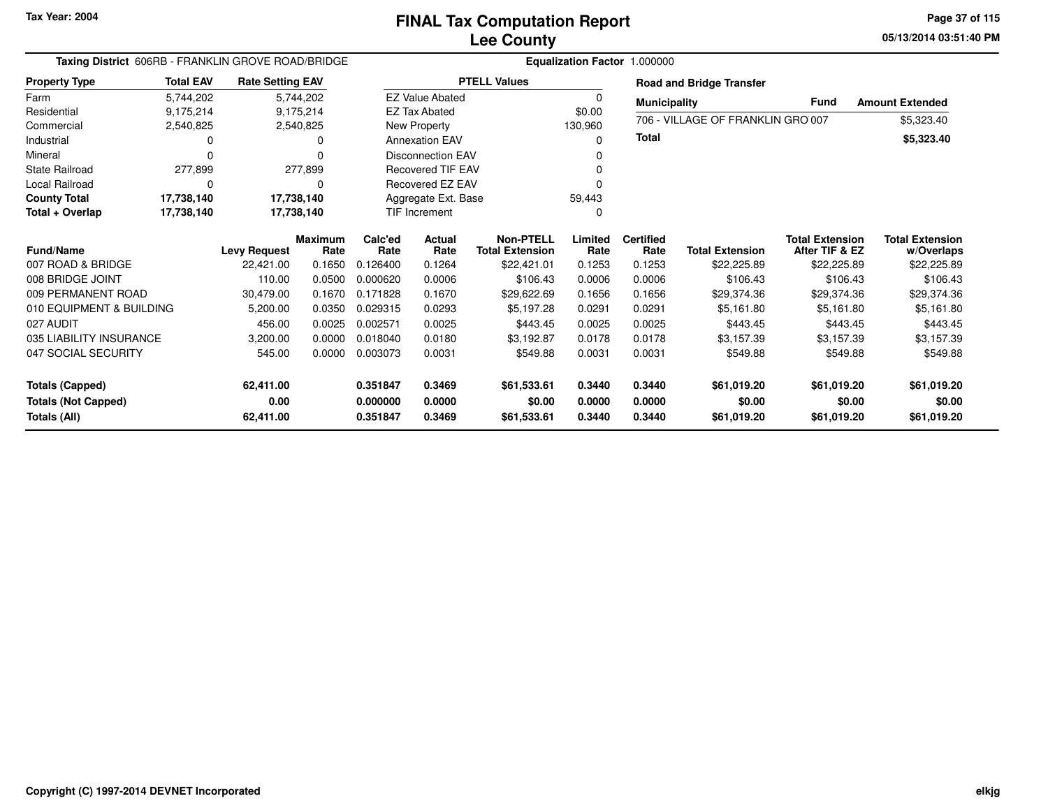**05/13/2014 03:51:40 PM Page 37 of 115**

| Taxing District 606RB - FRANKLIN GROVE ROAD/BRIDGE |                                                 |                                                                |                |                      |                          |                                            |                  | Equalization Factor 1.000000 |                                   |                                          |                           |
|----------------------------------------------------|-------------------------------------------------|----------------------------------------------------------------|----------------|----------------------|--------------------------|--------------------------------------------|------------------|------------------------------|-----------------------------------|------------------------------------------|---------------------------|
| <b>Property Type</b>                               | <b>Total EAV</b>                                | <b>Rate Setting EAV</b><br>5,744,202<br>9,175,214<br>2,540,825 |                |                      |                          | <b>PTELL Values</b>                        |                  |                              | <b>Road and Bridge Transfer</b>   |                                          |                           |
| Farm                                               | 5,744,202                                       |                                                                |                |                      | <b>EZ Value Abated</b>   |                                            | 0                | <b>Municipality</b>          |                                   | Fund                                     | <b>Amount Extended</b>    |
| Residential                                        | 9,175,214                                       |                                                                |                |                      | <b>EZ Tax Abated</b>     |                                            | \$0.00           |                              | 706 - VILLAGE OF FRANKLIN GRO 007 |                                          | \$5,323.40                |
| Commercial                                         | 2,540,825                                       |                                                                |                |                      | New Property             |                                            | 130,960          |                              |                                   |                                          |                           |
| Industrial                                         |                                                 |                                                                | O              |                      | <b>Annexation EAV</b>    |                                            | <sup>0</sup>     | <b>Total</b>                 |                                   |                                          | \$5,323.40                |
| Mineral                                            |                                                 |                                                                | O              |                      | <b>Disconnection EAV</b> |                                            |                  |                              |                                   |                                          |                           |
| <b>State Railroad</b>                              | 277,899                                         |                                                                | 277,899        |                      | <b>Recovered TIF EAV</b> |                                            |                  |                              |                                   |                                          |                           |
| Local Railroad                                     |                                                 |                                                                | 0              |                      | <b>Recovered EZ EAV</b>  |                                            |                  |                              |                                   |                                          |                           |
| <b>County Total</b>                                | 17,738,140                                      |                                                                | 17,738,140     |                      | Aggregate Ext. Base      |                                            | 59,443           |                              |                                   |                                          |                           |
| Total + Overlap                                    | 17,738,140                                      |                                                                | 17,738,140     |                      | <b>TIF Increment</b>     |                                            | 0                |                              |                                   |                                          |                           |
|                                                    | <b>Fund/Name</b><br><b>Levy Request</b><br>Rate |                                                                | <b>Maximum</b> | Calc'ed<br>Rate      | <b>Actual</b><br>Rate    | <b>Non-PTELL</b><br><b>Total Extension</b> | Limited<br>Rate  | <b>Certified</b><br>Rate     | <b>Total Extension</b>            | <b>Total Extension</b><br>After TIF & EZ | <b>Total Extension</b>    |
| 007 ROAD & BRIDGE                                  |                                                 | 22,421.00                                                      | 0.1650         | 0.126400             | 0.1264                   | \$22,421.01                                | 0.1253           | 0.1253                       | \$22,225.89                       | \$22,225.89                              | w/Overlaps<br>\$22,225.89 |
| 008 BRIDGE JOINT                                   |                                                 | 110.00                                                         | 0.0500         | 0.000620             | 0.0006                   | \$106.43                                   | 0.0006           | 0.0006                       | \$106.43                          | \$106.43                                 | \$106.43                  |
| 009 PERMANENT ROAD                                 |                                                 | 30,479.00                                                      | 0.1670         | 0.171828             | 0.1670                   | \$29,622.69                                | 0.1656           | 0.1656                       | \$29,374.36                       | \$29,374.36                              | \$29,374.36               |
| 010 EQUIPMENT & BUILDING                           |                                                 | 5,200.00                                                       | 0.0350         | 0.029315             | 0.0293                   | \$5,197.28                                 | 0.0291           | 0.0291                       | \$5,161.80                        | \$5,161.80                               | \$5,161.80                |
| 027 AUDIT                                          |                                                 | 456.00                                                         | 0.0025         | 0.002571             | 0.0025                   | \$443.45                                   | 0.0025           | 0.0025                       | \$443.45                          | \$443.45                                 | \$443.45                  |
| 035 LIABILITY INSURANCE                            |                                                 |                                                                | 0.0000         | 0.018040             | 0.0180                   | \$3.192.87                                 | 0.0178           | 0.0178                       |                                   | \$3.157.39                               |                           |
|                                                    |                                                 | 3,200.00                                                       |                |                      |                          |                                            |                  |                              | \$3,157.39                        |                                          | \$3,157.39                |
| 047 SOCIAL SECURITY                                |                                                 | 545.00                                                         | 0.0000         | 0.003073             | 0.0031                   | \$549.88                                   | 0.0031           | 0.0031                       | \$549.88                          | \$549.88                                 | \$549.88                  |
| Totals (Capped)<br><b>Totals (Not Capped)</b>      |                                                 | 62,411.00<br>0.00                                              |                | 0.351847<br>0.000000 | 0.3469<br>0.0000         | \$61,533.61<br>\$0.00                      | 0.3440<br>0.0000 | 0.3440<br>0.0000             | \$61,019.20<br>\$0.00             | \$61,019.20<br>\$0.00                    | \$61,019.20<br>\$0.00     |
| Totals (All)                                       |                                                 | 62,411.00                                                      |                | 0.351847             | 0.3469                   | \$61,533.61                                | 0.3440           | 0.3440                       | \$61,019.20                       | \$61,019.20                              | \$61,019.20               |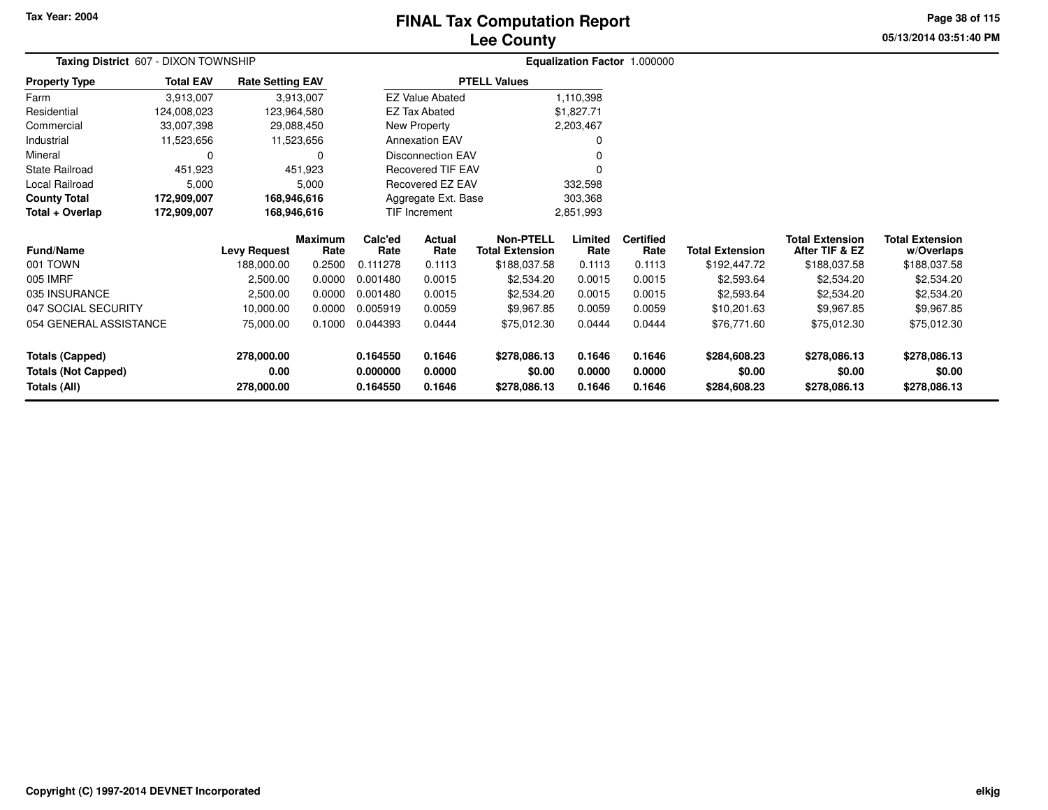# **Lee CountyFINAL Tax Computation Report**

**05/13/2014 03:51:40 PMPage 38 of 115**

| Taxing District 607 - DIXON TOWNSHIP |                  |                                   |                                                                                                                                                                                                                                                                                                                                                                                                                                                                                                                                                  |           |        |              |                | Equalization Factor 1.000000 |                        |                                          |                            |
|--------------------------------------|------------------|-----------------------------------|--------------------------------------------------------------------------------------------------------------------------------------------------------------------------------------------------------------------------------------------------------------------------------------------------------------------------------------------------------------------------------------------------------------------------------------------------------------------------------------------------------------------------------------------------|-----------|--------|--------------|----------------|------------------------------|------------------------|------------------------------------------|----------------------------|
| <b>Property Type</b>                 | <b>Total EAV</b> | <b>Rate Setting EAV</b>           |                                                                                                                                                                                                                                                                                                                                                                                                                                                                                                                                                  |           |        |              |                |                              |                        |                                          |                            |
| Farm                                 | 3,913,007        |                                   |                                                                                                                                                                                                                                                                                                                                                                                                                                                                                                                                                  |           |        |              | 1,110,398      |                              |                        |                                          |                            |
| Residential                          | 124,008,023      | 123,964,580                       |                                                                                                                                                                                                                                                                                                                                                                                                                                                                                                                                                  |           |        |              | \$1,827.71     |                              |                        |                                          |                            |
| Commercial                           | 33,007,398       | 29,088,450                        |                                                                                                                                                                                                                                                                                                                                                                                                                                                                                                                                                  |           |        |              | 2,203,467      |                              |                        |                                          |                            |
| Industrial                           | 11,523,656       | 11,523,656                        |                                                                                                                                                                                                                                                                                                                                                                                                                                                                                                                                                  |           |        |              |                |                              |                        |                                          |                            |
| Mineral                              | 0                |                                   | 0                                                                                                                                                                                                                                                                                                                                                                                                                                                                                                                                                |           |        |              |                |                              |                        |                                          |                            |
| <b>State Railroad</b>                | 451,923          |                                   | <b>PTELL Values</b><br><b>EZ Value Abated</b><br>3,913,007<br><b>EZ Tax Abated</b><br>New Property<br><b>Annexation EAV</b><br><b>Disconnection EAV</b><br>451,923<br><b>Recovered TIF EAV</b><br><b>Recovered EZ EAV</b><br>Aggregate Ext. Base<br>TIF Increment<br>Calc'ed<br><b>Maximum</b><br>Actual<br>Rate<br><b>Total Extension</b><br>Rate<br>Rate<br>0.2500<br>0.111278<br>0.1113<br>0.0000<br>0.001480<br>0.0015<br>0.0000<br>0.001480<br>0.0015<br>0.0000<br>0.005919<br>0.0059<br>0.1000<br>0.044393<br>0.0444<br>0.164550<br>0.1646 |           |        |              |                |                              |                        |                                          |                            |
| Local Railroad                       | 5,000            |                                   | 5,000                                                                                                                                                                                                                                                                                                                                                                                                                                                                                                                                            |           |        | 332,598      |                |                              |                        |                                          |                            |
| <b>County Total</b>                  | 172,909,007      |                                   | 168,946,616                                                                                                                                                                                                                                                                                                                                                                                                                                                                                                                                      |           |        | 303,368      |                |                              |                        |                                          |                            |
| Total + Overlap                      | 172,909,007      | 168,946,616                       |                                                                                                                                                                                                                                                                                                                                                                                                                                                                                                                                                  | 2,851,993 |        |              |                |                              |                        |                                          |                            |
| <b>Fund/Name</b>                     |                  |                                   |                                                                                                                                                                                                                                                                                                                                                                                                                                                                                                                                                  |           |        | Non-PTELL    | Limited        | <b>Certified</b><br>Rate     | <b>Total Extension</b> | <b>Total Extension</b><br>After TIF & EZ | <b>Total Extension</b>     |
| 001 TOWN                             |                  | <b>Levy Request</b><br>188,000.00 |                                                                                                                                                                                                                                                                                                                                                                                                                                                                                                                                                  |           |        | \$188,037.58 | Rate<br>0.1113 | 0.1113                       | \$192,447.72           | \$188,037.58                             | w/Overlaps<br>\$188,037.58 |
| 005 IMRF                             |                  | 2,500.00                          |                                                                                                                                                                                                                                                                                                                                                                                                                                                                                                                                                  |           |        | \$2,534.20   | 0.0015         | 0.0015                       | \$2,593.64             | \$2,534.20                               | \$2,534.20                 |
| 035 INSURANCE                        |                  | 2,500.00                          |                                                                                                                                                                                                                                                                                                                                                                                                                                                                                                                                                  |           |        | \$2,534.20   | 0.0015         | 0.0015                       | \$2,593.64             | \$2,534.20                               | \$2,534.20                 |
| 047 SOCIAL SECURITY                  |                  | 10,000.00                         |                                                                                                                                                                                                                                                                                                                                                                                                                                                                                                                                                  |           |        | \$9,967.85   | 0.0059         | 0.0059                       | \$10,201.63            | \$9,967.85                               | \$9,967.85                 |
| 054 GENERAL ASSISTANCE               |                  | 75,000.00                         |                                                                                                                                                                                                                                                                                                                                                                                                                                                                                                                                                  |           |        | \$75,012.30  | 0.0444         | 0.0444                       | \$76,771.60            | \$75,012.30                              | \$75,012.30                |
|                                      |                  |                                   |                                                                                                                                                                                                                                                                                                                                                                                                                                                                                                                                                  |           |        |              |                |                              |                        |                                          |                            |
| <b>Totals (Capped)</b>               |                  | 278,000.00                        |                                                                                                                                                                                                                                                                                                                                                                                                                                                                                                                                                  |           |        | \$278,086.13 | 0.1646         | 0.1646                       | \$284,608.23           | \$278,086.13                             | \$278,086.13               |
| <b>Totals (Not Capped)</b>           |                  | 0.00                              |                                                                                                                                                                                                                                                                                                                                                                                                                                                                                                                                                  | 0.000000  | 0.0000 | \$0.00       | 0.0000         | 0.0000                       | \$0.00                 | \$0.00                                   | \$0.00                     |
| Totals (All)                         |                  | 278,000.00                        |                                                                                                                                                                                                                                                                                                                                                                                                                                                                                                                                                  | 0.164550  | 0.1646 | \$278,086.13 | 0.1646         | 0.1646                       | \$284,608.23           | \$278,086.13                             | \$278,086.13               |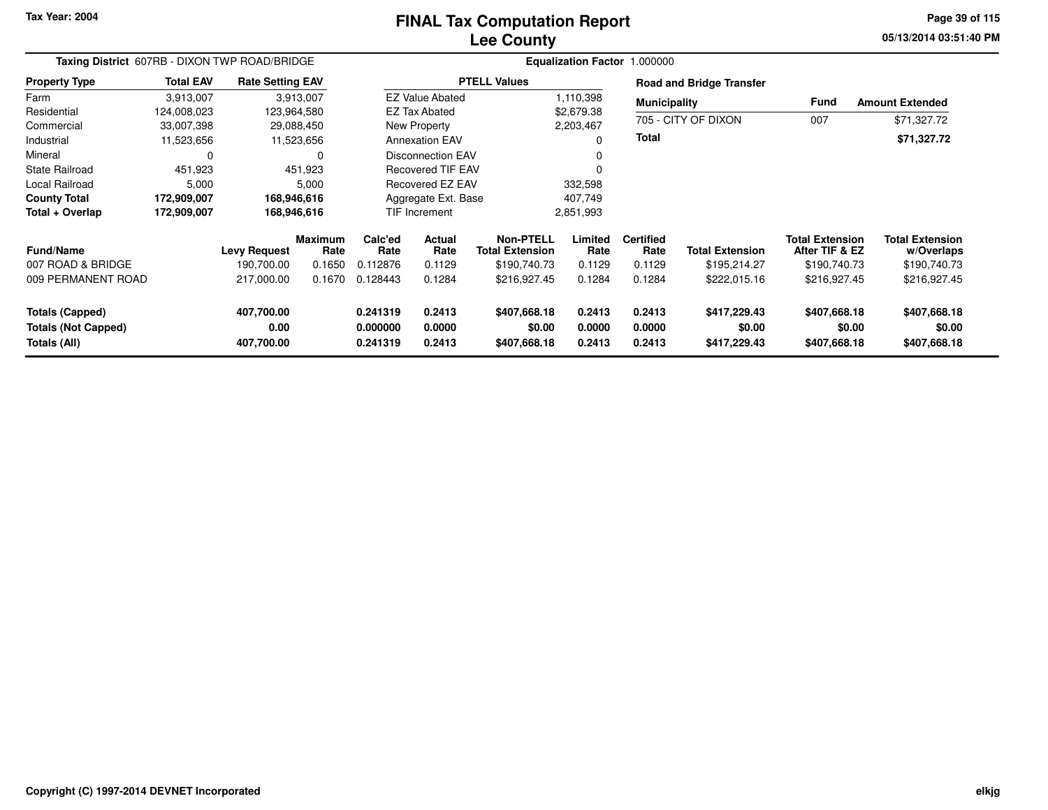# **Lee CountyFINAL Tax Computation Report**

**05/13/2014 03:51:40 PM Page 39 of 115**

| Taxing District 607RB - DIXON TWP ROAD/BRIDGE                 |                  |                                  |                 | Equalization Factor 1.000000     |                             |                                        |                            |                            |                                        |                                          |                                        |
|---------------------------------------------------------------|------------------|----------------------------------|-----------------|----------------------------------|-----------------------------|----------------------------------------|----------------------------|----------------------------|----------------------------------------|------------------------------------------|----------------------------------------|
| <b>Property Type</b>                                          | <b>Total EAV</b> | <b>Rate Setting EAV</b>          |                 |                                  |                             | <b>PTELL Values</b>                    |                            |                            | <b>Road and Bridge Transfer</b>        |                                          |                                        |
| Farm                                                          | 3,913,007        |                                  | 3,913,007       |                                  | <b>EZ Value Abated</b>      |                                        | 1,110,398                  | <b>Municipality</b>        |                                        | <b>Fund</b>                              | <b>Amount Extended</b>                 |
| Residential                                                   | 124,008,023      |                                  | 123,964,580     |                                  | EZ Tax Abated<br>\$2,679.38 |                                        |                            |                            |                                        |                                          |                                        |
| Commercial                                                    | 33,007,398       |                                  | 29,088,450      |                                  | New Property                |                                        | 2,203,467                  |                            | 705 - CITY OF DIXON                    | 007                                      | \$71,327.72                            |
| Industrial                                                    | 11,523,656       |                                  | 11,523,656      |                                  | <b>Annexation EAV</b>       |                                        | 0                          | <b>Total</b>               |                                        |                                          | \$71,327.72                            |
| Mineral                                                       | 0                |                                  | 0               |                                  | <b>Disconnection EAV</b>    |                                        |                            |                            |                                        |                                          |                                        |
| State Railroad                                                | 451,923          |                                  | 451,923         | <b>Recovered TIF EAV</b>         |                             |                                        | $\Omega$                   |                            |                                        |                                          |                                        |
| Local Railroad                                                | 5,000            |                                  | 5,000           | <b>Recovered EZ EAV</b>          |                             | 332,598                                |                            |                            |                                        |                                          |                                        |
| <b>County Total</b>                                           | 172,909,007      |                                  | 168,946,616     |                                  | Aggregate Ext. Base         |                                        | 407,749                    |                            |                                        |                                          |                                        |
| Total + Overlap                                               | 172,909,007      |                                  | 168,946,616     |                                  | <b>TIF Increment</b>        |                                        | 2,851,993                  |                            |                                        |                                          |                                        |
| <b>Fund/Name</b>                                              |                  | <b>Levy Request</b>              | Maximum<br>Rate | Calc'ed<br>Rate                  | Actual<br>Rate              | Non-PTELL<br><b>Total Extension</b>    | Limited<br>Rate            | <b>Certified</b><br>Rate   | <b>Total Extension</b>                 | <b>Total Extension</b><br>After TIF & EZ | <b>Total Extension</b><br>w/Overlaps   |
| 007 ROAD & BRIDGE                                             |                  | 190,700.00                       | 0.1650          | 0.112876                         | 0.1129                      | \$190,740.73                           | 0.1129                     | 0.1129                     | \$195,214.27                           | \$190,740.73                             | \$190,740.73                           |
| 009 PERMANENT ROAD                                            |                  | 217,000.00                       | 0.1670          | 0.128443                         | 0.1284                      | \$216,927.45                           | 0.1284                     | 0.1284                     | \$222,015.16                           | \$216,927.45                             | \$216,927.45                           |
| Totals (Capped)<br><b>Totals (Not Capped)</b><br>Totals (All) |                  | 407,700.00<br>0.00<br>407,700.00 |                 | 0.241319<br>0.000000<br>0.241319 | 0.2413<br>0.0000<br>0.2413  | \$407,668.18<br>\$0.00<br>\$407,668.18 | 0.2413<br>0.0000<br>0.2413 | 0.2413<br>0.0000<br>0.2413 | \$417,229.43<br>\$0.00<br>\$417,229.43 | \$407,668.18<br>\$0.00<br>\$407,668.18   | \$407,668.18<br>\$0.00<br>\$407,668.18 |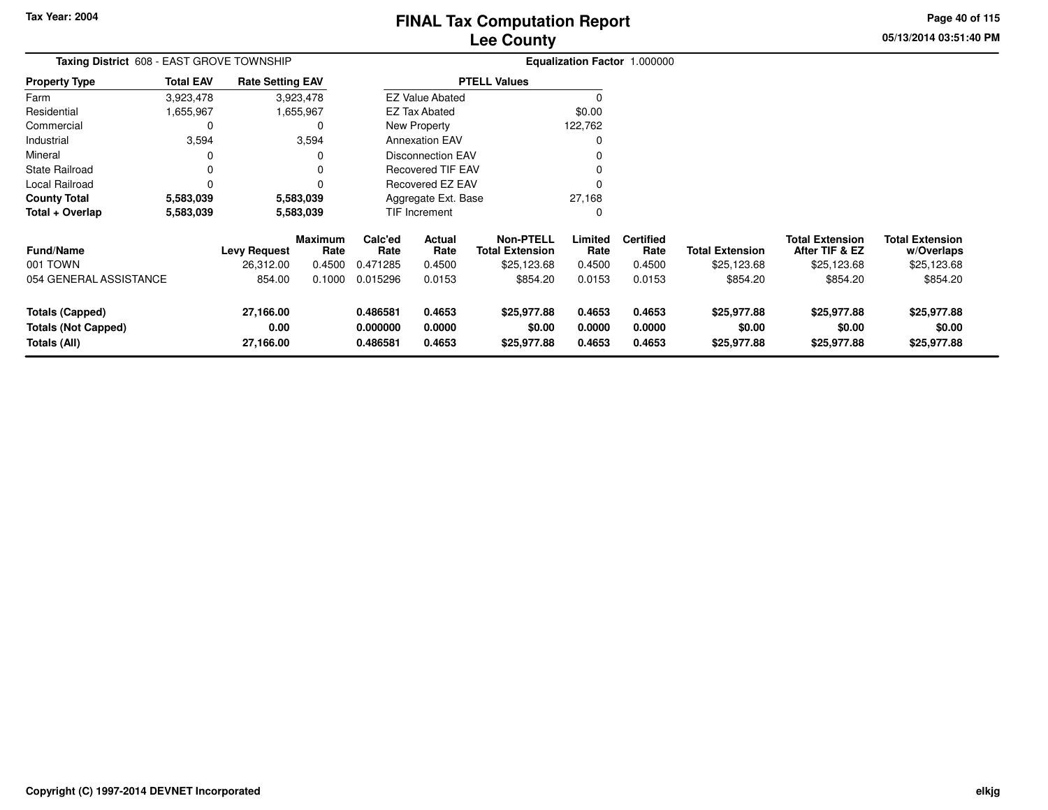**05/13/2014 03:51:40 PM Page 40 of 115**

| <b>Taxing District</b> 608 - EAST GROVE TOWNSHIP |                                |           |                                                                                    |                            |                                                |                                                                                                                                                |                            |                                      |                                          |                                      |
|--------------------------------------------------|--------------------------------|-----------|------------------------------------------------------------------------------------|----------------------------|------------------------------------------------|------------------------------------------------------------------------------------------------------------------------------------------------|----------------------------|--------------------------------------|------------------------------------------|--------------------------------------|
| <b>Total EAV</b>                                 |                                |           |                                                                                    |                            |                                                |                                                                                                                                                |                            |                                      |                                          |                                      |
| 3,923,478                                        |                                |           |                                                                                    |                            |                                                |                                                                                                                                                |                            |                                      |                                          |                                      |
| .655,967                                         |                                |           |                                                                                    |                            |                                                | \$0.00                                                                                                                                         |                            |                                      |                                          |                                      |
| 0                                                |                                | 0         |                                                                                    |                            |                                                | 122,762                                                                                                                                        |                            |                                      |                                          |                                      |
| 3,594                                            |                                |           |                                                                                    |                            |                                                | $\Omega$                                                                                                                                       |                            |                                      |                                          |                                      |
| 0                                                |                                | 0         |                                                                                    |                            |                                                |                                                                                                                                                |                            |                                      |                                          |                                      |
| $\Omega$                                         |                                | 0         |                                                                                    |                            |                                                |                                                                                                                                                |                            |                                      |                                          |                                      |
| 0                                                |                                | 0         | Recovered EZ EAV                                                                   |                            |                                                |                                                                                                                                                |                            |                                      |                                          |                                      |
| 5,583,039                                        |                                |           |                                                                                    |                            |                                                | 27,168                                                                                                                                         |                            |                                      |                                          |                                      |
| 5,583,039                                        |                                | 5,583,039 |                                                                                    |                            |                                                | 0                                                                                                                                              |                            |                                      |                                          |                                      |
|                                                  | <b>Levy Request</b>            | Rate      | Calc'ed<br>Rate                                                                    | Actual<br>Rate             | <b>Non-PTELL</b><br><b>Total Extension</b>     | Limited<br>Rate                                                                                                                                | <b>Certified</b><br>Rate   | <b>Total Extension</b>               | <b>Total Extension</b><br>After TIF & EZ | <b>Total Extension</b><br>w/Overlaps |
|                                                  | 26,312.00                      | 0.4500    | 0.471285                                                                           | 0.4500                     | \$25,123.68                                    | 0.4500                                                                                                                                         | 0.4500                     | \$25,123.68                          | \$25,123.68                              | \$25,123.68                          |
|                                                  | 854.00                         | 0.1000    | 0.015296                                                                           | 0.0153                     | \$854.20                                       | 0.0153                                                                                                                                         | 0.0153                     | \$854.20                             | \$854.20                                 | \$854.20                             |
|                                                  | 27,166.00<br>0.00<br>27,166.00 |           | 0.486581<br>0.000000<br>0.486581                                                   | 0.4653<br>0.0000<br>0.4653 | \$25,977.88<br>\$0.00<br>\$25,977.88           | 0.4653<br>0.0000<br>0.4653                                                                                                                     | 0.4653<br>0.0000<br>0.4653 | \$25,977.88<br>\$0.00<br>\$25,977.88 | \$25,977.88<br>\$0.00<br>\$25,977.88     | \$25,977.88<br>\$0.00<br>\$25,977.88 |
|                                                  | 054 GENERAL ASSISTANCE         |           | <b>Rate Setting EAV</b><br>3,923,478<br>1,655,967<br>3,594<br>5,583,039<br>Maximum |                            | EZ Tax Abated<br>New Property<br>TIF Increment | <b>PTELL Values</b><br><b>EZ Value Abated</b><br><b>Annexation EAV</b><br><b>Disconnection EAV</b><br>Recovered TIF EAV<br>Aggregate Ext. Base |                            |                                      | Equalization Factor 1.000000             |                                      |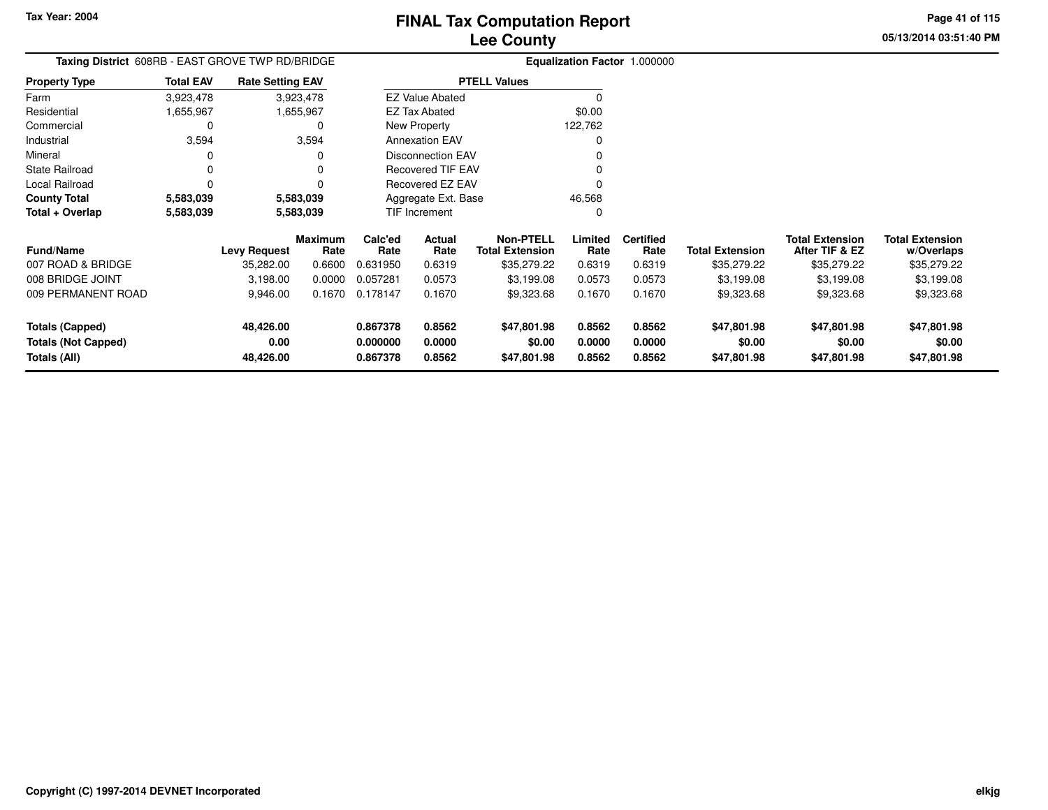**Totals (Not Capped)**

**Totals (All)**

**0.00**

**48,426.00**

# **Lee CountyFINAL Tax Computation Report**

**0.000000 0.0000 \$0.00 0.0000 0.0000 \$0.00 \$0.00 \$0.00**

**0.867378 0.8562 \$47,801.98 0.8562 0.8562 \$47,801.98 \$47,801.98 \$47,801.98**

**05/13/2014 03:51:40 PMPage 41 of 115**

> **w/Overlaps** \$35,279.22

**Total Extension**

#### **Equalization Factor** 1.000000 **Taxing District** 608RB - EAST GROVE TWP RD/BRIDGE**Property Type**1,655,967 1,655,967 0 Farm ResidentialCommercial 0 3,594 Industrial 3,594 3,594 $\mathbf 0$ Mineral 0 0 $\pmb{0}$ State Railroad 0 0  $\mathbf 0$ Local Railroad 0 0 5,583,039 **County Total 5,583,039 5,583,039**5,583,039 **Total + Overlap 5,583,039 5,583,039** 3,923,4781,655,967 **Fund/Name Levy Request Rate Limited**Rate **After TIF & EZ** \$35,279.22 **Total ExtensionRate Total Extension Rate Total Extension**\$35,279.22 **Maximum Calc'ed Rate**0.631950 **Actual RateNon-PTELL Certified** \$35,279.22 007 ROAD & BRIDGE 35,282.00 0.6600 0.631950 0.6319 \$35,279.22 0.6319 0.6319 \$35,279.22 \$35,279.22 \$35,279.22 008 BRIDGE JOINT 3,198.00 0.0000 0.057281 0.0573 \$3,199.08 0.0573 0.0573 \$3,199.08 \$3,199.08 \$3,199.08 009 PERMANENT ROAD 9,946.00 0.1670 0.178147 0.1670 \$9,323.68 0.1670 0.1670 \$9,323.68 \$9,323.68 \$9,323.68 **Totals (Capped) 48,426.00 0.867378 0.8562 \$47,801.98 0.8562 0.8562 \$47,801.98 \$47,801.98 \$47,801.98** 3,923,478**Total EAVRate Setting EAV PTELL Values**  $\overline{\overline{0}}$  \$0.00 122,762 $\mathbf 0$ Annexation EAV v o Disconnection EAV $\sim$  0 Recovered TIF EAV0 v Recovered EZ EAV <sup>0</sup> 46,568 $\mathbf{0}$ New Property EZ Tax AbatedEZ Value AbatedAggregate Ext. BaseTIF Increment0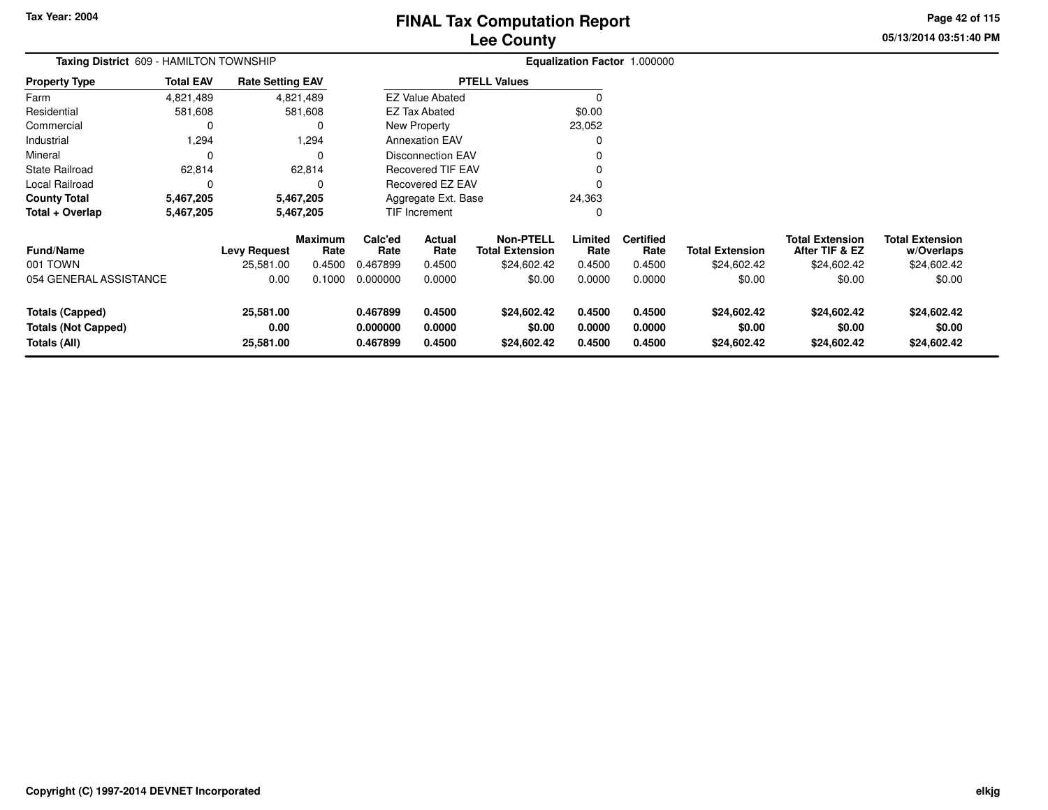**05/13/2014 03:51:40 PM Page 42 of 115**

| Taxing District 609 - HAMILTON TOWNSHIP                              |                  |                                |                        | Equalization Factor 1.000000     |                            |                                            |                            |                            |                                      |                                          |                                      |
|----------------------------------------------------------------------|------------------|--------------------------------|------------------------|----------------------------------|----------------------------|--------------------------------------------|----------------------------|----------------------------|--------------------------------------|------------------------------------------|--------------------------------------|
| <b>Property Type</b>                                                 | <b>Total EAV</b> | <b>Rate Setting EAV</b>        |                        |                                  |                            | <b>PTELL Values</b>                        |                            |                            |                                      |                                          |                                      |
| Farm                                                                 | 4,821,489        |                                | 4,821,489              |                                  | <b>EZ Value Abated</b>     |                                            |                            |                            |                                      |                                          |                                      |
| Residential                                                          | 581,608          |                                | 581,608                |                                  | <b>EZ Tax Abated</b>       |                                            | \$0.00                     |                            |                                      |                                          |                                      |
| Commercial                                                           | 0                |                                | 0                      |                                  | New Property               |                                            | 23,052                     |                            |                                      |                                          |                                      |
| Industrial                                                           | 1,294            |                                | 1,294                  |                                  | <b>Annexation EAV</b>      |                                            |                            |                            |                                      |                                          |                                      |
| Mineral                                                              | $\Omega$         |                                | 0                      |                                  | <b>Disconnection EAV</b>   |                                            |                            |                            |                                      |                                          |                                      |
| <b>State Railroad</b>                                                | 62,814           |                                | 62,814                 |                                  | <b>Recovered TIF EAV</b>   |                                            |                            |                            |                                      |                                          |                                      |
| Local Railroad                                                       |                  |                                | $\Omega$               | <b>Recovered EZ EAV</b>          |                            |                                            |                            |                            |                                      |                                          |                                      |
| <b>County Total</b>                                                  | 5,467,205        |                                | 5,467,205              |                                  | Aggregate Ext. Base        |                                            | 24,363                     |                            |                                      |                                          |                                      |
| Total + Overlap                                                      | 5,467,205        |                                | 5,467,205              |                                  | TIF Increment              |                                            | 0                          |                            |                                      |                                          |                                      |
| <b>Fund/Name</b>                                                     |                  | <b>Levy Request</b>            | <b>Maximum</b><br>Rate | Calc'ed<br>Rate                  | Actual<br>Rate             | <b>Non-PTELL</b><br><b>Total Extension</b> | Limited<br>Rate            | <b>Certified</b><br>Rate   | <b>Total Extension</b>               | <b>Total Extension</b><br>After TIF & EZ | <b>Total Extension</b><br>w/Overlaps |
| 001 TOWN                                                             |                  | 25,581.00                      | 0.4500                 | 0.467899                         | 0.4500                     | \$24,602.42                                | 0.4500                     | 0.4500                     | \$24,602.42                          | \$24,602.42                              | \$24,602.42                          |
| 054 GENERAL ASSISTANCE                                               |                  | 0.00                           | 0.1000                 | 0.000000                         | 0.0000                     | \$0.00                                     | 0.0000                     | 0.0000                     | \$0.00                               | \$0.00                                   | \$0.00                               |
| <b>Totals (Capped)</b><br><b>Totals (Not Capped)</b><br>Totals (All) |                  | 25,581.00<br>0.00<br>25,581.00 |                        | 0.467899<br>0.000000<br>0.467899 | 0.4500<br>0.0000<br>0.4500 | \$24,602.42<br>\$0.00<br>\$24,602.42       | 0.4500<br>0.0000<br>0.4500 | 0.4500<br>0.0000<br>0.4500 | \$24,602.42<br>\$0.00<br>\$24,602.42 | \$24,602.42<br>\$0.00<br>\$24,602.42     | \$24,602.42<br>\$0.00<br>\$24,602.42 |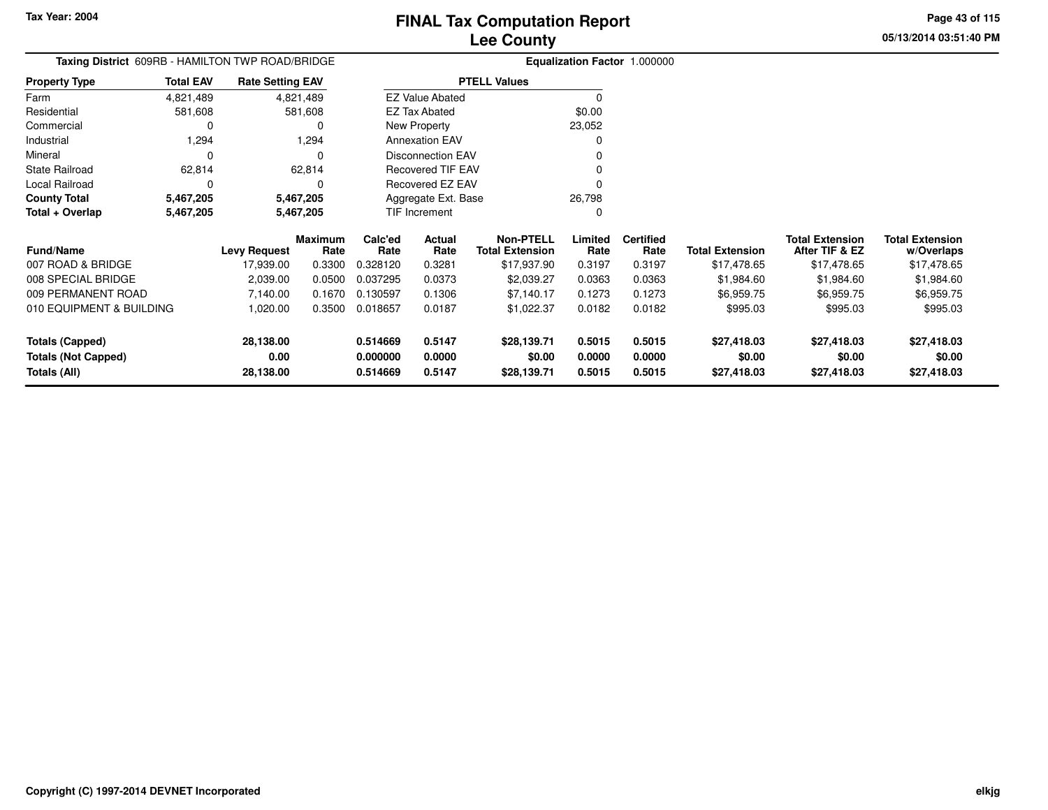**05/13/2014 03:51:40 PMPage 43 of 115**

| Taxing District 609RB - HAMILTON TWP ROAD/BRIDGE |                                      | Equalization Factor 1.000000 |                 |                      |                          |                                     |                  |                          |                        |                                          |                                      |
|--------------------------------------------------|--------------------------------------|------------------------------|-----------------|----------------------|--------------------------|-------------------------------------|------------------|--------------------------|------------------------|------------------------------------------|--------------------------------------|
| <b>Property Type</b>                             | <b>Total EAV</b>                     | <b>Rate Setting EAV</b>      |                 |                      |                          | <b>PTELL Values</b>                 |                  |                          |                        |                                          |                                      |
| Farm                                             | 4,821,489                            |                              | 4,821,489       |                      | <b>EZ Value Abated</b>   |                                     |                  |                          |                        |                                          |                                      |
| Residential                                      | 581,608                              |                              | 581,608         |                      | <b>EZ Tax Abated</b>     |                                     | \$0.00           |                          |                        |                                          |                                      |
| Commercial                                       |                                      |                              | 0               |                      | New Property             |                                     | 23,052           |                          |                        |                                          |                                      |
| Industrial                                       | 1,294                                |                              | 1,294           |                      | <b>Annexation EAV</b>    |                                     |                  |                          |                        |                                          |                                      |
| Mineral                                          | $\Omega$                             |                              | $\Omega$        |                      | <b>Disconnection EAV</b> |                                     |                  |                          |                        |                                          |                                      |
| <b>State Railroad</b>                            | 62,814                               |                              | 62,814          |                      | <b>Recovered TIF EAV</b> |                                     |                  |                          |                        |                                          |                                      |
| Local Railroad                                   |                                      |                              | 0               |                      | Recovered EZ EAV         |                                     |                  |                          |                        |                                          |                                      |
| <b>County Total</b>                              | 5,467,205                            |                              | 5,467,205       |                      | Aggregate Ext. Base      |                                     | 26,798           |                          |                        |                                          |                                      |
| Total + Overlap                                  | 5,467,205                            |                              | 5,467,205       | TIF Increment        |                          |                                     | 0                |                          |                        |                                          |                                      |
| <b>Fund/Name</b>                                 |                                      | <b>Levy Request</b>          | Maximum<br>Rate | Calc'ed<br>Rate      | Actual<br>Rate           | Non-PTELL<br><b>Total Extension</b> | Limited<br>Rate  | <b>Certified</b><br>Rate | <b>Total Extension</b> | <b>Total Extension</b><br>After TIF & EZ | <b>Total Extension</b><br>w/Overlaps |
| 007 ROAD & BRIDGE                                |                                      | 17,939.00                    | 0.3300          | 0.328120             | 0.3281                   | \$17,937.90                         | 0.3197           | 0.3197                   | \$17,478.65            | \$17,478.65                              | \$17,478.65                          |
| 008 SPECIAL BRIDGE                               |                                      | 2,039.00                     | 0.0500          | 0.037295             | 0.0373                   | \$2,039.27                          | 0.0363           | 0.0363                   | \$1,984.60             | \$1,984.60                               | \$1,984.60                           |
| 009 PERMANENT ROAD                               |                                      | 7,140.00                     | 0.1670          | 0.130597             | 0.1306                   | \$7,140.17                          | 0.1273           | 0.1273                   | \$6,959.75             | \$6,959.75                               | \$6,959.75                           |
|                                                  | 010 EQUIPMENT & BUILDING<br>1,020.00 |                              | 0.3500          | 0.018657             | 0.0187                   | \$1,022.37                          | 0.0182           | 0.0182                   | \$995.03               | \$995.03                                 | \$995.03                             |
| <b>Totals (Capped)</b>                           |                                      | 28,138.00                    |                 | 0.514669             | 0.5147                   | \$28,139.71                         | 0.5015           | 0.5015                   | \$27,418.03            | \$27,418.03                              | \$27,418.03                          |
| <b>Totals (Not Capped)</b><br>Totals (All)       |                                      | 0.00<br>28,138.00            |                 | 0.000000<br>0.514669 | 0.0000<br>0.5147         | \$0.00<br>\$28,139.71               | 0.0000<br>0.5015 | 0.0000<br>0.5015         | \$0.00<br>\$27,418.03  | \$0.00<br>\$27,418.03                    | \$0.00<br>\$27,418.03                |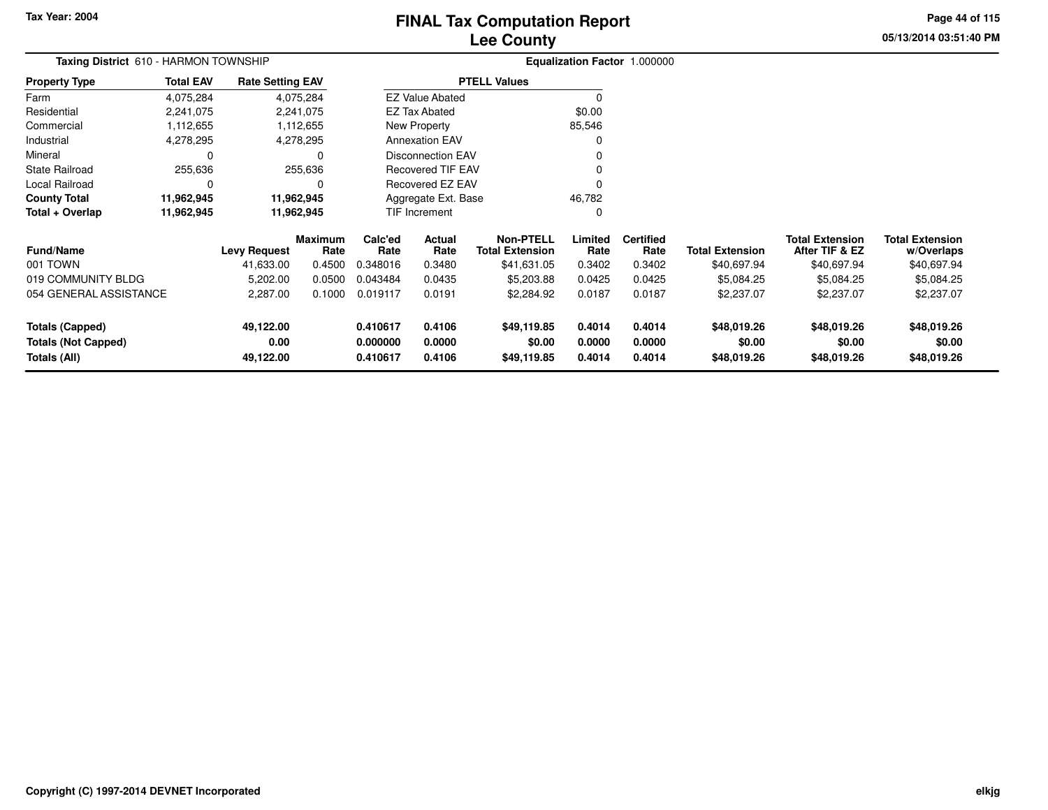# **Lee CountyFINAL Tax Computation Report**

**05/13/2014 03:51:40 PM Page 44 of 115**

| <b>Taxing District</b> 610 - HARMON TOWNSHIP<br><b>Property Type</b> |                                |                     |                                                                                                                                      |                               |                                                                                |                                                                                                                           |                            |                                      |                                          |                                      |
|----------------------------------------------------------------------|--------------------------------|---------------------|--------------------------------------------------------------------------------------------------------------------------------------|-------------------------------|--------------------------------------------------------------------------------|---------------------------------------------------------------------------------------------------------------------------|----------------------------|--------------------------------------|------------------------------------------|--------------------------------------|
| <b>Total EAV</b>                                                     |                                |                     |                                                                                                                                      |                               |                                                                                |                                                                                                                           |                            |                                      |                                          |                                      |
| 4,075,284                                                            |                                |                     |                                                                                                                                      |                               |                                                                                |                                                                                                                           |                            |                                      |                                          |                                      |
| 2,241,075                                                            |                                |                     |                                                                                                                                      |                               |                                                                                | \$0.00                                                                                                                    |                            |                                      |                                          |                                      |
| 1,112,655                                                            |                                |                     |                                                                                                                                      |                               |                                                                                | 85,546                                                                                                                    |                            |                                      |                                          |                                      |
| 4,278,295                                                            |                                |                     |                                                                                                                                      |                               |                                                                                |                                                                                                                           |                            |                                      |                                          |                                      |
| 0                                                                    |                                | 0                   |                                                                                                                                      |                               |                                                                                |                                                                                                                           |                            |                                      |                                          |                                      |
| 255,636                                                              |                                |                     |                                                                                                                                      |                               |                                                                                |                                                                                                                           |                            |                                      |                                          |                                      |
| 0                                                                    |                                | C                   |                                                                                                                                      |                               |                                                                                |                                                                                                                           |                            |                                      |                                          |                                      |
| 11,962,945                                                           |                                |                     |                                                                                                                                      | 46,782<br>Aggregate Ext. Base |                                                                                |                                                                                                                           |                            |                                      |                                          |                                      |
| 11,962,945                                                           |                                |                     |                                                                                                                                      |                               |                                                                                | 0                                                                                                                         |                            |                                      |                                          |                                      |
|                                                                      |                                | Rate                | Calc'ed<br>Rate                                                                                                                      | Actual<br>Rate                | <b>Non-PTELL</b><br><b>Total Extension</b>                                     | Limited<br>Rate                                                                                                           | <b>Certified</b><br>Rate   | <b>Total Extension</b>               | <b>Total Extension</b><br>After TIF & EZ | <b>Total Extension</b><br>w/Overlaps |
|                                                                      | 41,633.00                      | 0.4500              | 0.348016                                                                                                                             | 0.3480                        | \$41,631.05                                                                    | 0.3402                                                                                                                    | 0.3402                     | \$40,697.94                          | \$40,697.94                              | \$40,697.94                          |
|                                                                      | 5,202.00                       | 0.0500              | 0.043484                                                                                                                             | 0.0435                        | \$5,203.88                                                                     | 0.0425                                                                                                                    | 0.0425                     | \$5,084.25                           | \$5,084.25                               | \$5,084.25                           |
|                                                                      | 2,287.00                       | 0.1000              | 0.019117                                                                                                                             | 0.0191                        | \$2,284.92                                                                     | 0.0187                                                                                                                    | 0.0187                     | \$2,237.07                           | \$2,237.07                               | \$2,237.07                           |
|                                                                      | 49,122.00<br>0.00<br>49,122.00 |                     | 0.410617<br>0.000000<br>0.410617                                                                                                     | 0.4106<br>0.0000<br>0.4106    | \$49,119.85<br>\$0.00<br>\$49,119.85                                           | 0.4014<br>0.0000<br>0.4014                                                                                                | 0.4014<br>0.0000<br>0.4014 | \$48,019.26<br>\$0.00<br>\$48,019.26 | \$48,019.26<br>\$0.00<br>\$48,019.26     | \$48,019.26<br>\$0.00<br>\$48,019.26 |
|                                                                      | 054 GENERAL ASSISTANCE         | <b>Levy Request</b> | <b>Rate Setting EAV</b><br>4,075,284<br>2,241,075<br>1,112,655<br>4,278,295<br>255,636<br>11,962,945<br>11,962,945<br><b>Maximum</b> |                               | <b>EZ Tax Abated</b><br>New Property<br><b>Annexation EAV</b><br>TIF Increment | <b>PTELL Values</b><br><b>EZ Value Abated</b><br><b>Disconnection EAV</b><br><b>Recovered TIF EAV</b><br>Recovered EZ EAV |                            | <b>Equalization Factor 1.000000</b>  |                                          |                                      |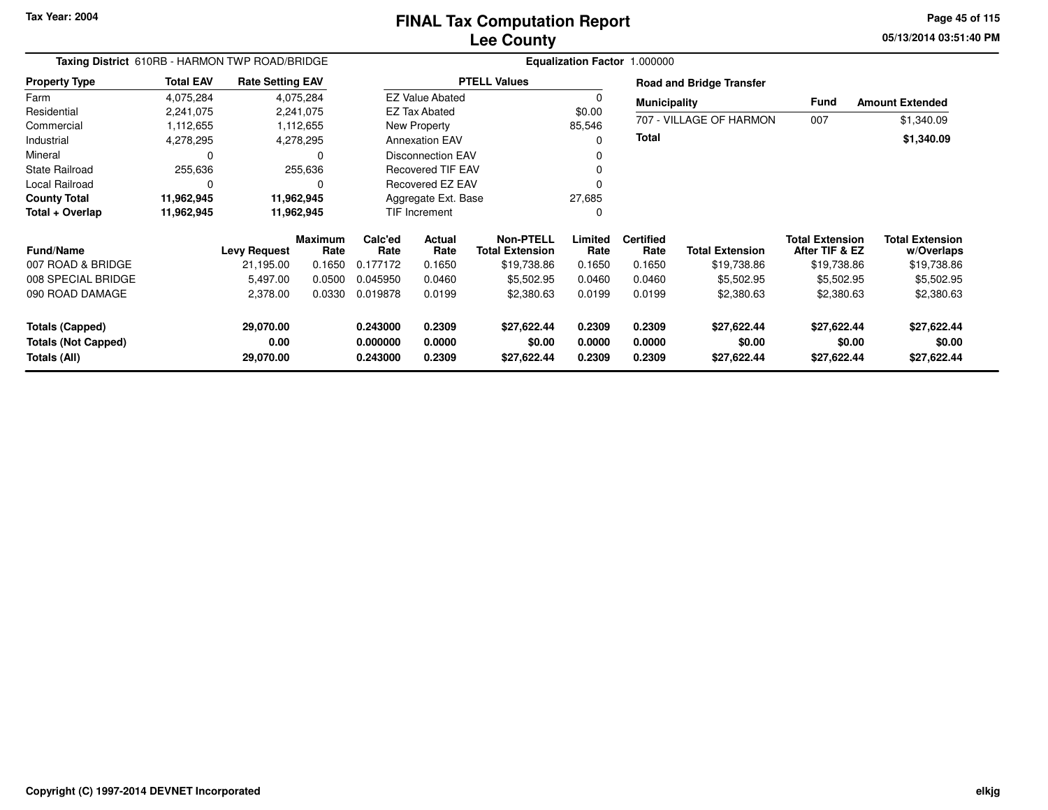**05/13/2014 03:51:40 PM Page 45 of 115**

| Taxing District 610RB - HARMON TWP ROAD/BRIDGE |                  |                         |                        | Equalization Factor 1.000000                         |                        |                                     |                  |                          |                                 |                                          |                                      |  |  |
|------------------------------------------------|------------------|-------------------------|------------------------|------------------------------------------------------|------------------------|-------------------------------------|------------------|--------------------------|---------------------------------|------------------------------------------|--------------------------------------|--|--|
| <b>Property Type</b>                           | <b>Total EAV</b> | <b>Rate Setting EAV</b> |                        |                                                      |                        | <b>PTELL Values</b>                 |                  |                          | <b>Road and Bridge Transfer</b> |                                          |                                      |  |  |
| Farm                                           | 4,075,284        |                         | 4,075,284              |                                                      | <b>EZ Value Abated</b> |                                     | $\mathbf 0$      | <b>Municipality</b>      |                                 | Fund                                     | <b>Amount Extended</b>               |  |  |
| Residential                                    | 2,241,075        |                         | 2,241,075              |                                                      | <b>EZ Tax Abated</b>   |                                     | \$0.00           |                          |                                 |                                          |                                      |  |  |
| Commercial                                     | 1,112,655        |                         | 1,112,655              |                                                      | New Property           |                                     | 85,546           |                          | 707 - VILLAGE OF HARMON         | 007                                      | \$1,340.09                           |  |  |
| Industrial                                     | 4,278,295        | 4,278,295               |                        |                                                      | <b>Annexation EAV</b>  |                                     | 0                | Total                    |                                 |                                          | \$1,340.09                           |  |  |
| Mineral                                        | C                |                         |                        | <b>Disconnection EAV</b><br><b>Recovered TIF EAV</b> |                        |                                     | 0                |                          |                                 |                                          |                                      |  |  |
| State Railroad                                 | 255,636          |                         | 255,636                |                                                      |                        |                                     | 0                |                          |                                 |                                          |                                      |  |  |
| Local Railroad                                 | 0                |                         |                        | Recovered EZ EAV                                     |                        |                                     |                  |                          |                                 |                                          |                                      |  |  |
| <b>County Total</b>                            | 11,962,945       | 11,962,945              |                        |                                                      | Aggregate Ext. Base    |                                     | 27,685           |                          |                                 |                                          |                                      |  |  |
| Total + Overlap                                | 11,962,945       | 11,962,945              |                        | TIF Increment                                        |                        |                                     | 0                |                          |                                 |                                          |                                      |  |  |
| <b>Fund/Name</b>                               |                  | <b>Levy Request</b>     | <b>Maximum</b><br>Rate | Calc'ed<br>Rate                                      | Actual<br>Rate         | Non-PTELL<br><b>Total Extension</b> | Limited<br>Rate  | <b>Certified</b><br>Rate | <b>Total Extension</b>          | <b>Total Extension</b><br>After TIF & EZ | <b>Total Extension</b><br>w/Overlaps |  |  |
| 007 ROAD & BRIDGE                              |                  | 21,195.00               | 0.1650                 | 0.177172                                             | 0.1650                 | \$19,738.86                         | 0.1650           | 0.1650                   | \$19,738.86                     | \$19,738.86                              | \$19,738.86                          |  |  |
| 008 SPECIAL BRIDGE                             |                  | 5,497.00                | 0.0500                 | 0.045950                                             | 0.0460                 | \$5,502.95                          | 0.0460           | 0.0460                   | \$5,502.95                      | \$5,502.95                               | \$5,502.95                           |  |  |
| 090 ROAD DAMAGE                                |                  | 2,378.00                | 0.0330                 | 0.019878                                             | 0.0199                 | \$2,380.63                          | 0.0199           | 0.0199                   | \$2,380.63                      | \$2,380.63                               | \$2,380.63                           |  |  |
| <b>Totals (Capped)</b>                         |                  | 29,070.00               |                        | 0.243000                                             | 0.2309                 | \$27,622.44                         | 0.2309           | 0.2309                   | \$27,622.44                     | \$27,622.44                              | \$27,622.44                          |  |  |
| <b>Totals (Not Capped)</b><br>Totals (All)     |                  | 0.00<br>29,070.00       |                        | 0.000000<br>0.243000                                 | 0.0000<br>0.2309       | \$0.00<br>\$27,622.44               | 0.0000<br>0.2309 | 0.0000<br>0.2309         | \$0.00<br>\$27,622.44           | \$0.00<br>\$27,622.44                    | \$0.00<br>\$27,622.44                |  |  |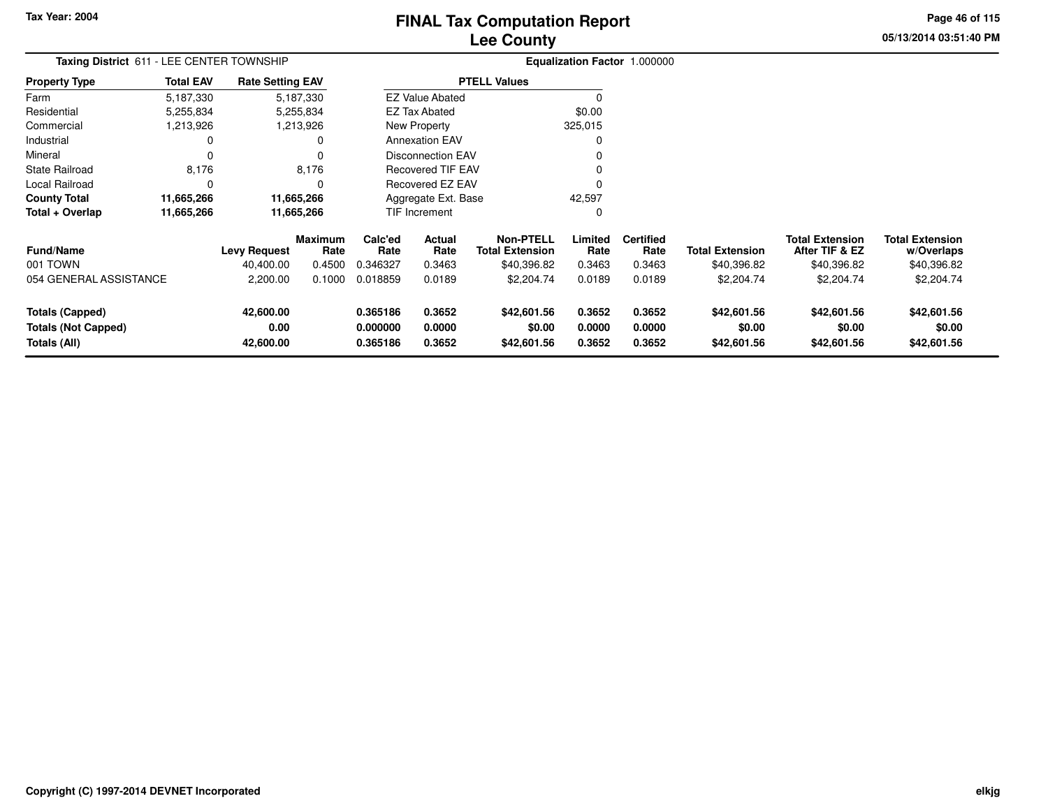# **Lee CountyFINAL Tax Computation Report**

**05/13/2014 03:51:40 PMPage 46 of 115**

| Taxing District 611 - LEE CENTER TOWNSHIP                                   | Equalization Factor 1.000000 |                                |                 |                                                                               |                            |                                            |                            |                            |                                      |                                          |                                      |
|-----------------------------------------------------------------------------|------------------------------|--------------------------------|-----------------|-------------------------------------------------------------------------------|----------------------------|--------------------------------------------|----------------------------|----------------------------|--------------------------------------|------------------------------------------|--------------------------------------|
| Property Type                                                               | <b>Total EAV</b>             | <b>Rate Setting EAV</b>        |                 |                                                                               |                            | <b>PTELL Values</b>                        |                            |                            |                                      |                                          |                                      |
| Farm                                                                        | 5,187,330                    |                                | 5,187,330       |                                                                               | <b>EZ Value Abated</b>     |                                            |                            |                            |                                      |                                          |                                      |
| Residential                                                                 | 5,255,834                    |                                | 5,255,834       |                                                                               | <b>EZ Tax Abated</b>       |                                            | \$0.00                     |                            |                                      |                                          |                                      |
| Commercial                                                                  | 1,213,926                    |                                | 1,213,926       |                                                                               | New Property               |                                            | 325,015                    |                            |                                      |                                          |                                      |
| Industrial                                                                  |                              |                                | 0               |                                                                               | <b>Annexation EAV</b>      |                                            |                            |                            |                                      |                                          |                                      |
| Mineral                                                                     |                              |                                | $\Omega$        |                                                                               | <b>Disconnection EAV</b>   |                                            |                            |                            |                                      |                                          |                                      |
| State Railroad                                                              | 8,176                        |                                | 8,176           |                                                                               |                            |                                            |                            |                            |                                      |                                          |                                      |
| Local Railroad                                                              | 0                            |                                | 0               | <b>Recovered TIF EAV</b><br>Recovered EZ EAV<br>42,597<br>Aggregate Ext. Base |                            |                                            |                            |                            |                                      |                                          |                                      |
| <b>County Total</b>                                                         | 11,665,266                   |                                | 11,665,266      |                                                                               |                            |                                            |                            |                            |                                      |                                          |                                      |
| Total + Overlap                                                             | 11,665,266                   |                                | 11,665,266      |                                                                               | TIF Increment              |                                            | 0                          |                            |                                      |                                          |                                      |
| Fund/Name                                                                   |                              | <b>Levy Request</b>            | Maximum<br>Rate | Calc'ed<br>Rate                                                               | Actual<br>Rate             | <b>Non-PTELL</b><br><b>Total Extension</b> | Limited<br>Rate            | <b>Certified</b><br>Rate   | <b>Total Extension</b>               | <b>Total Extension</b><br>After TIF & EZ | <b>Total Extension</b><br>w/Overlaps |
| 001 TOWN                                                                    |                              | 40,400.00                      | 0.4500          | 0.346327                                                                      | 0.3463                     | \$40,396.82                                | 0.3463                     | 0.3463                     | \$40,396.82                          | \$40,396.82                              | \$40,396.82                          |
| 054 GENERAL ASSISTANCE                                                      |                              | 2,200.00                       | 0.1000          | 0.018859                                                                      | 0.0189                     | \$2,204.74                                 | 0.0189                     | 0.0189                     | \$2,204.74                           | \$2,204.74                               | \$2,204.74                           |
| <b>Totals (Capped)</b><br><b>Totals (Not Capped)</b><br><b>Totals (All)</b> |                              | 42,600.00<br>0.00<br>42,600.00 |                 | 0.365186<br>0.000000<br>0.365186                                              | 0.3652<br>0.0000<br>0.3652 | \$42,601.56<br>\$0.00<br>\$42,601.56       | 0.3652<br>0.0000<br>0.3652 | 0.3652<br>0.0000<br>0.3652 | \$42,601.56<br>\$0.00<br>\$42,601.56 | \$42,601.56<br>\$0.00<br>\$42,601.56     | \$42,601.56<br>\$0.00<br>\$42,601.56 |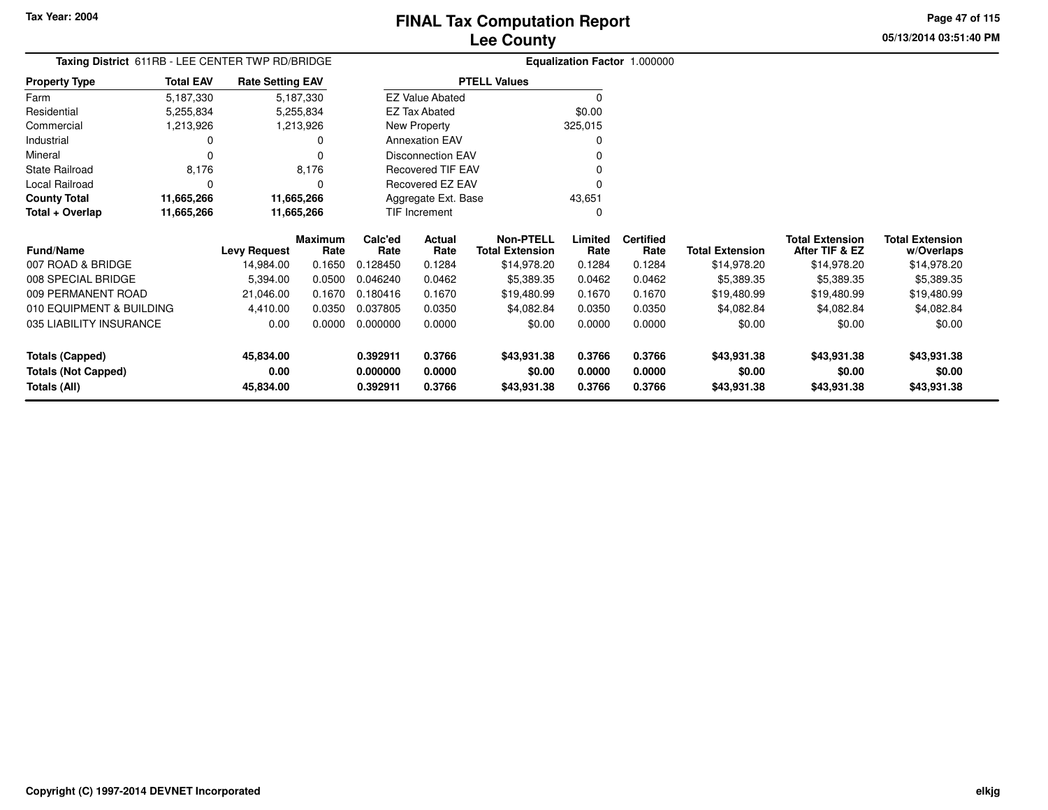**05/13/2014 03:51:40 PMPage 47 of 115**

| Taxing District 611RB - LEE CENTER TWP RD/BRIDGE |                  |                         |                 |                 |                          | Equalization Factor 1.000000               |                 |                          |                        |                                          |                                      |
|--------------------------------------------------|------------------|-------------------------|-----------------|-----------------|--------------------------|--------------------------------------------|-----------------|--------------------------|------------------------|------------------------------------------|--------------------------------------|
| <b>Property Type</b>                             | <b>Total EAV</b> | <b>Rate Setting EAV</b> |                 |                 |                          | <b>PTELL Values</b>                        |                 |                          |                        |                                          |                                      |
| Farm                                             | 5,187,330        |                         | 5,187,330       |                 | <b>EZ Value Abated</b>   |                                            | $\Omega$        |                          |                        |                                          |                                      |
| Residential                                      | 5,255,834        |                         | 5,255,834       |                 | <b>EZ Tax Abated</b>     |                                            | \$0.00          |                          |                        |                                          |                                      |
| Commercial                                       | 1,213,926        |                         | 1,213,926       |                 | New Property             |                                            | 325,015         |                          |                        |                                          |                                      |
| Industrial                                       |                  |                         | ი               |                 | <b>Annexation EAV</b>    |                                            | 0               |                          |                        |                                          |                                      |
| Mineral                                          | $\Omega$         |                         |                 |                 | <b>Disconnection EAV</b> |                                            |                 |                          |                        |                                          |                                      |
| State Railroad                                   | 8,176            |                         | 8,176           |                 | <b>Recovered TIF EAV</b> |                                            |                 |                          |                        |                                          |                                      |
| Local Railroad                                   | 0                |                         | 0               |                 | <b>Recovered EZ EAV</b>  |                                            |                 |                          |                        |                                          |                                      |
| <b>County Total</b>                              | 11,665,266       |                         | 11,665,266      |                 | Aggregate Ext. Base      |                                            | 43,651          |                          |                        |                                          |                                      |
| Total + Overlap                                  | 11,665,266       |                         | 11,665,266      |                 | <b>TIF Increment</b>     |                                            | $\Omega$        |                          |                        |                                          |                                      |
| <b>Fund/Name</b>                                 |                  | <b>Levy Request</b>     | Maximum<br>Rate | Calc'ed<br>Rate | Actual<br>Rate           | <b>Non-PTELL</b><br><b>Total Extension</b> | Limited<br>Rate | <b>Certified</b><br>Rate | <b>Total Extension</b> | <b>Total Extension</b><br>After TIF & EZ | <b>Total Extension</b><br>w/Overlaps |
| 007 ROAD & BRIDGE                                |                  | 14,984.00               | 0.1650          | 0.128450        | 0.1284                   | \$14,978.20                                | 0.1284          | 0.1284                   | \$14,978.20            | \$14,978.20                              | \$14,978.20                          |
| 008 SPECIAL BRIDGE                               |                  | 5,394.00                | 0.0500          | 0.046240        | 0.0462                   | \$5,389.35                                 | 0.0462          | 0.0462                   | \$5,389.35             | \$5,389.35                               | \$5,389.35                           |
| 009 PERMANENT ROAD                               |                  | 21,046.00               | 0.1670          | 0.180416        | 0.1670                   | \$19,480.99                                | 0.1670          | 0.1670                   | \$19,480.99            | \$19,480.99                              | \$19,480.99                          |
| 010 EQUIPMENT & BUILDING                         |                  | 4,410.00                | 0.0350          | 0.037805        | 0.0350                   | \$4,082.84                                 | 0.0350          | 0.0350                   | \$4,082.84             | \$4,082.84                               | \$4,082.84                           |
| 035 LIABILITY INSURANCE                          |                  | 0.00                    | 0.0000          | 0.000000        | 0.0000                   | \$0.00                                     | 0.0000          | 0.0000                   | \$0.00                 | \$0.00                                   | \$0.00                               |
| <b>Totals (Capped)</b>                           |                  | 45,834.00               |                 | 0.392911        | 0.3766                   | \$43,931.38                                | 0.3766          | 0.3766                   | \$43,931.38            | \$43,931.38                              | \$43,931.38                          |
| <b>Totals (Not Capped)</b>                       |                  | 0.00                    |                 | 0.000000        | 0.0000                   | \$0.00                                     | 0.0000          | 0.0000                   | \$0.00                 | \$0.00                                   | \$0.00                               |
| <b>Totals (All)</b>                              |                  | 45,834.00               |                 | 0.392911        | 0.3766                   | \$43,931.38                                | 0.3766          | 0.3766                   | \$43,931.38            | \$43,931.38                              | \$43,931.38                          |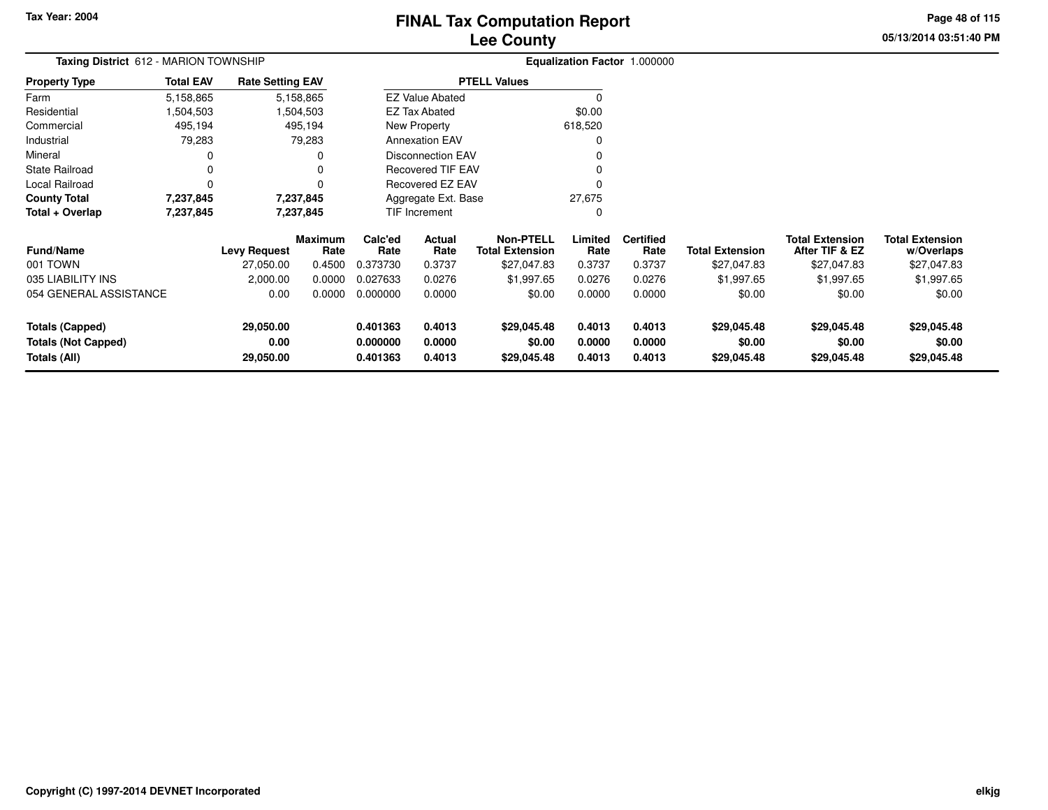# **Lee CountyFINAL Tax Computation Report**

**05/13/2014 03:51:40 PM Page 48 of 115**

| <b>Taxing District</b> 612 - MARION TOWNSHIP |                            |                         |                        |                 |                          | Equalization Factor 1.000000               |                 |                          |                        |                                          |                                      |
|----------------------------------------------|----------------------------|-------------------------|------------------------|-----------------|--------------------------|--------------------------------------------|-----------------|--------------------------|------------------------|------------------------------------------|--------------------------------------|
| <b>Property Type</b>                         | <b>Total EAV</b>           | <b>Rate Setting EAV</b> |                        |                 |                          | <b>PTELL Values</b>                        |                 |                          |                        |                                          |                                      |
| Farm                                         | 5,158,865                  |                         | 5,158,865              |                 | <b>EZ Value Abated</b>   |                                            |                 |                          |                        |                                          |                                      |
| Residential                                  | 1,504,503                  |                         | 1,504,503              |                 | <b>EZ Tax Abated</b>     |                                            | \$0.00          |                          |                        |                                          |                                      |
| Commercial                                   | 495,194                    |                         | 495,194                |                 | New Property             |                                            | 618,520         |                          |                        |                                          |                                      |
| Industrial                                   | 79,283                     |                         | 79,283                 |                 | <b>Annexation EAV</b>    |                                            |                 |                          |                        |                                          |                                      |
| Mineral                                      |                            |                         | 0                      |                 | <b>Disconnection EAV</b> |                                            |                 |                          |                        |                                          |                                      |
| <b>State Railroad</b>                        | 0                          |                         |                        |                 | Recovered TIF EAV        |                                            |                 |                          |                        |                                          |                                      |
| Local Railroad                               | $\Omega$                   |                         |                        |                 | <b>Recovered EZ EAV</b>  |                                            |                 |                          |                        |                                          |                                      |
| <b>County Total</b>                          | 7,237,845                  |                         | 7,237,845              |                 | Aggregate Ext. Base      |                                            | 27,675          |                          |                        |                                          |                                      |
| Total + Overlap                              | 7,237,845                  | 7,237,845               |                        |                 | TIF Increment            |                                            |                 |                          |                        |                                          |                                      |
| Fund/Name                                    |                            | <b>Levy Request</b>     | <b>Maximum</b><br>Rate | Calc'ed<br>Rate | Actual<br>Rate           | <b>Non-PTELL</b><br><b>Total Extension</b> | Limited<br>Rate | <b>Certified</b><br>Rate | <b>Total Extension</b> | <b>Total Extension</b><br>After TIF & EZ | <b>Total Extension</b><br>w/Overlaps |
| 001 TOWN                                     |                            | 27,050.00               | 0.4500                 | 0.373730        | 0.3737                   | \$27,047.83                                | 0.3737          | 0.3737                   | \$27,047.83            | \$27,047.83                              | \$27,047.83                          |
| 035 LIABILITY INS                            |                            | 2,000.00                | 0.0000                 | 0.027633        | 0.0276                   | \$1,997.65                                 | 0.0276          | 0.0276                   | \$1,997.65             | \$1,997.65                               | \$1,997.65                           |
| 054 GENERAL ASSISTANCE                       | 0.0000<br>0.000000<br>0.00 |                         | 0.0000                 | \$0.00          | 0.0000                   | 0.0000                                     | \$0.00          | \$0.00                   | \$0.00                 |                                          |                                      |
| <b>Totals (Capped)</b>                       |                            | 29,050.00               |                        | 0.401363        | 0.4013                   | \$29,045.48                                | 0.4013          | 0.4013                   | \$29,045.48            | \$29,045.48                              | \$29,045.48                          |
| <b>Totals (Not Capped)</b>                   |                            | 0.00                    |                        | 0.000000        | 0.0000                   | \$0.00                                     | 0.0000          | 0.0000                   | \$0.00                 | \$0.00                                   | \$0.00                               |
| Totals (All)                                 |                            | 29,050.00               |                        | 0.401363        | 0.4013                   | \$29,045.48                                | 0.4013          | 0.4013                   | \$29,045.48            | \$29,045.48                              | \$29,045.48                          |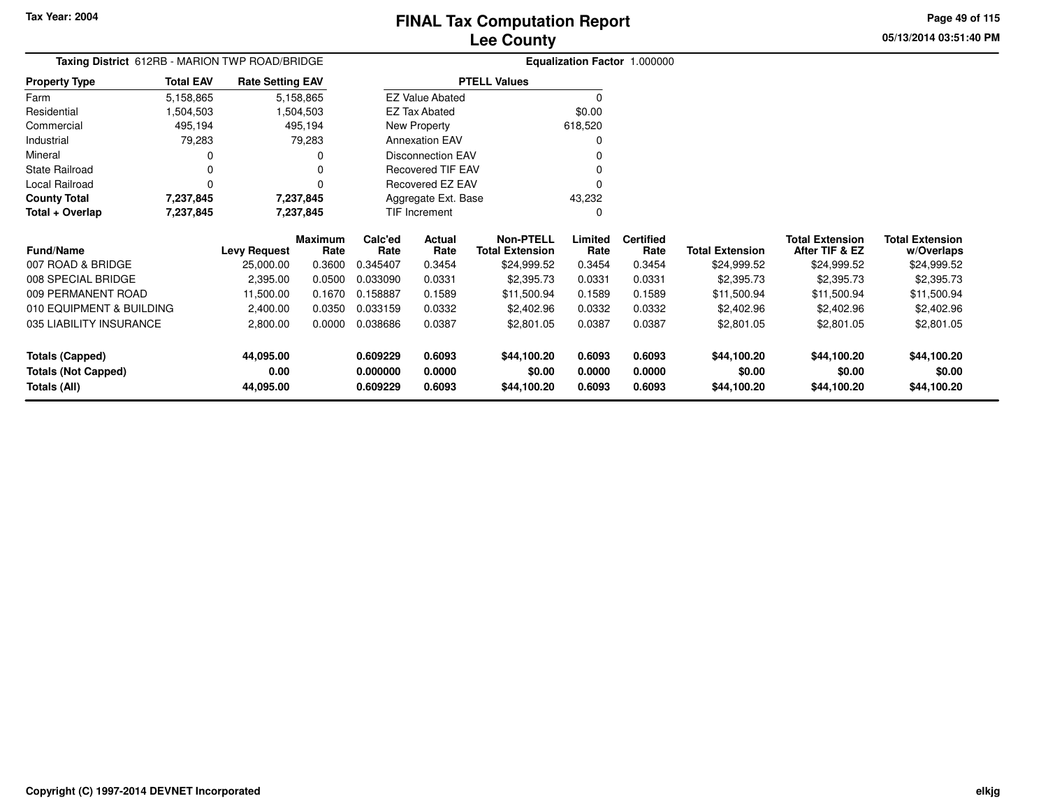**Totals (All)**

# **Lee CountyFINAL Tax Computation Report**

**0.000000 0.0000 \$0.00 0.0000 0.0000 \$0.00 \$0.00 \$0.00**

**0.609229 0.6093 \$44,100.20 0.6093 0.6093 \$44,100.20 \$44,100.20 \$44,100.20**

**05/13/2014 03:51:40 PMPage 49 of 115**

| Taxing District 612RB - MARION TWP ROAD/BRIDGE<br><b>Total EAV</b> |                        |                                                                                       |                        | Equalization Factor 1.000000 |                          |                                            |                 |                          |                        |                                          |                                      |  |
|--------------------------------------------------------------------|------------------------|---------------------------------------------------------------------------------------|------------------------|------------------------------|--------------------------|--------------------------------------------|-----------------|--------------------------|------------------------|------------------------------------------|--------------------------------------|--|
| <b>Property Type</b>                                               |                        | <b>Rate Setting EAV</b><br>5,158,865<br>5,158,865<br>504,503.<br>1,504,503<br>495,194 |                        |                              |                          | <b>PTELL Values</b>                        |                 |                          |                        |                                          |                                      |  |
| Farm                                                               |                        |                                                                                       |                        |                              | <b>EZ Value Abated</b>   |                                            | $\Omega$        |                          |                        |                                          |                                      |  |
| Residential                                                        |                        |                                                                                       |                        |                              | EZ Tax Abated            |                                            | \$0.00          |                          |                        |                                          |                                      |  |
| Commercial                                                         | 495,194                |                                                                                       |                        |                              | <b>New Property</b>      |                                            | 618,520         |                          |                        |                                          |                                      |  |
| Industrial                                                         | 79,283                 |                                                                                       | 79,283                 |                              | <b>Annexation EAV</b>    |                                            | 0               |                          |                        |                                          |                                      |  |
| Mineral                                                            | 0                      |                                                                                       | 0                      |                              | <b>Disconnection EAV</b> |                                            |                 |                          |                        |                                          |                                      |  |
| <b>State Railroad</b>                                              | 0                      |                                                                                       | 0                      |                              | Recovered TIF EAV        |                                            |                 |                          |                        |                                          |                                      |  |
| Local Railroad                                                     | $\Omega$               |                                                                                       | 0                      |                              | Recovered EZ EAV         |                                            | O               |                          |                        |                                          |                                      |  |
| <b>County Total</b>                                                | 7,237,845<br>7,237,845 |                                                                                       |                        |                              | Aggregate Ext. Base      |                                            | 43,232          |                          |                        |                                          |                                      |  |
| Total + Overlap                                                    | 7,237,845              | 7,237,845                                                                             |                        |                              | TIF Increment            |                                            | C               |                          |                        |                                          |                                      |  |
| <b>Fund/Name</b>                                                   |                        | <b>Levy Request</b>                                                                   | <b>Maximum</b><br>Rate | Calc'ed<br>Rate              | Actual<br>Rate           | <b>Non-PTELL</b><br><b>Total Extension</b> | Limited<br>Rate | <b>Certified</b><br>Rate | <b>Total Extension</b> | <b>Total Extension</b><br>After TIF & EZ | <b>Total Extension</b><br>w/Overlaps |  |
| 007 ROAD & BRIDGE                                                  |                        | 25,000.00                                                                             | 0.3600                 | 0.345407                     | 0.3454                   | \$24,999.52                                | 0.3454          | 0.3454                   | \$24,999.52            | \$24,999.52                              | \$24,999.52                          |  |
| 008 SPECIAL BRIDGE                                                 |                        | 2,395.00                                                                              | 0.0500                 | 0.033090                     | 0.0331                   | \$2,395.73                                 | 0.0331          | 0.0331                   | \$2,395.73             | \$2,395.73                               | \$2,395.73                           |  |
| 009 PERMANENT ROAD                                                 |                        | 11,500.00                                                                             | 0.1670                 | 0.158887                     | 0.1589                   | \$11,500.94                                | 0.1589          | 0.1589                   | \$11,500.94            | \$11,500.94                              | \$11,500.94                          |  |
| 010 EQUIPMENT & BUILDING                                           |                        | 2,400.00                                                                              | 0.0350                 | 0.033159                     | 0.0332                   | \$2,402.96                                 | 0.0332          | 0.0332                   | \$2,402.96             | \$2,402.96                               | \$2,402.96                           |  |
| 035 LIABILITY INSURANCE                                            |                        | 2,800.00                                                                              | 0.0000                 | 0.038686                     | 0.0387                   | \$2,801.05                                 | 0.0387          | 0.0387                   | \$2,801.05             | \$2,801.05                               | \$2,801.05                           |  |
| <b>Totals (Capped)</b>                                             |                        | 44,095.00                                                                             |                        | 0.609229                     | 0.6093                   | \$44,100.20                                | 0.6093          | 0.6093                   | \$44,100.20            | \$44,100.20                              | \$44,100.20                          |  |
| <b>Totals (Not Capped)</b>                                         |                        | 0.00                                                                                  |                        | 0.000000                     | 0.0000                   | \$0.00                                     | 0.0000          | 0.0000                   | \$0.00                 | \$0.00                                   | \$0.00                               |  |

**44,095.00**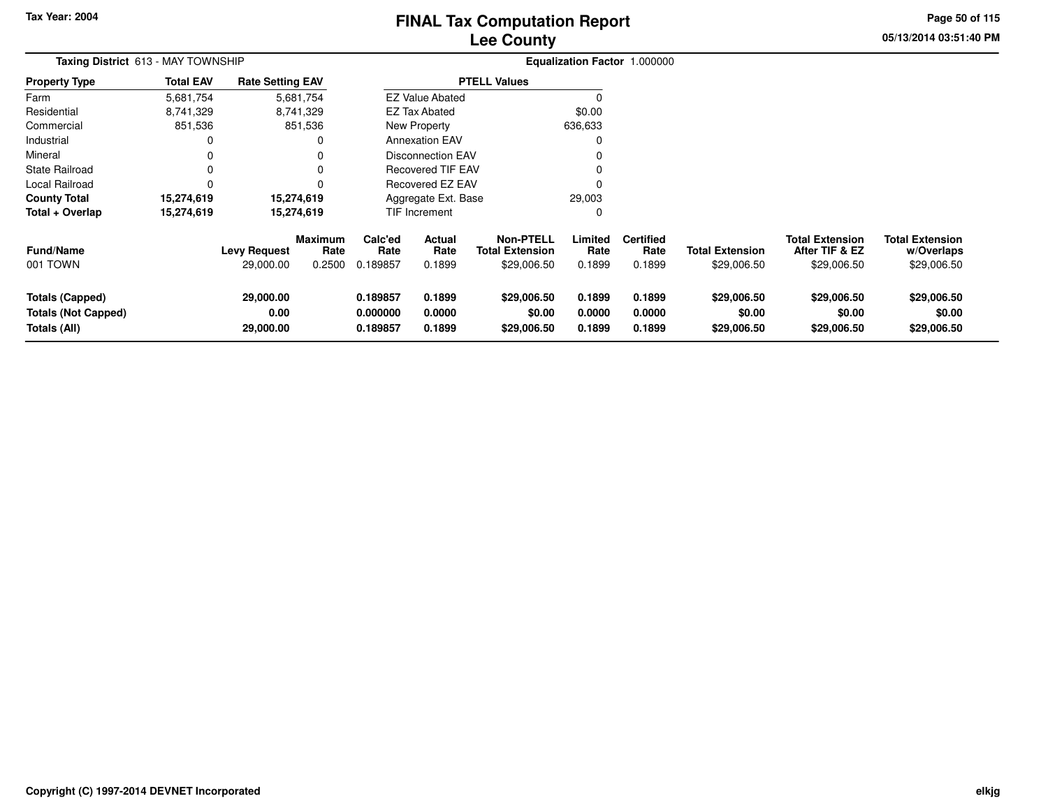# **Lee CountyFINAL Tax Computation Report**

**05/13/2014 03:51:40 PM Page 50 of 115**

| <b>Taxing District</b> 613 - MAY TOWNSHIP                            |                  |                                  |                                  |                                  |                            |                                                           |                            | Equalization Factor 1.000000       |                                       |                                                         |                                                     |
|----------------------------------------------------------------------|------------------|----------------------------------|----------------------------------|----------------------------------|----------------------------|-----------------------------------------------------------|----------------------------|------------------------------------|---------------------------------------|---------------------------------------------------------|-----------------------------------------------------|
| <b>Property Type</b>                                                 | <b>Total EAV</b> | <b>Rate Setting EAV</b>          |                                  |                                  |                            | <b>PTELL Values</b>                                       |                            |                                    |                                       |                                                         |                                                     |
| Farm                                                                 | 5,681,754        |                                  | 5,681,754                        |                                  | <b>EZ Value Abated</b>     |                                                           |                            |                                    |                                       |                                                         |                                                     |
| Residential                                                          | 8,741,329        |                                  | 8,741,329                        |                                  | <b>EZ Tax Abated</b>       |                                                           | \$0.00                     |                                    |                                       |                                                         |                                                     |
| Commercial                                                           | 851,536          |                                  | 851,536                          |                                  | New Property               |                                                           | 636,633                    |                                    |                                       |                                                         |                                                     |
| Industrial                                                           |                  |                                  |                                  |                                  | <b>Annexation EAV</b>      |                                                           |                            |                                    |                                       |                                                         |                                                     |
| Mineral                                                              |                  |                                  |                                  |                                  | <b>Disconnection EAV</b>   |                                                           |                            |                                    |                                       |                                                         |                                                     |
| State Railroad                                                       |                  |                                  |                                  |                                  | <b>Recovered TIF EAV</b>   |                                                           |                            |                                    |                                       |                                                         |                                                     |
| <b>Local Railroad</b>                                                |                  |                                  |                                  |                                  | <b>Recovered EZ EAV</b>    |                                                           |                            |                                    |                                       |                                                         |                                                     |
| <b>County Total</b>                                                  | 15,274,619       |                                  | 15,274,619                       |                                  | Aggregate Ext. Base        |                                                           | 29,003                     |                                    |                                       |                                                         |                                                     |
| Total + Overlap                                                      | 15,274,619       |                                  | 15,274,619                       |                                  | TIF Increment              |                                                           | 0                          |                                    |                                       |                                                         |                                                     |
| <b>Fund/Name</b><br>001 TOWN                                         |                  | <b>Levy Request</b><br>29,000.00 | <b>Maximum</b><br>Rate<br>0.2500 | Calc'ed<br>Rate<br>0.189857      | Actual<br>Rate<br>0.1899   | <b>Non-PTELL</b><br><b>Total Extension</b><br>\$29,006.50 | Limited<br>Rate<br>0.1899  | <b>Certified</b><br>Rate<br>0.1899 | <b>Total Extension</b><br>\$29,006.50 | <b>Total Extension</b><br>After TIF & EZ<br>\$29,006.50 | <b>Total Extension</b><br>w/Overlaps<br>\$29,006.50 |
| <b>Totals (Capped)</b><br><b>Totals (Not Capped)</b><br>Totals (All) |                  | 29,000.00<br>0.00<br>29,000.00   |                                  | 0.189857<br>0.000000<br>0.189857 | 0.1899<br>0.0000<br>0.1899 | \$29,006.50<br>\$0.00<br>\$29,006.50                      | 0.1899<br>0.0000<br>0.1899 | 0.1899<br>0.0000<br>0.1899         | \$29,006.50<br>\$0.00<br>\$29,006.50  | \$29,006.50<br>\$0.00<br>\$29,006.50                    | \$29,006.50<br>\$0.00<br>\$29,006.50                |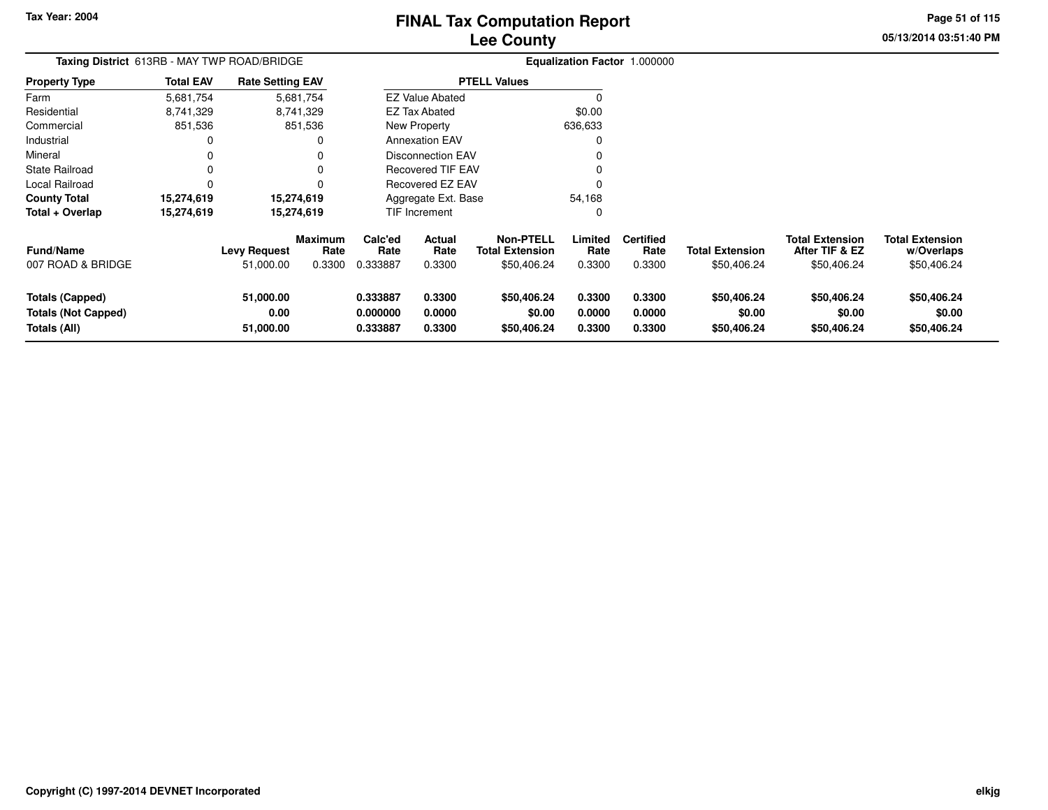# **Lee CountyFINAL Tax Computation Report**

**05/13/2014 03:51:40 PMPage 51 of 115**

#### **Equalization Factor** 1.000000 **Taxing District** 613RB - MAY TWP ROAD/BRIDGE**Property Type**8,741,329 8,741,329 851,536 Farm ResidentialCommercial 851,536  $\pmb{0}$ Industrial 0  $\mathbf 0$ Mineral 0 0 $\pmb{0}$ State Railroad 0 0  $\mathsf{O}\xspace$ Local Railroad 0 0 15,274,619 **County Total 15,274,619 15,274,619**15,274,619 **Total + Overlap 15,274,619 15,274,619** 5,681,7548,741,329 **Fund/Name Levy Request Rate Limited**Rate **w/Overlaps** \$50,406.24 **Total ExtensionAfter TIF & EZ** \$50,406.24 **Total ExtensionRate Total Extension Rate Total Extension**\$50,406.24 **Maximum Calc'ed Rate**0.333887 **Actual RateNon-PTELL Certified** \$50,406.24 007 ROAD & BRIDGE 51,000.00 0.3300 0.333887 0.3300 \$50,406.24 0.3300 0.3300 \$50,406.24 \$50,406.24 \$50,406.24 **Totals (Capped) 51,000.00 0.333887 0.3300 \$50,406.24 0.3300 0.3300 \$50,406.24 \$50,406.24 \$50,406.24 Totals (Not Capped) 0.00 0.000000 0.0000 \$0.00 0.0000 0.0000 \$0.00 \$0.00 \$0.00 Totals (All) 51,000.00 0.333887 0.3300 \$50,406.24 0.3300 0.3300 \$50,406.24 \$50,406.24 \$50,406.24** 5,681,754**Total EAV Rate Setting EAV PTELL Values**  $\overline{\overline{0}}$  \$0.00 636,633 $\pmb{0}$ Annexation EAV v o Disconnection EAV $\sim$  0 Recovered TIF EAV0 v Recovered EZ EAV <sup>0</sup> 54,168 $\mathbf 0$ New Property EZ Tax AbatedEZ Value AbatedAggregate Ext. BaseTIF Increment0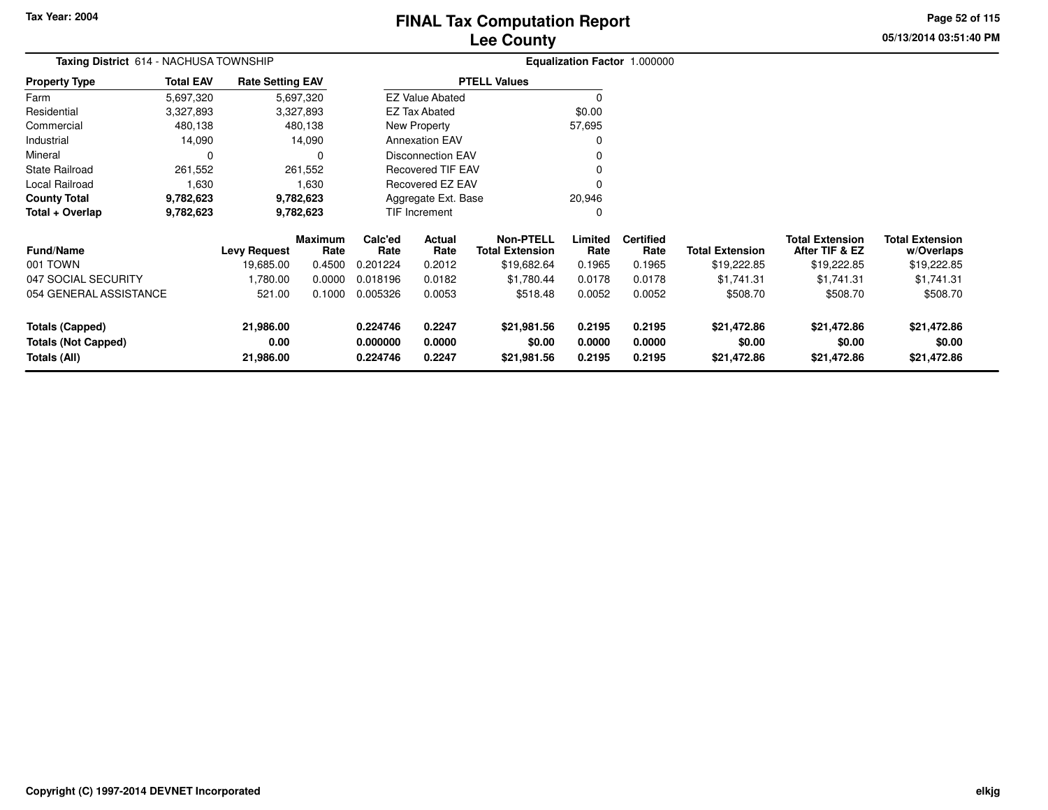# **Lee CountyFINAL Tax Computation Report**

**05/13/2014 03:51:40 PM Page 52 of 115**

| Taxing District 614 - NACHUSA TOWNSHIP     |                  |                         |                 |                      |                          |                                            |                  | Equalization Factor 1.000000 |                        |                                          |                                      |
|--------------------------------------------|------------------|-------------------------|-----------------|----------------------|--------------------------|--------------------------------------------|------------------|------------------------------|------------------------|------------------------------------------|--------------------------------------|
| <b>Property Type</b>                       | <b>Total EAV</b> | <b>Rate Setting EAV</b> |                 |                      |                          | <b>PTELL Values</b>                        |                  |                              |                        |                                          |                                      |
| Farm                                       | 5,697,320        |                         | 5,697,320       |                      | <b>EZ Value Abated</b>   |                                            | 0                |                              |                        |                                          |                                      |
| Residential                                | 3,327,893        |                         | 3,327,893       |                      | <b>EZ Tax Abated</b>     |                                            | \$0.00           |                              |                        |                                          |                                      |
| Commercial                                 | 480,138          |                         | 480,138         |                      | New Property             |                                            | 57,695           |                              |                        |                                          |                                      |
| Industrial                                 | 14,090           |                         | 14,090          |                      | <b>Annexation EAV</b>    |                                            | 0                |                              |                        |                                          |                                      |
| Mineral                                    | $\Omega$         |                         | 0               |                      | <b>Disconnection EAV</b> |                                            | $\Omega$         |                              |                        |                                          |                                      |
| <b>State Railroad</b>                      | 261,552          |                         | 261,552         |                      | Recovered TIF EAV        |                                            |                  |                              |                        |                                          |                                      |
| Local Railroad                             | 1,630            |                         | 1,630           |                      | Recovered EZ EAV         |                                            | $\Omega$         |                              |                        |                                          |                                      |
| <b>County Total</b>                        | 9,782,623        |                         | 9,782,623       |                      | Aggregate Ext. Base      |                                            | 20,946           |                              |                        |                                          |                                      |
| Total + Overlap                            | 9,782,623        |                         | 9,782,623       |                      | TIF Increment            |                                            | 0                |                              |                        |                                          |                                      |
| <b>Fund/Name</b>                           |                  | <b>Levy Request</b>     | Maximum<br>Rate | Calc'ed<br>Rate      | Actual<br>Rate           | <b>Non-PTELL</b><br><b>Total Extension</b> | Limited<br>Rate  | <b>Certified</b><br>Rate     | <b>Total Extension</b> | <b>Total Extension</b><br>After TIF & EZ | <b>Total Extension</b><br>w/Overlaps |
| 001 TOWN                                   |                  | 19,685.00               | 0.4500          | 0.201224             | 0.2012                   | \$19,682.64                                | 0.1965           | 0.1965                       | \$19,222.85            | \$19,222.85                              | \$19,222.85                          |
| 047 SOCIAL SECURITY                        |                  | 1,780.00                | 0.0000          | 0.018196             | 0.0182                   | \$1,780.44                                 | 0.0178           | 0.0178                       | \$1,741.31             | \$1,741.31                               | \$1,741.31                           |
| 054 GENERAL ASSISTANCE                     |                  | 521.00                  | 0.1000          | 0.005326             | 0.0053                   | \$518.48                                   | 0.0052           | 0.0052                       | \$508.70               | \$508.70                                 | \$508.70                             |
| <b>Totals (Capped)</b>                     |                  | 21,986.00               |                 | 0.224746             | 0.2247                   | \$21,981.56                                | 0.2195           | 0.2195                       | \$21,472.86            | \$21,472.86                              | \$21,472.86                          |
| <b>Totals (Not Capped)</b><br>Totals (All) |                  | 0.00<br>21,986.00       |                 | 0.000000<br>0.224746 | 0.0000<br>0.2247         | \$0.00<br>\$21,981.56                      | 0.0000<br>0.2195 | 0.0000<br>0.2195             | \$0.00<br>\$21,472.86  | \$0.00<br>\$21,472.86                    | \$0.00<br>\$21,472.86                |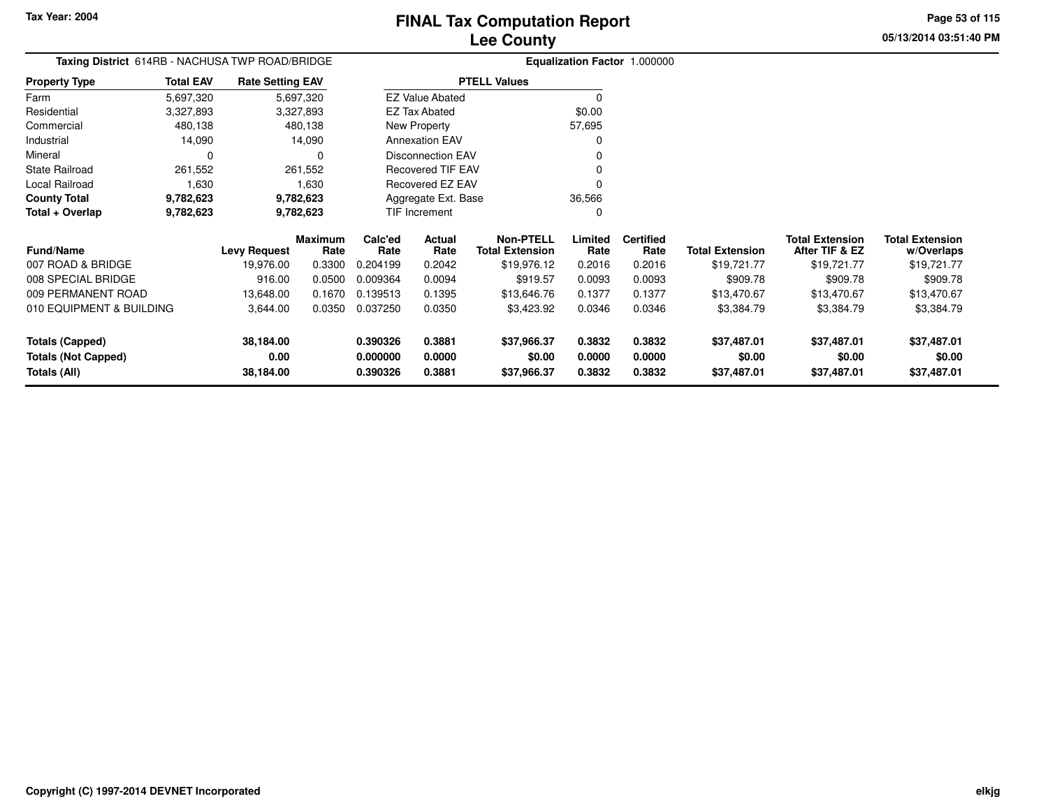**0.390326 0.3881 \$37,966.37 0.3832 0.3832 \$37,487.01 \$37,487.01 \$37,487.01**

**05/13/2014 03:51:40 PMPage 53 of 115**

> **w/Overlaps** \$19,721.77

#### **Equalization Factor** 1.000000 **Taxing District** 614RB - NACHUSA TWP ROAD/BRIDGE**Property Type**3,327,893 3,327,893 480,138 Farm ResidentialCommercial 480,138 480,13814,090 Industrial 14,090 14,090 $\mathbf 0$ Mineral 0 0261,552 State Railroad 261,552 1,630 Local Railroad 1,630 9,782,623 **County Total 9,782,623 9,782,623**9,782,623 **Total + Overlap 9,782,623 9,782,623** 5,697,3203,327,893 **Fund/Name Levy Request Rate Limited Certified** Rate **Total ExtensionAfter TIF & EZ** \$19,721.77 **Total ExtensionRate Total Extension Rate Total Extension**\$19,721.77 **Maximum Calc'ed Rate**0.204199 **Actual RateNon-PTELL**\$19,976.12 007 ROAD & BRIDGE 19,976.00 0.3300 0.204199 0.2042 \$19,976.12 0.2016 0.2016 \$19,721.77 \$19,721.77 \$19,721.77 008 SPECIAL BRIDGE916.00 0.0500 0.009364 0.0094 \$919.57 0.0093 0.0093 \$909.78 \$909.78 \$909.78 \$909.78 009 PERMANENT ROAD 13,648.00 0.1670 0.139513 0.1395 \$13,646.76 0.1377 0.1377 \$13,470.67 \$13,470.67 \$13,470.67 010 EQUIPMENT & BUILDING 3,644.00 0.0350 0.037250 0.0350 \$3,423.92 0.0346 0.0346 \$3,384.79 \$3,384.79 \$3,384.79 **Totals (Capped) 38,184.00 0.390326 0.3881 \$37,966.37 0.3832 0.3832 \$37,487.01 \$37,487.01 \$37,487.01 Totals (Not Capped) 0.00 0.000000 0.0000 \$0.00 0.0000 0.0000 \$0.00 \$0.00 \$0.00 Totals (All) 38,184.00**5,697,320**Total EAVRate Setting EAV PTELL Values**  $\overline{\overline{0}}$  \$0.00 57,695 $\mathbf 0$ Annexation EAV v o Disconnection EAV $\sim$  0 Recovered TIF EAV0 v Recovered EZ EAV <sup>0</sup> 36,566 $\mathbf 0$ New Property EZ Tax AbatedEZ Value AbatedAggregate Ext. BaseTIF Increment0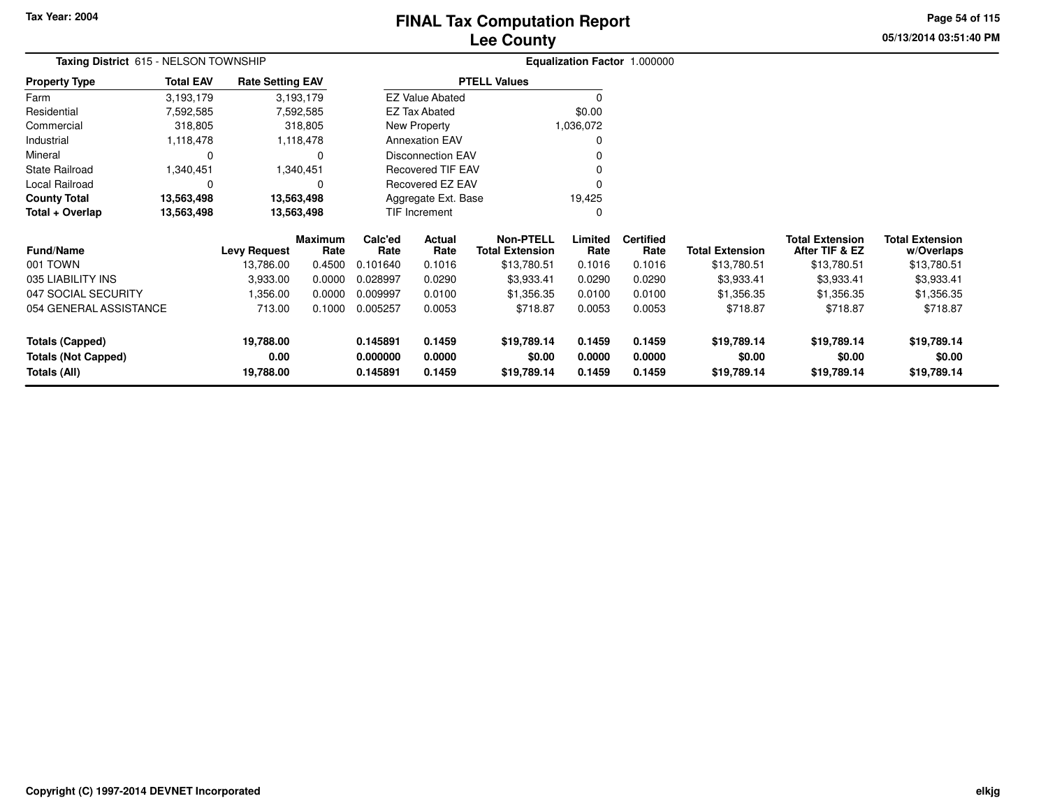# **Lee CountyFINAL Tax Computation Report**

**05/13/2014 03:51:40 PM Page 54 of 115**

| Taxing District 615 - NELSON TOWNSHIP      |                  |                         |                        |                      |                          |                                            |                  | Equalization Factor 1.000000 |                        |                                          |                                      |
|--------------------------------------------|------------------|-------------------------|------------------------|----------------------|--------------------------|--------------------------------------------|------------------|------------------------------|------------------------|------------------------------------------|--------------------------------------|
| <b>Property Type</b>                       | <b>Total EAV</b> | <b>Rate Setting EAV</b> |                        |                      |                          | <b>PTELL Values</b>                        |                  |                              |                        |                                          |                                      |
| Farm                                       | 3,193,179        |                         | 3,193,179              |                      | <b>EZ Value Abated</b>   |                                            |                  |                              |                        |                                          |                                      |
| Residential                                | 7,592,585        |                         | 7,592,585              |                      | <b>EZ Tax Abated</b>     |                                            | \$0.00           |                              |                        |                                          |                                      |
| Commercial                                 | 318,805          |                         | 318,805                |                      | New Property             |                                            | 1,036,072        |                              |                        |                                          |                                      |
| Industrial                                 | 1,118,478        |                         | 1,118,478              |                      | <b>Annexation EAV</b>    |                                            |                  |                              |                        |                                          |                                      |
| Mineral                                    | 0                |                         | 0                      |                      | <b>Disconnection EAV</b> |                                            |                  |                              |                        |                                          |                                      |
| <b>State Railroad</b>                      | 1,340,451        |                         | 1,340,451              |                      | <b>Recovered TIF EAV</b> |                                            |                  |                              |                        |                                          |                                      |
| Local Railroad                             | 0                |                         | 0                      |                      | Recovered EZ EAV         |                                            |                  |                              |                        |                                          |                                      |
| <b>County Total</b>                        | 13,563,498       | 13,563,498              |                        |                      | Aggregate Ext. Base      |                                            | 19,425           |                              |                        |                                          |                                      |
| Total + Overlap                            | 13,563,498       | 13,563,498              |                        |                      | TIF Increment            |                                            | $\Omega$         |                              |                        |                                          |                                      |
| Fund/Name                                  |                  | Levy Request            | <b>Maximum</b><br>Rate | Calc'ed<br>Rate      | Actual<br>Rate           | <b>Non-PTELL</b><br><b>Total Extension</b> | Limited<br>Rate  | <b>Certified</b><br>Rate     | <b>Total Extension</b> | <b>Total Extension</b><br>After TIF & EZ | <b>Total Extension</b><br>w/Overlaps |
| 001 TOWN                                   |                  | 13,786.00               | 0.4500                 | 0.101640             | 0.1016                   | \$13,780.51                                | 0.1016           | 0.1016                       | \$13,780.51            | \$13,780.51                              | \$13,780.51                          |
| 035 LIABILITY INS                          |                  | 3,933.00                | 0.0000                 | 0.028997             | 0.0290                   | \$3,933.41                                 | 0.0290           | 0.0290                       | \$3,933.41             | \$3,933.41                               | \$3,933.41                           |
| 047 SOCIAL SECURITY                        |                  | 1,356.00                | 0.0000                 | 0.009997             | 0.0100                   | \$1,356.35                                 | 0.0100           | 0.0100                       | \$1,356.35             | \$1,356.35                               | \$1,356.35                           |
| 054 GENERAL ASSISTANCE                     |                  | 713.00                  | 0.1000                 | 0.005257             | 0.0053                   | \$718.87                                   | 0.0053           | 0.0053                       | \$718.87               | \$718.87                                 | \$718.87                             |
| <b>Totals (Capped)</b>                     |                  | 19,788.00               |                        | 0.145891             | 0.1459                   | \$19,789.14                                | 0.1459           | 0.1459                       | \$19,789.14            | \$19,789.14                              | \$19,789.14                          |
| <b>Totals (Not Capped)</b><br>Totals (All) |                  | 0.00<br>19,788.00       |                        | 0.000000<br>0.145891 | 0.0000<br>0.1459         | \$0.00<br>\$19,789.14                      | 0.0000<br>0.1459 | 0.0000<br>0.1459             | \$0.00<br>\$19,789.14  | \$0.00<br>\$19,789.14                    | \$0.00<br>\$19,789.14                |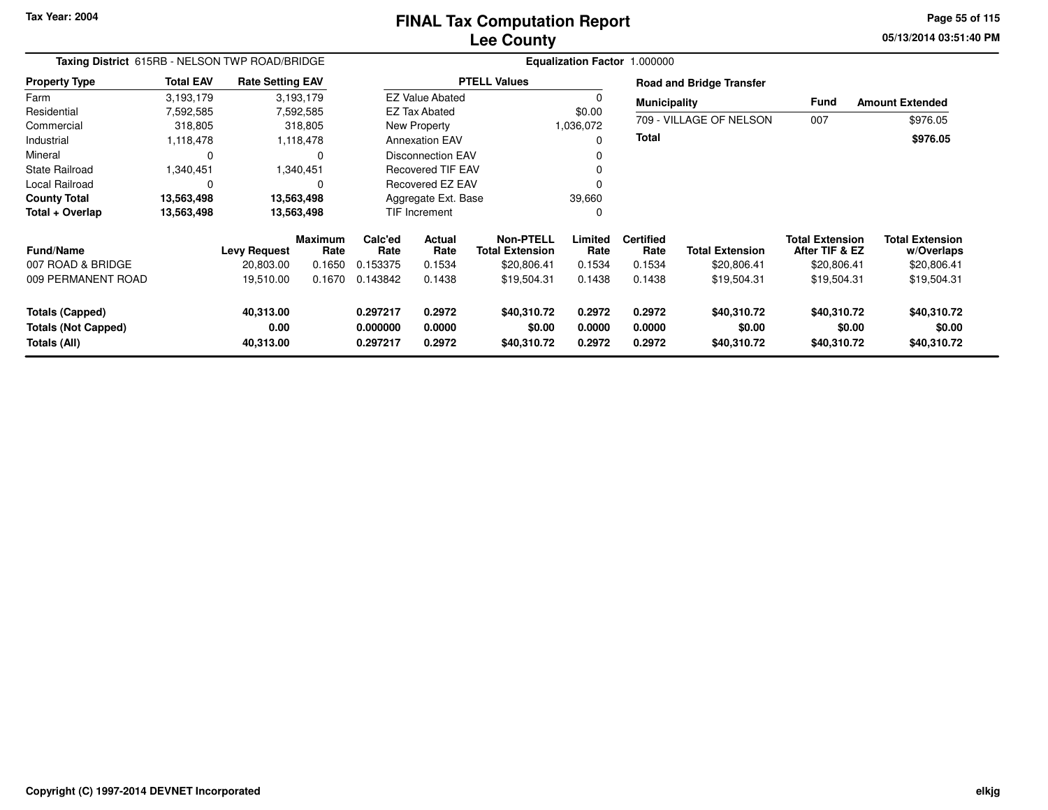# **Lee CountyFINAL Tax Computation Report**

**05/13/2014 03:51:40 PM Page 55 of 115**

| Taxing District 615RB - NELSON TWP ROAD/BRIDGE                       |                  |                                |                        | Equalization Factor 1.000000     |                                                   |                                            |                            |                            |                                      |                                          |                                      |
|----------------------------------------------------------------------|------------------|--------------------------------|------------------------|----------------------------------|---------------------------------------------------|--------------------------------------------|----------------------------|----------------------------|--------------------------------------|------------------------------------------|--------------------------------------|
| <b>Property Type</b>                                                 | <b>Total EAV</b> | <b>Rate Setting EAV</b>        |                        |                                  |                                                   | <b>PTELL Values</b>                        |                            |                            | <b>Road and Bridge Transfer</b>      |                                          |                                      |
| Farm                                                                 | 3,193,179        |                                | 3,193,179              |                                  | <b>EZ Value Abated</b>                            |                                            |                            | <b>Municipality</b>        |                                      | <b>Fund</b>                              | <b>Amount Extended</b>               |
| Residential                                                          | 7,592,585        |                                | 7,592,585              |                                  | <b>EZ Tax Abated</b>                              |                                            | \$0.00                     |                            |                                      |                                          |                                      |
| Commercial                                                           | 318,805          |                                | 318,805                |                                  | New Property                                      |                                            | 1,036,072                  |                            | 709 - VILLAGE OF NELSON              | 007                                      | \$976.05                             |
| Industrial                                                           | 1,118,478        |                                | 1,118,478              |                                  | <b>Annexation EAV</b><br><b>Disconnection EAV</b> |                                            |                            |                            |                                      |                                          | \$976.05                             |
| Mineral                                                              | $\Omega$         |                                | 0                      |                                  |                                                   |                                            |                            |                            |                                      |                                          |                                      |
| <b>State Railroad</b>                                                | 1,340,451        |                                | 1,340,451              |                                  | <b>Recovered TIF EAV</b>                          |                                            |                            |                            |                                      |                                          |                                      |
| Local Railroad                                                       | $\Omega$         |                                | 0                      |                                  | Recovered EZ EAV                                  |                                            |                            |                            |                                      |                                          |                                      |
| <b>County Total</b>                                                  | 13,563,498       |                                | 13,563,498             |                                  | Aggregate Ext. Base                               |                                            | 39,660                     |                            |                                      |                                          |                                      |
| Total + Overlap                                                      | 13,563,498       |                                | 13,563,498             |                                  | <b>TIF Increment</b>                              |                                            | 0                          |                            |                                      |                                          |                                      |
| <b>Fund/Name</b>                                                     |                  | <b>Levy Request</b>            | <b>Maximum</b><br>Rate | Calc'ed<br>Rate                  | Actual<br>Rate                                    | <b>Non-PTELL</b><br><b>Total Extension</b> | Limited<br>Rate            | <b>Certified</b><br>Rate   | <b>Total Extension</b>               | <b>Total Extension</b><br>After TIF & EZ | <b>Total Extension</b><br>w/Overlaps |
| 007 ROAD & BRIDGE                                                    |                  | 20,803.00                      | 0.1650                 | 0.153375                         | 0.1534                                            | \$20,806.41                                | 0.1534                     | 0.1534                     | \$20,806.41                          | \$20,806.41                              | \$20,806.41                          |
| 009 PERMANENT ROAD                                                   |                  | 19,510.00                      | 0.1670                 | 0.143842                         | 0.1438                                            | \$19,504.31                                | 0.1438                     | 0.1438                     | \$19,504.31                          | \$19,504.31                              | \$19,504.31                          |
| <b>Totals (Capped)</b><br><b>Totals (Not Capped)</b><br>Totals (All) |                  | 40,313.00<br>0.00<br>40,313.00 |                        | 0.297217<br>0.000000<br>0.297217 | 0.2972<br>0.0000<br>0.2972                        | \$40,310.72<br>\$0.00<br>\$40,310.72       | 0.2972<br>0.0000<br>0.2972 | 0.2972<br>0.0000<br>0.2972 | \$40,310.72<br>\$0.00<br>\$40,310.72 | \$40,310.72<br>\$0.00<br>\$40,310.72     | \$40,310.72<br>\$0.00<br>\$40,310.72 |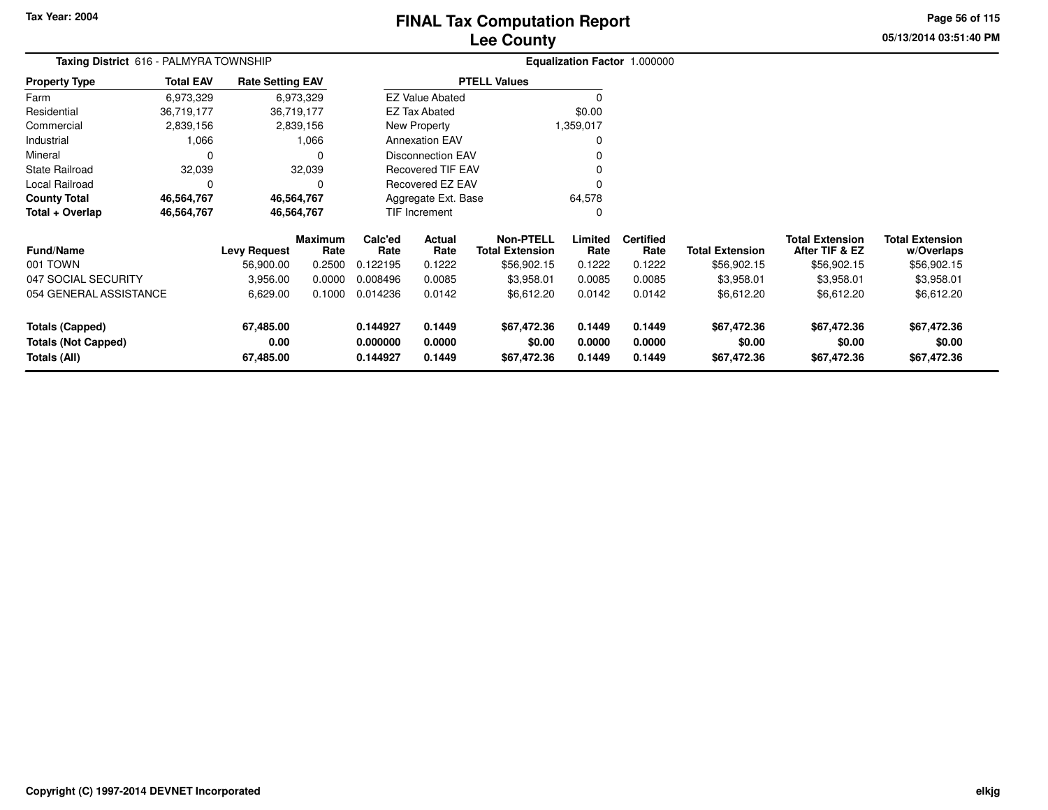# **Lee CountyFINAL Tax Computation Report**

**05/13/2014 03:51:40 PM Page 56 of 115**

| <b>Total EAV</b> |                                |                                        |                                                                                                                           |                            |                                                                         |                                                                                                                                                  |                            |                                      |                                          |                                      |
|------------------|--------------------------------|----------------------------------------|---------------------------------------------------------------------------------------------------------------------------|----------------------------|-------------------------------------------------------------------------|--------------------------------------------------------------------------------------------------------------------------------------------------|----------------------------|--------------------------------------|------------------------------------------|--------------------------------------|
| 6,973,329        |                                |                                        |                                                                                                                           |                            |                                                                         |                                                                                                                                                  |                            |                                      |                                          |                                      |
| 36,719,177       |                                |                                        |                                                                                                                           |                            |                                                                         | \$0.00                                                                                                                                           |                            |                                      |                                          |                                      |
| 2,839,156        |                                |                                        |                                                                                                                           |                            |                                                                         |                                                                                                                                                  |                            |                                      |                                          |                                      |
| 1,066            |                                |                                        |                                                                                                                           |                            |                                                                         |                                                                                                                                                  |                            |                                      |                                          |                                      |
| 0                |                                | 0                                      |                                                                                                                           |                            |                                                                         |                                                                                                                                                  |                            |                                      |                                          |                                      |
| 32,039           |                                |                                        |                                                                                                                           |                            |                                                                         |                                                                                                                                                  |                            |                                      |                                          |                                      |
| 0                |                                |                                        |                                                                                                                           |                            |                                                                         |                                                                                                                                                  |                            |                                      |                                          |                                      |
| 46,564,767       |                                |                                        |                                                                                                                           |                            |                                                                         | 64,578                                                                                                                                           |                            |                                      |                                          |                                      |
| 46,564,767       |                                |                                        |                                                                                                                           |                            |                                                                         |                                                                                                                                                  |                            |                                      |                                          |                                      |
|                  | <b>Levy Request</b>            | Rate                                   | Calc'ed<br>Rate                                                                                                           | Actual<br>Rate             | <b>Non-PTELL</b><br><b>Total Extension</b>                              | Limited<br>Rate                                                                                                                                  | <b>Certified</b><br>Rate   | <b>Total Extension</b>               | <b>Total Extension</b><br>After TIF & EZ | <b>Total Extension</b><br>w/Overlaps |
|                  | 56,900.00                      | 0.2500                                 | 0.122195                                                                                                                  | 0.1222                     | \$56,902.15                                                             | 0.1222                                                                                                                                           | 0.1222                     | \$56,902.15                          | \$56,902.15                              | \$56,902.15                          |
|                  | 3,956.00                       | 0.0000                                 | 0.008496                                                                                                                  | 0.0085                     | \$3,958.01                                                              | 0.0085                                                                                                                                           | 0.0085                     | \$3,958.01                           | \$3,958.01                               | \$3,958.01                           |
|                  | 6,629.00                       | 0.1000                                 | 0.014236                                                                                                                  | 0.0142                     | \$6,612.20                                                              | 0.0142                                                                                                                                           | 0.0142                     | \$6,612.20                           | \$6,612.20                               | \$6,612.20                           |
|                  | 67,485.00<br>0.00<br>67,485.00 |                                        | 0.144927<br>0.000000<br>0.144927                                                                                          | 0.1449<br>0.0000<br>0.1449 | \$67,472.36<br>\$0.00<br>\$67,472.36                                    | 0.1449<br>0.0000<br>0.1449                                                                                                                       | 0.1449<br>0.0000<br>0.1449 | \$67,472.36<br>\$0.00<br>\$67,472.36 | \$67,472.36<br>\$0.00<br>\$67,472.36     | \$67,472.36<br>\$0.00<br>\$67,472.36 |
|                  | 054 GENERAL ASSISTANCE         | Taxing District 616 - PALMYRA TOWNSHIP | <b>Rate Setting EAV</b><br>6,973,329<br>36,719,177<br>2,839,156<br>1,066<br>32,039<br>46,564,767<br>46,564,767<br>Maximum |                            | EZ Tax Abated<br>New Property<br><b>Annexation EAV</b><br>TIF Increment | <b>PTELL Values</b><br><b>EZ Value Abated</b><br><b>Disconnection EAV</b><br>Recovered TIF EAV<br><b>Recovered EZ EAV</b><br>Aggregate Ext. Base | 1,359,017                  |                                      | Equalization Factor 1.000000             |                                      |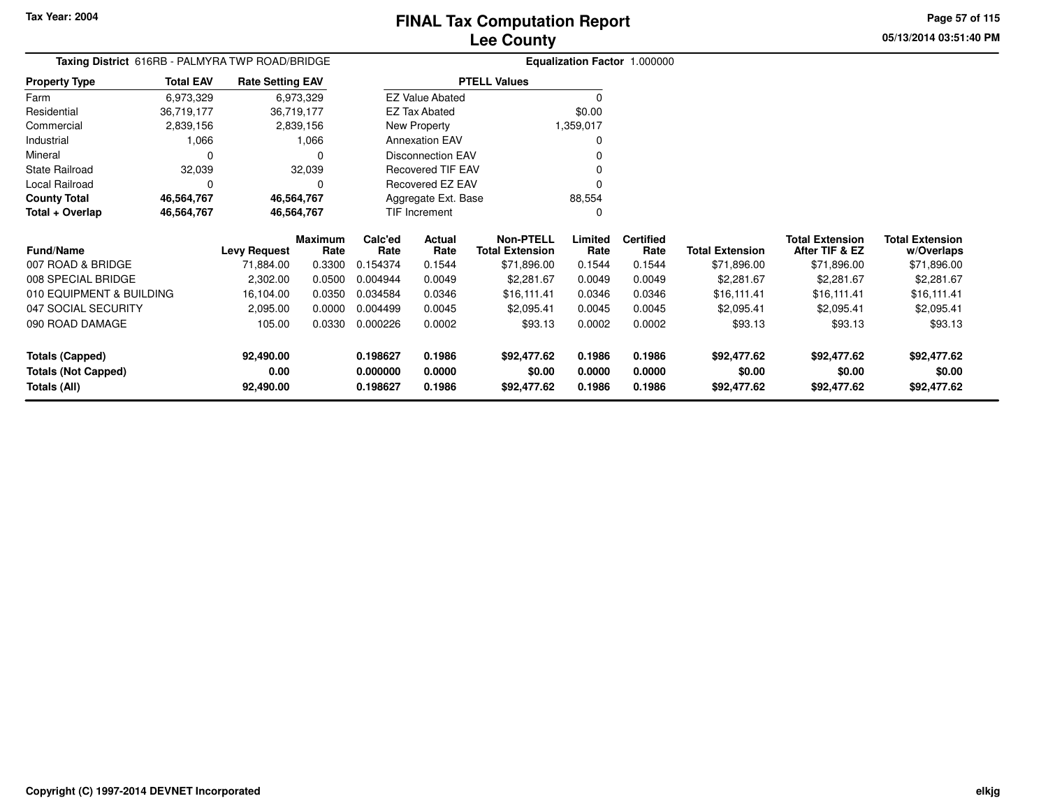**05/13/2014 03:51:40 PMPage 57 of 115**

#### **Equalization Factor** 1.000000 **Taxing District** 616RB - PALMYRA TWP ROAD/BRIDGE**Property Type**36,719,177 36,719,177 2,839,156 Farm ResidentialCommercial 2,839,156 2,839,1561,066 Industrial 1,066 0 Mineral 0 032,039 State Railroad 32,039  $\mathbf 0$ Local Railroad 0 0 46,564,767 **County Total 46,564,767 46,564,767**46,564,767 **Total + Overlap 46,564,767 46,564,767** 6,973,32936,719,177 **Fund/Name Levy Request Rate Limited Certified** Rate **w/Overlaps** \$71,896.00 **Total ExtensionAfter TIF & EZ** \$71,896.00 **Total ExtensionRate Total Extension Rate Total Extension**\$71,896.00 **Maximum Calc'ed Rate**0.154374 **Actual RateNon-PTELL**\$71,896.00 007 ROAD & BRIDGE 71,884.00 0.3300 0.154374 0.1544 \$71,896.00 0.1544 0.1544 \$71,896.00 \$71,896.00 \$71,896.00 008 SPECIAL BRIDGE 2,302.00 0.0500 0.004944 0.0049 \$2,281.67 0.0049 0.0049 \$2,281.67 \$2,281.67 \$2,281.67 010 EQUIPMENT & BUILDING 16,104.00 0.0350 0.034584 0.0346 \$16,111.41 0.0346 0.0346 \$16,111.41 \$16,111.41 \$16,111.41 047 SOCIAL SECURITY 2,095.00 0.0000 0.004499 0.0045 \$2,095.41 0.0045 0.0045 \$2,095.41 \$2,095.41 \$2,095.41 090 ROAD DAMAGEE 105.00 0.0330 0.000226 0.0002 \$93.13 \$93.13 \$93.13 \$93.13 **Totals (Capped) 92,490.00 0.198627 0.1986 \$92,477.62 0.1986 0.1986 \$92,477.62 \$92,477.62 \$92,477.62 Totals (Not Capped) 0.00 0.000000 0.0000 \$0.00 0.0000 0.0000 \$0.00 \$0.00 \$0.00 Totals (All) 92,490.00 0.198627 0.1986 \$92,477.62 0.1986 0.1986 \$92,477.62 \$92,477.62 \$92,477.62** 6,973,329**Total EAVRate Setting EAV PTELL Values**  $\overline{\overline{0}}$  \$0.00 1,359,017 $\mathbf 0$ Annexation EAV v o Disconnection EAV $\sim$  0 Recovered TIF EAV0 v Recovered EZ EAV <sup>0</sup> 88,554 $\mathbf{0}$ New Property EZ Tax AbatedEZ Value AbatedAggregate Ext. BaseTIF Increment0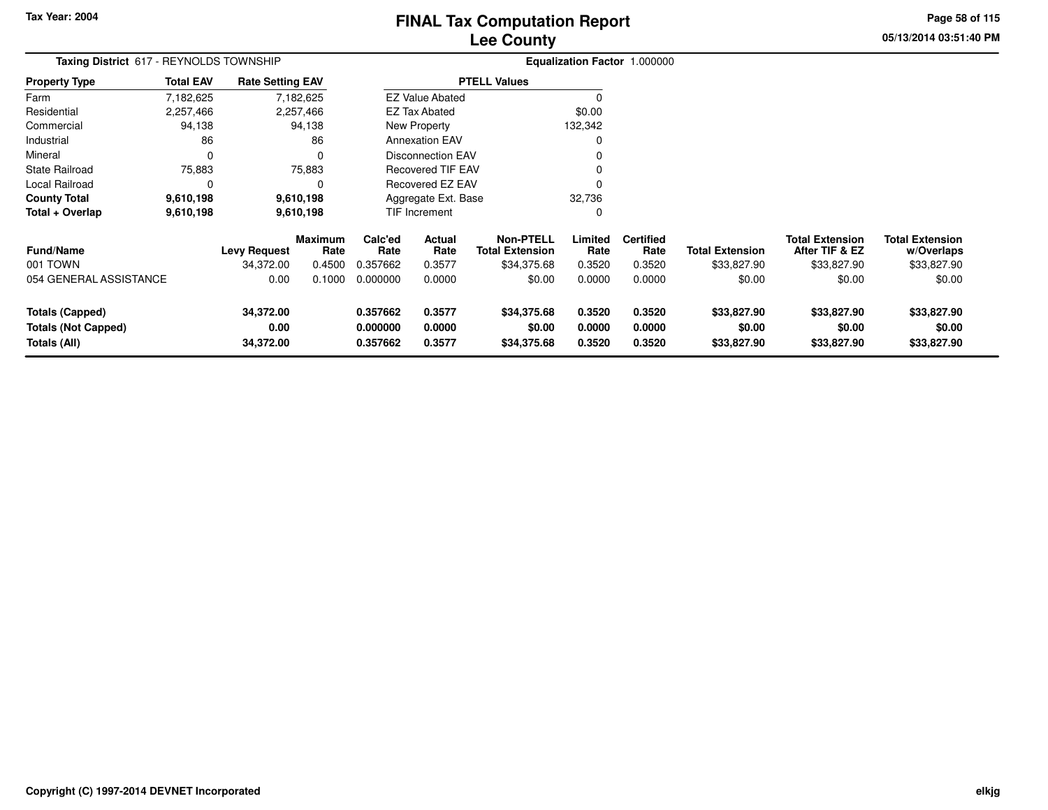# **Lee CountyFINAL Tax Computation Report**

**05/13/2014 03:51:40 PM Page 58 of 115**

| Taxing District 617 - REYNOLDS TOWNSHIP                              |                  |                                |                        |                                  |                            |                                            |                            | Equalization Factor 1.000000 |                                      |                                          |                                      |
|----------------------------------------------------------------------|------------------|--------------------------------|------------------------|----------------------------------|----------------------------|--------------------------------------------|----------------------------|------------------------------|--------------------------------------|------------------------------------------|--------------------------------------|
| <b>Property Type</b>                                                 | <b>Total EAV</b> | <b>Rate Setting EAV</b>        |                        |                                  |                            | <b>PTELL Values</b>                        |                            |                              |                                      |                                          |                                      |
| Farm                                                                 | 7,182,625        |                                | 7,182,625              |                                  | <b>EZ Value Abated</b>     |                                            | 0                          |                              |                                      |                                          |                                      |
| Residential                                                          | 2,257,466        |                                | 2,257,466              |                                  | <b>EZ Tax Abated</b>       |                                            | \$0.00                     |                              |                                      |                                          |                                      |
| Commercial                                                           | 94,138           |                                | 94,138                 |                                  | New Property               |                                            | 132,342                    |                              |                                      |                                          |                                      |
| Industrial                                                           | 86               |                                | 86                     |                                  | <b>Annexation EAV</b>      |                                            | 0                          |                              |                                      |                                          |                                      |
| Mineral                                                              | 0                |                                | $\Omega$               |                                  | <b>Disconnection EAV</b>   |                                            |                            |                              |                                      |                                          |                                      |
| <b>State Railroad</b>                                                | 75,883           |                                | 75,883                 |                                  | <b>Recovered TIF EAV</b>   |                                            |                            |                              |                                      |                                          |                                      |
| Local Railroad                                                       | 0                |                                | $\Omega$               |                                  | Recovered EZ EAV           |                                            | 0                          |                              |                                      |                                          |                                      |
| <b>County Total</b>                                                  | 9,610,198        |                                | 9,610,198              |                                  | Aggregate Ext. Base        |                                            | 32,736                     |                              |                                      |                                          |                                      |
| Total + Overlap                                                      | 9,610,198        |                                | 9,610,198              |                                  | TIF Increment              |                                            | 0                          |                              |                                      |                                          |                                      |
| <b>Fund/Name</b>                                                     |                  | <b>Levy Request</b>            | <b>Maximum</b><br>Rate | Calc'ed<br>Rate                  | Actual<br>Rate             | <b>Non-PTELL</b><br><b>Total Extension</b> | Limited<br>Rate            | <b>Certified</b><br>Rate     | <b>Total Extension</b>               | <b>Total Extension</b><br>After TIF & EZ | <b>Total Extension</b><br>w/Overlaps |
| 001 TOWN                                                             |                  | 34,372.00                      | 0.4500                 | 0.357662                         | 0.3577                     | \$34,375.68                                | 0.3520                     | 0.3520                       | \$33,827.90                          | \$33,827.90                              | \$33,827.90                          |
| 054 GENERAL ASSISTANCE                                               |                  | 0.00                           | 0.1000                 | 0.000000                         | 0.0000                     | \$0.00                                     | 0.0000                     | 0.0000                       | \$0.00                               | \$0.00                                   | \$0.00                               |
| <b>Totals (Capped)</b><br><b>Totals (Not Capped)</b><br>Totals (All) |                  | 34,372.00<br>0.00<br>34,372.00 |                        | 0.357662<br>0.000000<br>0.357662 | 0.3577<br>0.0000<br>0.3577 | \$34,375.68<br>\$0.00<br>\$34,375.68       | 0.3520<br>0.0000<br>0.3520 | 0.3520<br>0.0000<br>0.3520   | \$33,827.90<br>\$0.00<br>\$33,827.90 | \$33,827.90<br>\$0.00<br>\$33,827.90     | \$33,827.90<br>\$0.00<br>\$33,827.90 |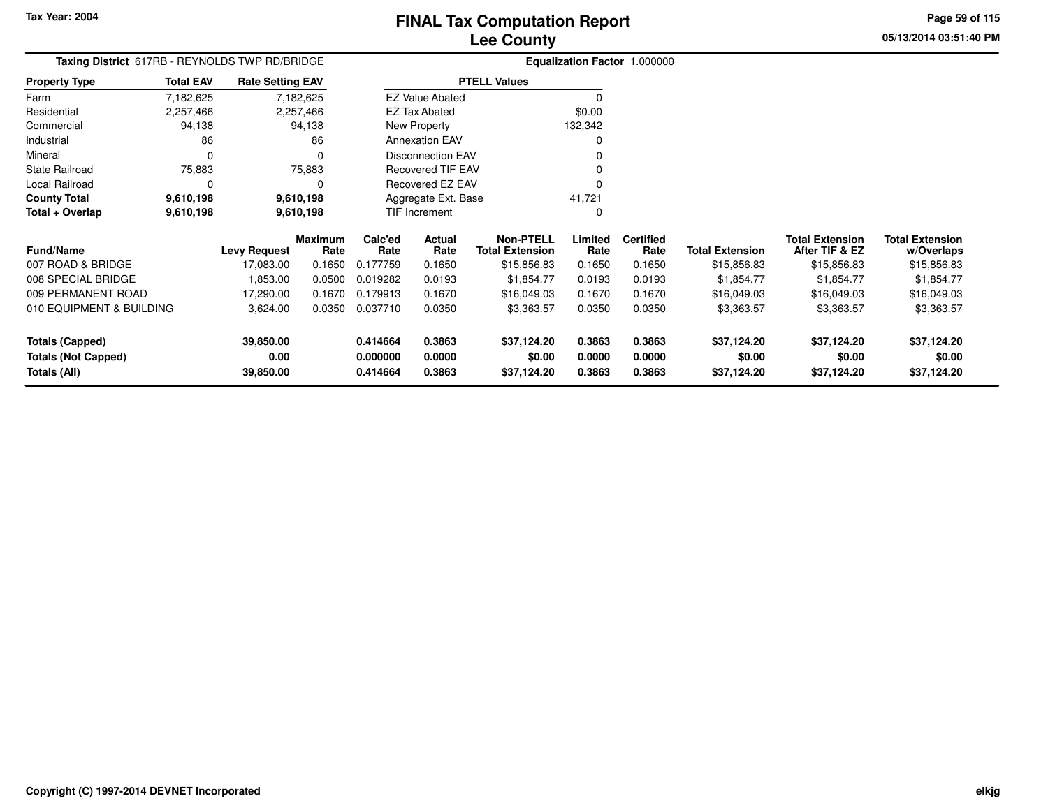**Property Type**

**Total + Overlap**

007 ROAD & BRIDGE

008 SPECIAL BRIDGE

**Totals (Capped)**

**Totals (All)**

**Totals (Not Capped)**

009 PERMANENT ROAD

010 EQUIPMENT & BUILDING

**Fund/Name**

0 0

**9,610,198 9,610,198**

State Railroad 75,883

Local Railroad 0 0

**County Total 9,610,198 9,610,198**

75,883

9,610,198

9,610,198

**39,850.00**

**39,850.00**

**0.00**

 $\mathbf 0$ 

**Maximum**

**Levy Request Rate**

 **Calc'ed Rate**0.177759 **ActualRate**

Recovered TIF EAV

Recovered EZ EAV

Aggregate Ext. BaseTIF Increment

**Rate**

FarmResidential

Mineral

# **Lee CountyFINAL Tax Computation Report**

**Limited Certified** Rate

41,721 $\mathbf{0}$ 

**0.414664 0.3863 \$37,124.20 0.3863 0.3863 \$37,124.20 \$37,124.20 \$37,124.20**

**0.000000 0.0000 \$0.00 0.0000 0.0000 \$0.00 \$0.00 \$0.00**

**0.414664 0.3863 \$37,124.20 0.3863 0.3863 \$37,124.20 \$37,124.20 \$37,124.20**

**Total Extension Rate Total Extension**

17,083.00 0.1650 0.177759 0.1650 \$15,856.83 0.1650 0.1650 \$15,856.83 \$15,856.83 \$15,856.83

1,853.00 0.0500 0.019282 0.0193 \$1,854.77 0.0193 0.0193 \$1,854.77 \$1,854.77 \$1,854.77

17,290.00 0.1670 0.179913 0.1670 \$16,049.03 0.1670 0.1670 \$16,049.03 \$16,049.03 \$16,049.03

G 3,624.00 0.0350 0.037710 0.0350 \$3,363.57 0.0350 0.0350 \$3,363.57 \$3,363.57 \$3,363.57

**Non-PTELL**\$15,856.83

0

 $\sim$  0

0 v

<sup>0</sup>

**05/13/2014 03:51:40 PMPage 59 of 115**

> **w/Overlaps** \$15,856.83

**Total Extension**

**After TIF & EZ** \$15,856.83

**Total Extension**

\$15,856.83

#### **Equalization Factor** 1.000000 **Taxing District** 617RB - REYNOLDS TWP RD/BRIDGE2,257,466 2,257,466 94,138 Commercial 94,138 94,13886 Industrial 86  $\mathbf 0$ 7,182,6252,257,466 7,182,625**Total EAVRate Setting EAV PTELL Values**  $\overline{\overline{0}}$  \$0.00 132,342 $\mathbf 0$ Annexation EAV v o Disconnection EAVNew Property EZ Tax AbatedEZ Value Abated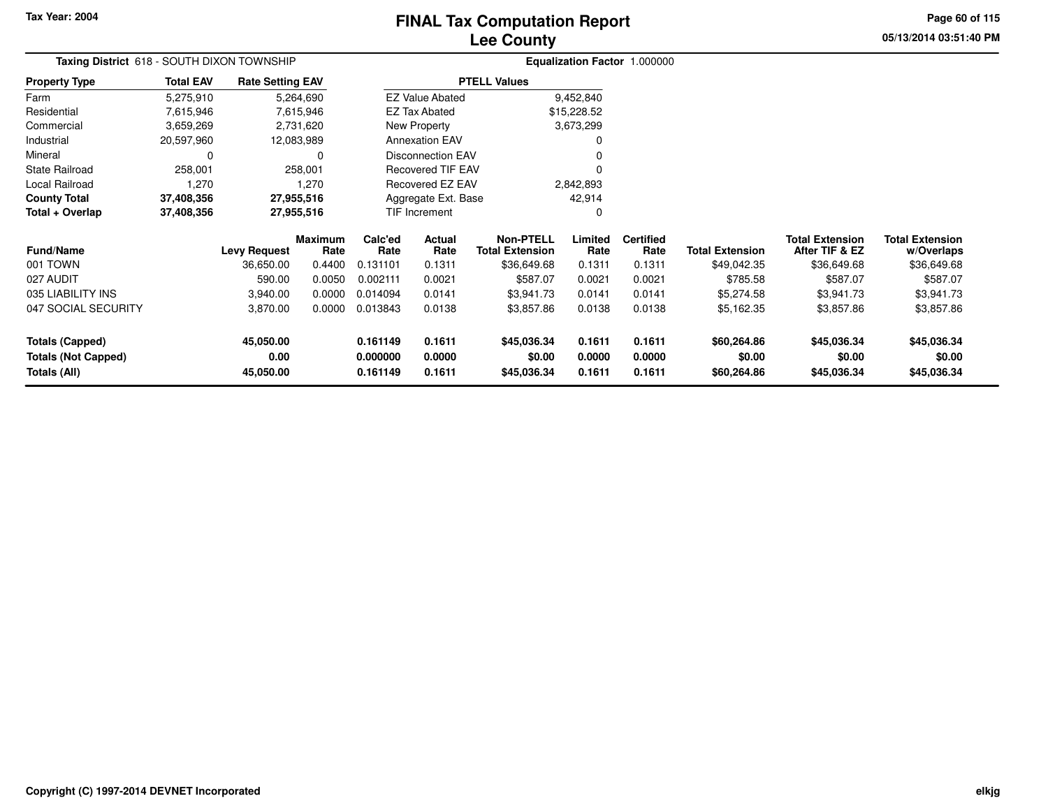# **Lee CountyFINAL Tax Computation Report**

**05/13/2014 03:51:40 PM Page 60 of 115**

| Taxing District 618 - SOUTH DIXON TOWNSHIP |                  |                         |                 |                 |                          |                                            |                 | Equalization Factor 1.000000 |                        |                                          |                                      |
|--------------------------------------------|------------------|-------------------------|-----------------|-----------------|--------------------------|--------------------------------------------|-----------------|------------------------------|------------------------|------------------------------------------|--------------------------------------|
| <b>Property Type</b>                       | <b>Total EAV</b> | <b>Rate Setting EAV</b> |                 |                 |                          | <b>PTELL Values</b>                        |                 |                              |                        |                                          |                                      |
| Farm                                       | 5,275,910        |                         | 5,264,690       |                 | <b>EZ Value Abated</b>   |                                            | 9,452,840       |                              |                        |                                          |                                      |
| Residential                                | 7,615,946        |                         | 7,615,946       |                 | <b>EZ Tax Abated</b>     |                                            | \$15,228.52     |                              |                        |                                          |                                      |
| Commercial                                 | 3,659,269        |                         | 2,731,620       |                 | New Property             |                                            | 3,673,299       |                              |                        |                                          |                                      |
| Industrial                                 | 20,597,960       | 12,083,989              |                 |                 | <b>Annexation EAV</b>    |                                            |                 |                              |                        |                                          |                                      |
| Mineral                                    | 0                |                         | 0               |                 | <b>Disconnection EAV</b> |                                            |                 |                              |                        |                                          |                                      |
| <b>State Railroad</b>                      | 258,001          |                         | 258,001         |                 | <b>Recovered TIF EAV</b> |                                            |                 |                              |                        |                                          |                                      |
| Local Railroad                             | 1,270            |                         | 1,270           |                 | Recovered EZ EAV         |                                            | 2,842,893       |                              |                        |                                          |                                      |
| <b>County Total</b>                        | 37,408,356       | 27,955,516              |                 |                 | Aggregate Ext. Base      |                                            | 42,914          |                              |                        |                                          |                                      |
| Total + Overlap                            | 37,408,356       | 27,955,516              |                 |                 | TIF Increment            |                                            | 0               |                              |                        |                                          |                                      |
| Fund/Name                                  |                  | <b>Levy Request</b>     | Maximum<br>Rate | Calc'ed<br>Rate | Actual<br>Rate           | <b>Non-PTELL</b><br><b>Total Extension</b> | Limited<br>Rate | <b>Certified</b><br>Rate     | <b>Total Extension</b> | <b>Total Extension</b><br>After TIF & EZ | <b>Total Extension</b><br>w/Overlaps |
| 001 TOWN                                   |                  | 36,650.00               | 0.4400          | 0.131101        | 0.1311                   | \$36,649.68                                | 0.1311          | 0.1311                       | \$49,042.35            | \$36,649.68                              | \$36,649.68                          |
| 027 AUDIT                                  |                  | 590.00                  | 0.0050          | 0.002111        | 0.0021                   | \$587.07                                   | 0.0021          | 0.0021                       | \$785.58               | \$587.07                                 | \$587.07                             |
| 035 LIABILITY INS                          |                  | 3,940.00                | 0.0000          | 0.014094        | 0.0141                   | \$3,941.73                                 | 0.0141          | 0.0141                       | \$5,274.58             | \$3,941.73                               | \$3,941.73                           |
| 047 SOCIAL SECURITY                        |                  | 3,870.00                | 0.0000          | 0.013843        | 0.0138                   | \$3,857.86                                 | 0.0138          | 0.0138                       | \$5,162.35             | \$3,857.86                               | \$3,857.86                           |
| <b>Totals (Capped)</b>                     |                  | 45,050.00               |                 | 0.161149        | 0.1611                   | \$45,036.34                                | 0.1611          | 0.1611                       | \$60,264.86            | \$45,036.34                              | \$45,036.34                          |
| <b>Totals (Not Capped)</b>                 |                  | 0.00                    |                 | 0.000000        | 0.0000                   | \$0.00                                     | 0.0000          | 0.0000                       | \$0.00                 | \$0.00                                   | \$0.00                               |
| <b>Totals (All)</b>                        |                  | 45,050.00               |                 | 0.161149        | 0.1611                   | \$45,036.34                                | 0.1611          | 0.1611                       | \$60,264.86            | \$45,036.34                              | \$45,036.34                          |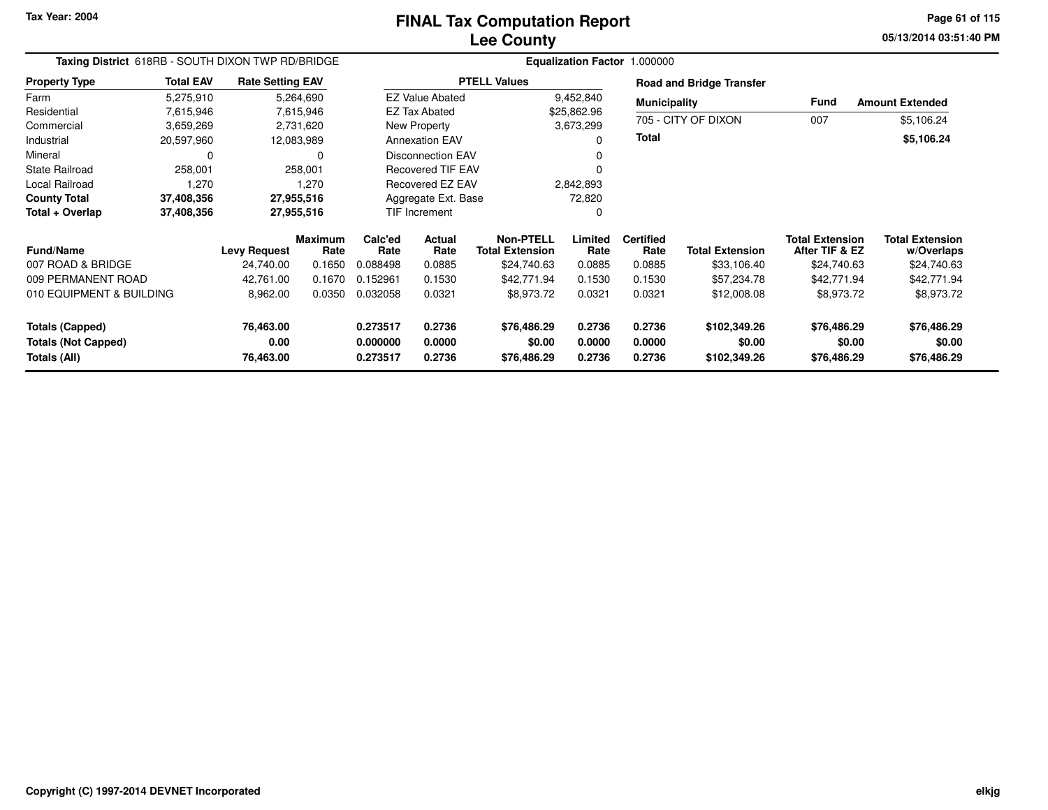**05/13/2014 03:51:40 PMPage 61 of 115**

| Taxing District 618RB - SOUTH DIXON TWP RD/BRIDGE    |                  |                         |                        |                      |                          |                                            |                  | Equalization Factor 1.000000 |                                 |                                          |                                      |
|------------------------------------------------------|------------------|-------------------------|------------------------|----------------------|--------------------------|--------------------------------------------|------------------|------------------------------|---------------------------------|------------------------------------------|--------------------------------------|
| <b>Property Type</b>                                 | <b>Total EAV</b> | <b>Rate Setting EAV</b> |                        |                      |                          | <b>PTELL Values</b>                        |                  |                              | <b>Road and Bridge Transfer</b> |                                          |                                      |
| Farm                                                 | 5,275,910        |                         | 5,264,690              |                      | <b>EZ Value Abated</b>   |                                            | 9,452,840        | <b>Municipality</b>          |                                 | Fund                                     | <b>Amount Extended</b>               |
| Residential                                          | 7,615,946        |                         | 7,615,946              |                      | <b>EZ Tax Abated</b>     |                                            | \$25,862.96      |                              |                                 |                                          |                                      |
| Commercial                                           | 3,659,269        |                         | 2,731,620              |                      | New Property             |                                            | 3,673,299        |                              | 705 - CITY OF DIXON             | 007                                      | \$5,106.24                           |
| Industrial                                           | 20,597,960       |                         | 12,083,989             |                      | <b>Annexation EAV</b>    |                                            | $\Omega$         | Total                        |                                 |                                          | \$5,106.24                           |
| Mineral                                              | 0                |                         | 0                      |                      | <b>Disconnection EAV</b> |                                            |                  |                              |                                 |                                          |                                      |
| <b>State Railroad</b>                                | 258,001          |                         | 258,001                |                      | <b>Recovered TIF EAV</b> |                                            |                  |                              |                                 |                                          |                                      |
| Local Railroad                                       | 1,270            |                         | 1,270                  |                      | Recovered EZ EAV         |                                            | 2,842,893        |                              |                                 |                                          |                                      |
| <b>County Total</b>                                  | 37,408,356       |                         | 27,955,516             |                      | Aggregate Ext. Base      |                                            | 72,820           |                              |                                 |                                          |                                      |
| Total + Overlap                                      | 37,408,356       |                         | 27,955,516             |                      | <b>TIF Increment</b>     |                                            | 0                |                              |                                 |                                          |                                      |
| <b>Fund/Name</b>                                     |                  | <b>Levy Request</b>     | <b>Maximum</b><br>Rate | Calc'ed<br>Rate      | Actual<br>Rate           | <b>Non-PTELL</b><br><b>Total Extension</b> | Limited<br>Rate  | <b>Certified</b><br>Rate     | <b>Total Extension</b>          | <b>Total Extension</b><br>After TIF & EZ | <b>Total Extension</b><br>w/Overlaps |
| 007 ROAD & BRIDGE                                    |                  | 24,740.00               | 0.1650                 | 0.088498             | 0.0885                   | \$24,740.63                                | 0.0885           | 0.0885                       | \$33,106.40                     | \$24,740.63                              | \$24,740.63                          |
| 009 PERMANENT ROAD                                   |                  | 42,761.00               | 0.1670                 | 0.152961             | 0.1530                   | \$42,771.94                                | 0.1530           | 0.1530                       | \$57,234.78                     | \$42,771.94                              | \$42,771.94                          |
| 010 EQUIPMENT & BUILDING                             |                  | 8,962.00                | 0.0350                 | 0.032058             | 0.0321                   | \$8,973.72                                 | 0.0321           | 0.0321                       | \$12,008.08                     | \$8,973.72                               | \$8,973.72                           |
| <b>Totals (Capped)</b><br><b>Totals (Not Capped)</b> |                  | 76,463.00<br>0.00       |                        | 0.273517<br>0.000000 | 0.2736<br>0.0000         | \$76,486.29<br>\$0.00                      | 0.2736<br>0.0000 | 0.2736<br>0.0000             | \$102,349.26<br>\$0.00          | \$76,486.29<br>\$0.00                    | \$76,486.29<br>\$0.00                |
| Totals (All)                                         |                  | 76,463.00               |                        | 0.273517             | 0.2736                   | \$76,486.29                                | 0.2736           | 0.2736                       | \$102,349.26                    | \$76,486.29                              | \$76,486.29                          |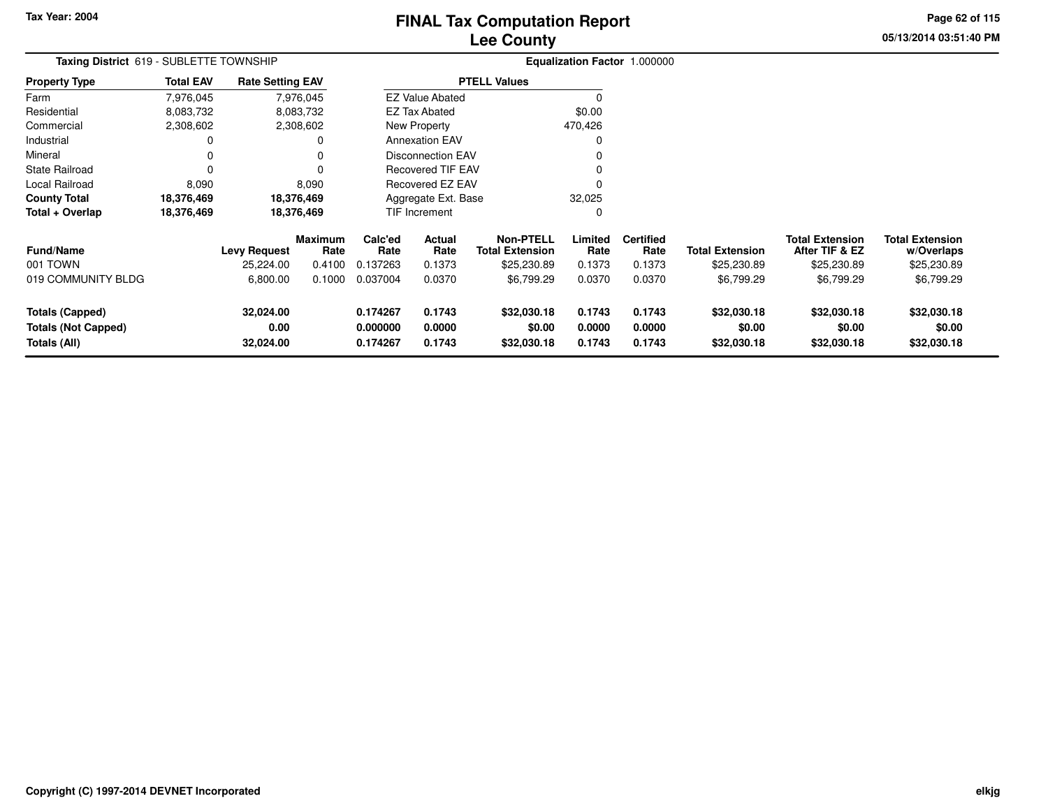# **Lee CountyFINAL Tax Computation Report**

**05/13/2014 03:51:40 PM Page 62 of 115**

| Taxing District 619 - SUBLETTE TOWNSHIP                              |                  |                                |                 |                                  |                            |                                            |                            | Equalization Factor 1.000000 |                                      |                                          |                                      |
|----------------------------------------------------------------------|------------------|--------------------------------|-----------------|----------------------------------|----------------------------|--------------------------------------------|----------------------------|------------------------------|--------------------------------------|------------------------------------------|--------------------------------------|
| <b>Property Type</b>                                                 | <b>Total EAV</b> | <b>Rate Setting EAV</b>        |                 |                                  |                            | <b>PTELL Values</b>                        |                            |                              |                                      |                                          |                                      |
| Farm                                                                 | 7,976,045        |                                | 7,976,045       |                                  | <b>EZ Value Abated</b>     |                                            | 0                          |                              |                                      |                                          |                                      |
| Residential                                                          | 8,083,732        |                                | 8,083,732       |                                  | <b>EZ Tax Abated</b>       |                                            | \$0.00                     |                              |                                      |                                          |                                      |
| Commercial                                                           | 2,308,602        |                                | 2,308,602       |                                  | New Property               |                                            | 470,426                    |                              |                                      |                                          |                                      |
| Industrial                                                           | 0                |                                | O               |                                  | <b>Annexation EAV</b>      |                                            | 0                          |                              |                                      |                                          |                                      |
| Mineral                                                              | 0                |                                |                 |                                  | <b>Disconnection EAV</b>   |                                            |                            |                              |                                      |                                          |                                      |
| State Railroad                                                       | 0                |                                |                 |                                  | <b>Recovered TIF EAV</b>   |                                            |                            |                              |                                      |                                          |                                      |
| Local Railroad                                                       | 8,090            |                                | 8,090           |                                  | Recovered EZ EAV           |                                            |                            |                              |                                      |                                          |                                      |
| County Total                                                         | 18,376,469       |                                | 18,376,469      |                                  | Aggregate Ext. Base        |                                            | 32,025                     |                              |                                      |                                          |                                      |
| Total + Overlap                                                      | 18,376,469       |                                | 18,376,469      |                                  | TIF Increment              |                                            | 0                          |                              |                                      |                                          |                                      |
| Fund/Name                                                            |                  | <b>Levy Request</b>            | Maximum<br>Rate | Calc'ed<br>Rate                  | Actual<br>Rate             | <b>Non-PTELL</b><br><b>Total Extension</b> | Limited<br>Rate            | <b>Certified</b><br>Rate     | <b>Total Extension</b>               | <b>Total Extension</b><br>After TIF & EZ | <b>Total Extension</b><br>w/Overlaps |
| 001 TOWN                                                             |                  | 25,224.00                      | 0.4100          | 0.137263                         | 0.1373                     | \$25,230.89                                | 0.1373                     | 0.1373                       | \$25,230.89                          | \$25,230.89                              | \$25,230.89                          |
| 019 COMMUNITY BLDG                                                   |                  | 6,800.00                       | 0.1000          | 0.037004                         | 0.0370                     | \$6,799.29                                 | 0.0370                     | 0.0370                       | \$6,799.29                           | \$6,799.29                               | \$6,799.29                           |
| <b>Totals (Capped)</b><br><b>Totals (Not Capped)</b><br>Totals (All) |                  | 32,024.00<br>0.00<br>32,024.00 |                 | 0.174267<br>0.000000<br>0.174267 | 0.1743<br>0.0000<br>0.1743 | \$32,030.18<br>\$0.00<br>\$32,030.18       | 0.1743<br>0.0000<br>0.1743 | 0.1743<br>0.0000<br>0.1743   | \$32,030.18<br>\$0.00<br>\$32,030.18 | \$32,030.18<br>\$0.00<br>\$32,030.18     | \$32,030.18<br>\$0.00<br>\$32,030.18 |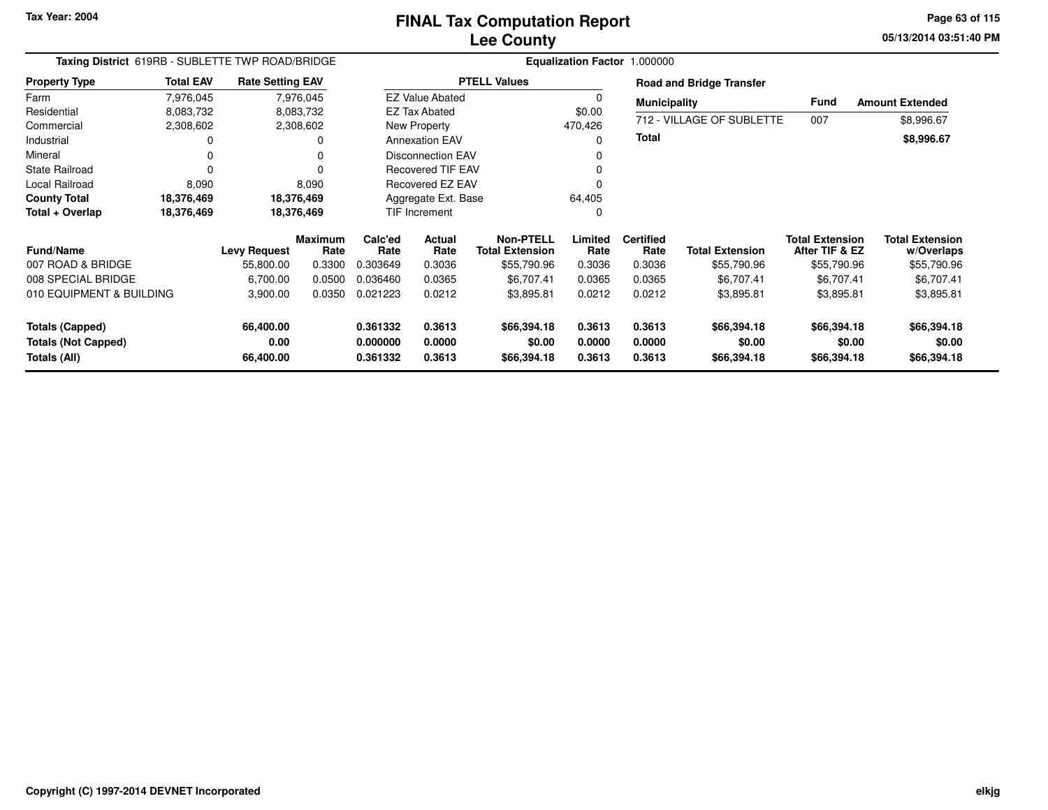**05/13/2014 03:51:40 PM Page 63 of 115**

| Taxing District 619RB - SUBLETTE TWP ROAD/BRIDGE |                  |                         |                        |                      |                          |                                            |                  | Equalization Factor 1.000000 |                                 |                                          |                                      |
|--------------------------------------------------|------------------|-------------------------|------------------------|----------------------|--------------------------|--------------------------------------------|------------------|------------------------------|---------------------------------|------------------------------------------|--------------------------------------|
| <b>Property Type</b>                             | <b>Total EAV</b> | <b>Rate Setting EAV</b> |                        |                      |                          | <b>PTELL Values</b>                        |                  |                              | <b>Road and Bridge Transfer</b> |                                          |                                      |
| Farm                                             | 7,976,045        |                         | 7,976,045              |                      | <b>EZ Value Abated</b>   |                                            | $\Omega$         | <b>Municipality</b>          |                                 | Fund                                     | <b>Amount Extended</b>               |
| Residential                                      | 8,083,732        |                         | 8,083,732              |                      | <b>EZ Tax Abated</b>     |                                            | \$0.00           |                              |                                 |                                          |                                      |
| Commercial                                       | 2,308,602        |                         | 2,308,602              |                      | New Property             |                                            | 470,426          |                              | 712 - VILLAGE OF SUBLETTE       | 007                                      | \$8,996.67                           |
| Industrial                                       |                  |                         | 0                      |                      | <b>Annexation EAV</b>    |                                            | $\Omega$         | Total                        |                                 |                                          | \$8,996.67                           |
| Mineral                                          |                  |                         | 0                      |                      | <b>Disconnection EAV</b> |                                            | 0                |                              |                                 |                                          |                                      |
| <b>State Railroad</b>                            | $\Omega$         |                         | 0                      |                      | <b>Recovered TIF EAV</b> |                                            | 0                |                              |                                 |                                          |                                      |
| Local Railroad                                   | 8,090            |                         | 8,090                  |                      | Recovered EZ EAV         |                                            | ŋ                |                              |                                 |                                          |                                      |
| <b>County Total</b>                              | 18,376,469       | 18,376,469              |                        |                      | Aggregate Ext. Base      |                                            | 64,405           |                              |                                 |                                          |                                      |
| Total + Overlap                                  | 18,376,469       | 18,376,469              |                        |                      | <b>TIF Increment</b>     |                                            | 0                |                              |                                 |                                          |                                      |
| <b>Fund/Name</b>                                 |                  | <b>Levy Request</b>     | <b>Maximum</b><br>Rate | Calc'ed<br>Rate      | <b>Actual</b><br>Rate    | <b>Non-PTELL</b><br><b>Total Extension</b> | Limited<br>Rate  | <b>Certified</b><br>Rate     | <b>Total Extension</b>          | <b>Total Extension</b><br>After TIF & EZ | <b>Total Extension</b><br>w/Overlaps |
| 007 ROAD & BRIDGE                                |                  | 55,800.00               | 0.3300                 | 0.303649             | 0.3036                   | \$55,790.96                                | 0.3036           | 0.3036                       | \$55,790.96                     | \$55,790.96                              | \$55,790.96                          |
| 008 SPECIAL BRIDGE                               |                  | 6,700.00                | 0.0500                 | 0.036460             | 0.0365                   | \$6,707.41                                 | 0.0365           | 0.0365                       | \$6,707.41                      | \$6,707.41                               | \$6,707.41                           |
| 010 EQUIPMENT & BUILDING                         |                  | 3,900.00                | 0.0350                 | 0.021223             | 0.0212                   | \$3,895.81                                 | 0.0212           | 0.0212                       | \$3,895.81                      | \$3,895.81                               | \$3,895.81                           |
| Totals (Capped)                                  |                  | 66,400.00               |                        | 0.361332             | 0.3613                   | \$66,394.18                                | 0.3613           | 0.3613                       | \$66,394.18                     | \$66,394.18                              | \$66,394.18                          |
| <b>Totals (Not Capped)</b><br>Totals (All)       |                  | 0.00<br>66,400.00       |                        | 0.000000<br>0.361332 | 0.0000<br>0.3613         | \$0.00<br>\$66,394.18                      | 0.0000<br>0.3613 | 0.0000<br>0.3613             | \$0.00<br>\$66,394.18           | \$0.00<br>\$66,394.18                    | \$0.00<br>\$66,394.18                |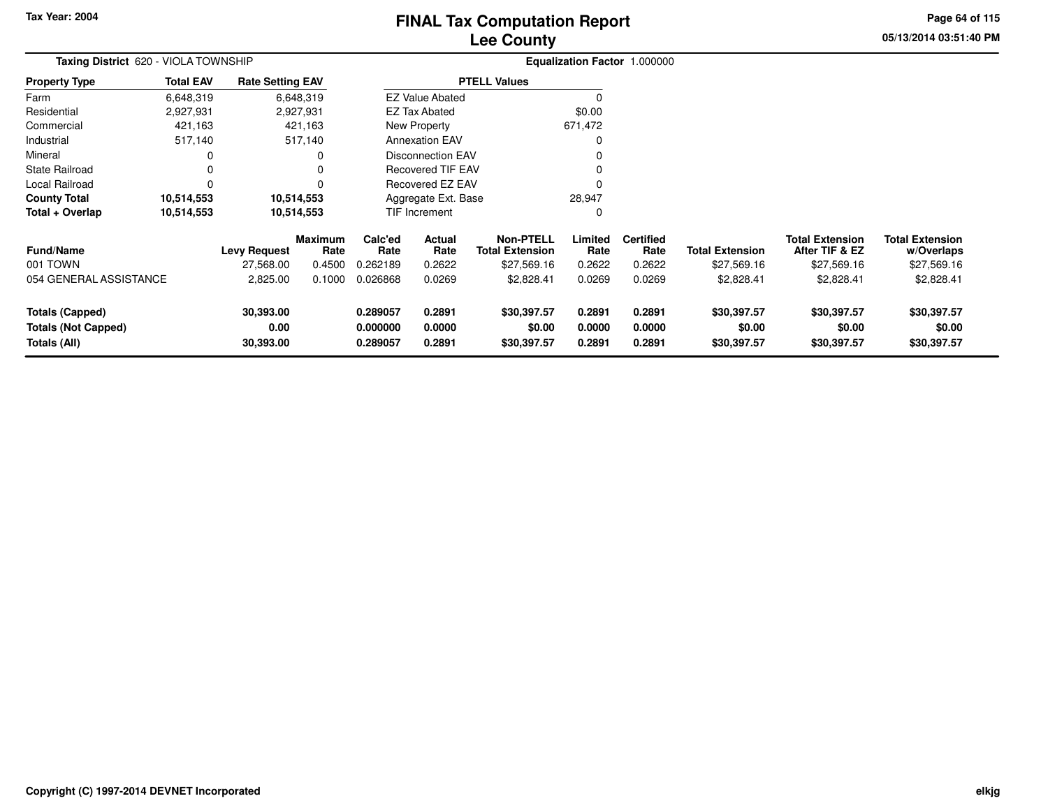# **Lee CountyFINAL Tax Computation Report**

**05/13/2014 03:51:40 PM Page 64 of 115**

| <b>Total EAV</b>       |                                |                                      |                                                                                                                       |                            |                                                                                |                                                                                                                                                         |                            |                                      |                                          |                                      |
|------------------------|--------------------------------|--------------------------------------|-----------------------------------------------------------------------------------------------------------------------|----------------------------|--------------------------------------------------------------------------------|---------------------------------------------------------------------------------------------------------------------------------------------------------|----------------------------|--------------------------------------|------------------------------------------|--------------------------------------|
| 6,648,319              |                                |                                      |                                                                                                                       |                            |                                                                                |                                                                                                                                                         |                            |                                      |                                          |                                      |
| 2,927,931              |                                |                                      |                                                                                                                       |                            |                                                                                | \$0.00                                                                                                                                                  |                            |                                      |                                          |                                      |
| 421,163                |                                |                                      |                                                                                                                       |                            |                                                                                | 671,472                                                                                                                                                 |                            |                                      |                                          |                                      |
| 517,140                |                                |                                      |                                                                                                                       |                            |                                                                                |                                                                                                                                                         |                            |                                      |                                          |                                      |
|                        |                                |                                      |                                                                                                                       |                            |                                                                                |                                                                                                                                                         |                            |                                      |                                          |                                      |
|                        |                                |                                      |                                                                                                                       |                            |                                                                                |                                                                                                                                                         |                            |                                      |                                          |                                      |
|                        |                                |                                      |                                                                                                                       |                            |                                                                                |                                                                                                                                                         |                            |                                      |                                          |                                      |
| 10,514,553             |                                |                                      |                                                                                                                       |                            |                                                                                | 28,947                                                                                                                                                  |                            |                                      |                                          |                                      |
| 10,514,553             |                                |                                      |                                                                                                                       |                            |                                                                                |                                                                                                                                                         |                            |                                      |                                          |                                      |
|                        | <b>Levy Request</b>            | Rate                                 | Calc'ed<br>Rate                                                                                                       | Actual<br>Rate             | <b>Non-PTELL</b><br><b>Total Extension</b>                                     | Limited<br>Rate                                                                                                                                         | <b>Certified</b><br>Rate   | <b>Total Extension</b>               | <b>Total Extension</b><br>After TIF & EZ | <b>Total Extension</b><br>w/Overlaps |
|                        | 27,568.00                      | 0.4500                               | 0.262189                                                                                                              | 0.2622                     | \$27,569.16                                                                    | 0.2622                                                                                                                                                  | 0.2622                     | \$27,569.16                          | \$27,569.16                              | \$27,569.16                          |
| 054 GENERAL ASSISTANCE | 2,825.00                       | 0.1000                               | 0.026868                                                                                                              | 0.0269                     | \$2,828.41                                                                     | 0.0269                                                                                                                                                  | 0.0269                     | \$2,828.41                           | \$2,828.41                               | \$2,828.41                           |
|                        | 30,393.00<br>0.00<br>30,393.00 |                                      | 0.289057<br>0.000000<br>0.289057                                                                                      | 0.2891<br>0.0000<br>0.2891 | \$30,397.57<br>\$0.00<br>\$30,397.57                                           | 0.2891<br>0.0000<br>0.2891                                                                                                                              | 0.2891<br>0.0000<br>0.2891 | \$30,397.57<br>\$0.00<br>\$30,397.57 | \$30,397.57<br>\$0.00<br>\$30,397.57     | \$30,397.57<br>\$0.00<br>\$30,397.57 |
|                        |                                | Taxing District 620 - VIOLA TOWNSHIP | <b>Rate Setting EAV</b><br>6,648,319<br>2,927,931<br>421,163<br>517,140<br>10,514,553<br>10,514,553<br><b>Maximum</b> |                            | <b>EZ Tax Abated</b><br>New Property<br><b>Annexation EAV</b><br>TIF Increment | <b>PTELL Values</b><br><b>EZ Value Abated</b><br><b>Disconnection EAV</b><br><b>Recovered TIF EAV</b><br><b>Recovered EZ EAV</b><br>Aggregate Ext. Base |                            |                                      | Equalization Factor 1.000000             |                                      |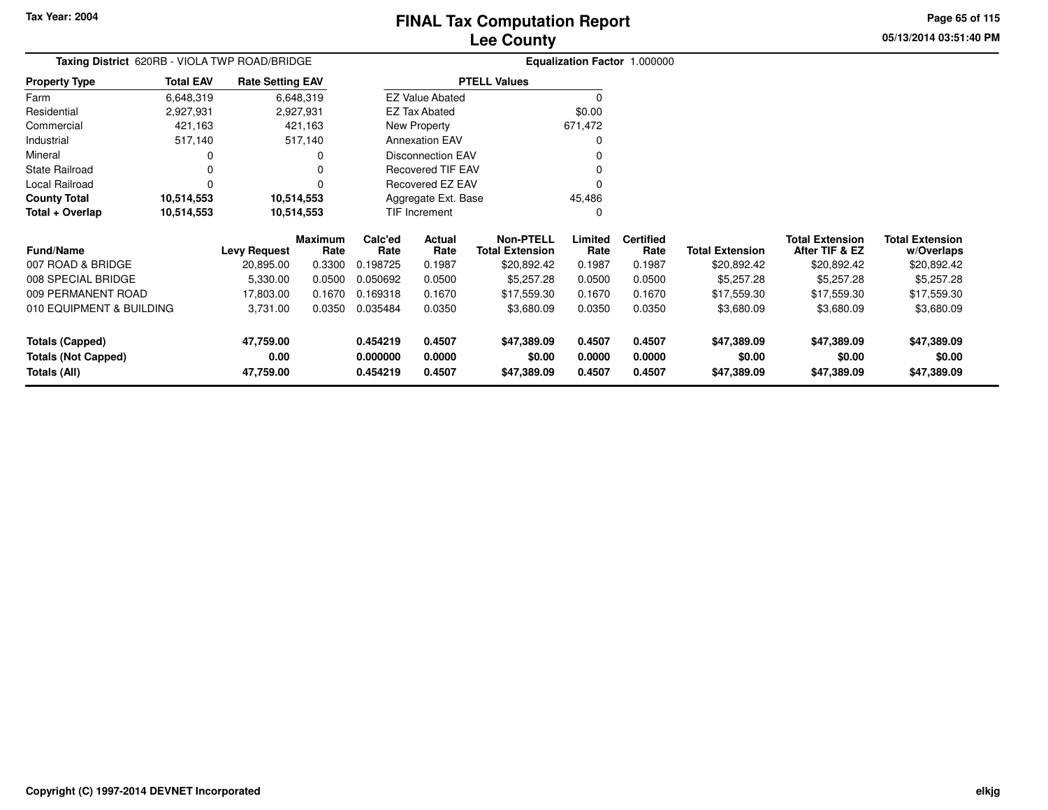**Totals (Capped)**

**Totals (All)**

**Totals (Not Capped)**

**47,759.00**

**47,759.00**

**0.00**

# **Lee CountyFINAL Tax Computation Report**

**0.454219 0.4507 \$47,389.09 0.4507 0.4507 \$47,389.09 \$47,389.09 \$47,389.09**

**0.000000 0.0000 \$0.00 0.0000 0.0000 \$0.00 \$0.00 \$0.00**

**0.454219 0.4507 \$47,389.09 0.4507 0.4507 \$47,389.09 \$47,389.09 \$47,389.09**

**05/13/2014 03:51:40 PMPage 65 of 115**

> **w/Overlaps** \$20,892.42

**Total Extension**

#### **Equalization Factor** 1.000000 **Taxing District** 620RB - VIOLA TWP ROAD/BRIDGE**Property Type**2,927,931 2,927,931 421,163 Farm ResidentialCommercial 421,163 421,163517,140 Industrial 517,140 517,140 $\mathbf 0$ Mineral 0 0 $\pmb{0}$ State Railroad 0 0  $\mathbf 0$ Local Railroad 0 0 10,514,553 **County Total 10,514,553 10,514,553 10,514,553 10,514,553 Total + Overlap**6,648,3192,927,931 **Fund/Name Levy Request Rate Limited**Rate **After TIF & EZ** \$20,892.42 **Total ExtensionRate Total Extension Rate Total Extension**\$20,892.42 **Maximum Calc'ed Rate**0.198725 **Actual RateNon-PTELL Certified** \$20,892.42 007 ROAD & BRIDGE 20,895.00 0.3300 0.198725 0.1987 \$20,892.42 0.1987 0.1987 \$20,892.42 \$20,892.42 \$20,892.42 008 SPECIAL BRIDGE 5,330.00 0.0500 0.050692 0.0500 \$5,257.28 0.0500 0.0500 \$5,257.28 \$5,257.28 \$5,257.28 009 PERMANENT ROAD 17,803.00 0.1670 0.169318 0.1670 \$17,559.30 0.1670 0.1670 \$17,559.30 \$17,559.30 \$17,559.30 010 EQUIPMENT & BUILDING 3,731.00 0.0350 0.035484 0.0350 \$3,680.09 0.0350 0.0350 \$3,680.09 \$3,680.09 \$3,680.09 6,648,319**Total EAVRate Setting EAV PTELL Values**  $\overline{\overline{0}}$  \$0.00 671,472 $\mathbf 0$ Annexation EAV v o Disconnection EAV $\sim$  0 Recovered TIF EAV0 v Recovered EZ EAV0<br>منتخب المستخدمات المستخدمات المستخدمات 45,486 $\mathbf{0}$ New Property EZ Tax AbatedEZ Value AbatedAggregate Ext. BaseTIF Increment0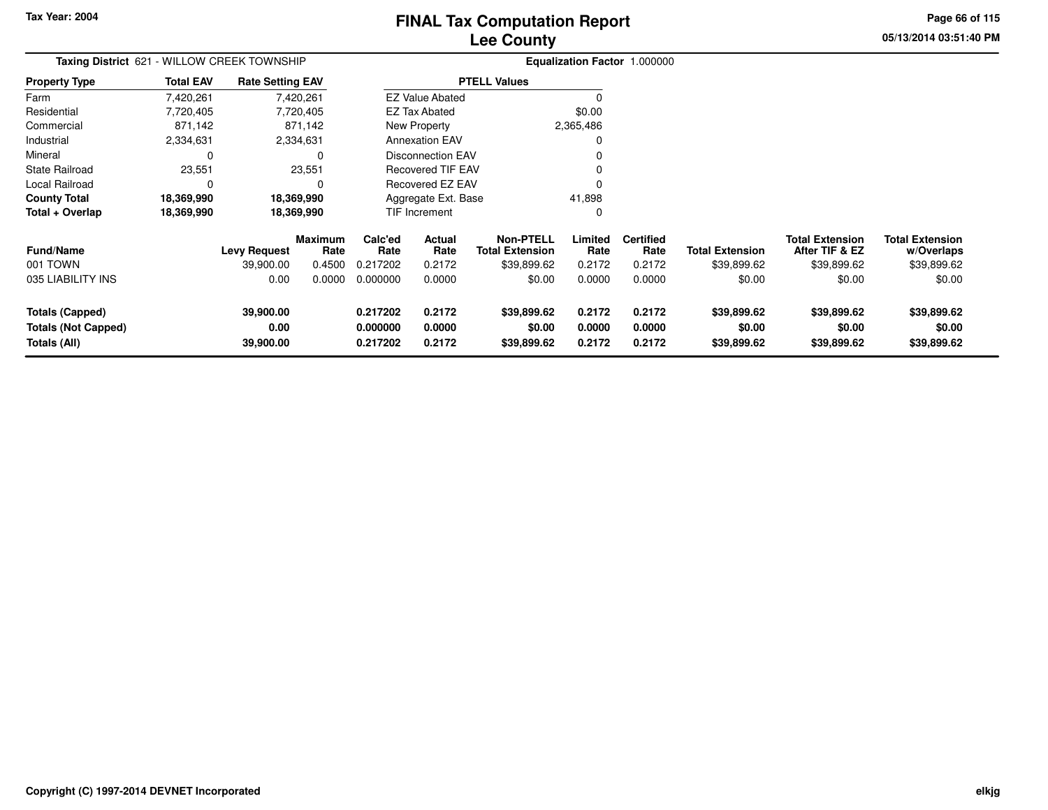# **Lee CountyFINAL Tax Computation Report**

**05/13/2014 03:51:40 PM Page 66 of 115**

| Taxing District 621 - WILLOW CREEK TOWNSHIP                                 |                  |                                |                        |                                  |                            | Equalization Factor 1.000000               |                            |                            |                                      |                                          |                                      |
|-----------------------------------------------------------------------------|------------------|--------------------------------|------------------------|----------------------------------|----------------------------|--------------------------------------------|----------------------------|----------------------------|--------------------------------------|------------------------------------------|--------------------------------------|
| <b>Property Type</b>                                                        | <b>Total EAV</b> | <b>Rate Setting EAV</b>        |                        |                                  |                            | <b>PTELL Values</b>                        |                            |                            |                                      |                                          |                                      |
| Farm                                                                        | 7,420,261        |                                | 7,420,261              |                                  | <b>EZ Value Abated</b>     |                                            |                            |                            |                                      |                                          |                                      |
| Residential                                                                 | 7,720,405        |                                | 7,720,405              |                                  | <b>EZ Tax Abated</b>       |                                            | \$0.00                     |                            |                                      |                                          |                                      |
| Commercial                                                                  | 871,142          |                                | 871,142                |                                  | New Property               |                                            | 2,365,486                  |                            |                                      |                                          |                                      |
| Industrial                                                                  | 2,334,631        |                                | 2,334,631              |                                  | <b>Annexation EAV</b>      |                                            |                            |                            |                                      |                                          |                                      |
| Mineral                                                                     | 0                |                                |                        |                                  | <b>Disconnection EAV</b>   |                                            |                            |                            |                                      |                                          |                                      |
| State Railroad                                                              | 23,551           |                                | 23,551                 |                                  | <b>Recovered TIF EAV</b>   |                                            |                            |                            |                                      |                                          |                                      |
| Local Railroad                                                              | 0                |                                | 0                      |                                  | <b>Recovered EZ EAV</b>    |                                            |                            |                            |                                      |                                          |                                      |
| <b>County Total</b>                                                         | 18,369,990       |                                | 18,369,990             |                                  | Aggregate Ext. Base        |                                            | 41,898                     |                            |                                      |                                          |                                      |
| Total + Overlap                                                             | 18,369,990       |                                | 18,369,990             |                                  | <b>TIF Increment</b>       |                                            |                            |                            |                                      |                                          |                                      |
| <b>Fund/Name</b>                                                            |                  | <b>Levy Request</b>            | <b>Maximum</b><br>Rate | Calc'ed<br>Rate                  | Actual<br>Rate             | <b>Non-PTELL</b><br><b>Total Extension</b> | Limited<br>Rate            | <b>Certified</b><br>Rate   | <b>Total Extension</b>               | <b>Total Extension</b><br>After TIF & EZ | Total Extension<br>w/Overlaps        |
| 001 TOWN                                                                    |                  | 39,900.00                      | 0.4500                 | 0.217202                         | 0.2172                     | \$39,899.62                                | 0.2172                     | 0.2172                     | \$39,899.62                          | \$39,899.62                              | \$39,899.62                          |
| 035 LIABILITY INS                                                           |                  | 0.00                           | 0.0000                 | 0.000000                         | 0.0000                     | \$0.00                                     | 0.0000                     | 0.0000                     | \$0.00                               | \$0.00                                   | \$0.00                               |
| <b>Totals (Capped)</b><br><b>Totals (Not Capped)</b><br><b>Totals (All)</b> |                  | 39,900.00<br>0.00<br>39,900.00 |                        | 0.217202<br>0.000000<br>0.217202 | 0.2172<br>0.0000<br>0.2172 | \$39,899.62<br>\$0.00<br>\$39,899.62       | 0.2172<br>0.0000<br>0.2172 | 0.2172<br>0.0000<br>0.2172 | \$39,899.62<br>\$0.00<br>\$39,899.62 | \$39,899.62<br>\$0.00<br>\$39,899.62     | \$39,899.62<br>\$0.00<br>\$39,899.62 |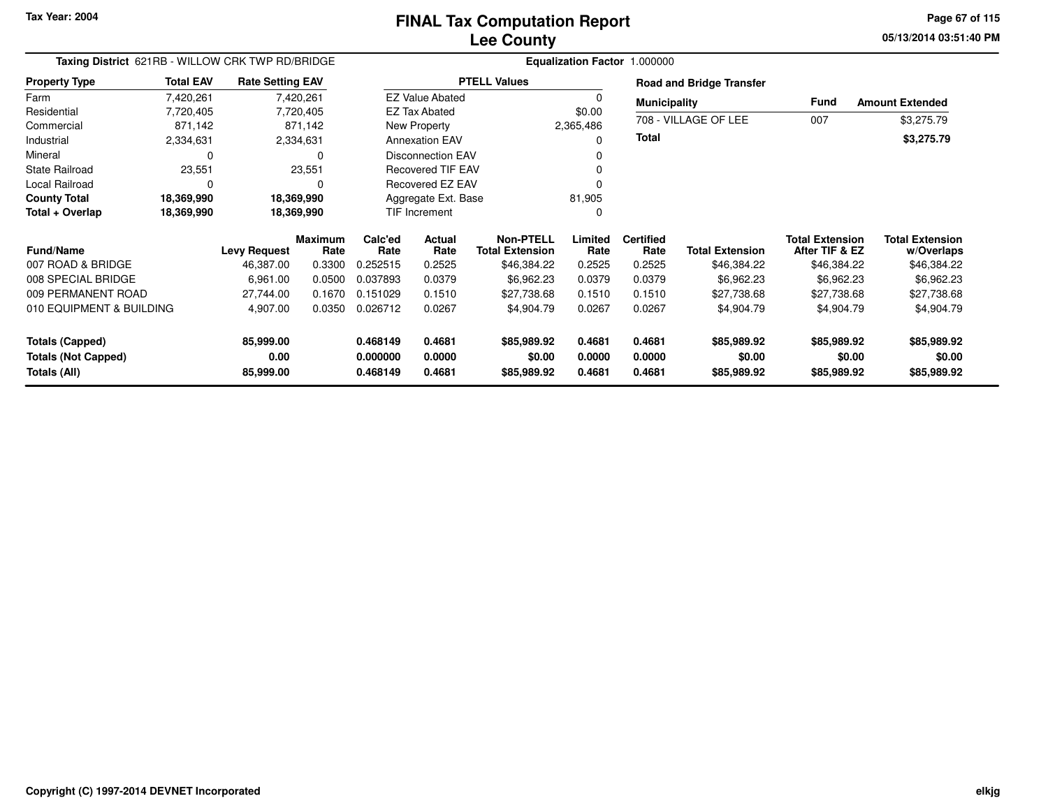**05/13/2014 03:51:40 PM Page 67 of 115**

| Taxing District 621RB - WILLOW CRK TWP RD/BRIDGE<br><b>Total EAV</b><br><b>Rate Setting EAV</b><br>7,420,261<br>7,420,261<br>7,720,405<br>7,720,405<br>871,142<br>871,142<br>2,334,631<br>2,334,631<br>0<br>23,551<br>23,551<br>$\mathbf 0$<br>18,369,990<br>18,369,990<br>18,369,990<br>18,369,990<br><b>Maximum</b><br>Rate<br><b>Levy Request</b><br>0.3300<br>46,387.00<br>6,961.00<br>0.0500<br>0.1670<br>27,744.00<br>010 EQUIPMENT & BUILDING<br>4,907.00<br>0.0350 |  |                   |  |                      |                          |                                            | Equalization Factor 1.000000 |                          |                                 |                                          |                                      |  |
|----------------------------------------------------------------------------------------------------------------------------------------------------------------------------------------------------------------------------------------------------------------------------------------------------------------------------------------------------------------------------------------------------------------------------------------------------------------------------|--|-------------------|--|----------------------|--------------------------|--------------------------------------------|------------------------------|--------------------------|---------------------------------|------------------------------------------|--------------------------------------|--|
| <b>Property Type</b>                                                                                                                                                                                                                                                                                                                                                                                                                                                       |  |                   |  |                      |                          | <b>PTELL Values</b>                        |                              |                          | <b>Road and Bridge Transfer</b> |                                          |                                      |  |
| Farm                                                                                                                                                                                                                                                                                                                                                                                                                                                                       |  |                   |  |                      | <b>EZ Value Abated</b>   |                                            | $\Omega$                     | <b>Municipality</b>      |                                 | Fund                                     | <b>Amount Extended</b>               |  |
| Residential                                                                                                                                                                                                                                                                                                                                                                                                                                                                |  |                   |  |                      | <b>EZ Tax Abated</b>     |                                            | \$0.00                       |                          |                                 |                                          |                                      |  |
| Commercial                                                                                                                                                                                                                                                                                                                                                                                                                                                                 |  |                   |  |                      | New Property             |                                            | 2,365,486                    |                          | 708 - VILLAGE OF LEE            | 007                                      | \$3,275.79                           |  |
| Industrial                                                                                                                                                                                                                                                                                                                                                                                                                                                                 |  |                   |  |                      | <b>Annexation EAV</b>    |                                            | 0                            | <b>Total</b>             |                                 |                                          | \$3,275.79                           |  |
| Mineral                                                                                                                                                                                                                                                                                                                                                                                                                                                                    |  |                   |  |                      | <b>Disconnection EAV</b> |                                            | 0                            |                          |                                 |                                          |                                      |  |
| <b>State Railroad</b>                                                                                                                                                                                                                                                                                                                                                                                                                                                      |  |                   |  |                      | <b>Recovered TIF EAV</b> |                                            | 0                            |                          |                                 |                                          |                                      |  |
| Local Railroad                                                                                                                                                                                                                                                                                                                                                                                                                                                             |  |                   |  |                      | Recovered EZ EAV         |                                            | 0                            |                          |                                 |                                          |                                      |  |
| <b>County Total</b>                                                                                                                                                                                                                                                                                                                                                                                                                                                        |  |                   |  |                      | Aggregate Ext. Base      |                                            | 81,905                       |                          |                                 |                                          |                                      |  |
| Total + Overlap                                                                                                                                                                                                                                                                                                                                                                                                                                                            |  |                   |  |                      | TIF Increment            |                                            | 0                            |                          |                                 |                                          |                                      |  |
| <b>Fund/Name</b>                                                                                                                                                                                                                                                                                                                                                                                                                                                           |  |                   |  | Calc'ed<br>Rate      | Actual<br>Rate           | <b>Non-PTELL</b><br><b>Total Extension</b> | Limited<br>Rate              | <b>Certified</b><br>Rate | <b>Total Extension</b>          | <b>Total Extension</b><br>After TIF & EZ | <b>Total Extension</b><br>w/Overlaps |  |
| 007 ROAD & BRIDGE                                                                                                                                                                                                                                                                                                                                                                                                                                                          |  |                   |  | 0.252515             | 0.2525                   | \$46,384.22                                | 0.2525                       | 0.2525                   | \$46,384.22                     | \$46,384.22                              | \$46,384.22                          |  |
| 008 SPECIAL BRIDGE                                                                                                                                                                                                                                                                                                                                                                                                                                                         |  |                   |  | 0.037893             | 0.0379                   | \$6,962.23                                 | 0.0379                       | 0.0379                   | \$6,962.23                      | \$6,962.23                               | \$6,962.23                           |  |
| 009 PERMANENT ROAD                                                                                                                                                                                                                                                                                                                                                                                                                                                         |  |                   |  | 0.151029             | 0.1510                   | \$27,738.68                                | 0.1510                       | 0.1510                   | \$27,738.68                     | \$27,738.68                              | \$27,738.68                          |  |
|                                                                                                                                                                                                                                                                                                                                                                                                                                                                            |  |                   |  | 0.026712             | 0.0267                   | \$4,904.79                                 | 0.0267                       | 0.0267                   | \$4,904.79                      | \$4,904.79                               | \$4,904.79                           |  |
| <b>Totals (Capped)</b><br><b>Totals (Not Capped)</b>                                                                                                                                                                                                                                                                                                                                                                                                                       |  | 85,999.00<br>0.00 |  | 0.468149<br>0.000000 | 0.4681<br>0.0000         | \$85,989.92<br>\$0.00                      | 0.4681<br>0.0000             | 0.4681<br>0.0000         | \$85,989.92<br>\$0.00           | \$85,989.92<br>\$0.00                    | \$85,989.92<br>\$0.00                |  |
| Totals (All)                                                                                                                                                                                                                                                                                                                                                                                                                                                               |  | 85,999.00         |  | 0.468149             | 0.4681                   | \$85,989.92                                | 0.4681                       | 0.4681                   | \$85,989.92                     | \$85,989.92                              | \$85,989.92                          |  |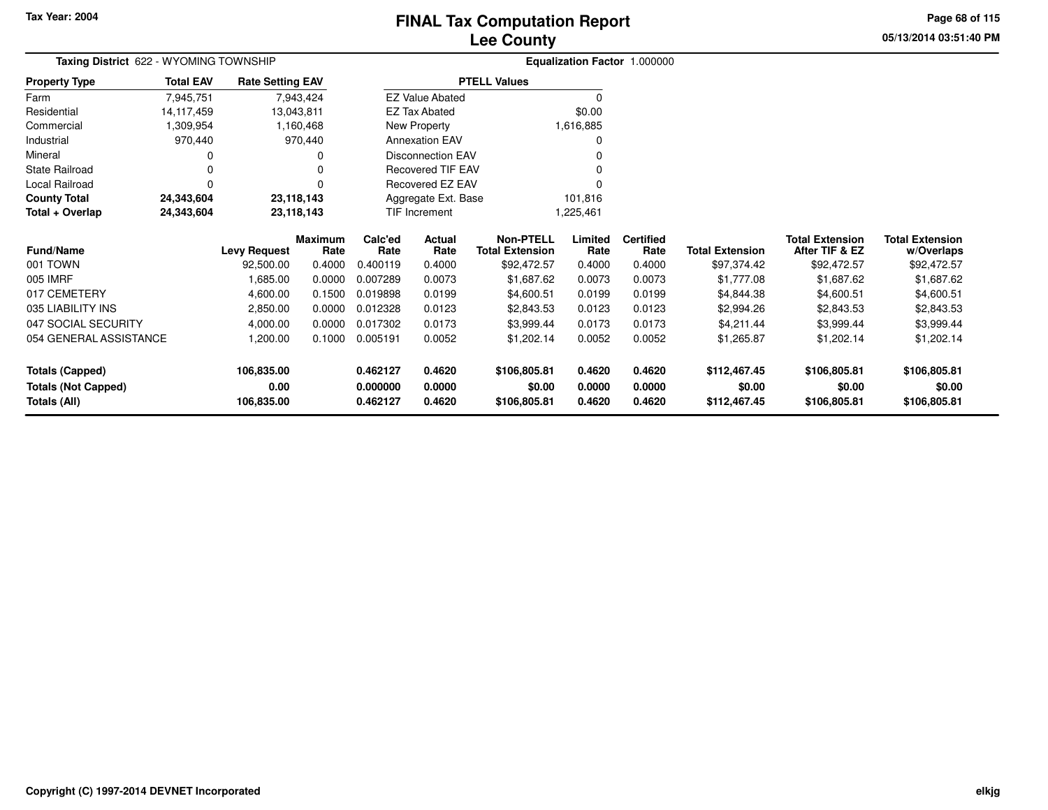# **Lee CountyFINAL Tax Computation Report**

**05/13/2014 03:51:40 PMPage 68 of 115**

| Taxing District 622 - WYOMING TOWNSHIP |                  |                         | Equalization Factor 1.000000 |                      |                          |                                            |                 |                          |                        |                                          |                                      |
|----------------------------------------|------------------|-------------------------|------------------------------|----------------------|--------------------------|--------------------------------------------|-----------------|--------------------------|------------------------|------------------------------------------|--------------------------------------|
| <b>Property Type</b>                   | <b>Total EAV</b> | <b>Rate Setting EAV</b> |                              |                      |                          | <b>PTELL Values</b>                        |                 |                          |                        |                                          |                                      |
| Farm                                   | 7,945,751        |                         | 7,943,424                    |                      | <b>EZ Value Abated</b>   |                                            | 0               |                          |                        |                                          |                                      |
| Residential                            | 14, 117, 459     |                         | 13,043,811                   |                      | <b>EZ Tax Abated</b>     |                                            | \$0.00          |                          |                        |                                          |                                      |
| Commercial                             | 1,309,954        |                         | 1,160,468                    |                      | New Property             |                                            | 1,616,885       |                          |                        |                                          |                                      |
| Industrial                             | 970,440          |                         | 970,440                      |                      | <b>Annexation EAV</b>    |                                            | 0               |                          |                        |                                          |                                      |
| Mineral                                | 0                |                         | 0                            |                      | <b>Disconnection EAV</b> |                                            |                 |                          |                        |                                          |                                      |
| State Railroad                         | 0                |                         | 0                            |                      | Recovered TIF EAV        |                                            | 0               |                          |                        |                                          |                                      |
| Local Railroad                         | 0                |                         | n                            |                      | Recovered EZ EAV         |                                            |                 |                          |                        |                                          |                                      |
| <b>County Total</b>                    | 24,343,604       |                         | 23,118,143                   |                      | Aggregate Ext. Base      |                                            | 101,816         |                          |                        |                                          |                                      |
| Total + Overlap                        | 24,343,604       |                         | 23,118,143                   | <b>TIF Increment</b> |                          |                                            | 225,461.        |                          |                        |                                          |                                      |
| Fund/Name                              |                  | <b>Levy Request</b>     | <b>Maximum</b><br>Rate       | Calc'ed<br>Rate      | Actual<br>Rate           | <b>Non-PTELL</b><br><b>Total Extension</b> | Limited<br>Rate | <b>Certified</b><br>Rate | <b>Total Extension</b> | <b>Total Extension</b><br>After TIF & EZ | <b>Total Extension</b><br>w/Overlaps |
| 001 TOWN                               |                  | 92,500.00               | 0.4000                       | 0.400119             | 0.4000                   | \$92,472.57                                | 0.4000          | 0.4000                   | \$97,374.42            | \$92,472.57                              | \$92,472.57                          |
| 005 IMRF                               |                  | 1,685.00                | 0.0000                       | 0.007289             | 0.0073                   | \$1,687.62                                 | 0.0073          | 0.0073                   | \$1,777.08             | \$1,687.62                               | \$1,687.62                           |
| 017 CEMETERY                           |                  | 4,600.00                | 0.1500                       | 0.019898             | 0.0199                   | \$4,600.51                                 | 0.0199          | 0.0199                   | \$4,844.38             | \$4,600.51                               | \$4,600.51                           |
| 035 LIABILITY INS                      |                  | 2,850.00                | 0.0000                       | 0.012328             | 0.0123                   | \$2,843.53                                 | 0.0123          | 0.0123                   | \$2,994.26             | \$2,843.53                               | \$2,843.53                           |
| 047 SOCIAL SECURITY                    |                  | 4,000.00                | 0.0000                       | 0.017302             | 0.0173                   | \$3,999.44                                 | 0.0173          | 0.0173                   | \$4,211.44             | \$3,999.44                               | \$3,999.44                           |
| 054 GENERAL ASSISTANCE                 |                  | 1,200.00                | 0.1000                       | 0.005191             | 0.0052                   | \$1,202.14                                 | 0.0052          | 0.0052                   | \$1,265.87             | \$1,202.14                               | \$1,202.14                           |
| <b>Totals (Capped)</b>                 |                  | 106,835.00              |                              | 0.462127             | 0.4620                   | \$106,805.81                               | 0.4620          | 0.4620                   | \$112,467.45           | \$106,805.81                             | \$106,805.81                         |
| <b>Totals (Not Capped)</b>             |                  | 0.00                    |                              | 0.000000             | 0.0000                   | \$0.00                                     | 0.0000          | 0.0000                   | \$0.00                 | \$0.00                                   | \$0.00                               |
| Totals (All)                           |                  | 106,835.00              |                              | 0.462127             | 0.4620                   | \$106,805.81                               | 0.4620          | 0.4620                   | \$112,467.45           | \$106,805.81                             | \$106,805.81                         |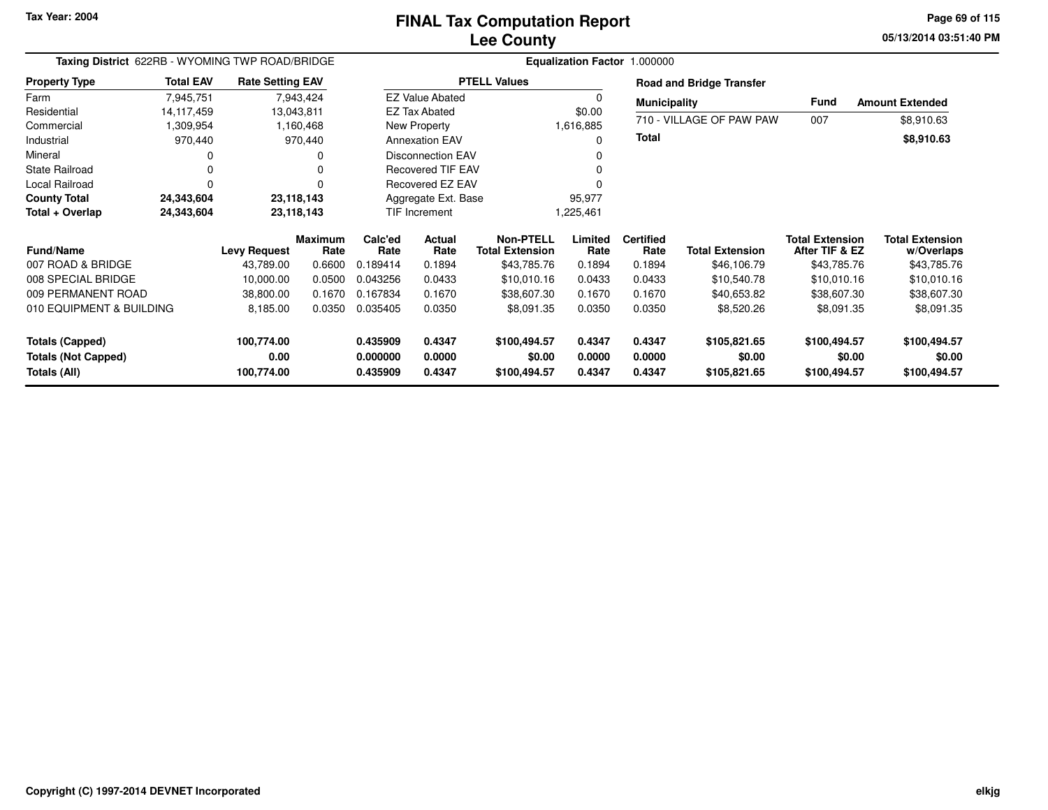**05/13/2014 03:51:40 PM Page 69 of 115**

| Taxing District 622RB - WYOMING TWP ROAD/BRIDGE | Equalization Factor 1.000000 |                         |                        |                          |                          |                                            |                  |                          |                                 |                                          |                                      |  |
|-------------------------------------------------|------------------------------|-------------------------|------------------------|--------------------------|--------------------------|--------------------------------------------|------------------|--------------------------|---------------------------------|------------------------------------------|--------------------------------------|--|
| <b>Property Type</b>                            | <b>Total EAV</b>             | <b>Rate Setting EAV</b> |                        |                          |                          | <b>PTELL Values</b>                        |                  |                          | <b>Road and Bridge Transfer</b> |                                          |                                      |  |
| Farm                                            | 7,945,751                    |                         | 7,943,424              |                          | <b>EZ Value Abated</b>   |                                            |                  | <b>Municipality</b>      |                                 | Fund                                     | <b>Amount Extended</b>               |  |
| Residential                                     | 14,117,459                   | 13,043,811              |                        |                          | <b>EZ Tax Abated</b>     |                                            | \$0.00           |                          |                                 |                                          |                                      |  |
| Commercial                                      | 309,954,                     |                         | 1,160,468              |                          | New Property             |                                            | 1,616,885        |                          | 710 - VILLAGE OF PAW PAW        | 007                                      | \$8,910.63                           |  |
| Industrial                                      | 970,440                      |                         | 970,440                |                          | <b>Annexation EAV</b>    |                                            | 0                | <b>Total</b>             |                                 |                                          | \$8,910.63                           |  |
| Mineral                                         |                              |                         |                        |                          | <b>Disconnection EAV</b> |                                            |                  |                          |                                 |                                          |                                      |  |
| <b>State Railroad</b>                           |                              |                         |                        | <b>Recovered TIF EAV</b> |                          |                                            |                  |                          |                                 |                                          |                                      |  |
| Local Railroad                                  | $\Omega$                     |                         |                        | Recovered EZ EAV         |                          |                                            |                  |                          |                                 |                                          |                                      |  |
| <b>County Total</b>                             | 24,343,604                   | 23,118,143              |                        | Aggregate Ext. Base      |                          |                                            | 95,977           |                          |                                 |                                          |                                      |  |
| Total + Overlap                                 | 24,343,604                   | 23,118,143              |                        | TIF Increment            |                          |                                            | 1,225,461        |                          |                                 |                                          |                                      |  |
| <b>Fund/Name</b>                                |                              | <b>Levy Request</b>     | <b>Maximum</b><br>Rate | Calc'ed<br>Rate          | Actual<br>Rate           | <b>Non-PTELL</b><br><b>Total Extension</b> | Limited<br>Rate  | <b>Certified</b><br>Rate | <b>Total Extension</b>          | <b>Total Extension</b><br>After TIF & EZ | <b>Total Extension</b><br>w/Overlaps |  |
| 007 ROAD & BRIDGE                               |                              | 43,789.00               | 0.6600                 | 0.189414                 | 0.1894                   | \$43,785.76                                | 0.1894           | 0.1894                   | \$46,106.79                     | \$43,785.76                              | \$43,785.76                          |  |
| 008 SPECIAL BRIDGE                              |                              | 10,000.00               | 0.0500                 | 0.043256                 | 0.0433                   | \$10,010.16                                | 0.0433           | 0.0433                   | \$10,540.78                     | \$10,010.16                              | \$10,010.16                          |  |
| 009 PERMANENT ROAD                              |                              | 38,800.00               | 0.1670                 | 0.167834                 | 0.1670                   | \$38,607.30                                | 0.1670           | 0.1670                   | \$40,653.82                     | \$38,607.30                              | \$38,607.30                          |  |
| 010 EQUIPMENT & BUILDING                        |                              | 8,185.00                | 0.0350                 | 0.035405                 | 0.0350                   | \$8,091.35                                 | 0.0350           | 0.0350                   | \$8,520.26                      | \$8,091.35                               | \$8,091.35                           |  |
| Totals (Capped)                                 |                              | 100,774.00              |                        | 0.435909                 | 0.4347                   | \$100,494.57                               | 0.4347           | 0.4347                   | \$105,821.65                    | \$100,494.57                             | \$100,494.57                         |  |
| <b>Totals (Not Capped)</b><br>Totals (All)      |                              | 0.00<br>100,774.00      |                        | 0.000000<br>0.435909     | 0.0000<br>0.4347         | \$0.00<br>\$100,494.57                     | 0.0000<br>0.4347 | 0.0000<br>0.4347         | \$0.00<br>\$105,821.65          | \$0.00<br>\$100,494.57                   | \$0.00<br>\$100,494.57               |  |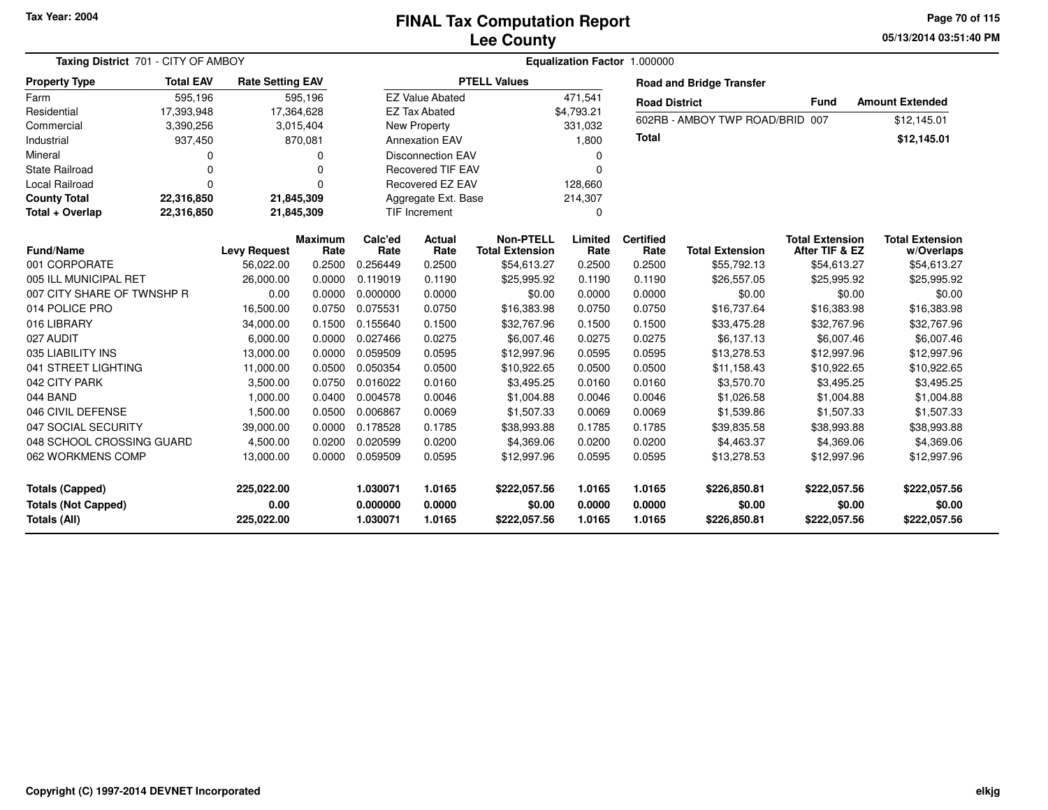### **Lee CountyFINAL Tax Computation Report**

**05/13/2014 03:51:40 PM Page 70 of 115**

| Taxing District 701 - CITY OF AMBOY                                  |                  |                                  |                        |                                  | Equalization Factor 1.000000 |                                            |                            |                                 |                                        |                                          |                                        |  |
|----------------------------------------------------------------------|------------------|----------------------------------|------------------------|----------------------------------|------------------------------|--------------------------------------------|----------------------------|---------------------------------|----------------------------------------|------------------------------------------|----------------------------------------|--|
| <b>Property Type</b>                                                 | <b>Total EAV</b> | <b>Rate Setting EAV</b>          |                        | <b>PTELL Values</b>              |                              |                                            |                            | <b>Road and Bridge Transfer</b> |                                        |                                          |                                        |  |
| Farm                                                                 | 595,196          |                                  | 595,196                |                                  | <b>EZ Value Abated</b>       |                                            | 471,541                    |                                 | <b>Road District</b>                   | <b>Fund</b>                              | <b>Amount Extended</b>                 |  |
| Residential                                                          | 17,393,948       |                                  | 17,364,628             |                                  | <b>EZ Tax Abated</b>         |                                            | \$4,793.21                 |                                 |                                        |                                          |                                        |  |
| Commercial                                                           | 3,390,256        |                                  | 3,015,404              |                                  | New Property                 |                                            | 331,032                    |                                 | 602RB - AMBOY TWP ROAD/BRID 007        |                                          | \$12,145.01                            |  |
| Industrial                                                           | 937,450          |                                  | 870,081                |                                  | <b>Annexation EAV</b>        |                                            | 1,800                      |                                 |                                        |                                          | \$12,145.01                            |  |
| Mineral                                                              | 0                |                                  | 0                      |                                  | <b>Disconnection EAV</b>     |                                            | 0                          |                                 |                                        |                                          |                                        |  |
| <b>State Railroad</b>                                                | $\Omega$         |                                  | 0                      |                                  | <b>Recovered TIF EAV</b>     |                                            | $\Omega$                   |                                 |                                        |                                          |                                        |  |
| <b>Local Railroad</b>                                                | $\Omega$         |                                  | 0                      |                                  | <b>Recovered EZ EAV</b>      |                                            | 128,660                    |                                 |                                        |                                          |                                        |  |
| <b>County Total</b>                                                  | 22,316,850       |                                  | 21,845,309             |                                  | Aggregate Ext. Base          |                                            | 214,307                    |                                 |                                        |                                          |                                        |  |
| Total + Overlap                                                      | 22,316,850       |                                  | 21,845,309             |                                  | TIF Increment                |                                            | $\mathbf 0$                |                                 |                                        |                                          |                                        |  |
| <b>Fund/Name</b>                                                     |                  | <b>Levy Request</b>              | <b>Maximum</b><br>Rate | Calc'ed<br>Rate                  | Actual<br>Rate               | <b>Non-PTELL</b><br><b>Total Extension</b> | Limited<br>Rate            | <b>Certified</b><br>Rate        | <b>Total Extension</b>                 | <b>Total Extension</b><br>After TIF & EZ | <b>Total Extension</b><br>w/Overlaps   |  |
| 001 CORPORATE                                                        |                  | 56,022.00                        | 0.2500                 | 0.256449                         | 0.2500                       | \$54,613.27                                | 0.2500                     | 0.2500                          | \$55,792.13                            | \$54,613.27                              | \$54,613.27                            |  |
| 005 ILL MUNICIPAL RET                                                |                  | 26,000.00                        | 0.0000                 | 0.119019                         | 0.1190                       | \$25,995.92                                | 0.1190                     | 0.1190                          | \$26,557.05                            | \$25,995.92                              | \$25,995.92                            |  |
| 007 CITY SHARE OF TWNSHP R                                           |                  | 0.00                             | 0.0000                 | 0.000000                         | 0.0000                       | \$0.00                                     | 0.0000                     | 0.0000                          | \$0.00                                 | \$0.00                                   | \$0.00                                 |  |
| 014 POLICE PRO                                                       |                  | 16,500.00                        | 0.0750                 | 0.075531                         | 0.0750                       | \$16,383.98                                | 0.0750                     | 0.0750                          | \$16,737.64                            | \$16,383.98                              | \$16,383.98                            |  |
| 016 LIBRARY                                                          |                  | 34,000.00                        | 0.1500                 | 0.155640                         | 0.1500                       | \$32,767.96                                | 0.1500                     | 0.1500                          | \$33,475.28                            | \$32,767.96                              | \$32,767.96                            |  |
| 027 AUDIT                                                            |                  | 6,000.00                         | 0.0000                 | 0.027466                         | 0.0275                       | \$6,007.46                                 | 0.0275                     | 0.0275                          | \$6,137.13                             | \$6,007.46                               | \$6,007.46                             |  |
| 035 LIABILITY INS                                                    |                  | 13,000.00                        | 0.0000                 | 0.059509                         | 0.0595                       | \$12,997.96                                | 0.0595                     | 0.0595                          | \$13,278.53                            | \$12,997.96                              | \$12,997.96                            |  |
| 041 STREET LIGHTING                                                  |                  | 11,000.00                        | 0.0500                 | 0.050354                         | 0.0500                       | \$10,922.65                                | 0.0500                     | 0.0500                          | \$11,158.43                            | \$10,922.65                              | \$10,922.65                            |  |
| 042 CITY PARK                                                        |                  | 3,500.00                         | 0.0750                 | 0.016022                         | 0.0160                       | \$3,495.25                                 | 0.0160                     | 0.0160                          | \$3,570.70                             | \$3,495.25                               | \$3,495.25                             |  |
| 044 BAND                                                             |                  | 1,000.00                         | 0.0400                 | 0.004578                         | 0.0046                       | \$1,004.88                                 | 0.0046                     | 0.0046                          | \$1,026.58                             | \$1,004.88                               | \$1,004.88                             |  |
| 046 CIVIL DEFENSE                                                    |                  | 1,500.00                         | 0.0500                 | 0.006867                         | 0.0069                       | \$1,507.33                                 | 0.0069                     | 0.0069                          | \$1,539.86                             | \$1,507.33                               | \$1,507.33                             |  |
| 047 SOCIAL SECURITY                                                  |                  | 39,000.00                        | 0.0000                 | 0.178528                         | 0.1785                       | \$38,993.88                                | 0.1785                     | 0.1785                          | \$39,835.58                            | \$38,993.88                              | \$38,993.88                            |  |
| 048 SCHOOL CROSSING GUARD                                            |                  | 4,500.00                         | 0.0200                 | 0.020599                         | 0.0200                       | \$4,369.06                                 | 0.0200                     | 0.0200                          | \$4,463.37                             | \$4,369.06                               | \$4,369.06                             |  |
| 062 WORKMENS COMP                                                    |                  | 13,000.00                        | 0.0000                 | 0.059509                         | 0.0595                       | \$12,997.96                                | 0.0595                     | 0.0595                          | \$13,278.53                            | \$12,997.96                              | \$12,997.96                            |  |
| <b>Totals (Capped)</b><br><b>Totals (Not Capped)</b><br>Totals (All) |                  | 225,022.00<br>0.00<br>225,022.00 |                        | 1.030071<br>0.000000<br>1.030071 | 1.0165<br>0.0000<br>1.0165   | \$222,057.56<br>\$0.00<br>\$222,057.56     | 1.0165<br>0.0000<br>1.0165 | 1.0165<br>0.0000<br>1.0165      | \$226,850.81<br>\$0.00<br>\$226,850.81 | \$222,057.56<br>\$0.00<br>\$222,057.56   | \$222,057.56<br>\$0.00<br>\$222,057.56 |  |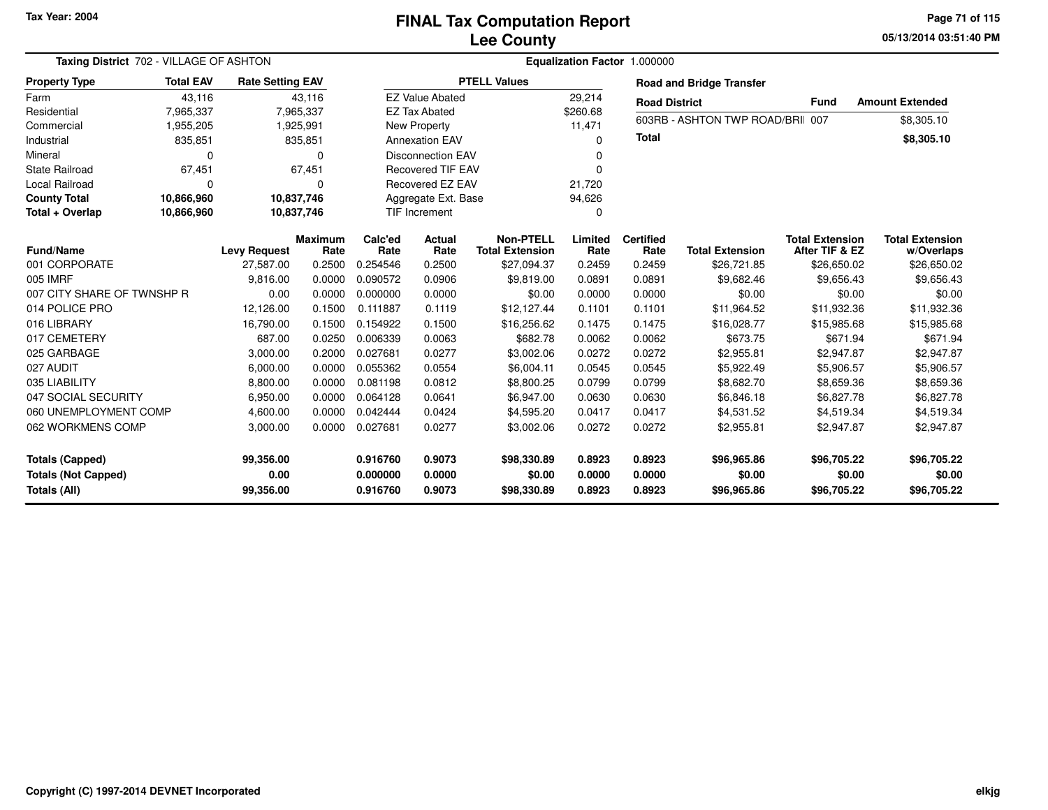**05/13/2014 03:51:40 PM Page 71 of 115**

| Taxing District 702 - VILLAGE OF ASHTON              |                        |                         |                        |                      | Equalization Factor 1.000000 |                                            |                  |                          |                                  |                                          |                                      |  |  |  |
|------------------------------------------------------|------------------------|-------------------------|------------------------|----------------------|------------------------------|--------------------------------------------|------------------|--------------------------|----------------------------------|------------------------------------------|--------------------------------------|--|--|--|
| <b>Property Type</b>                                 | <b>Total EAV</b>       | <b>Rate Setting EAV</b> |                        |                      | <b>PTELL Values</b>          |                                            |                  |                          | <b>Road and Bridge Transfer</b>  |                                          |                                      |  |  |  |
| Farm                                                 | 43,116                 |                         | 43,116                 |                      | <b>EZ Value Abated</b>       |                                            |                  | <b>Road District</b>     |                                  | <b>Fund</b>                              | <b>Amount Extended</b>               |  |  |  |
| Residential                                          | 7,965,337              |                         | 7,965,337              |                      | <b>EZ Tax Abated</b>         |                                            |                  |                          | 603RB - ASHTON TWP ROAD/BRII 007 |                                          |                                      |  |  |  |
| Commercial                                           | 1,955,205<br>1,925,991 |                         |                        | New Property         |                              | 11,471                                     |                  |                          |                                  | \$8,305.10                               |                                      |  |  |  |
| Industrial                                           | 835,851                | 835,851                 |                        |                      | <b>Annexation EAV</b>        |                                            |                  | <b>Total</b>             |                                  |                                          | \$8,305.10                           |  |  |  |
| Mineral                                              | $\Omega$               |                         | $\Omega$               |                      | <b>Disconnection EAV</b>     |                                            | 0                |                          |                                  |                                          |                                      |  |  |  |
| <b>State Railroad</b>                                | 67,451                 |                         | 67,451                 |                      | <b>Recovered TIF EAV</b>     |                                            | 0                |                          |                                  |                                          |                                      |  |  |  |
| Local Railroad                                       | $\Omega$               |                         | $\Omega$               |                      | Recovered EZ EAV             |                                            | 21,720           |                          |                                  |                                          |                                      |  |  |  |
| <b>County Total</b>                                  | 10,866,960             |                         | 10,837,746             |                      | Aggregate Ext. Base          |                                            | 94,626           |                          |                                  |                                          |                                      |  |  |  |
| Total + Overlap                                      | 10,866,960             |                         | 10,837,746             |                      | <b>TIF Increment</b>         |                                            | 0                |                          |                                  |                                          |                                      |  |  |  |
| <b>Fund/Name</b>                                     |                        | <b>Levy Request</b>     | <b>Maximum</b><br>Rate | Calc'ed<br>Rate      | <b>Actual</b><br>Rate        | <b>Non-PTELL</b><br><b>Total Extension</b> | Limited<br>Rate  | <b>Certified</b><br>Rate | <b>Total Extension</b>           | <b>Total Extension</b><br>After TIF & EZ | <b>Total Extension</b><br>w/Overlaps |  |  |  |
| 001 CORPORATE                                        |                        | 27,587.00               | 0.2500                 | 0.254546             | 0.2500                       | \$27,094.37                                | 0.2459           | 0.2459                   | \$26,721.85                      | \$26,650.02                              | \$26,650.02                          |  |  |  |
| 005 IMRF                                             |                        | 9,816.00                | 0.0000                 | 0.090572             | 0.0906                       | \$9,819.00                                 | 0.0891           | 0.0891                   | \$9,682.46                       | \$9,656.43                               | \$9,656.43                           |  |  |  |
| 007 CITY SHARE OF TWNSHP R                           |                        | 0.00                    | 0.0000                 | 0.000000             | 0.0000                       | \$0.00                                     | 0.0000           | 0.0000                   | \$0.00                           | \$0.00                                   | \$0.00                               |  |  |  |
| 014 POLICE PRO                                       |                        | 12,126.00               | 0.1500                 | 0.111887             | 0.1119                       | \$12,127.44                                | 0.1101           | 0.1101                   | \$11,964.52                      | \$11,932.36                              | \$11,932.36                          |  |  |  |
| 016 LIBRARY                                          |                        | 16,790.00               | 0.1500                 | 0.154922             | 0.1500                       | \$16,256.62                                | 0.1475           | 0.1475                   | \$16,028.77                      | \$15,985.68                              | \$15,985.68                          |  |  |  |
| 017 CEMETERY                                         |                        | 687.00                  | 0.0250                 | 0.006339             | 0.0063                       | \$682.78                                   | 0.0062           | 0.0062                   | \$673.75                         | \$671.94                                 | \$671.94                             |  |  |  |
| 025 GARBAGE                                          |                        | 3,000.00                | 0.2000                 | 0.027681             | 0.0277                       | \$3,002.06                                 | 0.0272           | 0.0272                   | \$2,955.81                       | \$2,947.87                               | \$2,947.87                           |  |  |  |
| 027 AUDIT                                            |                        | 6,000.00                | 0.0000                 | 0.055362             | 0.0554                       | \$6,004.11                                 | 0.0545           | 0.0545                   | \$5,922.49                       | \$5,906.57                               | \$5,906.57                           |  |  |  |
| 035 LIABILITY                                        |                        | 8,800.00                | 0.0000                 | 0.081198             | 0.0812                       | \$8,800.25                                 | 0.0799           | 0.0799                   | \$8,682.70                       | \$8,659.36                               | \$8,659.36                           |  |  |  |
| 047 SOCIAL SECURITY                                  |                        | 6,950.00                | 0.0000                 | 0.064128             | 0.0641                       | \$6,947.00                                 | 0.0630           | 0.0630                   | \$6,846.18                       | \$6,827.78                               | \$6,827.78                           |  |  |  |
| 060 UNEMPLOYMENT COMP                                |                        | 4,600.00                | 0.0000                 | 0.042444             | 0.0424                       | \$4,595.20                                 | 0.0417           | 0.0417                   | \$4,531.52                       | \$4,519.34                               | \$4,519.34                           |  |  |  |
| 062 WORKMENS COMP                                    |                        | 3,000.00                | 0.0000                 | 0.027681             | 0.0277                       | \$3,002.06                                 | 0.0272           | 0.0272                   | \$2,955.81                       | \$2,947.87                               | \$2,947.87                           |  |  |  |
| <b>Totals (Capped)</b><br><b>Totals (Not Capped)</b> |                        | 99,356.00<br>0.00       |                        | 0.916760<br>0.000000 | 0.9073<br>0.0000             | \$98,330.89<br>\$0.00                      | 0.8923<br>0.0000 | 0.8923<br>0.0000         | \$96,965.86<br>\$0.00            | \$96,705.22<br>\$0.00                    | \$96,705.22<br>\$0.00                |  |  |  |
| Totals (All)                                         |                        | 99,356.00               |                        | 0.916760             | 0.9073                       | \$98,330.89                                | 0.8923           | 0.8923                   | \$96,965.86                      | \$96,705.22                              | \$96,705.22                          |  |  |  |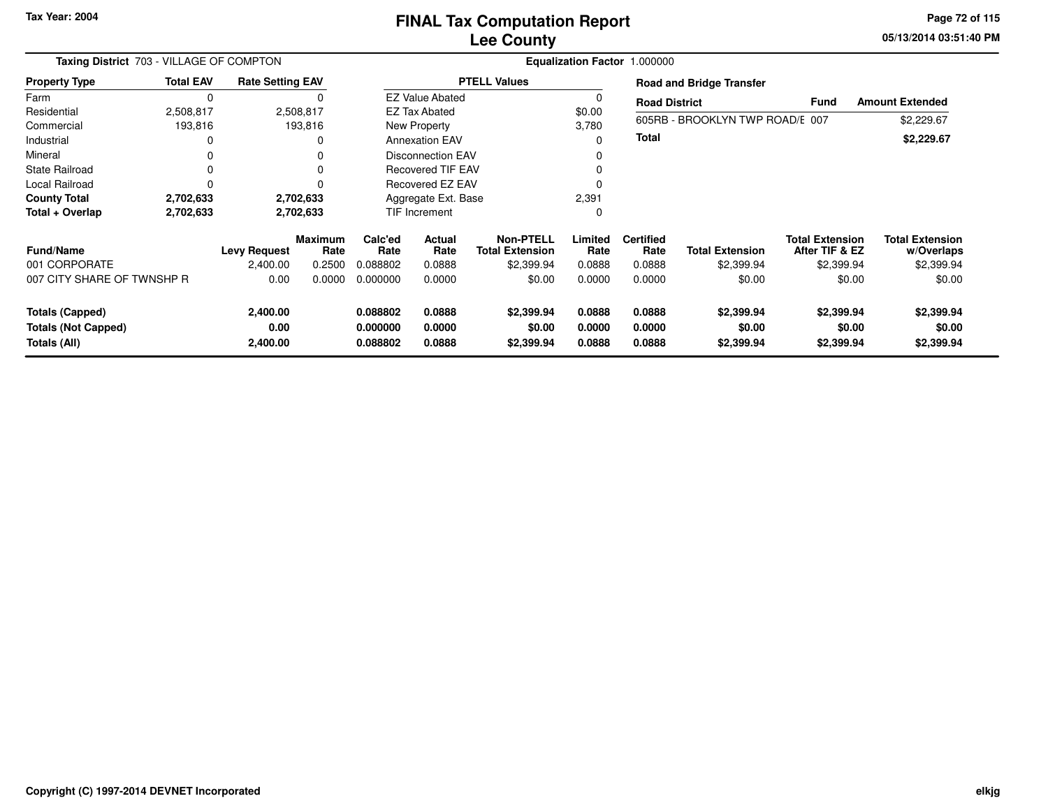**05/13/2014 03:51:40 PM Page 72 of 115**

| Taxing District 703 - VILLAGE OF COMPTON                             |                  |                              |                        |                                  | Equalization Factor 1.000000 |                                            |                            |                                 |                                    |                                          |                                      |  |  |
|----------------------------------------------------------------------|------------------|------------------------------|------------------------|----------------------------------|------------------------------|--------------------------------------------|----------------------------|---------------------------------|------------------------------------|------------------------------------------|--------------------------------------|--|--|
| <b>Property Type</b>                                                 | <b>Total EAV</b> | <b>Rate Setting EAV</b>      |                        |                                  |                              | <b>PTELL Values</b>                        |                            | <b>Road and Bridge Transfer</b> |                                    |                                          |                                      |  |  |
| Farm                                                                 | 0                |                              |                        |                                  | <b>EZ Value Abated</b>       |                                            |                            | <b>Road District</b>            |                                    | <b>Fund</b>                              | <b>Amount Extended</b>               |  |  |
| Residential                                                          | 2,508,817        |                              | 2,508,817              |                                  | <b>EZ Tax Abated</b>         |                                            | \$0.00                     |                                 |                                    |                                          |                                      |  |  |
| Commercial                                                           | 193,816          |                              | 193,816                |                                  | New Property                 |                                            | 3,780                      |                                 | 605RB - BROOKLYN TWP ROAD/E 007    |                                          | \$2,229.67                           |  |  |
| Industrial                                                           | 0                |                              |                        |                                  | <b>Annexation EAV</b>        |                                            |                            | <b>Total</b>                    |                                    |                                          | \$2,229.67                           |  |  |
| Mineral                                                              | 0                |                              |                        | <b>Disconnection EAV</b>         |                              |                                            |                            |                                 |                                    |                                          |                                      |  |  |
| <b>State Railroad</b>                                                | 0                |                              |                        | <b>Recovered TIF EAV</b>         |                              |                                            |                            |                                 |                                    |                                          |                                      |  |  |
| Local Railroad                                                       | 0                |                              |                        | <b>Recovered EZ EAV</b>          |                              |                                            |                            |                                 |                                    |                                          |                                      |  |  |
| <b>County Total</b>                                                  | 2,702,633        |                              | 2,702,633              |                                  | Aggregate Ext. Base          |                                            | 2,391                      |                                 |                                    |                                          |                                      |  |  |
| Total + Overlap                                                      | 2,702,633        |                              | 2,702,633              |                                  | <b>TIF Increment</b>         |                                            | 0                          |                                 |                                    |                                          |                                      |  |  |
| Fund/Name                                                            |                  | <b>Levy Request</b>          | <b>Maximum</b><br>Rate | Calc'ed<br>Rate                  | <b>Actual</b><br>Rate        | <b>Non-PTELL</b><br><b>Total Extension</b> | Limited<br>Rate            | <b>Certified</b><br>Rate        | <b>Total Extension</b>             | <b>Total Extension</b><br>After TIF & EZ | <b>Total Extension</b><br>w/Overlaps |  |  |
| 001 CORPORATE                                                        |                  | 2,400.00                     | 0.2500                 | 0.088802                         | 0.0888                       | \$2,399.94                                 | 0.0888                     | 0.0888                          | \$2,399.94                         | \$2,399.94                               | \$2,399.94                           |  |  |
| 007 CITY SHARE OF TWNSHP R                                           |                  | 0.00                         | 0.0000                 | 0.000000                         | 0.0000                       | \$0.00                                     | 0.0000                     | 0.0000                          | \$0.00                             | \$0.00                                   | \$0.00                               |  |  |
| <b>Totals (Capped)</b><br><b>Totals (Not Capped)</b><br>Totals (All) |                  | 2,400.00<br>0.00<br>2,400.00 |                        | 0.088802<br>0.000000<br>0.088802 | 0.0888<br>0.0000<br>0.0888   | \$2,399.94<br>\$0.00<br>\$2,399.94         | 0.0888<br>0.0000<br>0.0888 | 0.0888<br>0.0000<br>0.0888      | \$2,399.94<br>\$0.00<br>\$2,399.94 | \$2,399.94<br>\$0.00<br>\$2,399.94       | \$2,399.94<br>\$0.00<br>\$2,399.94   |  |  |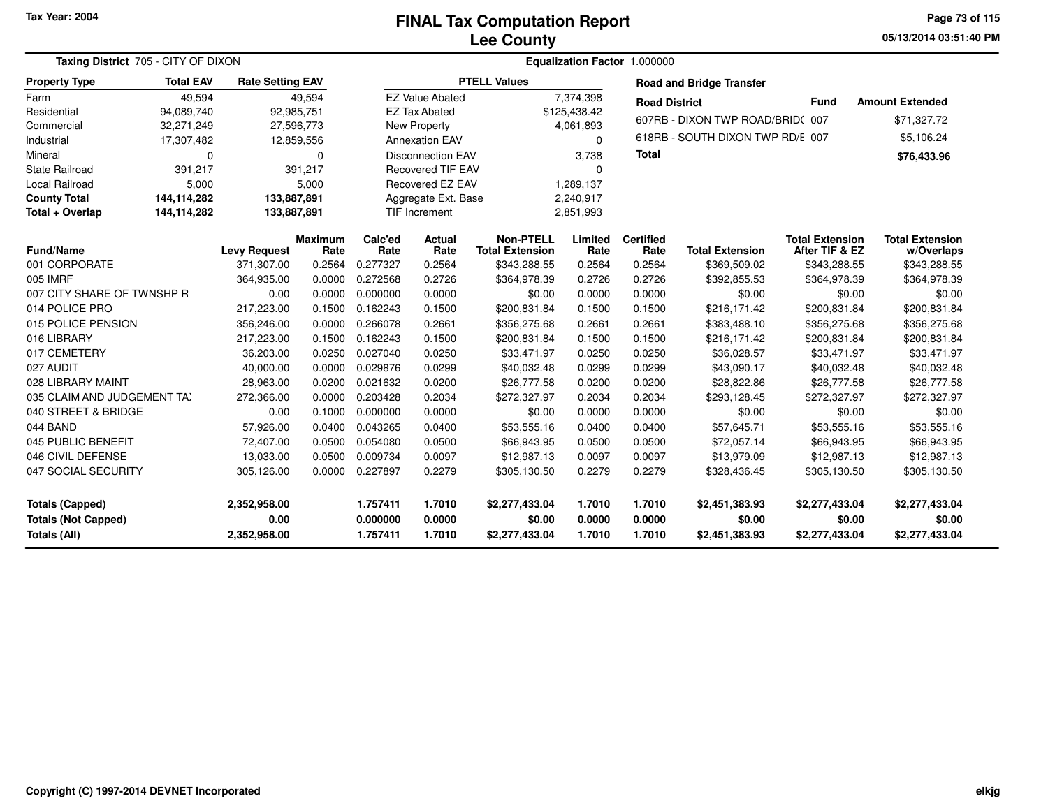**05/13/2014 03:51:40 PMPage 73 of 115**

| Taxing District 705 - CITY OF DIXON |                  |                         |                        |                 |                          | Equalization Factor 1.000000               |                 |                          |                                  |                                          |                                      |
|-------------------------------------|------------------|-------------------------|------------------------|-----------------|--------------------------|--------------------------------------------|-----------------|--------------------------|----------------------------------|------------------------------------------|--------------------------------------|
| <b>Property Type</b>                | <b>Total EAV</b> | <b>Rate Setting EAV</b> |                        |                 |                          | <b>PTELL Values</b>                        |                 |                          | <b>Road and Bridge Transfer</b>  |                                          |                                      |
| Farm                                | 49,594           |                         | 49,594                 |                 | <b>EZ Value Abated</b>   |                                            | 7,374,398       | <b>Road District</b>     |                                  | <b>Fund</b>                              | <b>Amount Extended</b>               |
| Residential                         | 94,089,740       |                         | 92,985,751             |                 | <b>EZ Tax Abated</b>     |                                            | \$125,438.42    |                          |                                  |                                          |                                      |
| Commercial                          | 32,271,249       |                         | 27,596,773             |                 | <b>New Property</b>      |                                            | 4,061,893       |                          | 607RB - DIXON TWP ROAD/BRID(007  |                                          | \$71,327.72                          |
| Industrial                          | 17,307,482       |                         | 12,859,556             |                 | <b>Annexation EAV</b>    |                                            | $\Omega$        |                          | 618RB - SOUTH DIXON TWP RD/E 007 |                                          | \$5,106.24                           |
| Mineral                             | 0                |                         | $\Omega$               |                 | <b>Disconnection EAV</b> |                                            | 3,738           | <b>Total</b>             |                                  |                                          | \$76,433.96                          |
| <b>State Railroad</b>               | 391,217          |                         | 391,217                |                 | <b>Recovered TIF EAV</b> |                                            | $\Omega$        |                          |                                  |                                          |                                      |
| <b>Local Railroad</b>               | 5,000            |                         | 5,000                  |                 | Recovered EZ EAV         |                                            | 1,289,137       |                          |                                  |                                          |                                      |
| <b>County Total</b>                 | 144,114,282      | 133,887,891             |                        |                 | Aggregate Ext. Base      |                                            | 2,240,917       |                          |                                  |                                          |                                      |
| Total + Overlap                     | 144,114,282      | 133,887,891             |                        |                 | <b>TIF Increment</b>     |                                            | 2,851,993       |                          |                                  |                                          |                                      |
| <b>Fund/Name</b>                    |                  | <b>Levy Request</b>     | <b>Maximum</b><br>Rate | Calc'ed<br>Rate | Actual<br>Rate           | <b>Non-PTELL</b><br><b>Total Extension</b> | Limited<br>Rate | <b>Certified</b><br>Rate | <b>Total Extension</b>           | <b>Total Extension</b><br>After TIF & EZ | <b>Total Extension</b><br>w/Overlaps |
| 001 CORPORATE                       |                  | 371,307.00              | 0.2564                 | 0.277327        | 0.2564                   | \$343,288.55                               | 0.2564          | 0.2564                   | \$369,509.02                     | \$343,288.55                             | \$343,288.55                         |
| 005 IMRF                            |                  | 364,935.00              | 0.0000                 | 0.272568        | 0.2726                   | \$364,978.39                               | 0.2726          | 0.2726                   | \$392,855.53                     | \$364,978.39                             | \$364,978.39                         |
| 007 CITY SHARE OF TWNSHP R          |                  | 0.00                    | 0.0000                 | 0.000000        | 0.0000                   | \$0.00                                     | 0.0000          | 0.0000                   | \$0.00                           | \$0.00                                   | \$0.00                               |
| 014 POLICE PRO                      |                  | 217,223.00              | 0.1500                 | 0.162243        | 0.1500                   | \$200,831.84                               | 0.1500          | 0.1500                   | \$216,171.42                     | \$200,831.84                             | \$200,831.84                         |
| 015 POLICE PENSION                  |                  | 356,246.00              | 0.0000                 | 0.266078        | 0.2661                   | \$356,275.68                               | 0.2661          | 0.2661                   | \$383,488.10                     | \$356,275.68                             | \$356,275.68                         |
| 016 LIBRARY                         |                  | 217,223.00              | 0.1500                 | 0.162243        | 0.1500                   | \$200,831.84                               | 0.1500          | 0.1500                   | \$216,171.42                     | \$200,831.84                             | \$200,831.84                         |
| 017 CEMETERY                        |                  | 36,203.00               | 0.0250                 | 0.027040        | 0.0250                   | \$33,471.97                                | 0.0250          | 0.0250                   | \$36,028.57                      | \$33,471.97                              | \$33,471.97                          |
| 027 AUDIT                           |                  | 40,000.00               | 0.0000                 | 0.029876        | 0.0299                   | \$40,032.48                                | 0.0299          | 0.0299                   | \$43,090.17                      | \$40,032.48                              | \$40,032.48                          |
| 028 LIBRARY MAINT                   |                  | 28,963.00               | 0.0200                 | 0.021632        | 0.0200                   | \$26,777.58                                | 0.0200          | 0.0200                   | \$28,822.86                      | \$26,777.58                              | \$26,777.58                          |
| 035 CLAIM AND JUDGEMENT TAX         |                  | 272,366.00              | 0.0000                 | 0.203428        | 0.2034                   | \$272,327.97                               | 0.2034          | 0.2034                   | \$293,128.45                     | \$272,327.97                             | \$272,327.97                         |
| 040 STREET & BRIDGE                 |                  | 0.00                    | 0.1000                 | 0.000000        | 0.0000                   | \$0.00                                     | 0.0000          | 0.0000                   | \$0.00                           | \$0.00                                   | \$0.00                               |
| 044 BAND                            |                  | 57,926.00               | 0.0400                 | 0.043265        | 0.0400                   | \$53,555.16                                | 0.0400          | 0.0400                   | \$57,645.71                      | \$53,555.16                              | \$53,555.16                          |
| 045 PUBLIC BENEFIT                  |                  | 72,407.00               | 0.0500                 | 0.054080        | 0.0500                   | \$66,943.95                                | 0.0500          | 0.0500                   | \$72,057.14                      | \$66,943.95                              | \$66,943.95                          |
| 046 CIVIL DEFENSE                   |                  | 13,033.00               | 0.0500                 | 0.009734        | 0.0097                   | \$12,987.13                                | 0.0097          | 0.0097                   | \$13,979.09                      | \$12,987.13                              | \$12,987.13                          |
| 047 SOCIAL SECURITY                 |                  | 305,126.00              | 0.0000                 | 0.227897        | 0.2279                   | \$305,130.50                               | 0.2279          | 0.2279                   | \$328,436.45                     | \$305,130.50                             | \$305,130.50                         |
| <b>Totals (Capped)</b>              |                  | 2,352,958.00            |                        | 1.757411        | 1.7010                   | \$2,277,433.04                             | 1.7010          | 1.7010                   | \$2,451,383.93                   | \$2,277,433.04                           | \$2,277,433.04                       |
| <b>Totals (Not Capped)</b>          |                  | 0.00                    |                        | 0.000000        | 0.0000                   | \$0.00                                     | 0.0000          | 0.0000                   | \$0.00                           | \$0.00                                   | \$0.00                               |
| <b>Totals (All)</b>                 |                  | 2,352,958.00            |                        | 1.757411        | 1.7010                   | \$2,277,433.04                             | 1.7010          | 1.7010                   | \$2,451,383.93                   | \$2,277,433.04                           | \$2,277,433.04                       |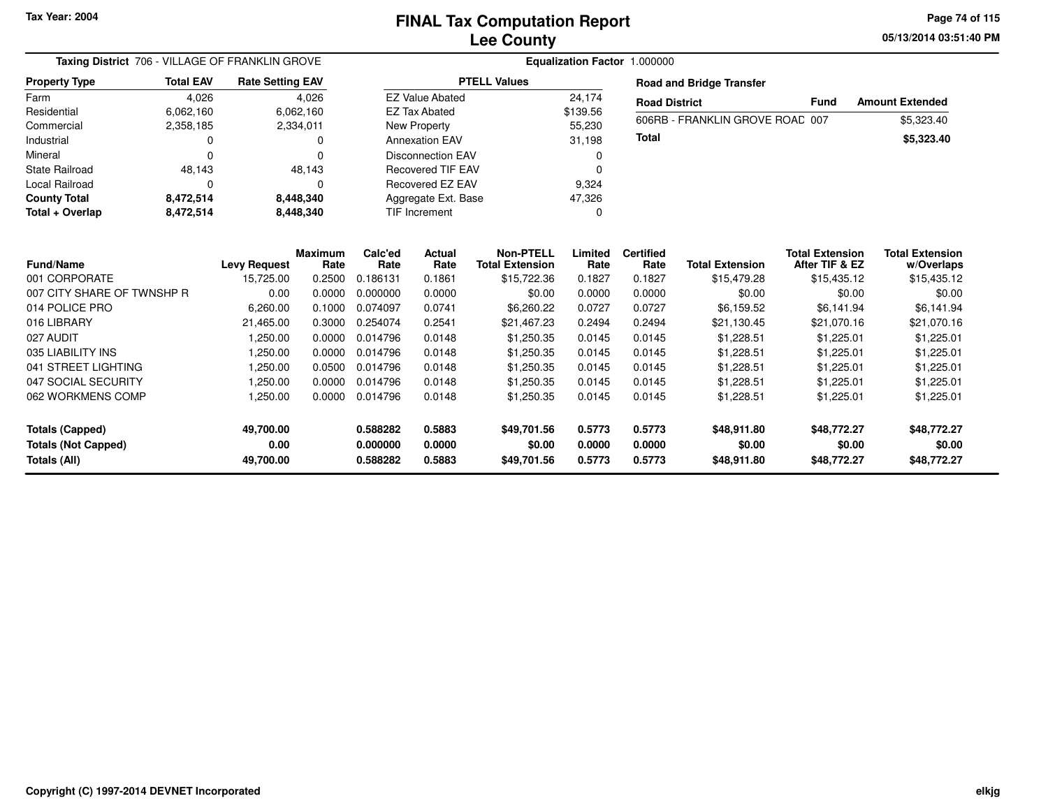**05/13/2014 03:51:40 PM Page 74 of 115**

| Taxing District 706 - VILLAGE OF FRANKLIN GROVE |                  | Equalization Factor 1.000000 |                        |                 |                          |                                            |                 |                          |                                 |                                          |                                      |  |
|-------------------------------------------------|------------------|------------------------------|------------------------|-----------------|--------------------------|--------------------------------------------|-----------------|--------------------------|---------------------------------|------------------------------------------|--------------------------------------|--|
| <b>Property Type</b>                            | <b>Total EAV</b> | <b>Rate Setting EAV</b>      |                        |                 |                          | <b>PTELL Values</b>                        |                 |                          | <b>Road and Bridge Transfer</b> |                                          |                                      |  |
| Farm                                            | 4,026            |                              | 4,026                  |                 | <b>EZ Value Abated</b>   |                                            | 24,174          | <b>Road District</b>     |                                 | Fund                                     | <b>Amount Extended</b>               |  |
| Residential                                     | 6,062,160        |                              | 6,062,160              |                 | <b>EZ Tax Abated</b>     |                                            | \$139.56        |                          | 606RB - FRANKLIN GROVE ROAD 007 |                                          | \$5,323.40                           |  |
| Commercial                                      | 2,358,185        |                              | 2,334,011              |                 | New Property             |                                            | 55,230          |                          |                                 |                                          |                                      |  |
| Industrial                                      | 0                |                              | 0                      |                 | <b>Annexation EAV</b>    |                                            | 31,198          | Total                    |                                 |                                          | \$5,323.40                           |  |
| Mineral                                         | $\Omega$         |                              | 0                      |                 | <b>Disconnection EAV</b> |                                            | 0               |                          |                                 |                                          |                                      |  |
| State Railroad                                  | 48,143           |                              | 48,143                 |                 | <b>Recovered TIF EAV</b> |                                            | 0               |                          |                                 |                                          |                                      |  |
| Local Railroad                                  | O                |                              | 0                      |                 | Recovered EZ EAV         |                                            | 9,324           |                          |                                 |                                          |                                      |  |
| <b>County Total</b>                             | 8,472,514        |                              | 8,448,340              |                 | Aggregate Ext. Base      |                                            | 47,326          |                          |                                 |                                          |                                      |  |
| Total + Overlap                                 | 8,472,514        |                              | 8,448,340              |                 | TIF Increment            |                                            | 0               |                          |                                 |                                          |                                      |  |
|                                                 |                  |                              |                        |                 |                          |                                            |                 |                          |                                 |                                          |                                      |  |
| <b>Fund/Name</b>                                |                  | <b>Levy Request</b>          | <b>Maximum</b><br>Rate | Calc'ed<br>Rate | Actual<br>Rate           | <b>Non-PTELL</b><br><b>Total Extension</b> | Limited<br>Rate | <b>Certified</b><br>Rate | <b>Total Extension</b>          | <b>Total Extension</b><br>After TIF & EZ | <b>Total Extension</b><br>w/Overlaps |  |
| 001 CORPORATE                                   |                  | 15,725.00                    | 0.2500                 | 0.186131        | 0.1861                   | \$15,722.36                                | 0.1827          | 0.1827                   | \$15,479.28                     | \$15,435.12                              | \$15,435.12                          |  |
| 007 CITY SHARE OF TWNSHP R                      |                  | 0.00                         | 0.0000                 | 0.000000        | 0.0000                   | \$0.00                                     | 0.0000          | 0.0000                   | \$0.00                          | \$0.00                                   | \$0.00                               |  |
| 014 POLICE PRO                                  |                  | 6,260.00                     | 0.1000                 | 0.074097        | 0.0741                   | \$6,260.22                                 | 0.0727          | 0.0727                   | \$6,159.52                      | \$6,141.94                               | \$6,141.94                           |  |
| 016 LIBRARY                                     |                  | 21,465.00                    | 0.3000                 | 0.254074        | 0.2541                   | \$21,467.23                                | 0.2494          | 0.2494                   | \$21,130.45                     | \$21,070.16                              | \$21,070.16                          |  |
| 027 AUDIT                                       |                  | 1,250.00                     | 0.0000                 | 0.014796        | 0.0148                   | \$1,250.35                                 | 0.0145          | 0.0145                   | \$1,228.51                      | \$1,225.01                               | \$1,225.01                           |  |
| 035 LIABILITY INS                               |                  | 1,250.00                     | 0.0000                 | 0.014796        | 0.0148                   | \$1,250.35                                 | 0.0145          | 0.0145                   | \$1,228.51                      | \$1,225.01                               | \$1,225.01                           |  |
| 041 STREET LIGHTING                             |                  | 1,250.00                     | 0.0500                 | 0.014796        | 0.0148                   | \$1,250.35                                 | 0.0145          | 0.0145                   | \$1,228.51                      | \$1,225.01                               | \$1,225.01                           |  |
| 047 SOCIAL SECURITY                             |                  | 1,250.00                     | 0.0000                 | 0.014796        | 0.0148                   | \$1,250.35                                 | 0.0145          | 0.0145                   | \$1,228.51                      | \$1,225.01                               | \$1,225.01                           |  |
| 062 WORKMENS COMP                               |                  | 1,250.00                     | 0.0000                 | 0.014796        | 0.0148                   | \$1,250.35                                 | 0.0145          | 0.0145                   | \$1,228.51                      | \$1,225.01                               | \$1,225.01                           |  |
| <b>Totals (Capped)</b>                          |                  | 49,700.00                    |                        | 0.588282        | 0.5883                   | \$49,701.56                                | 0.5773          | 0.5773                   | \$48,911.80                     | \$48,772.27                              | \$48,772.27                          |  |
| <b>Totals (Not Capped)</b>                      |                  | 0.00                         |                        | 0.000000        | 0.0000                   | \$0.00                                     | 0.0000          | 0.0000                   | \$0.00                          | \$0.00                                   | \$0.00                               |  |
| Totals (All)                                    |                  | 49,700.00                    |                        | 0.588282        | 0.5883                   | \$49,701.56                                | 0.5773          | 0.5773                   | \$48,911.80                     | \$48,772.27                              | \$48,772.27                          |  |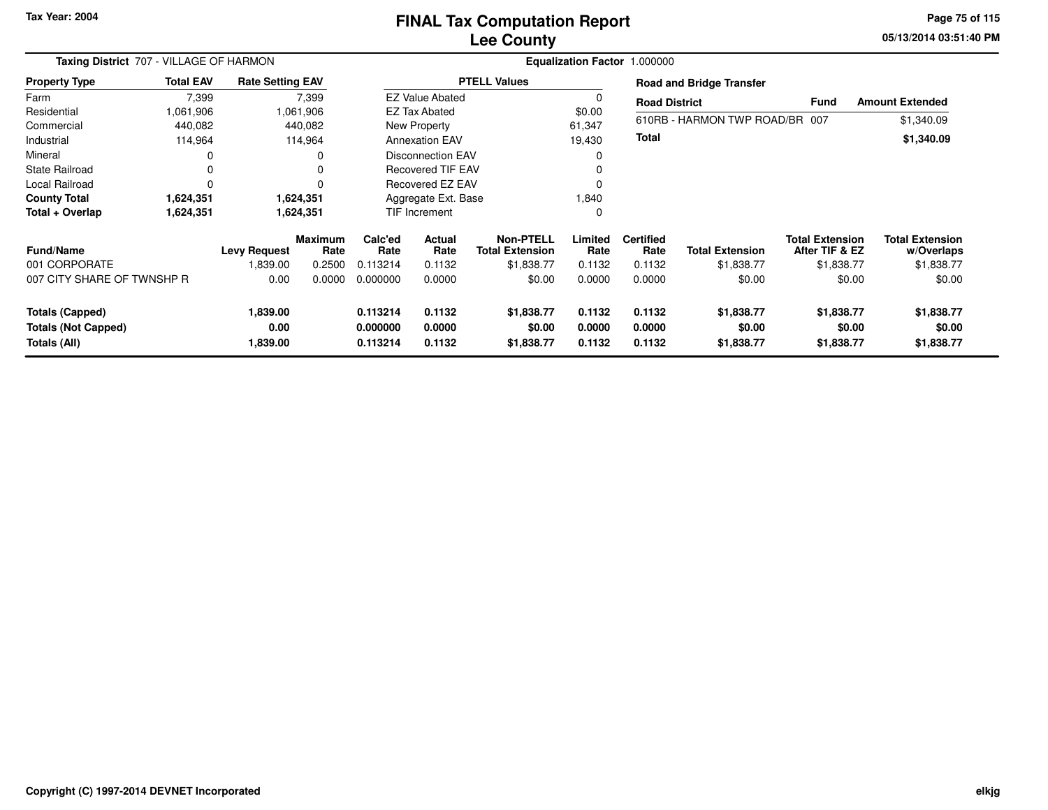# **Lee CountyFINAL Tax Computation Report**

**05/13/2014 03:51:40 PM Page 75 of 115**

| Taxing District 707 - VILLAGE OF HARMON |                  |                         |                        | Equalization Factor 1.000000 |                          |                                            |                 |                          |                                 |                                          |                                      |  |  |
|-----------------------------------------|------------------|-------------------------|------------------------|------------------------------|--------------------------|--------------------------------------------|-----------------|--------------------------|---------------------------------|------------------------------------------|--------------------------------------|--|--|
| <b>Property Type</b>                    | <b>Total EAV</b> | <b>Rate Setting EAV</b> |                        |                              |                          | <b>PTELL Values</b>                        |                 |                          | <b>Road and Bridge Transfer</b> |                                          |                                      |  |  |
| Farm                                    | 7,399            |                         | 7,399                  |                              | <b>EZ Value Abated</b>   |                                            | 0               | <b>Road District</b>     |                                 | <b>Fund</b>                              | <b>Amount Extended</b>               |  |  |
| Residential                             | 1,061,906        |                         | 1,061,906              |                              | <b>EZ Tax Abated</b>     |                                            | \$0.00          |                          |                                 |                                          |                                      |  |  |
| Commercial                              | 440,082          |                         | 440,082                |                              | New Property             |                                            | 61,347          |                          | 610RB - HARMON TWP ROAD/BR 007  |                                          | \$1,340.09                           |  |  |
| Industrial                              | 114,964          |                         | 114,964                |                              | <b>Annexation EAV</b>    |                                            | 19,430          | <b>Total</b>             |                                 |                                          | \$1,340.09                           |  |  |
| Mineral                                 | 0                |                         |                        |                              | <b>Disconnection EAV</b> |                                            | 0               |                          |                                 |                                          |                                      |  |  |
| <b>State Railroad</b>                   | 0                |                         |                        |                              | <b>Recovered TIF EAV</b> |                                            | 0               |                          |                                 |                                          |                                      |  |  |
| Local Railroad                          | $\Omega$         |                         |                        |                              | Recovered EZ EAV         |                                            | $\Omega$        |                          |                                 |                                          |                                      |  |  |
| <b>County Total</b>                     | 1,624,351        |                         | 1,624,351              |                              | Aggregate Ext. Base      |                                            | 1,840           |                          |                                 |                                          |                                      |  |  |
| Total + Overlap                         | 1,624,351        |                         | 1,624,351              |                              | TIF Increment            |                                            | 0               |                          |                                 |                                          |                                      |  |  |
| <b>Fund/Name</b>                        |                  | <b>Levy Request</b>     | <b>Maximum</b><br>Rate | Calc'ed<br>Rate              | Actual<br>Rate           | <b>Non-PTELL</b><br><b>Total Extension</b> | Limited<br>Rate | <b>Certified</b><br>Rate | <b>Total Extension</b>          | <b>Total Extension</b><br>After TIF & EZ | <b>Total Extension</b><br>w/Overlaps |  |  |
| 001 CORPORATE                           |                  | 839.00                  | 0.2500                 | 0.113214                     | 0.1132                   | \$1,838.77                                 | 0.1132          | 0.1132                   | \$1,838.77                      | \$1,838.77                               | \$1,838.77                           |  |  |
| 007 CITY SHARE OF TWNSHP R              |                  | 0.00                    | 0.0000                 | 0.000000                     | 0.0000                   | \$0.00                                     | 0.0000          | 0.0000                   | \$0.00                          | \$0.00                                   | \$0.00                               |  |  |
| <b>Totals (Capped)</b>                  |                  | 1,839.00                |                        | 0.113214                     | 0.1132                   | \$1,838.77                                 | 0.1132          | 0.1132                   | \$1,838.77                      | \$1,838.77                               | \$1,838.77                           |  |  |
| <b>Totals (Not Capped)</b>              |                  | 0.00                    |                        | 0.000000                     | 0.0000                   | \$0.00                                     | 0.0000          | 0.0000                   | \$0.00                          | \$0.00                                   | \$0.00                               |  |  |
| Totals (All)                            |                  | 1,839.00                |                        | 0.113214                     | 0.1132                   | \$1,838.77                                 | 0.1132          | 0.1132                   | \$1,838.77                      | \$1,838.77                               | \$1,838.77                           |  |  |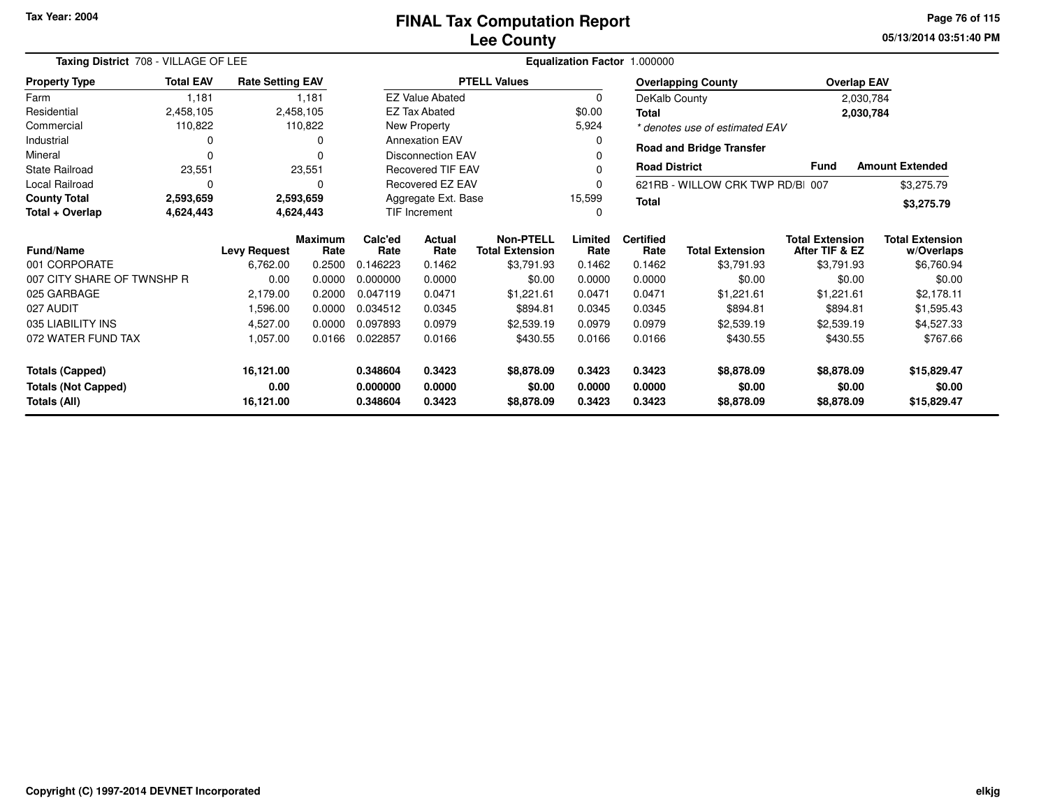| Taxing District 708 - VILLAGE OF LEE    |                  |                         |                 |                                                          |                                            |                     | Equalization Factor 1.000000 |                        |                                          |                                      |                        |
|-----------------------------------------|------------------|-------------------------|-----------------|----------------------------------------------------------|--------------------------------------------|---------------------|------------------------------|------------------------|------------------------------------------|--------------------------------------|------------------------|
| <b>Property Type</b>                    | <b>Total EAV</b> | <b>Rate Setting EAV</b> |                 |                                                          |                                            | <b>PTELL Values</b> |                              |                        | <b>Overlapping County</b>                |                                      | <b>Overlap EAV</b>     |
| Farm                                    | 1,181            |                         | 1,181           |                                                          | <b>EZ Value Abated</b>                     |                     | 0                            |                        | DeKalb County                            |                                      | 2,030,784              |
| Residential                             | 2,458,105        |                         | 2,458,105       |                                                          | <b>EZ Tax Abated</b>                       |                     | \$0.00                       | <b>Total</b>           |                                          |                                      | 2,030,784              |
| Commercial                              | 110,822          |                         | 110,822         |                                                          | New Property                               |                     | 5,924                        |                        | * denotes use of estimated EAV           |                                      |                        |
| Industrial                              | O                |                         | 0               |                                                          | <b>Annexation EAV</b>                      |                     | 0                            |                        |                                          |                                      |                        |
| Mineral                                 | $\Omega$         |                         | ŋ               |                                                          | <b>Disconnection EAV</b>                   |                     |                              |                        | <b>Road and Bridge Transfer</b>          |                                      |                        |
| <b>State Railroad</b>                   | 23,551           |                         | 23,551          |                                                          | <b>Recovered TIF EAV</b>                   |                     |                              | <b>Road District</b>   |                                          | <b>Fund</b>                          | <b>Amount Extended</b> |
| <b>Local Railroad</b>                   | 0                |                         | $\Omega$        | Recovered EZ EAV<br>621RB - WILLOW CRK TWP RD/B 007<br>0 |                                            |                     |                              |                        |                                          |                                      | \$3,275.79             |
| <b>County Total</b>                     | 2,593,659        |                         | 2,593,659       | Aggregate Ext. Base<br>15,599<br><b>Total</b>            |                                            |                     |                              |                        |                                          | \$3,275.79                           |                        |
| Total + Overlap                         | 4,624,443        |                         | 4,624,443       | <b>TIF Increment</b><br>0                                |                                            |                     |                              |                        |                                          |                                      |                        |
| <b>Fund/Name</b><br><b>Levy Request</b> |                  | <b>Maximum</b><br>Rate  | Calc'ed<br>Rate | Actual<br>Rate                                           | <b>Non-PTELL</b><br><b>Total Extension</b> | Limited<br>Rate     | <b>Certified</b><br>Rate     | <b>Total Extension</b> | <b>Total Extension</b><br>After TIF & EZ | <b>Total Extension</b><br>w/Overlaps |                        |
| 001 CORPORATE                           |                  | 6,762.00                | 0.2500          | 0.146223                                                 | 0.1462                                     | \$3,791.93          | 0.1462                       | 0.1462                 | \$3,791.93                               | \$3,791.93                           | \$6,760.94             |
| 007 CITY SHARE OF TWNSHP R              |                  | 0.00                    | 0.0000          | 0.000000                                                 | 0.0000                                     | \$0.00              | 0.0000                       | 0.0000                 | \$0.00                                   | \$0.00                               | \$0.00                 |
| 025 GARBAGE                             |                  | 2,179.00                | 0.2000          | 0.047119                                                 | 0.0471                                     | \$1,221.61          | 0.0471                       | 0.0471                 | \$1,221.61                               | \$1,221.61                           | \$2,178.11             |
| 027 AUDIT                               |                  | 1,596.00                | 0.0000          | 0.034512                                                 | 0.0345                                     | \$894.81            | 0.0345                       | 0.0345                 | \$894.81                                 | \$894.81                             | \$1,595.43             |
| 035 LIABILITY INS                       |                  | 4,527.00                | 0.0000          | 0.097893                                                 | 0.0979                                     | \$2,539.19          | 0.0979                       | 0.0979                 | \$2,539.19                               | \$2,539.19                           | \$4,527.33             |
| 072 WATER FUND TAX                      |                  | 1,057.00                | 0.0166          | 0.022857                                                 | 0.0166                                     | \$430.55            | 0.0166                       | 0.0166                 | \$430.55                                 | \$430.55                             | \$767.66               |
| <b>Totals (Capped)</b>                  |                  | 16,121.00               |                 | 0.348604                                                 | 0.3423                                     | \$8,878.09          | 0.3423                       | 0.3423                 | \$8,878.09                               | \$8,878.09                           | \$15,829.47            |
| <b>Totals (Not Capped)</b>              |                  | 0.00                    |                 | 0.000000                                                 | 0.0000                                     | \$0.00              | 0.0000                       | 0.0000                 | \$0.00                                   | \$0.00                               | \$0.00                 |
| Totals (All)<br>16,121.00               |                  |                         |                 | 0.348604                                                 | 0.3423                                     | \$8,878.09          | 0.3423                       | 0.3423                 | \$8,878.09                               | \$8,878.09                           | \$15,829.47            |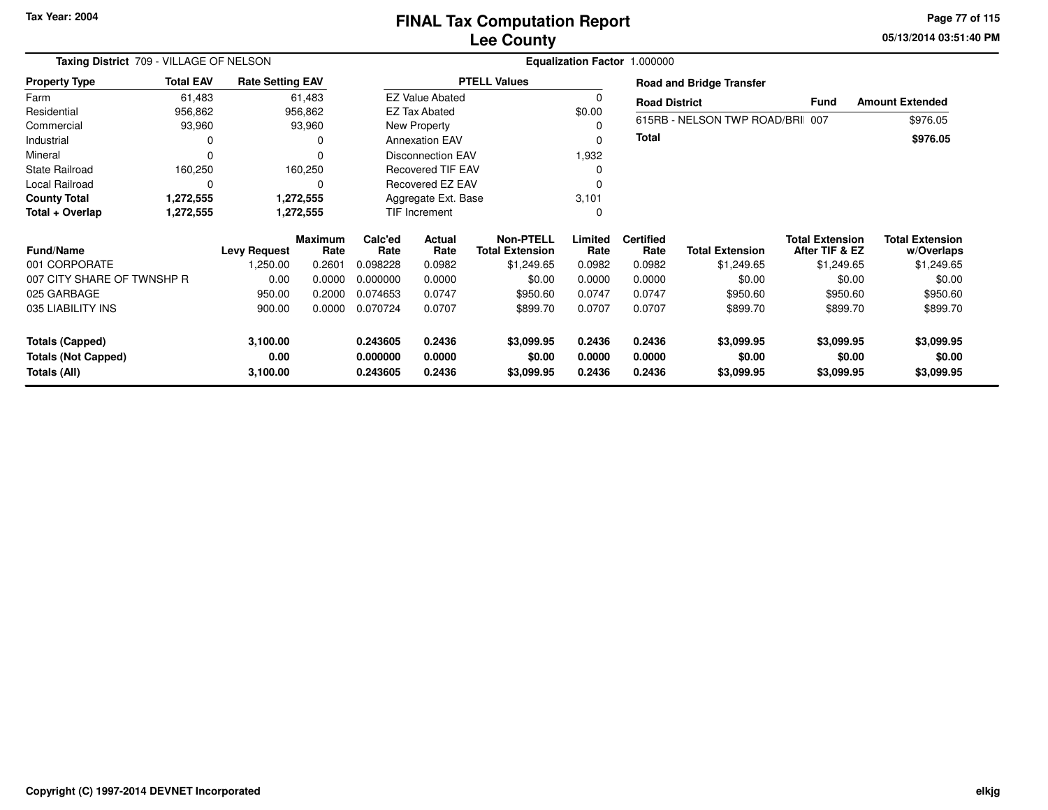**05/13/2014 03:51:40 PMPage 77 of 115**

|                                            | Taxing District 709 - VILLAGE OF NELSON<br><b>Total EAV</b><br><b>Rate Setting EAV</b> |                     |                        |                              |                          |                                            |                  | Equalization Factor 1.000000 |                                 |                                          |                                      |  |
|--------------------------------------------|----------------------------------------------------------------------------------------|---------------------|------------------------|------------------------------|--------------------------|--------------------------------------------|------------------|------------------------------|---------------------------------|------------------------------------------|--------------------------------------|--|
| <b>Property Type</b>                       |                                                                                        |                     |                        |                              |                          | <b>PTELL Values</b>                        |                  |                              | <b>Road and Bridge Transfer</b> |                                          |                                      |  |
| Farm                                       | 61,483                                                                                 |                     | 61,483                 |                              | <b>EZ Value Abated</b>   |                                            | 0                | <b>Road District</b>         |                                 | <b>Fund</b>                              | <b>Amount Extended</b>               |  |
| Residential                                | 956,862                                                                                |                     | 956,862                |                              | <b>EZ Tax Abated</b>     |                                            | \$0.00           |                              |                                 |                                          |                                      |  |
| Commercial                                 | 93,960                                                                                 |                     | 93,960                 |                              | New Property             |                                            | 0                |                              | 615RB - NELSON TWP ROAD/BRI 007 |                                          | \$976.05                             |  |
| Industrial                                 |                                                                                        |                     | 0                      |                              | <b>Annexation EAV</b>    |                                            | 0                | <b>Total</b>                 |                                 |                                          | \$976.05                             |  |
| Mineral                                    | $\Omega$                                                                               |                     |                        |                              | <b>Disconnection EAV</b> |                                            |                  |                              |                                 |                                          |                                      |  |
| <b>State Railroad</b>                      | 160,250                                                                                |                     | 160,250                |                              | Recovered TIF EAV        |                                            | 0                |                              |                                 |                                          |                                      |  |
| Local Railroad                             | $\Omega$                                                                               |                     | 0                      | Recovered EZ EAV<br>$\Omega$ |                          |                                            |                  |                              |                                 |                                          |                                      |  |
| <b>County Total</b>                        | 1,272,555                                                                              |                     | 1,272,555              |                              | Aggregate Ext. Base      |                                            | 3,101            |                              |                                 |                                          |                                      |  |
| Total + Overlap                            | 1,272,555                                                                              |                     | 1,272,555              | TIF Increment                |                          |                                            | 0                |                              |                                 |                                          |                                      |  |
| <b>Fund/Name</b>                           |                                                                                        | <b>Levy Request</b> | <b>Maximum</b><br>Rate | Calc'ed<br>Rate              | Actual<br>Rate           | <b>Non-PTELL</b><br><b>Total Extension</b> | Limited<br>Rate  | <b>Certified</b><br>Rate     | <b>Total Extension</b>          | <b>Total Extension</b><br>After TIF & EZ | <b>Total Extension</b><br>w/Overlaps |  |
| 001 CORPORATE                              |                                                                                        | 1,250.00            | 0.2601                 | 0.098228                     | 0.0982                   | \$1,249.65                                 | 0.0982           | 0.0982                       | \$1,249.65                      | \$1,249.65                               | \$1,249.65                           |  |
| 007 CITY SHARE OF TWNSHP R                 |                                                                                        | 0.00                | 0.0000                 | 0.000000                     | 0.0000                   | \$0.00                                     | 0.0000           | 0.0000                       | \$0.00                          | \$0.00                                   | \$0.00                               |  |
| 025 GARBAGE                                |                                                                                        | 950.00              | 0.2000                 | 0.074653                     | 0.0747                   | \$950.60                                   | 0.0747           | 0.0747                       | \$950.60                        | \$950.60                                 | \$950.60                             |  |
| 035 LIABILITY INS                          |                                                                                        | 900.00              | 0.0000                 | 0.070724                     | 0.0707                   | \$899.70                                   | 0.0707           | 0.0707                       | \$899.70                        | \$899.70                                 | \$899.70                             |  |
| <b>Totals (Capped)</b>                     |                                                                                        | 3,100.00            |                        | 0.243605                     | 0.2436                   | \$3,099.95                                 | 0.2436           | 0.2436                       | \$3,099.95                      | \$3,099.95                               | \$3,099.95                           |  |
| <b>Totals (Not Capped)</b><br>Totals (All) |                                                                                        | 0.00<br>3,100.00    |                        | 0.000000<br>0.243605         | 0.0000<br>0.2436         | \$0.00<br>\$3,099.95                       | 0.0000<br>0.2436 | 0.0000<br>0.2436             | \$0.00<br>\$3,099.95            | \$0.00<br>\$3,099.95                     | \$0.00<br>\$3,099.95                 |  |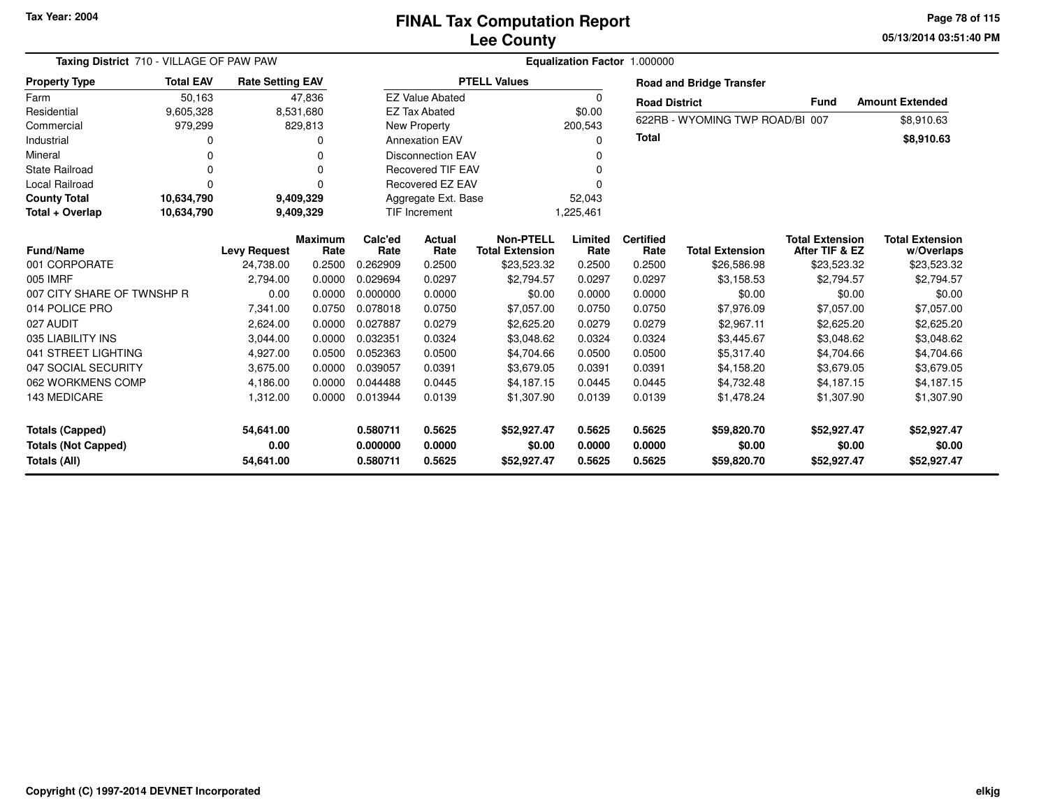**05/13/2014 03:51:40 PM Page 78 of 115**

| Taxing District 710 - VILLAGE OF PAW PAW |                  |                         |                |          |                          |                        |             | Equalization Factor 1.000000 |                                 |                        |                        |
|------------------------------------------|------------------|-------------------------|----------------|----------|--------------------------|------------------------|-------------|------------------------------|---------------------------------|------------------------|------------------------|
| <b>Property Type</b>                     | <b>Total EAV</b> | <b>Rate Setting EAV</b> |                |          |                          | <b>PTELL Values</b>    |             |                              | <b>Road and Bridge Transfer</b> |                        |                        |
| Farm                                     | 50,163           |                         | 47,836         |          | <b>EZ Value Abated</b>   |                        | $\mathbf 0$ | <b>Road District</b>         |                                 | <b>Fund</b>            | <b>Amount Extended</b> |
| Residential                              | 9,605,328        |                         | 8,531,680      |          | <b>EZ Tax Abated</b>     |                        | \$0.00      |                              |                                 |                        |                        |
| Commercial                               | 979,299          |                         | 829,813        |          | New Property             |                        | 200,543     |                              | 622RB - WYOMING TWP ROAD/BI 007 |                        | \$8,910.63             |
| Industrial                               | 0                |                         |                |          | <b>Annexation EAV</b>    |                        | 0           | <b>Total</b>                 |                                 |                        | \$8,910.63             |
| Mineral                                  | $\Omega$         |                         | O              |          | <b>Disconnection EAV</b> |                        | $\Omega$    |                              |                                 |                        |                        |
| <b>State Railroad</b>                    | $\Omega$         |                         | O              |          | <b>Recovered TIF EAV</b> |                        | 0           |                              |                                 |                        |                        |
| <b>Local Railroad</b>                    | $\Omega$         |                         |                |          | <b>Recovered EZ EAV</b>  |                        | $\Omega$    |                              |                                 |                        |                        |
| <b>County Total</b>                      | 10,634,790       |                         | 9,409,329      |          | Aggregate Ext. Base      |                        | 52,043      |                              |                                 |                        |                        |
| Total + Overlap                          | 10,634,790       |                         | 9,409,329      |          | <b>TIF Increment</b>     |                        | 1,225,461   |                              |                                 |                        |                        |
|                                          |                  |                         | <b>Maximum</b> | Calc'ed  | Actual                   | <b>Non-PTELL</b>       | Limited     | <b>Certified</b>             |                                 | <b>Total Extension</b> | <b>Total Extension</b> |
| <b>Fund/Name</b>                         |                  | <b>Levy Request</b>     | Rate           | Rate     | Rate                     | <b>Total Extension</b> | Rate        | Rate                         | <b>Total Extension</b>          | After TIF & EZ         | w/Overlaps             |
| 001 CORPORATE                            |                  | 24,738.00               | 0.2500         | 0.262909 | 0.2500                   | \$23,523.32            | 0.2500      | 0.2500                       | \$26,586.98                     | \$23,523.32            | \$23,523.32            |
| 005 IMRF                                 |                  | 2,794.00                | 0.0000         | 0.029694 | 0.0297                   | \$2,794.57             | 0.0297      | 0.0297                       | \$3,158.53                      | \$2,794.57             | \$2,794.57             |
| 007 CITY SHARE OF TWNSHP R               |                  | 0.00                    | 0.0000         | 0.000000 | 0.0000                   | \$0.00                 | 0.0000      | 0.0000                       | \$0.00                          | \$0.00                 | \$0.00                 |
| 014 POLICE PRO                           |                  | 7.341.00                | 0.0750         | 0.078018 | 0.0750                   | \$7.057.00             | 0.0750      | 0.0750                       | \$7.976.09                      | \$7,057.00             | \$7,057.00             |
| 027 AUDIT                                |                  | 2,624.00                | 0.0000         | 0.027887 | 0.0279                   | \$2,625.20             | 0.0279      | 0.0279                       | \$2,967.11                      | \$2,625.20             | \$2,625.20             |
| 035 LIABILITY INS                        |                  | 3,044.00                | 0.0000         | 0.032351 | 0.0324                   | \$3,048.62             | 0.0324      | 0.0324                       | \$3,445.67                      | \$3,048.62             | \$3,048.62             |
| 041 STREET LIGHTING                      |                  | 4,927.00                | 0.0500         | 0.052363 | 0.0500                   | \$4,704.66             | 0.0500      | 0.0500                       | \$5,317.40                      | \$4,704.66             | \$4,704.66             |
| 047 SOCIAL SECURITY                      |                  | 3,675.00                | 0.0000         | 0.039057 | 0.0391                   | \$3,679.05             | 0.0391      | 0.0391                       | \$4,158.20                      | \$3,679.05             | \$3,679.05             |
| 062 WORKMENS COMP                        |                  | 4.186.00                | 0.0000         | 0.044488 | 0.0445                   | \$4.187.15             | 0.0445      | 0.0445                       | \$4,732.48                      | \$4,187.15             | \$4.187.15             |
| 143 MEDICARE                             |                  | 1,312.00                | 0.0000         | 0.013944 | 0.0139                   | \$1,307.90             | 0.0139      | 0.0139                       | \$1,478.24                      | \$1,307.90             | \$1,307.90             |
| <b>Totals (Capped)</b>                   |                  | 54,641.00               |                | 0.580711 | 0.5625                   | \$52,927.47            | 0.5625      | 0.5625                       | \$59,820.70                     | \$52,927.47            | \$52,927.47            |
| <b>Totals (Not Capped)</b>               |                  | 0.00                    |                | 0.000000 | 0.0000                   | \$0.00                 | 0.0000      | 0.0000                       | \$0.00                          | \$0.00                 | \$0.00                 |
| <b>Totals (All)</b>                      |                  | 54,641.00               |                | 0.580711 | 0.5625                   | \$52,927.47            | 0.5625      | 0.5625                       | \$59,820.70                     | \$52,927.47            | \$52,927.47            |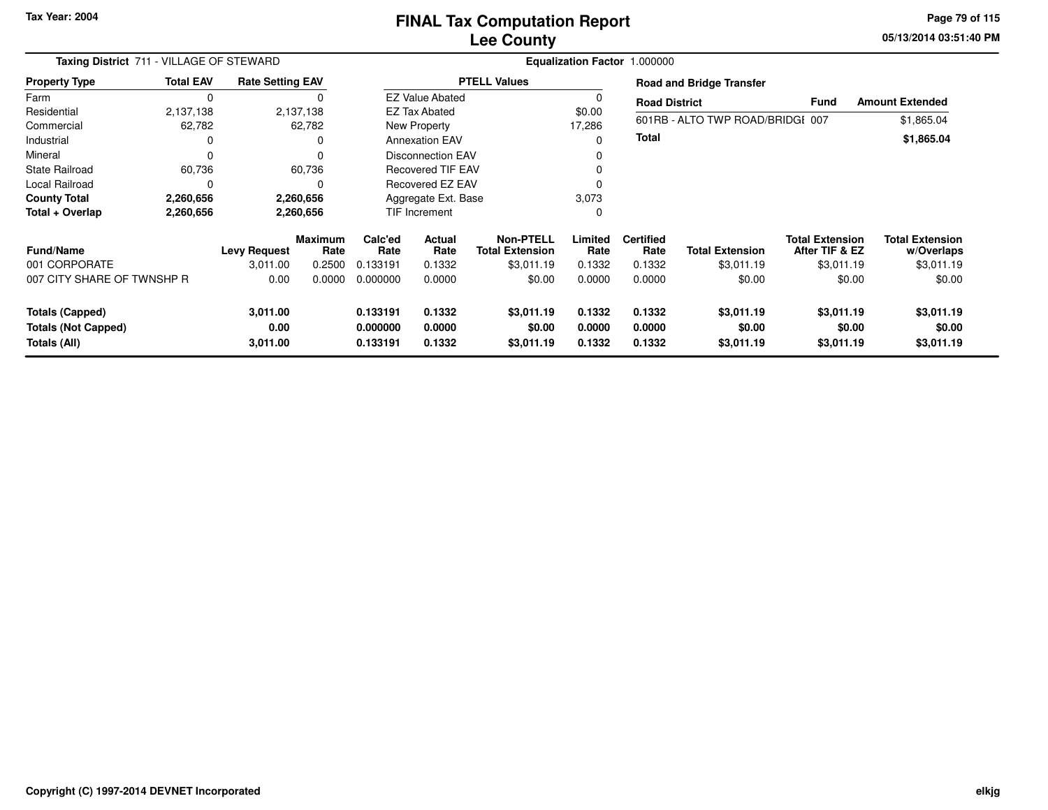**05/13/2014 03:51:40 PM Page 79 of 115**

|                            | Taxing District 711 - VILLAGE OF STEWARD |                         |                 |                     |                          |                                            |                 | Equalization Factor 1.000000 |                                  |                                          |                                      |
|----------------------------|------------------------------------------|-------------------------|-----------------|---------------------|--------------------------|--------------------------------------------|-----------------|------------------------------|----------------------------------|------------------------------------------|--------------------------------------|
| <b>Property Type</b>       | <b>Total EAV</b>                         | <b>Rate Setting EAV</b> |                 |                     |                          | <b>PTELL Values</b>                        |                 |                              | <b>Road and Bridge Transfer</b>  |                                          |                                      |
| Farm                       | $\Omega$                                 |                         |                 |                     | <b>EZ Value Abated</b>   |                                            |                 | <b>Road District</b>         |                                  | Fund                                     | <b>Amount Extended</b>               |
| Residential                | 2,137,138                                |                         | 2,137,138       |                     | <b>EZ Tax Abated</b>     |                                            | \$0.00          |                              |                                  |                                          |                                      |
| Commercial                 | 62,782                                   |                         | 62,782          |                     | New Property             |                                            | 17,286          |                              | 601RB - ALTO TWP ROAD/BRIDGI 007 |                                          | \$1,865.04                           |
| Industrial                 |                                          |                         | 0               |                     | <b>Annexation EAV</b>    |                                            | 0               | <b>Total</b>                 |                                  |                                          | \$1,865.04                           |
| Mineral                    |                                          |                         | 0               |                     | <b>Disconnection EAV</b> |                                            |                 |                              |                                  |                                          |                                      |
| <b>State Railroad</b>      | 60,736                                   |                         | 60,736          |                     | <b>Recovered TIF EAV</b> |                                            |                 |                              |                                  |                                          |                                      |
| Local Railroad             |                                          |                         | $\Omega$        |                     | Recovered EZ EAV         |                                            |                 |                              |                                  |                                          |                                      |
| <b>County Total</b>        | 2,260,656                                |                         | 2,260,656       | Aggregate Ext. Base |                          | 3,073                                      |                 |                              |                                  |                                          |                                      |
| Total + Overlap            | 2,260,656                                |                         | 2,260,656       |                     | <b>TIF Increment</b>     |                                            |                 |                              |                                  |                                          |                                      |
| <b>Fund/Name</b>           |                                          | <b>Levy Request</b>     | Maximum<br>Rate | Calc'ed<br>Rate     | <b>Actual</b><br>Rate    | <b>Non-PTELL</b><br><b>Total Extension</b> | Limited<br>Rate | <b>Certified</b><br>Rate     | <b>Total Extension</b>           | <b>Total Extension</b><br>After TIF & EZ | <b>Total Extension</b><br>w/Overlaps |
| 001 CORPORATE              |                                          | 3,011.00                | 0.2500          | 0.133191            | 0.1332                   | \$3,011.19                                 | 0.1332          | 0.1332                       | \$3,011.19                       | \$3,011.19                               | \$3,011.19                           |
| 007 CITY SHARE OF TWNSHP R |                                          | 0.00                    | 0.0000          | 0.000000            | 0.0000                   | \$0.00                                     | 0.0000          | 0.0000                       | \$0.00                           | \$0.00                                   | \$0.00                               |
| <b>Totals (Capped)</b>     |                                          | 3,011.00                |                 | 0.133191            | 0.1332                   | \$3,011.19                                 | 0.1332          | 0.1332                       | \$3,011.19                       | \$3,011.19                               | \$3,011.19                           |
| <b>Totals (Not Capped)</b> |                                          | 0.00                    |                 | 0.000000            | 0.0000                   | \$0.00                                     | 0.0000          | 0.0000                       | \$0.00                           | \$0.00                                   | \$0.00                               |
| Totals (All)               |                                          | 3,011.00                |                 | 0.133191            | 0.1332                   | \$3,011.19                                 | 0.1332          | 0.1332                       | \$3,011.19                       | \$3,011.19                               | \$3,011.19                           |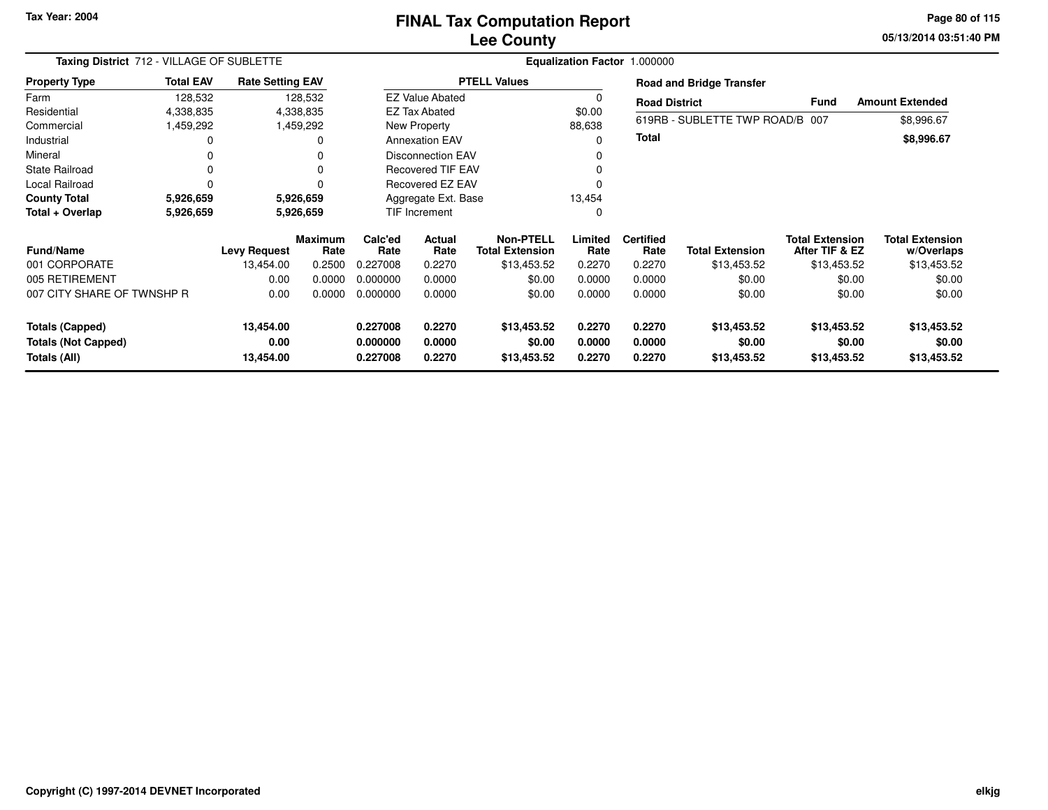### **Lee CountyFINAL Tax Computation Report**

**05/13/2014 03:51:40 PM Page 80 of 115**

| Taxing District 712 - VILLAGE OF SUBLETTE |                  |                         |                        |                         |                           |                                            |                 | Equalization Factor 1.000000 |                                 |                                          |                                      |
|-------------------------------------------|------------------|-------------------------|------------------------|-------------------------|---------------------------|--------------------------------------------|-----------------|------------------------------|---------------------------------|------------------------------------------|--------------------------------------|
| <b>Property Type</b>                      | <b>Total EAV</b> | <b>Rate Setting EAV</b> |                        |                         |                           | <b>PTELL Values</b>                        |                 |                              | <b>Road and Bridge Transfer</b> |                                          |                                      |
| Farm                                      | 128,532          |                         | 128,532                |                         | <b>EZ Value Abated</b>    |                                            |                 | <b>Road District</b>         |                                 | <b>Fund</b>                              | <b>Amount Extended</b>               |
| Residential                               | 4,338,835        |                         | 4,338,835              |                         | <b>EZ Tax Abated</b>      |                                            | \$0.00          |                              |                                 |                                          |                                      |
| Commercial                                | 1,459,292        |                         | 1,459,292              |                         | New Property              |                                            | 88,638          |                              | 619RB - SUBLETTE TWP ROAD/B 007 |                                          | \$8,996.67                           |
| Industrial                                | $\Omega$         |                         | 0                      |                         | <b>Annexation EAV</b>     |                                            |                 | <b>Total</b>                 |                                 |                                          | \$8,996.67                           |
| Mineral                                   | 0                |                         | 0                      |                         | Disconnection EAV         |                                            |                 |                              |                                 |                                          |                                      |
| <b>State Railroad</b>                     | 0                |                         | 0                      |                         | <b>Recovered TIF EAV</b>  |                                            |                 |                              |                                 |                                          |                                      |
| Local Railroad                            | $\Omega$         |                         |                        | <b>Recovered EZ EAV</b> |                           |                                            |                 |                              |                                 |                                          |                                      |
| <b>County Total</b>                       | 5,926,659        |                         | 5,926,659              | Aggregate Ext. Base     |                           | 13,454                                     |                 |                              |                                 |                                          |                                      |
| Total + Overlap                           | 5,926,659        |                         | 5,926,659              |                         | TIF Increment<br>$\Omega$ |                                            |                 |                              |                                 |                                          |                                      |
| <b>Fund/Name</b>                          |                  | <b>Levy Request</b>     | <b>Maximum</b><br>Rate | Calc'ed<br>Rate         | <b>Actual</b><br>Rate     | <b>Non-PTELL</b><br><b>Total Extension</b> | Limited<br>Rate | <b>Certified</b><br>Rate     | Total Extension                 | <b>Total Extension</b><br>After TIF & EZ | <b>Total Extension</b><br>w/Overlaps |
| 001 CORPORATE                             |                  | 13,454.00               | 0.2500                 | 0.227008                | 0.2270                    | \$13,453.52                                | 0.2270          | 0.2270                       | \$13,453.52                     | \$13,453.52                              | \$13,453.52                          |
| 005 RETIREMENT                            |                  | 0.00                    | 0.0000                 | 0.000000                | 0.0000                    | \$0.00                                     | 0.0000          | 0.0000                       | \$0.00                          | \$0.00                                   | \$0.00                               |
| 007 CITY SHARE OF TWNSHP R                |                  | 0.00                    | 0.0000                 | 0.000000                | 0.0000                    | \$0.00                                     | 0.0000          | 0.0000                       | \$0.00                          | \$0.00                                   | \$0.00                               |
| <b>Totals (Capped)</b>                    |                  | 13,454.00               |                        | 0.227008                | 0.2270                    | \$13,453.52                                | 0.2270          | 0.2270                       | \$13,453.52                     | \$13,453.52                              | \$13,453.52                          |
| <b>Totals (Not Capped)</b>                |                  | 0.00                    |                        | 0.000000                | 0.0000                    | \$0.00                                     | 0.0000          | 0.0000                       | \$0.00                          | \$0.00                                   | \$0.00                               |
| Totals (All)                              |                  | 13,454.00               |                        | 0.227008                | 0.2270                    | \$13,453.52                                | 0.2270          | 0.2270                       | \$13,453.52                     | \$13,453.52                              | \$13,453.52                          |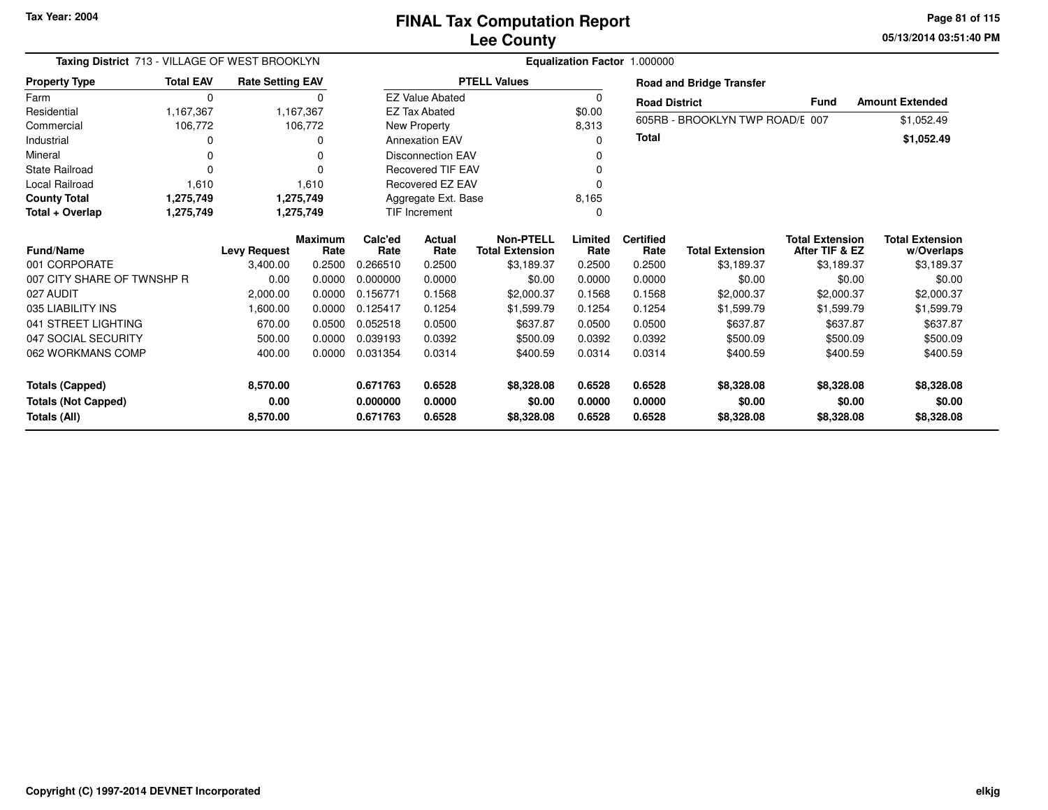**05/13/2014 03:51:40 PM Page 81 of 115**

| Taxing District 713 - VILLAGE OF WEST BROOKLYN<br><b>Total EAV</b><br><b>Rate Setting EAV</b><br><b>Property Type</b> |           |                     |                        |                      |                          |                                            |                 | Equalization Factor 1.000000 |                                 |                                          |                                      |
|-----------------------------------------------------------------------------------------------------------------------|-----------|---------------------|------------------------|----------------------|--------------------------|--------------------------------------------|-----------------|------------------------------|---------------------------------|------------------------------------------|--------------------------------------|
|                                                                                                                       |           |                     |                        |                      |                          | <b>PTELL Values</b>                        |                 |                              | <b>Road and Bridge Transfer</b> |                                          |                                      |
| Farm                                                                                                                  | $\Omega$  |                     | $\Omega$               |                      | <b>EZ Value Abated</b>   |                                            | 0               | <b>Road District</b>         |                                 | <b>Fund</b>                              | <b>Amount Extended</b>               |
| Residential                                                                                                           | 1,167,367 |                     | 1,167,367              |                      | <b>EZ Tax Abated</b>     |                                            | \$0.00          |                              | 605RB - BROOKLYN TWP ROAD/E 007 |                                          |                                      |
| Commercial                                                                                                            | 106,772   |                     | 106,772                |                      | New Property             |                                            | 8,313           |                              |                                 |                                          | \$1,052.49                           |
| Industrial                                                                                                            | O         |                     | ŋ                      |                      | <b>Annexation EAV</b>    |                                            | $\Omega$        | Total                        |                                 |                                          | \$1,052.49                           |
| Mineral                                                                                                               | O         |                     | n                      |                      | <b>Disconnection EAV</b> |                                            | 0               |                              |                                 |                                          |                                      |
| <b>State Railroad</b>                                                                                                 | 0         |                     |                        |                      | <b>Recovered TIF EAV</b> |                                            | 0               |                              |                                 |                                          |                                      |
| <b>Local Railroad</b>                                                                                                 | 1,610     |                     | 1,610                  | Recovered EZ EAV     |                          |                                            | 0               |                              |                                 |                                          |                                      |
| <b>County Total</b>                                                                                                   | 1,275,749 |                     | 1,275,749              | Aggregate Ext. Base  |                          |                                            | 8,165           |                              |                                 |                                          |                                      |
| Total + Overlap                                                                                                       | 1,275,749 |                     | 1,275,749              | <b>TIF Increment</b> |                          |                                            | 0               |                              |                                 |                                          |                                      |
| <b>Fund/Name</b>                                                                                                      |           | <b>Levy Request</b> | <b>Maximum</b><br>Rate | Calc'ed<br>Rate      | Actual<br>Rate           | <b>Non-PTELL</b><br><b>Total Extension</b> | Limited<br>Rate | <b>Certified</b><br>Rate     | <b>Total Extension</b>          | <b>Total Extension</b><br>After TIF & EZ | <b>Total Extension</b><br>w/Overlaps |
| 001 CORPORATE                                                                                                         |           | 3,400.00            | 0.2500                 | 0.266510             | 0.2500                   | \$3,189.37                                 | 0.2500          | 0.2500                       | \$3,189.37                      | \$3,189.37                               | \$3,189.37                           |
| 007 CITY SHARE OF TWNSHP R                                                                                            |           | 0.00                | 0.0000                 | 0.000000             | 0.0000                   | \$0.00                                     | 0.0000          | 0.0000                       | \$0.00                          | \$0.00                                   | \$0.00                               |
| 027 AUDIT                                                                                                             |           | 2,000.00            | 0.0000                 | 0.156771             | 0.1568                   | \$2,000.37                                 | 0.1568          | 0.1568                       | \$2,000.37                      | \$2,000.37                               | \$2,000.37                           |
| 035 LIABILITY INS                                                                                                     |           | 1,600.00            | 0.0000                 | 0.125417             | 0.1254                   | \$1,599.79                                 | 0.1254          | 0.1254                       | \$1,599.79                      | \$1,599.79                               | \$1,599.79                           |
| 041 STREET LIGHTING                                                                                                   |           | 670.00              | 0.0500                 | 0.052518             | 0.0500                   | \$637.87                                   | 0.0500          | 0.0500                       | \$637.87                        | \$637.87                                 | \$637.87                             |
| 047 SOCIAL SECURITY                                                                                                   |           | 500.00              | 0.0000                 | 0.039193             | 0.0392                   | \$500.09                                   | 0.0392          | 0.0392                       | \$500.09                        | \$500.09                                 | \$500.09                             |
| 062 WORKMANS COMP                                                                                                     |           | 400.00              | 0.0000                 | 0.031354             | 0.0314                   | \$400.59                                   | 0.0314          | 0.0314                       | \$400.59                        | \$400.59                                 | \$400.59                             |
| <b>Totals (Capped)</b>                                                                                                |           | 8,570.00            |                        | 0.671763             | 0.6528                   | \$8,328.08                                 | 0.6528          | 0.6528                       | \$8,328.08                      | \$8,328.08                               | \$8,328.08                           |
| <b>Totals (Not Capped)</b>                                                                                            |           | 0.00                |                        | 0.000000             | 0.0000                   | \$0.00                                     | 0.0000          | 0.0000                       | \$0.00                          | \$0.00                                   | \$0.00                               |
| Totals (All)                                                                                                          |           | 8,570.00            |                        | 0.671763             | 0.6528                   | \$8,328.08                                 | 0.6528          | 0.6528                       | \$8,328.08                      | \$8,328.08                               | \$8,328.08                           |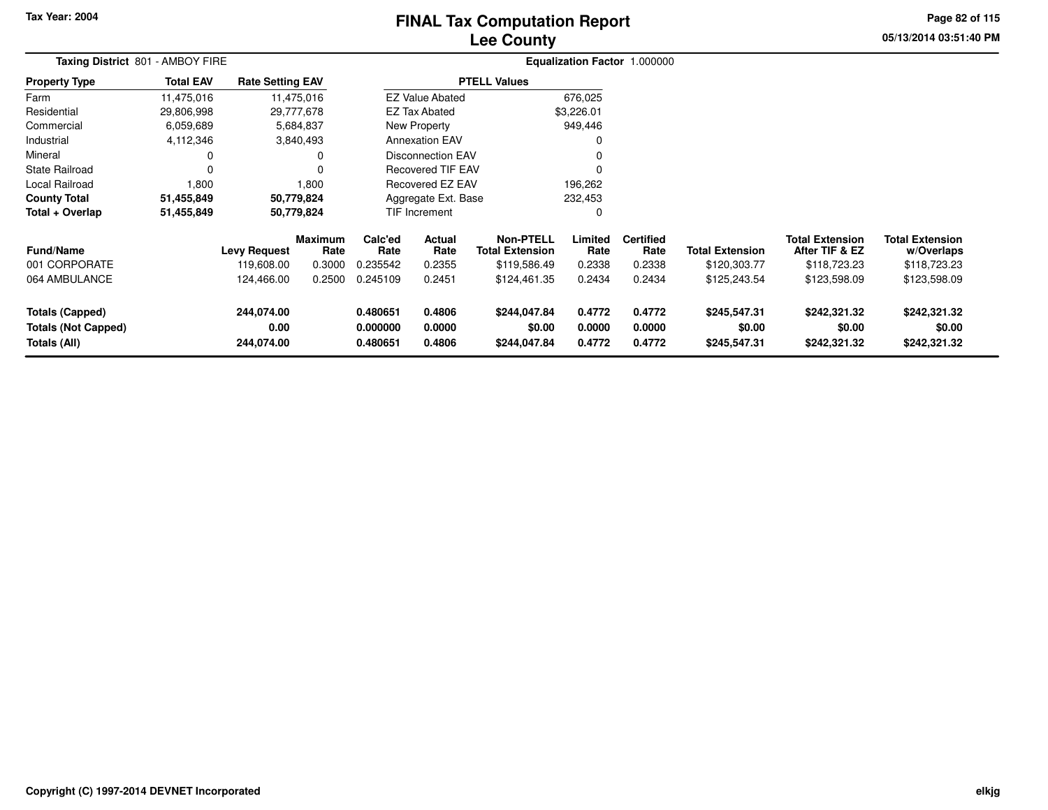# **Lee CountyFINAL Tax Computation Report**

**05/13/2014 03:51:40 PM Page 82 of 115**

| Taxing District 801 - AMBOY FIRE                                     |                  |                                                 |                                            |                                         |                                    |                                                                            |                                     | Equalization Factor 1.000000                 |                                                        |                                                                          |                                                                      |  |
|----------------------------------------------------------------------|------------------|-------------------------------------------------|--------------------------------------------|-----------------------------------------|------------------------------------|----------------------------------------------------------------------------|-------------------------------------|----------------------------------------------|--------------------------------------------------------|--------------------------------------------------------------------------|----------------------------------------------------------------------|--|
| <b>Property Type</b>                                                 | <b>Total EAV</b> | <b>Rate Setting EAV</b>                         |                                            |                                         |                                    | <b>PTELL Values</b>                                                        |                                     |                                              |                                                        |                                                                          |                                                                      |  |
| Farm                                                                 | 11,475,016       |                                                 | 11,475,016                                 |                                         | <b>EZ Value Abated</b>             |                                                                            | 676,025                             |                                              |                                                        |                                                                          |                                                                      |  |
| Residential                                                          | 29,806,998       |                                                 | 29,777,678                                 |                                         | <b>EZ Tax Abated</b>               |                                                                            | \$3,226.01                          |                                              |                                                        |                                                                          |                                                                      |  |
| Commercial                                                           | 6,059,689        |                                                 | 5,684,837                                  |                                         | New Property                       |                                                                            | 949,446                             |                                              |                                                        |                                                                          |                                                                      |  |
| Industrial                                                           | 4,112,346        |                                                 | 3,840,493                                  |                                         | <b>Annexation EAV</b>              |                                                                            |                                     |                                              |                                                        |                                                                          |                                                                      |  |
| Mineral                                                              | 0                |                                                 | 0                                          |                                         | <b>Disconnection EAV</b>           |                                                                            |                                     |                                              |                                                        |                                                                          |                                                                      |  |
| <b>State Railroad</b>                                                | 0                |                                                 | 0                                          |                                         | <b>Recovered TIF EAV</b>           |                                                                            | 0                                   |                                              |                                                        |                                                                          |                                                                      |  |
| Local Railroad                                                       | 1,800            |                                                 | 1,800                                      |                                         | <b>Recovered EZ EAV</b>            |                                                                            | 196,262                             |                                              |                                                        |                                                                          |                                                                      |  |
| <b>County Total</b>                                                  | 51,455,849       |                                                 | 50,779,824                                 | Aggregate Ext. Base<br>232,453          |                                    |                                                                            |                                     |                                              |                                                        |                                                                          |                                                                      |  |
| Total + Overlap                                                      | 51,455,849       |                                                 | 50,779,824                                 |                                         | TIF Increment                      |                                                                            | 0                                   |                                              |                                                        |                                                                          |                                                                      |  |
| <b>Fund/Name</b><br>001 CORPORATE<br>064 AMBULANCE                   |                  | <b>Levy Request</b><br>119,608.00<br>124,466.00 | <b>Maximum</b><br>Rate<br>0.3000<br>0.2500 | Calc'ed<br>Rate<br>0.235542<br>0.245109 | Actual<br>Rate<br>0.2355<br>0.2451 | <b>Non-PTELL</b><br><b>Total Extension</b><br>\$119,586.49<br>\$124,461.35 | Limited<br>Rate<br>0.2338<br>0.2434 | <b>Certified</b><br>Rate<br>0.2338<br>0.2434 | <b>Total Extension</b><br>\$120,303.77<br>\$125,243.54 | <b>Total Extension</b><br>After TIF & EZ<br>\$118,723.23<br>\$123,598.09 | <b>Total Extension</b><br>w/Overlaps<br>\$118,723.23<br>\$123,598.09 |  |
| <b>Totals (Capped)</b><br><b>Totals (Not Capped)</b><br>Totals (All) |                  | 244,074.00<br>0.00<br>244,074.00                |                                            | 0.480651<br>0.000000<br>0.480651        | 0.4806<br>0.0000<br>0.4806         | \$244,047.84<br>\$0.00<br>\$244,047.84                                     | 0.4772<br>0.0000<br>0.4772          | 0.4772<br>0.0000<br>0.4772                   | \$245,547.31<br>\$0.00<br>\$245,547.31                 | \$242,321.32<br>\$0.00<br>\$242,321.32                                   | \$242,321.32<br>\$0.00<br>\$242,321.32                               |  |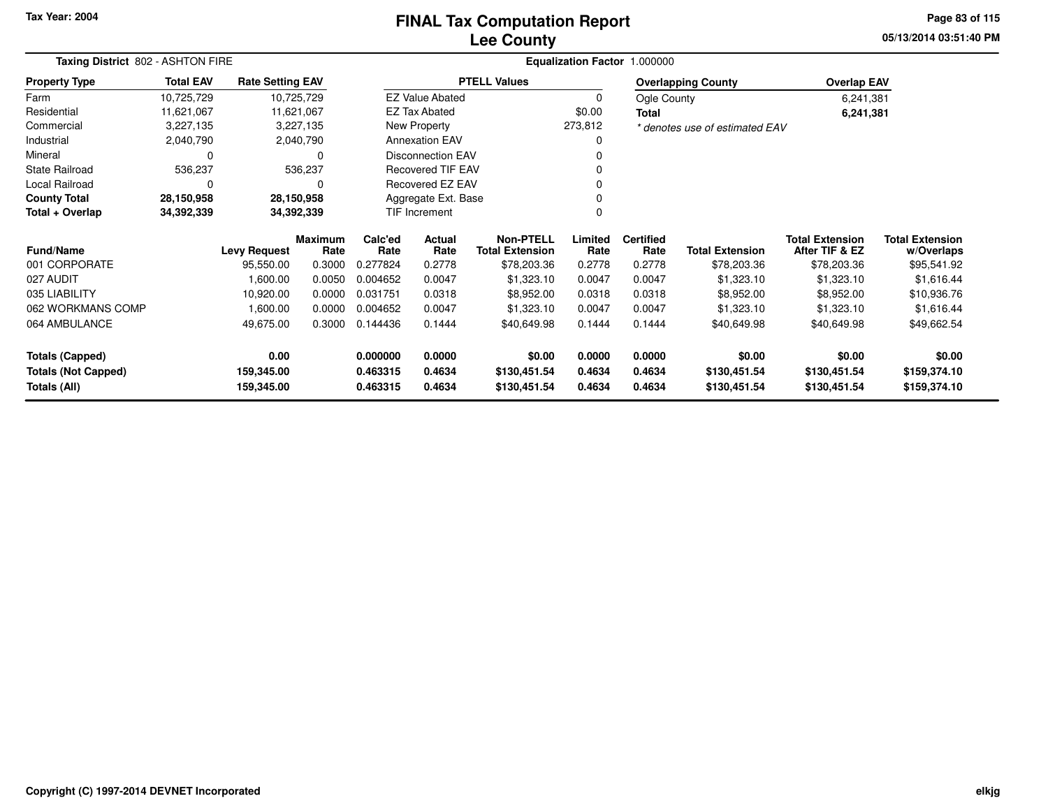### **Lee CountyFINAL Tax Computation Report**

**05/13/2014 03:51:40 PM Page 83 of 115**

| Taxing District 802 - ASHTON FIRE |                  |                         |                        |                 |                          |                                            |                 | Equalization Factor 1.000000 |                                |                                          |                                      |
|-----------------------------------|------------------|-------------------------|------------------------|-----------------|--------------------------|--------------------------------------------|-----------------|------------------------------|--------------------------------|------------------------------------------|--------------------------------------|
| <b>Property Type</b>              | <b>Total EAV</b> | <b>Rate Setting EAV</b> |                        |                 |                          | <b>PTELL Values</b>                        |                 |                              | <b>Overlapping County</b>      | <b>Overlap EAV</b>                       |                                      |
| Farm                              | 10,725,729       |                         | 10,725,729             |                 | <b>EZ Value Abated</b>   |                                            | 0               | Ogle County                  |                                | 6,241,381                                |                                      |
| Residential                       | 11,621,067       |                         | 11,621,067             |                 | <b>EZ Tax Abated</b>     |                                            | \$0.00          | Total                        |                                | 6,241,381                                |                                      |
| Commercial                        | 3,227,135        |                         | 3,227,135              |                 | New Property             |                                            | 273,812         |                              | * denotes use of estimated EAV |                                          |                                      |
| Industrial                        | 2,040,790        |                         | 2,040,790              |                 | <b>Annexation EAV</b>    |                                            | 0               |                              |                                |                                          |                                      |
| Mineral                           | 0                |                         | 0                      |                 | <b>Disconnection EAV</b> |                                            |                 |                              |                                |                                          |                                      |
| <b>State Railroad</b>             | 536,237          |                         | 536,237                |                 | <b>Recovered TIF EAV</b> |                                            | 0               |                              |                                |                                          |                                      |
| Local Railroad                    | 0                |                         | $\Omega$               |                 | Recovered EZ EAV         |                                            | 0               |                              |                                |                                          |                                      |
| <b>County Total</b>               | 28,150,958       |                         | 28,150,958             |                 | Aggregate Ext. Base      |                                            | 0               |                              |                                |                                          |                                      |
| Total + Overlap                   | 34,392,339       |                         | 34,392,339             |                 | TIF Increment            |                                            |                 |                              |                                |                                          |                                      |
| Fund/Name                         |                  | <b>Levy Request</b>     | <b>Maximum</b><br>Rate | Calc'ed<br>Rate | Actual<br>Rate           | <b>Non-PTELL</b><br><b>Total Extension</b> | Limited<br>Rate | <b>Certified</b><br>Rate     | <b>Total Extension</b>         | <b>Total Extension</b><br>After TIF & EZ | <b>Total Extension</b><br>w/Overlaps |
| 001 CORPORATE                     |                  | 95,550.00               | 0.3000                 | 0.277824        | 0.2778                   | \$78,203.36                                | 0.2778          | 0.2778                       | \$78,203.36                    | \$78,203.36                              | \$95,541.92                          |
| 027 AUDIT                         |                  | 1,600.00                | 0.0050                 | 0.004652        | 0.0047                   | \$1,323.10                                 | 0.0047          | 0.0047                       | \$1,323.10                     | \$1,323.10                               | \$1,616.44                           |
| 035 LIABILITY                     |                  | 10,920.00               | 0.0000                 | 0.031751        | 0.0318                   | \$8,952.00                                 | 0.0318          | 0.0318                       | \$8,952.00                     | \$8,952.00                               | \$10,936.76                          |
| 062 WORKMANS COMP                 |                  | 1,600.00                | 0.0000                 | 0.004652        | 0.0047                   | \$1,323.10                                 | 0.0047          | 0.0047                       | \$1,323.10                     | \$1,323.10                               | \$1,616.44                           |
| 064 AMBULANCE                     |                  | 49,675.00               | 0.3000                 | 0.144436        | 0.1444                   | \$40,649.98                                | 0.1444          | 0.1444                       | \$40,649.98                    | \$40,649.98                              | \$49,662.54                          |
| <b>Totals (Capped)</b>            |                  | 0.00                    |                        | 0.000000        | 0.0000                   | \$0.00                                     | 0.0000          | 0.0000                       | \$0.00                         | \$0.00                                   | \$0.00                               |
| <b>Totals (Not Capped)</b>        |                  | 159,345.00              |                        | 0.463315        | 0.4634                   | \$130,451.54                               | 0.4634          | 0.4634                       | \$130,451.54                   | \$130,451.54                             | \$159,374.10                         |
| Totals (All)                      |                  | 159,345.00              |                        | 0.463315        | 0.4634                   | \$130,451.54                               | 0.4634          | 0.4634                       | \$130,451.54                   | \$130,451.54                             | \$159,374.10                         |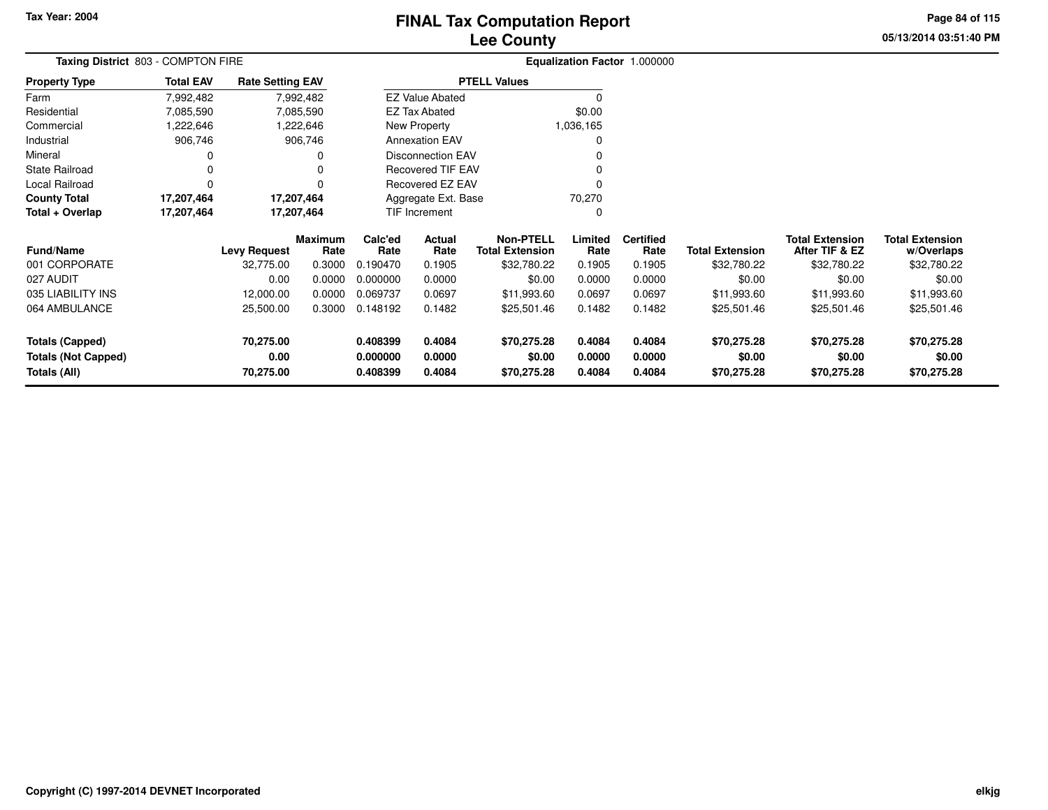# **Lee CountyFINAL Tax Computation Report**

**05/13/2014 03:51:40 PM Page 84 of 115**

| Taxing District 803 - COMPTON FIRE         |                  |                         |                        |                               |                          |                                            |                  | Equalization Factor 1.000000 |                        |                                          |                                      |
|--------------------------------------------|------------------|-------------------------|------------------------|-------------------------------|--------------------------|--------------------------------------------|------------------|------------------------------|------------------------|------------------------------------------|--------------------------------------|
| Property Type                              | <b>Total EAV</b> | <b>Rate Setting EAV</b> |                        |                               |                          | <b>PTELL Values</b>                        |                  |                              |                        |                                          |                                      |
| Farm                                       | 7,992,482        |                         | 7,992,482              |                               | <b>EZ Value Abated</b>   |                                            |                  |                              |                        |                                          |                                      |
| Residential                                | 7,085,590        |                         | 7,085,590              |                               | <b>EZ Tax Abated</b>     |                                            | \$0.00           |                              |                        |                                          |                                      |
| Commercial                                 | 1,222,646        |                         | 1,222,646              |                               | New Property             |                                            | 1,036,165        |                              |                        |                                          |                                      |
| Industrial                                 | 906,746          |                         | 906,746                |                               | <b>Annexation EAV</b>    |                                            |                  |                              |                        |                                          |                                      |
| Mineral                                    |                  |                         |                        |                               | <b>Disconnection EAV</b> |                                            |                  |                              |                        |                                          |                                      |
| State Railroad                             |                  |                         | 0                      |                               | <b>Recovered TIF EAV</b> |                                            |                  |                              |                        |                                          |                                      |
| Local Railroad                             | 0                |                         |                        |                               | Recovered EZ EAV         |                                            |                  |                              |                        |                                          |                                      |
| <b>County Total</b>                        | 17,207,464       |                         | 17,207,464             | Aggregate Ext. Base<br>70,270 |                          |                                            |                  |                              |                        |                                          |                                      |
| Total + Overlap                            | 17,207,464       |                         | 17,207,464             |                               | TIF Increment            |                                            | 0                |                              |                        |                                          |                                      |
| <b>Fund/Name</b>                           |                  | <b>Levy Request</b>     | <b>Maximum</b><br>Rate | Calc'ed<br>Rate               | Actual<br>Rate           | <b>Non-PTELL</b><br><b>Total Extension</b> | Limited<br>Rate  | <b>Certified</b><br>Rate     | <b>Total Extension</b> | <b>Total Extension</b><br>After TIF & EZ | <b>Total Extension</b><br>w/Overlaps |
| 001 CORPORATE                              |                  | 32,775.00               | 0.3000                 | 0.190470                      | 0.1905                   | \$32,780.22                                | 0.1905           | 0.1905                       | \$32,780.22            | \$32,780.22                              | \$32,780.22                          |
| 027 AUDIT                                  |                  | 0.00                    | 0.0000                 | 0.000000                      | 0.0000                   | \$0.00                                     | 0.0000           | 0.0000                       | \$0.00                 | \$0.00                                   | \$0.00                               |
| 035 LIABILITY INS                          |                  | 12,000.00               | 0.0000                 | 0.069737                      | 0.0697                   | \$11,993.60                                | 0.0697           | 0.0697                       | \$11,993.60            | \$11,993.60                              | \$11,993.60                          |
| 064 AMBULANCE                              |                  | 25,500.00               | 0.3000                 | 0.148192                      | 0.1482                   | \$25,501.46                                | 0.1482           | 0.1482                       | \$25,501.46            | \$25,501.46                              | \$25,501.46                          |
| <b>Totals (Capped)</b>                     |                  | 70,275.00               |                        | 0.408399                      | 0.4084                   | \$70,275.28                                | 0.4084           | 0.4084                       | \$70,275.28            | \$70,275.28                              | \$70,275.28                          |
| <b>Totals (Not Capped)</b><br>Totals (All) |                  | 0.00<br>70,275.00       |                        | 0.000000<br>0.408399          | 0.0000<br>0.4084         | \$0.00<br>\$70,275.28                      | 0.0000<br>0.4084 | 0.0000<br>0.4084             | \$0.00<br>\$70,275.28  | \$0.00<br>\$70,275.28                    | \$0.00<br>\$70,275.28                |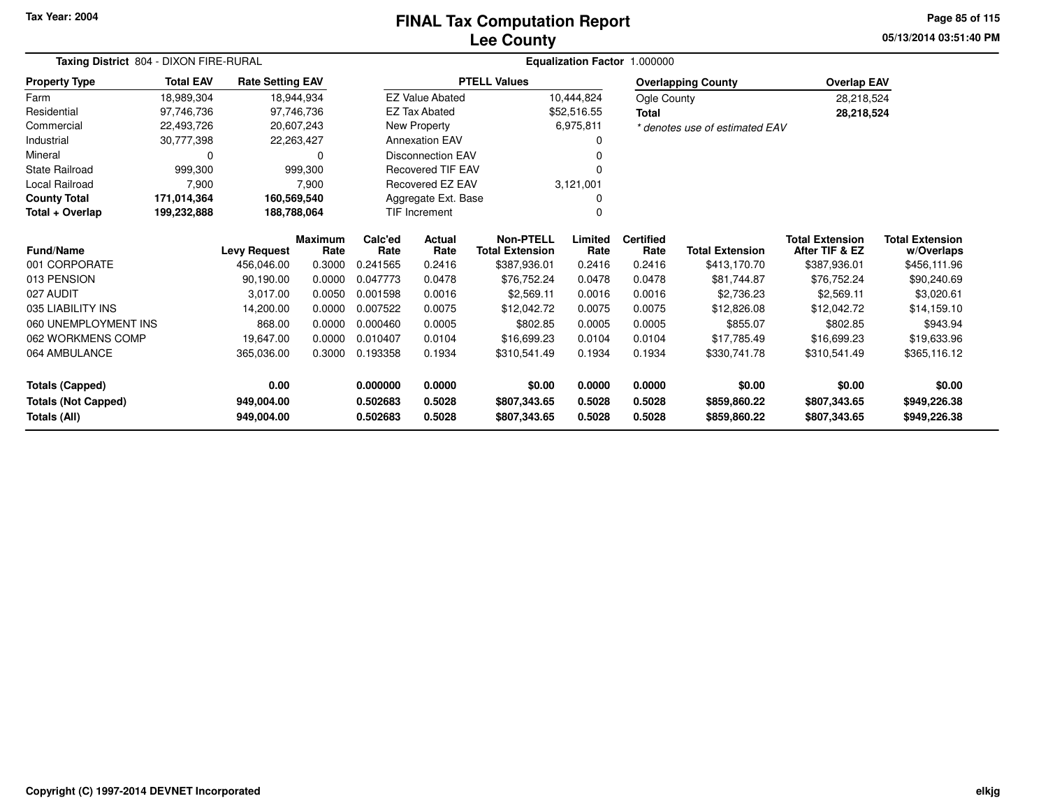# **Lee CountyFINAL Tax Computation Report**

**05/13/2014 03:51:40 PM Page 85 of 115**

|                            | Taxing District 804 - DIXON FIRE-RURAL |                         |                        |                 |                          | Equalization Factor 1.000000               |                 |                          |                                |                                          |                                      |  |  |  |
|----------------------------|----------------------------------------|-------------------------|------------------------|-----------------|--------------------------|--------------------------------------------|-----------------|--------------------------|--------------------------------|------------------------------------------|--------------------------------------|--|--|--|
| <b>Property Type</b>       | <b>Total EAV</b>                       | <b>Rate Setting EAV</b> |                        |                 |                          | <b>PTELL Values</b>                        |                 |                          | <b>Overlapping County</b>      | <b>Overlap EAV</b>                       |                                      |  |  |  |
| Farm                       | 18,989,304                             |                         | 18,944,934             |                 | <b>EZ Value Abated</b>   |                                            | 10,444,824      | Ogle County              |                                | 28,218,524                               |                                      |  |  |  |
| Residential                | 97,746,736                             |                         | 97,746,736             |                 | <b>EZ Tax Abated</b>     |                                            | \$52,516.55     | <b>Total</b>             |                                | 28,218,524                               |                                      |  |  |  |
| Commercial                 | 22,493,726                             |                         | 20,607,243             |                 | New Property             |                                            | 6,975,811       |                          | * denotes use of estimated EAV |                                          |                                      |  |  |  |
| Industrial                 | 30,777,398                             |                         | 22,263,427             |                 | <b>Annexation EAV</b>    |                                            |                 |                          |                                |                                          |                                      |  |  |  |
| Mineral                    | 0                                      |                         | 0                      |                 | <b>Disconnection EAV</b> |                                            |                 |                          |                                |                                          |                                      |  |  |  |
| <b>State Railroad</b>      | 999,300                                |                         | 999,300                |                 | <b>Recovered TIF EAV</b> |                                            |                 |                          |                                |                                          |                                      |  |  |  |
| Local Railroad             | 7,900                                  |                         | 7,900                  |                 | Recovered EZ EAV         |                                            | 3,121,001       |                          |                                |                                          |                                      |  |  |  |
| <b>County Total</b>        | 171,014,364                            |                         | 160,569,540            |                 | Aggregate Ext. Base      |                                            | 0               |                          |                                |                                          |                                      |  |  |  |
| Total + Overlap            | 199,232,888                            |                         | 188,788,064            |                 | <b>TIF Increment</b>     |                                            | 0               |                          |                                |                                          |                                      |  |  |  |
| <b>Fund/Name</b>           |                                        | <b>Levy Request</b>     | <b>Maximum</b><br>Rate | Calc'ed<br>Rate | Actual<br>Rate           | <b>Non-PTELL</b><br><b>Total Extension</b> | Limited<br>Rate | <b>Certified</b><br>Rate | <b>Total Extension</b>         | <b>Total Extension</b><br>After TIF & EZ | <b>Total Extension</b><br>w/Overlaps |  |  |  |
| 001 CORPORATE              |                                        | 456,046.00              | 0.3000                 | 0.241565        | 0.2416                   | \$387,936.01                               | 0.2416          | 0.2416                   | \$413,170.70                   | \$387,936.01                             | \$456,111.96                         |  |  |  |
| 013 PENSION                |                                        | 90,190.00               | 0.0000                 | 0.047773        | 0.0478                   | \$76,752.24                                | 0.0478          | 0.0478                   | \$81,744.87                    | \$76,752.24                              | \$90,240.69                          |  |  |  |
| 027 AUDIT                  |                                        | 3.017.00                | 0.0050                 | 0.001598        | 0.0016                   | \$2,569.11                                 | 0.0016          | 0.0016                   | \$2,736.23                     | \$2,569.11                               | \$3,020.61                           |  |  |  |
| 035 LIABILITY INS          |                                        | 14,200.00               | 0.0000                 | 0.007522        | 0.0075                   | \$12,042.72                                | 0.0075          | 0.0075                   | \$12,826.08                    | \$12,042.72                              | \$14,159.10                          |  |  |  |
| 060 UNEMPLOYMENT INS       |                                        | 868.00                  | 0.0000                 | 0.000460        | 0.0005                   | \$802.85                                   | 0.0005          | 0.0005                   | \$855.07                       | \$802.85                                 | \$943.94                             |  |  |  |
| 062 WORKMENS COMP          |                                        | 19,647.00               | 0.0000                 | 0.010407        | 0.0104                   | \$16,699.23                                | 0.0104          | 0.0104                   | \$17,785.49                    | \$16,699.23                              | \$19,633.96                          |  |  |  |
| 064 AMBULANCE              |                                        | 365,036.00              | 0.3000                 | 0.193358        | 0.1934                   | \$310,541.49                               | 0.1934          | 0.1934                   | \$330,741.78                   | \$310,541.49                             | \$365,116.12                         |  |  |  |
| <b>Totals (Capped)</b>     |                                        | 0.00                    |                        | 0.000000        | 0.0000                   | \$0.00                                     | 0.0000          | 0.0000                   | \$0.00                         | \$0.00                                   | \$0.00                               |  |  |  |
| <b>Totals (Not Capped)</b> |                                        | 949,004.00              |                        | 0.502683        | 0.5028                   | \$807,343.65                               | 0.5028          | 0.5028                   | \$859,860.22                   | \$807,343.65                             | \$949,226.38                         |  |  |  |
| <b>Totals (All)</b>        |                                        | 949,004.00              |                        | 0.502683        | 0.5028                   | \$807,343.65                               | 0.5028          | 0.5028                   | \$859,860.22                   | \$807,343.65                             | \$949,226.38                         |  |  |  |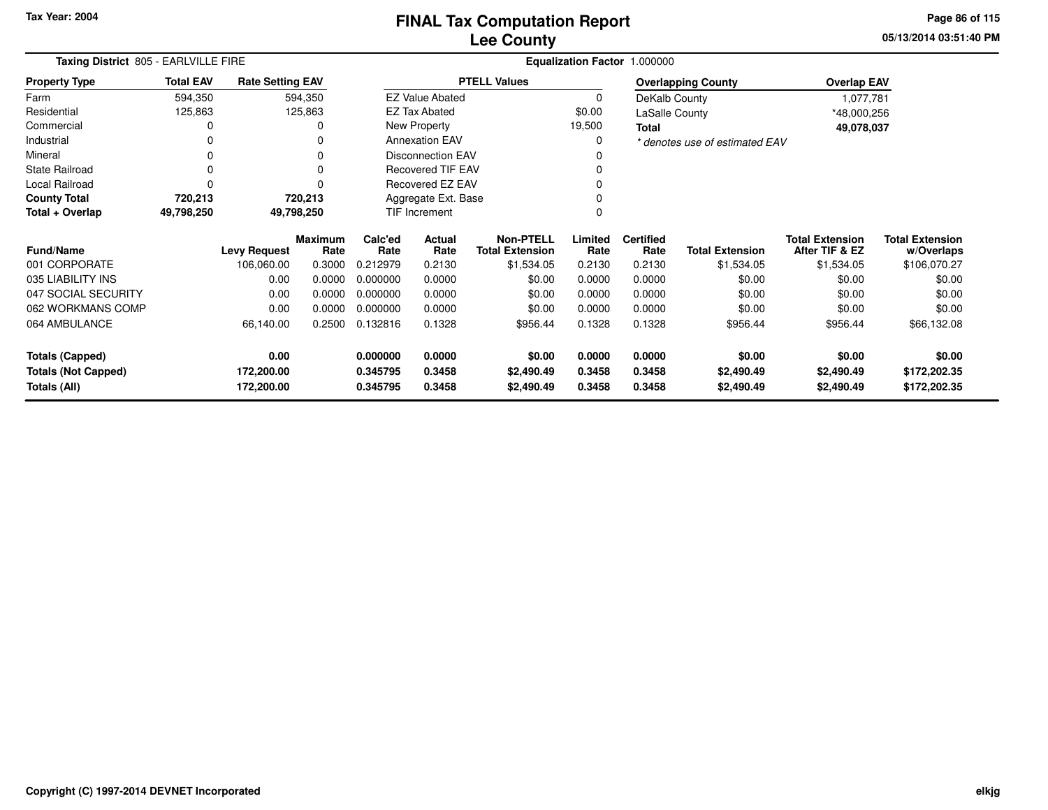**05/13/2014 03:51:40 PM Page 86 of 115**

| Taxing District 805 - EARLVILLE FIRE                                 |                  |                                  |                        | Equalization Factor 1.000000     |                            |                                            |                            |                            |                                    |                                          |                                        |  |  |
|----------------------------------------------------------------------|------------------|----------------------------------|------------------------|----------------------------------|----------------------------|--------------------------------------------|----------------------------|----------------------------|------------------------------------|------------------------------------------|----------------------------------------|--|--|
| <b>Property Type</b>                                                 | <b>Total EAV</b> | <b>Rate Setting EAV</b>          |                        |                                  |                            | <b>PTELL Values</b>                        |                            |                            | <b>Overlapping County</b>          | <b>Overlap EAV</b>                       |                                        |  |  |
| Farm                                                                 | 594,350          |                                  | 594,350                |                                  | <b>EZ Value Abated</b>     |                                            | $\Omega$                   | DeKalb County              |                                    | 1,077,781                                |                                        |  |  |
| Residential                                                          | 125,863          |                                  | 125,863                |                                  | <b>EZ Tax Abated</b>       |                                            | \$0.00                     | <b>LaSalle County</b>      |                                    | *48,000,256                              |                                        |  |  |
| Commercial                                                           |                  |                                  | 0                      |                                  | New Property               |                                            | 19,500                     | Total                      |                                    | 49,078,037                               |                                        |  |  |
| Industrial                                                           | 0                |                                  | 0                      |                                  | <b>Annexation EAV</b>      |                                            | 0                          |                            | * denotes use of estimated EAV     |                                          |                                        |  |  |
| Mineral                                                              | 0                |                                  | $\Omega$               |                                  | Disconnection EAV          |                                            |                            |                            |                                    |                                          |                                        |  |  |
| <b>State Railroad</b>                                                | 0                |                                  | $\Omega$               |                                  | <b>Recovered TIF EAV</b>   |                                            |                            |                            |                                    |                                          |                                        |  |  |
| Local Railroad                                                       | $\Omega$         |                                  | 0                      |                                  | Recovered EZ EAV           |                                            |                            |                            |                                    |                                          |                                        |  |  |
| <b>County Total</b>                                                  | 720,213          |                                  | 720,213                |                                  | Aggregate Ext. Base        |                                            |                            |                            |                                    |                                          |                                        |  |  |
| Total + Overlap                                                      | 49,798,250       |                                  | 49,798,250             | TIF Increment                    |                            |                                            |                            |                            |                                    |                                          |                                        |  |  |
| <b>Fund/Name</b>                                                     |                  | <b>Levy Request</b>              | <b>Maximum</b><br>Rate | Calc'ed<br>Rate                  | Actual<br>Rate             | <b>Non-PTELL</b><br><b>Total Extension</b> | Limited<br>Rate            | <b>Certified</b><br>Rate   | <b>Total Extension</b>             | <b>Total Extension</b><br>After TIF & EZ | <b>Total Extension</b><br>w/Overlaps   |  |  |
| 001 CORPORATE                                                        |                  | 106,060.00                       | 0.3000                 | 0.212979                         | 0.2130                     | \$1,534.05                                 | 0.2130                     | 0.2130                     | \$1,534.05                         | \$1,534.05                               | \$106,070.27                           |  |  |
| 035 LIABILITY INS                                                    |                  | 0.00                             | 0.0000                 | 0.000000                         | 0.0000                     | \$0.00                                     | 0.0000                     | 0.0000                     | \$0.00                             | \$0.00                                   | \$0.00                                 |  |  |
| 047 SOCIAL SECURITY                                                  |                  | 0.00                             | 0.0000                 | 0.000000                         | 0.0000                     | \$0.00                                     | 0.0000                     | 0.0000                     | \$0.00                             | \$0.00                                   | \$0.00                                 |  |  |
| 062 WORKMANS COMP                                                    |                  | 0.00                             | 0.0000                 | 0.000000                         | 0.0000                     | \$0.00                                     | 0.0000                     | 0.0000                     | \$0.00                             | \$0.00                                   | \$0.00                                 |  |  |
| 064 AMBULANCE                                                        |                  | 66,140.00                        | 0.2500                 | 0.132816                         | 0.1328                     | \$956.44                                   | 0.1328                     | 0.1328                     | \$956.44                           | \$956.44                                 | \$66,132.08                            |  |  |
| <b>Totals (Capped)</b><br><b>Totals (Not Capped)</b><br>Totals (All) |                  | 0.00<br>172,200.00<br>172,200.00 |                        | 0.000000<br>0.345795<br>0.345795 | 0.0000<br>0.3458<br>0.3458 | \$0.00<br>\$2,490.49<br>\$2,490.49         | 0.0000<br>0.3458<br>0.3458 | 0.0000<br>0.3458<br>0.3458 | \$0.00<br>\$2,490.49<br>\$2,490.49 | \$0.00<br>\$2,490.49<br>\$2,490.49       | \$0.00<br>\$172,202.35<br>\$172,202.35 |  |  |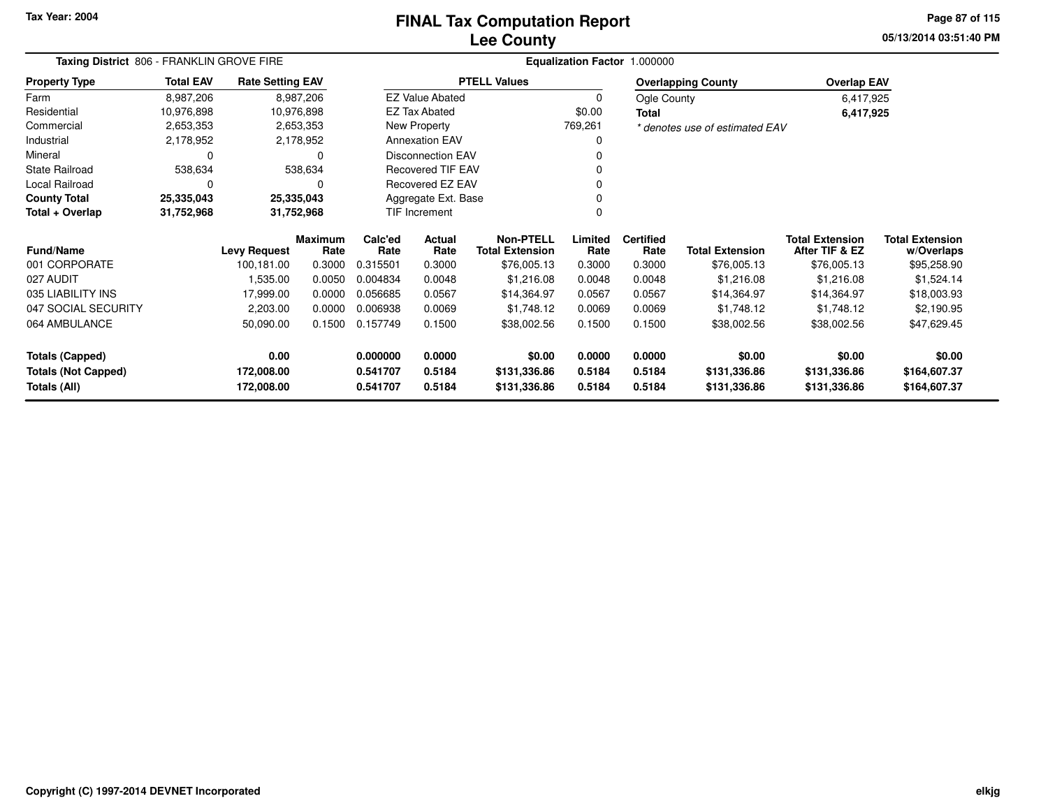### **Lee CountyFINAL Tax Computation Report**

**05/13/2014 03:51:40 PM Page 87 of 115**

|                            | Taxing District 806 - FRANKLIN GROVE FIRE |                         |                 |                 |                          |                                            |                 | Equalization Factor 1.000000 |                                |                                          |                                      |
|----------------------------|-------------------------------------------|-------------------------|-----------------|-----------------|--------------------------|--------------------------------------------|-----------------|------------------------------|--------------------------------|------------------------------------------|--------------------------------------|
| <b>Property Type</b>       | <b>Total EAV</b>                          | <b>Rate Setting EAV</b> |                 |                 |                          | <b>PTELL Values</b>                        |                 |                              | <b>Overlapping County</b>      | <b>Overlap EAV</b>                       |                                      |
| Farm                       | 8,987,206                                 |                         | 8,987,206       |                 | <b>EZ Value Abated</b>   |                                            | 0               | Ogle County                  |                                | 6,417,925                                |                                      |
| Residential                | 10,976,898                                | 10,976,898              |                 |                 | <b>EZ Tax Abated</b>     |                                            | \$0.00          | Total                        |                                | 6,417,925                                |                                      |
| Commercial                 | 2,653,353                                 |                         | 2,653,353       |                 | New Property             |                                            | 769,261         |                              | * denotes use of estimated EAV |                                          |                                      |
| Industrial                 | 2,178,952                                 |                         | 2,178,952       |                 | <b>Annexation EAV</b>    |                                            | 0               |                              |                                |                                          |                                      |
| Mineral                    |                                           |                         | 0               |                 | <b>Disconnection EAV</b> |                                            |                 |                              |                                |                                          |                                      |
| <b>State Railroad</b>      | 538,634                                   |                         | 538,634         |                 | <b>Recovered TIF EAV</b> |                                            |                 |                              |                                |                                          |                                      |
| Local Railroad             | 0                                         |                         | 0               |                 | Recovered EZ EAV         |                                            |                 |                              |                                |                                          |                                      |
| <b>County Total</b>        | 25,335,043                                | 25,335,043              |                 |                 | Aggregate Ext. Base      |                                            |                 |                              |                                |                                          |                                      |
| Total + Overlap            | 31,752,968                                | 31,752,968              |                 |                 | TIF Increment            |                                            |                 |                              |                                |                                          |                                      |
| <b>Fund/Name</b>           |                                           | <b>Levy Request</b>     | Maximum<br>Rate | Calc'ed<br>Rate | Actual<br>Rate           | <b>Non-PTELL</b><br><b>Total Extension</b> | Limited<br>Rate | <b>Certified</b><br>Rate     | <b>Total Extension</b>         | <b>Total Extension</b><br>After TIF & EZ | <b>Total Extension</b><br>w/Overlaps |
| 001 CORPORATE              |                                           | 100,181.00              | 0.3000          | 0.315501        | 0.3000                   | \$76,005.13                                | 0.3000          | 0.3000                       | \$76,005.13                    | \$76,005.13                              | \$95,258.90                          |
| 027 AUDIT                  |                                           | 1,535.00                | 0.0050          | 0.004834        | 0.0048                   | \$1,216.08                                 | 0.0048          | 0.0048                       | \$1,216.08                     | \$1,216.08                               | \$1,524.14                           |
| 035 LIABILITY INS          |                                           | 17,999.00               | 0.0000          | 0.056685        | 0.0567                   | \$14,364.97                                | 0.0567          | 0.0567                       | \$14,364.97                    | \$14,364.97                              | \$18,003.93                          |
| 047 SOCIAL SECURITY        |                                           | 2,203.00                | 0.0000          | 0.006938        | 0.0069                   | \$1,748.12                                 | 0.0069          | 0.0069                       | \$1,748.12                     | \$1,748.12                               | \$2,190.95                           |
| 064 AMBULANCE              |                                           | 50,090.00               | 0.1500          | 0.157749        | 0.1500                   | \$38,002.56                                | 0.1500          | 0.1500                       | \$38,002.56                    | \$38,002.56                              | \$47,629.45                          |
| <b>Totals (Capped)</b>     |                                           | 0.00                    |                 | 0.000000        | 0.0000                   | \$0.00                                     | 0.0000          | 0.0000                       | \$0.00                         | \$0.00                                   | \$0.00                               |
| <b>Totals (Not Capped)</b> |                                           | 172,008.00              |                 | 0.541707        | 0.5184                   | \$131,336.86                               | 0.5184          | 0.5184                       | \$131,336.86                   | \$131,336.86                             | \$164,607.37                         |
| Totals (All)               |                                           | 172,008.00              |                 | 0.541707        | 0.5184                   | \$131,336.86                               | 0.5184          | 0.5184                       | \$131,336.86                   | \$131,336.86                             | \$164,607.37                         |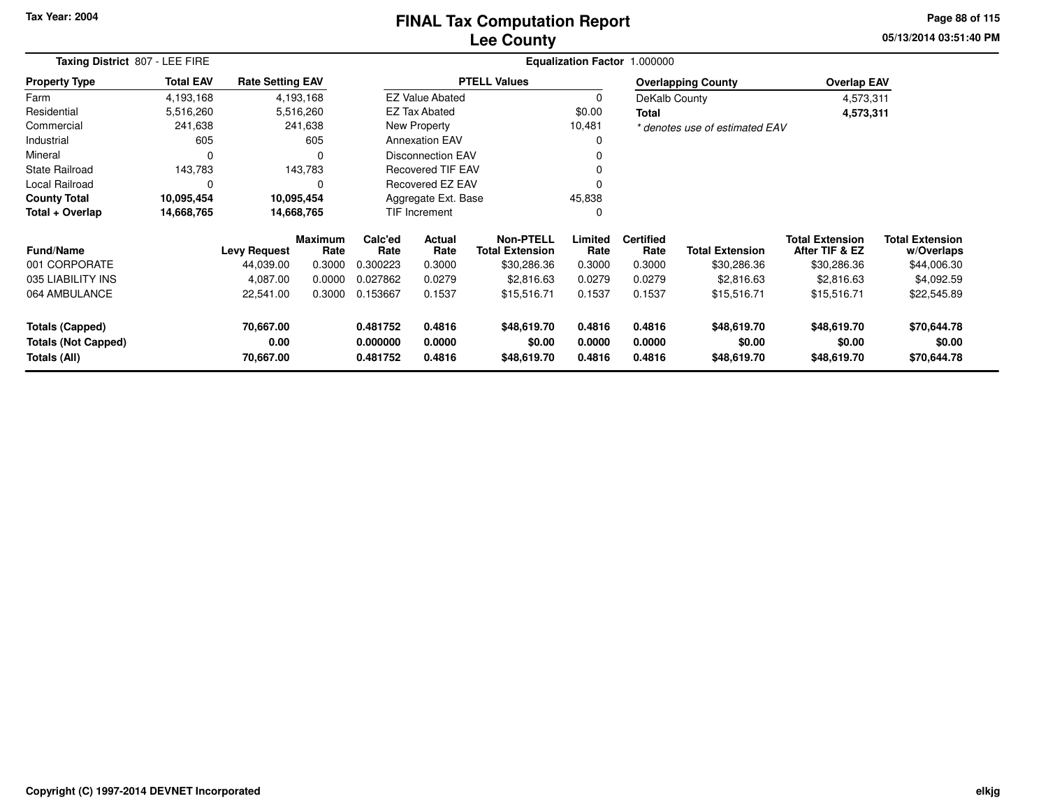### **Lee CountyFINAL Tax Computation Report**

**05/13/2014 03:51:40 PM Page 88 of 115**

| Taxing District 807 - LEE FIRE             |                  |                         |                        |                      |                          | Equalization Factor 1.000000               |                  |                          |                                |                                          |                                      |
|--------------------------------------------|------------------|-------------------------|------------------------|----------------------|--------------------------|--------------------------------------------|------------------|--------------------------|--------------------------------|------------------------------------------|--------------------------------------|
| <b>Property Type</b>                       | <b>Total EAV</b> | <b>Rate Setting EAV</b> |                        |                      |                          | <b>PTELL Values</b>                        |                  |                          | <b>Overlapping County</b>      | <b>Overlap EAV</b>                       |                                      |
| Farm                                       | 4,193,168        |                         | 4,193,168              |                      | <b>EZ Value Abated</b>   |                                            | 0                | DeKalb County            |                                | 4,573,311                                |                                      |
| Residential                                | 5,516,260        |                         | 5,516,260              |                      | <b>EZ Tax Abated</b>     |                                            | \$0.00           | Total                    |                                | 4,573,311                                |                                      |
| Commercial                                 | 241,638          |                         | 241,638                |                      | New Property             |                                            | 10,481           |                          | * denotes use of estimated EAV |                                          |                                      |
| Industrial                                 | 605              |                         | 605                    |                      | <b>Annexation EAV</b>    |                                            | 0                |                          |                                |                                          |                                      |
| Mineral                                    | $\Omega$         |                         | 0                      |                      | <b>Disconnection EAV</b> |                                            |                  |                          |                                |                                          |                                      |
| <b>State Railroad</b>                      | 143,783          |                         | 143,783                |                      | <b>Recovered TIF EAV</b> |                                            |                  |                          |                                |                                          |                                      |
| Local Railroad                             | $\Omega$         |                         | 0                      | Recovered EZ EAV     |                          |                                            |                  |                          |                                |                                          |                                      |
| <b>County Total</b>                        | 10,095,454       |                         | 10,095,454             | Aggregate Ext. Base  |                          |                                            | 45,838           |                          |                                |                                          |                                      |
| Total + Overlap                            | 14,668,765       |                         | 14,668,765             |                      | TIF Increment<br>0       |                                            |                  |                          |                                |                                          |                                      |
| <b>Fund/Name</b>                           |                  | <b>Levy Request</b>     | <b>Maximum</b><br>Rate | Calc'ed<br>Rate      | Actual<br>Rate           | <b>Non-PTELL</b><br><b>Total Extension</b> | Limited<br>Rate  | <b>Certified</b><br>Rate | <b>Total Extension</b>         | <b>Total Extension</b><br>After TIF & EZ | <b>Total Extension</b><br>w/Overlaps |
| 001 CORPORATE                              |                  | 44,039.00               | 0.3000                 | 0.300223             | 0.3000                   | \$30,286.36                                | 0.3000           | 0.3000                   | \$30,286.36                    | \$30,286.36                              | \$44,006.30                          |
| 035 LIABILITY INS                          |                  | 4,087.00                | 0.0000                 | 0.027862             | 0.0279                   | \$2,816.63                                 | 0.0279           | 0.0279                   | \$2,816.63                     | \$2,816.63                               | \$4,092.59                           |
| 064 AMBULANCE                              |                  | 22,541.00               | 0.3000                 | 0.153667             | 0.1537                   | \$15,516.71                                | 0.1537           | 0.1537                   | \$15,516.71                    | \$15,516.71                              | \$22,545.89                          |
| <b>Totals (Capped)</b>                     |                  | 70,667.00               |                        | 0.481752             | 0.4816                   | \$48,619.70                                | 0.4816           | 0.4816                   | \$48,619.70                    | \$48,619.70                              | \$70,644.78                          |
| <b>Totals (Not Capped)</b><br>Totals (All) |                  | 0.00<br>70,667.00       |                        | 0.000000<br>0.481752 | 0.0000<br>0.4816         | \$0.00<br>\$48,619.70                      | 0.0000<br>0.4816 | 0.0000<br>0.4816         | \$0.00<br>\$48,619.70          | \$0.00<br>\$48,619.70                    | \$0.00<br>\$70,644.78                |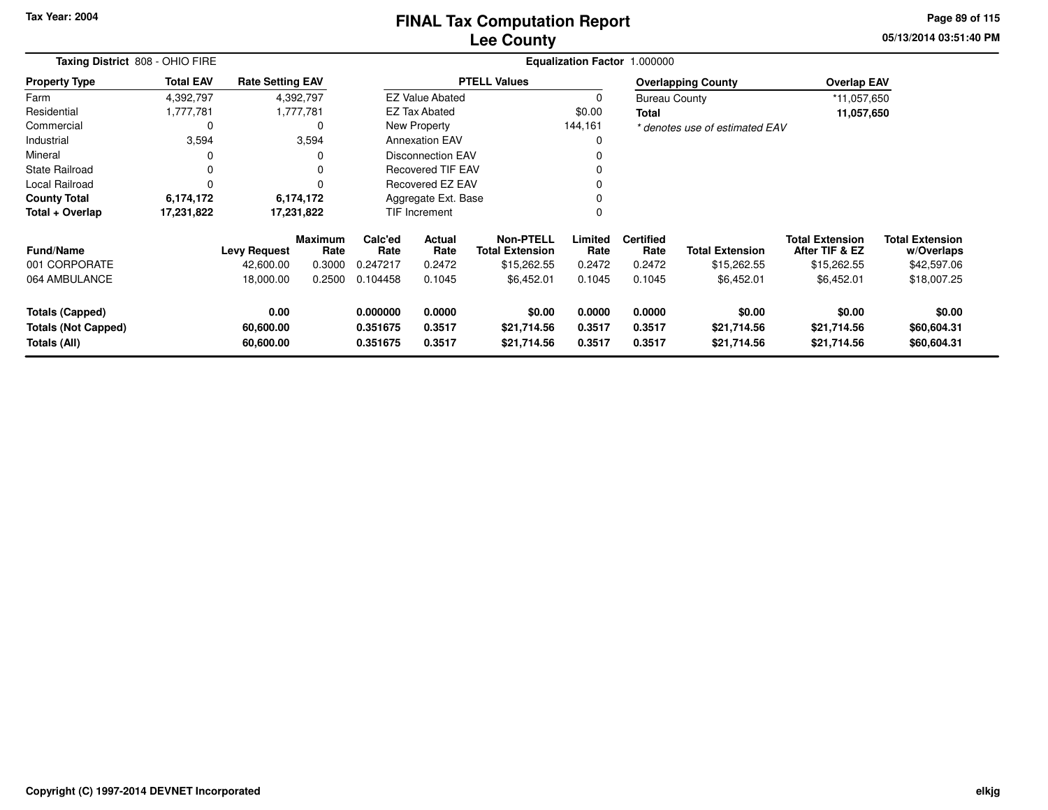### **Lee CountyFINAL Tax Computation Report**

**05/13/2014 03:51:40 PM Page 89 of 115**

|                            | Taxing District 808 - OHIO FIRE |                         |                        |                 |                           |                                            |                 | Equalization Factor 1.000000 |                                |                                          |                                      |
|----------------------------|---------------------------------|-------------------------|------------------------|-----------------|---------------------------|--------------------------------------------|-----------------|------------------------------|--------------------------------|------------------------------------------|--------------------------------------|
| <b>Property Type</b>       | <b>Total EAV</b>                | <b>Rate Setting EAV</b> |                        |                 |                           | <b>PTELL Values</b>                        |                 |                              | <b>Overlapping County</b>      | <b>Overlap EAV</b>                       |                                      |
| Farm                       | 4,392,797                       |                         | 4,392,797              |                 | <b>EZ Value Abated</b>    |                                            | $\Omega$        | <b>Bureau County</b>         |                                | *11,057,650                              |                                      |
| Residential                | 1,777,781                       |                         | 1,777,781              |                 | <b>EZ Tax Abated</b>      |                                            | \$0.00          | Total                        |                                | 11,057,650                               |                                      |
| Commercial                 | 0                               |                         | $\Omega$               |                 | New Property              |                                            | 144,161         |                              | * denotes use of estimated EAV |                                          |                                      |
| Industrial                 | 3,594                           |                         | 3,594                  |                 | <b>Annexation EAV</b>     |                                            | $\Omega$        |                              |                                |                                          |                                      |
| Mineral                    | 0                               |                         |                        |                 | <b>Disconnection EAV</b>  |                                            | 0               |                              |                                |                                          |                                      |
| <b>State Railroad</b>      | 0                               |                         | $\Omega$               |                 | <b>Recovered TIF EAV</b>  |                                            | $\Omega$        |                              |                                |                                          |                                      |
| Local Railroad             | 0                               |                         | $\Omega$               |                 | <b>Recovered EZ EAV</b>   |                                            | 0               |                              |                                |                                          |                                      |
| <b>County Total</b>        | 6,174,172                       |                         | 6,174,172              |                 | Aggregate Ext. Base       |                                            | $\Omega$        |                              |                                |                                          |                                      |
| Total + Overlap            | 17,231,822                      | 17,231,822              |                        |                 | <b>TIF Increment</b><br>0 |                                            |                 |                              |                                |                                          |                                      |
| <b>Fund/Name</b>           |                                 | <b>Levy Request</b>     | <b>Maximum</b><br>Rate | Calc'ed<br>Rate | Actual<br>Rate            | <b>Non-PTELL</b><br><b>Total Extension</b> | Limited<br>Rate | <b>Certified</b><br>Rate     | <b>Total Extension</b>         | <b>Total Extension</b><br>After TIF & EZ | <b>Total Extension</b><br>w/Overlaps |
| 001 CORPORATE              |                                 | 42,600.00               | 0.3000                 | 0.247217        | 0.2472                    | \$15,262.55                                | 0.2472          | 0.2472                       | \$15,262.55                    | \$15,262.55                              | \$42,597.06                          |
| 064 AMBULANCE              |                                 | 18,000.00               | 0.2500                 | 0.104458        | 0.1045                    | \$6,452.01                                 | 0.1045          | 0.1045                       | \$6,452.01                     | \$6,452.01                               | \$18,007.25                          |
| <b>Totals (Capped)</b>     |                                 | 0.00                    |                        | 0.000000        | 0.0000                    | \$0.00                                     | 0.0000          | 0.0000                       | \$0.00                         | \$0.00                                   | \$0.00                               |
| <b>Totals (Not Capped)</b> |                                 | 60,600.00               |                        | 0.351675        | 0.3517                    | \$21,714.56                                | 0.3517          | 0.3517                       | \$21,714.56                    | \$21,714.56                              | \$60,604.31                          |
| Totals (All)               |                                 | 60,600.00               |                        | 0.351675        | 0.3517                    | \$21,714.56                                | 0.3517          | 0.3517                       | \$21,714.56                    | \$21,714.56                              | \$60,604.31                          |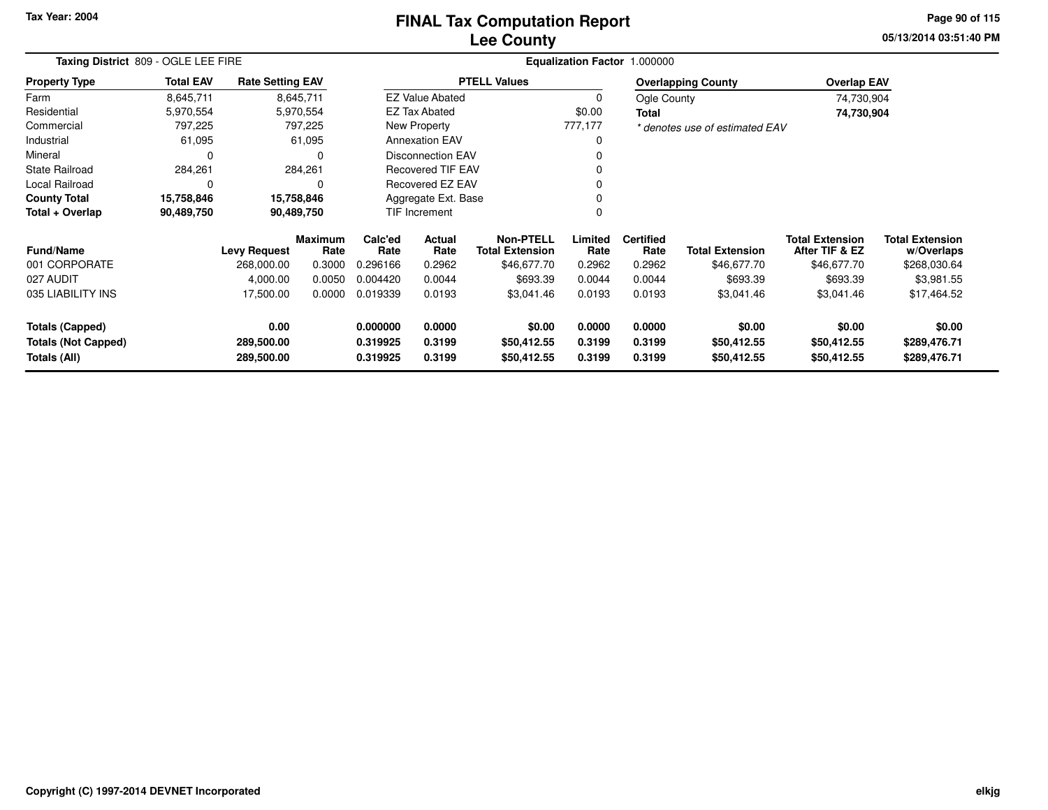# **Lee CountyFINAL Tax Computation Report**

**05/13/2014 03:51:40 PM Page 90 of 115**

| Taxing District 809 - OGLE LEE FIRE        |                  |                          |                        |                      |                          |                                            |                  | Equalization Factor 1.000000 |                                |                                          |                                      |
|--------------------------------------------|------------------|--------------------------|------------------------|----------------------|--------------------------|--------------------------------------------|------------------|------------------------------|--------------------------------|------------------------------------------|--------------------------------------|
| <b>Property Type</b>                       | <b>Total EAV</b> | <b>Rate Setting EAV</b>  |                        |                      |                          | <b>PTELL Values</b>                        |                  |                              | <b>Overlapping County</b>      | <b>Overlap EAV</b>                       |                                      |
| Farm                                       | 8,645,711        |                          | 8,645,711              |                      | <b>EZ Value Abated</b>   |                                            | 0                | Ogle County                  |                                | 74,730,904                               |                                      |
| Residential                                | 5,970,554        |                          | 5,970,554              |                      | <b>EZ Tax Abated</b>     |                                            | \$0.00           | Total                        |                                | 74,730,904                               |                                      |
| Commercial                                 | 797,225          |                          | 797,225                |                      | New Property             |                                            | 777,177          |                              | * denotes use of estimated EAV |                                          |                                      |
| Industrial                                 | 61,095           |                          | 61,095                 |                      | <b>Annexation EAV</b>    |                                            |                  |                              |                                |                                          |                                      |
| Mineral                                    | 0                |                          | <sup>0</sup>           |                      | <b>Disconnection EAV</b> |                                            |                  |                              |                                |                                          |                                      |
| <b>State Railroad</b>                      | 284,261          |                          | 284,261                |                      | Recovered TIF EAV        |                                            |                  |                              |                                |                                          |                                      |
| Local Railroad                             | 0                |                          |                        |                      | <b>Recovered EZ EAV</b>  |                                            |                  |                              |                                |                                          |                                      |
| <b>County Total</b>                        | 15,758,846       |                          | 15,758,846             |                      | Aggregate Ext. Base      |                                            |                  |                              |                                |                                          |                                      |
| Total + Overlap                            | 90,489,750       |                          | 90,489,750             |                      | TIF Increment            |                                            |                  |                              |                                |                                          |                                      |
| <b>Fund/Name</b>                           |                  | <b>Levy Request</b>      | <b>Maximum</b><br>Rate | Calc'ed<br>Rate      | Actual<br>Rate           | <b>Non-PTELL</b><br><b>Total Extension</b> | Limited<br>Rate  | <b>Certified</b><br>Rate     | <b>Total Extension</b>         | <b>Total Extension</b><br>After TIF & EZ | <b>Total Extension</b><br>w/Overlaps |
| 001 CORPORATE                              |                  | 268,000.00               | 0.3000                 | 0.296166             | 0.2962                   | \$46,677.70                                | 0.2962           | 0.2962                       | \$46,677.70                    | \$46,677.70                              | \$268,030.64                         |
| 027 AUDIT                                  |                  | 4,000.00                 | 0.0050                 | 0.004420             | 0.0044                   | \$693.39                                   | 0.0044           | 0.0044                       | \$693.39                       | \$693.39                                 | \$3,981.55                           |
| 035 LIABILITY INS                          |                  | 17,500.00                | 0.0000                 | 0.019339             | 0.0193                   | \$3,041.46                                 | 0.0193           | 0.0193                       | \$3,041.46                     | \$3,041.46                               | \$17,464.52                          |
| <b>Totals (Capped)</b>                     |                  | 0.00                     |                        | 0.000000             | 0.0000                   | \$0.00                                     | 0.0000           | 0.0000                       | \$0.00                         | \$0.00                                   | \$0.00                               |
| <b>Totals (Not Capped)</b><br>Totals (All) |                  | 289,500.00<br>289,500.00 |                        | 0.319925<br>0.319925 | 0.3199<br>0.3199         | \$50,412.55<br>\$50,412.55                 | 0.3199<br>0.3199 | 0.3199<br>0.3199             | \$50,412.55<br>\$50,412.55     | \$50,412.55<br>\$50,412.55               | \$289,476.71<br>\$289,476.71         |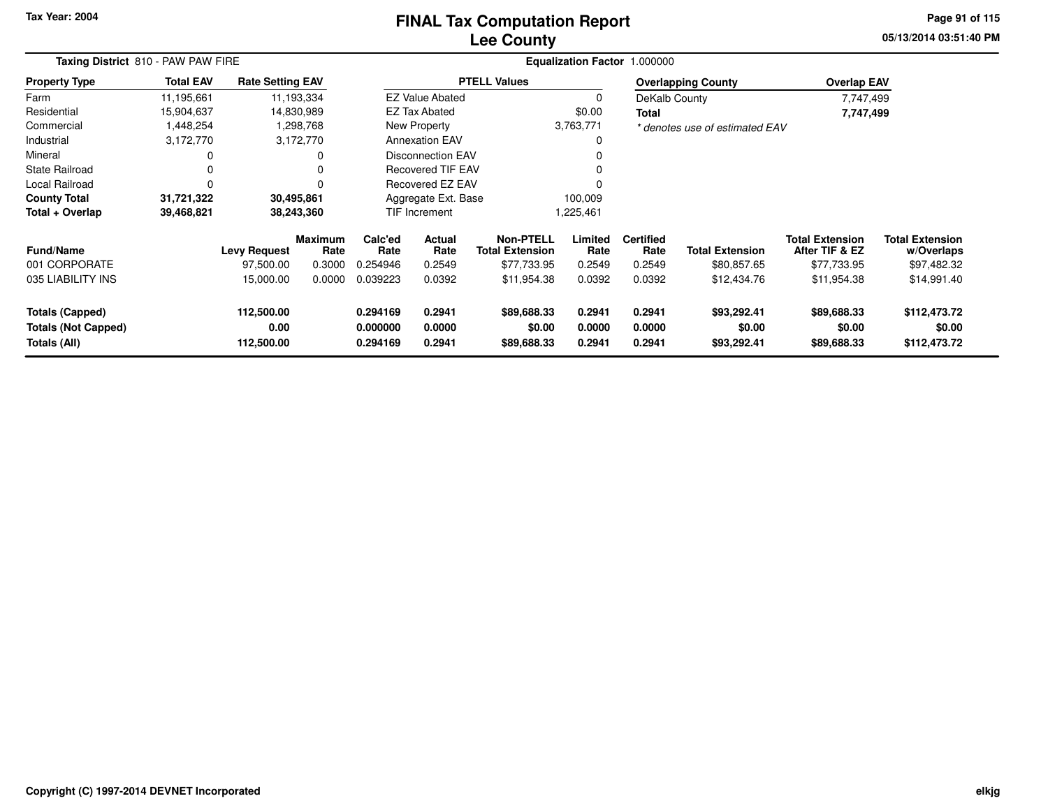### **Lee CountyFINAL Tax Computation Report**

**05/13/2014 03:51:40 PM Page 91 of 115**

|                                                                      | Taxing District 810 - PAW PAW FIRE |                                  |                        |                                  |                            |                                            |                            | Equalization Factor 1.000000 |                                      |                                          |                                        |
|----------------------------------------------------------------------|------------------------------------|----------------------------------|------------------------|----------------------------------|----------------------------|--------------------------------------------|----------------------------|------------------------------|--------------------------------------|------------------------------------------|----------------------------------------|
| <b>Property Type</b>                                                 | <b>Total EAV</b>                   | <b>Rate Setting EAV</b>          |                        |                                  |                            | <b>PTELL Values</b>                        |                            |                              | <b>Overlapping County</b>            | <b>Overlap EAV</b>                       |                                        |
| Farm                                                                 | 11,195,661                         |                                  | 11,193,334             |                                  | <b>EZ Value Abated</b>     |                                            | 0                          | DeKalb County                |                                      | 7,747,499                                |                                        |
| Residential                                                          | 15,904,637                         |                                  | 14,830,989             |                                  | <b>EZ Tax Abated</b>       |                                            | \$0.00                     | Total                        |                                      | 7,747,499                                |                                        |
| Commercial                                                           | 1,448,254                          |                                  | 1,298,768              |                                  | New Property               |                                            | 3,763,771                  |                              | * denotes use of estimated EAV       |                                          |                                        |
| Industrial                                                           | 3,172,770                          |                                  | 3,172,770              |                                  | <b>Annexation EAV</b>      |                                            | 0                          |                              |                                      |                                          |                                        |
| Mineral                                                              |                                    |                                  | 0                      |                                  | <b>Disconnection EAV</b>   |                                            | $\Omega$                   |                              |                                      |                                          |                                        |
| <b>State Railroad</b>                                                |                                    |                                  |                        |                                  | <b>Recovered TIF EAV</b>   |                                            |                            |                              |                                      |                                          |                                        |
| Local Railroad                                                       | $\Omega$                           |                                  |                        | Recovered EZ EAV<br>$\Omega$     |                            |                                            |                            |                              |                                      |                                          |                                        |
| <b>County Total</b>                                                  | 31,721,322                         | 30,495,861                       |                        | Aggregate Ext. Base<br>100,009   |                            |                                            |                            |                              |                                      |                                          |                                        |
| Total + Overlap                                                      | 39,468,821                         |                                  | 38,243,360             |                                  | <b>TIF Increment</b>       |                                            | 1,225,461                  |                              |                                      |                                          |                                        |
| <b>Fund/Name</b>                                                     |                                    | <b>Levy Request</b>              | <b>Maximum</b><br>Rate | Calc'ed<br>Rate                  | <b>Actual</b><br>Rate      | <b>Non-PTELL</b><br><b>Total Extension</b> | Limited<br>Rate            | <b>Certified</b><br>Rate     | <b>Total Extension</b>               | <b>Total Extension</b><br>After TIF & EZ | <b>Total Extension</b><br>w/Overlaps   |
| 001 CORPORATE                                                        |                                    | 97,500.00                        | 0.3000                 | 0.254946                         | 0.2549                     | \$77,733.95                                | 0.2549                     | 0.2549                       | \$80,857.65                          | \$77,733.95                              | \$97,482.32                            |
| 035 LIABILITY INS                                                    |                                    | 15,000.00                        | 0.0000                 | 0.039223                         | 0.0392                     | \$11,954.38                                | 0.0392                     | 0.0392                       | \$12,434.76                          | \$11,954.38                              | \$14,991.40                            |
| <b>Totals (Capped)</b><br><b>Totals (Not Capped)</b><br>Totals (All) |                                    | 112,500.00<br>0.00<br>112,500.00 |                        | 0.294169<br>0.000000<br>0.294169 | 0.2941<br>0.0000<br>0.2941 | \$89,688.33<br>\$0.00<br>\$89,688.33       | 0.2941<br>0.0000<br>0.2941 | 0.2941<br>0.0000<br>0.2941   | \$93,292.41<br>\$0.00<br>\$93,292.41 | \$89,688.33<br>\$0.00<br>\$89,688.33     | \$112,473.72<br>\$0.00<br>\$112,473.72 |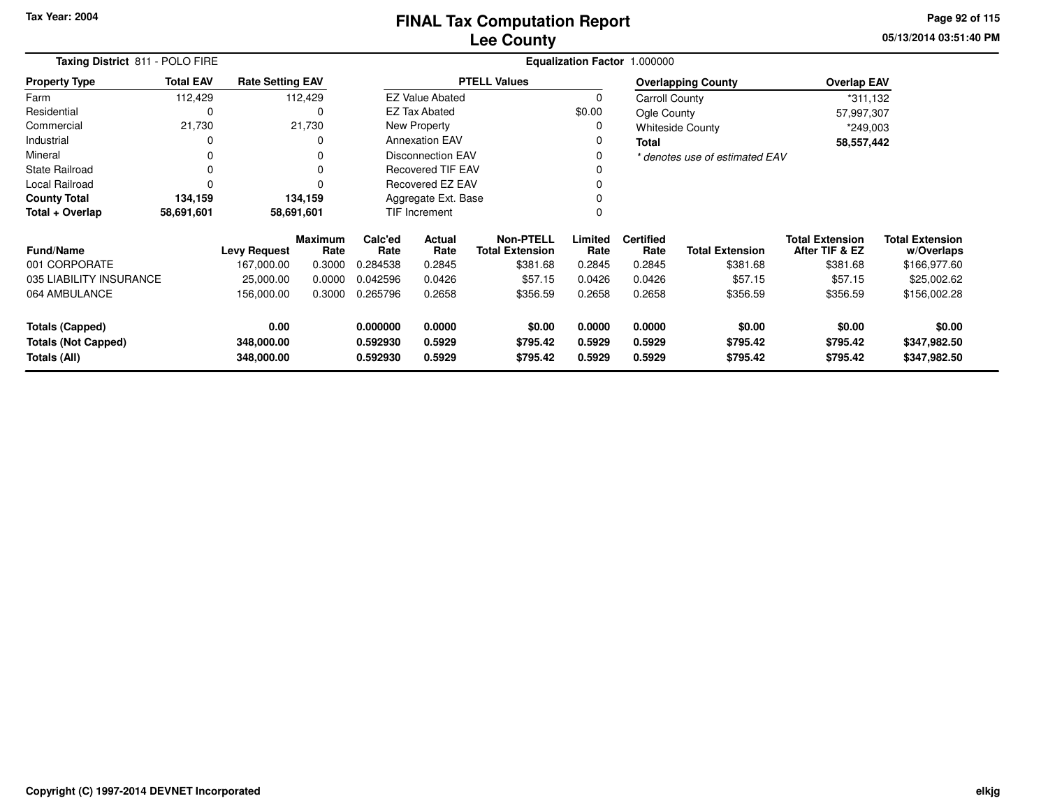**05/13/2014 03:51:40 PM Page 92 of 115**

|                                                                                                | Taxing District 811 - POLO FIRE<br>Equalization Factor 1.000000 |                         |                        |                     |                          |                                            |                  |                          |                                |                                          |                                      |
|------------------------------------------------------------------------------------------------|-----------------------------------------------------------------|-------------------------|------------------------|---------------------|--------------------------|--------------------------------------------|------------------|--------------------------|--------------------------------|------------------------------------------|--------------------------------------|
| <b>Property Type</b>                                                                           | <b>Total EAV</b>                                                | <b>Rate Setting EAV</b> |                        |                     |                          | <b>PTELL Values</b>                        |                  |                          | <b>Overlapping County</b>      | <b>Overlap EAV</b>                       |                                      |
| Farm                                                                                           | 112,429                                                         |                         | 112,429                |                     | <b>EZ Value Abated</b>   |                                            |                  | Carroll County           |                                | *311,132                                 |                                      |
| Residential                                                                                    | 0                                                               |                         | 0                      |                     | <b>EZ Tax Abated</b>     |                                            | \$0.00           | Ogle County              |                                | 57,997,307                               |                                      |
| Commercial                                                                                     | 21,730                                                          |                         | 21,730                 |                     | New Property             |                                            |                  |                          | <b>Whiteside County</b>        | *249,003                                 |                                      |
| Industrial                                                                                     |                                                                 |                         | 0                      |                     | <b>Annexation EAV</b>    |                                            |                  | <b>Total</b>             |                                | 58,557,442                               |                                      |
| Mineral                                                                                        |                                                                 |                         | 0                      |                     | <b>Disconnection EAV</b> |                                            |                  |                          | * denotes use of estimated EAV |                                          |                                      |
| <b>State Railroad</b>                                                                          |                                                                 |                         | 0                      |                     | <b>Recovered TIF EAV</b> |                                            |                  |                          |                                |                                          |                                      |
| Local Railroad                                                                                 |                                                                 |                         | $\Omega$               | Recovered EZ EAV    |                          |                                            |                  |                          |                                |                                          |                                      |
| <b>County Total</b>                                                                            | 134,159                                                         |                         | 134,159                | Aggregate Ext. Base |                          |                                            |                  |                          |                                |                                          |                                      |
| Total + Overlap                                                                                | 58,691,601                                                      |                         | 58,691,601             | TIF Increment       |                          |                                            |                  |                          |                                |                                          |                                      |
| <b>Fund/Name</b>                                                                               |                                                                 | <b>Levy Request</b>     | <b>Maximum</b><br>Rate | Calc'ed<br>Rate     | <b>Actual</b><br>Rate    | <b>Non-PTELL</b><br><b>Total Extension</b> | Limited<br>Rate  | <b>Certified</b><br>Rate | <b>Total Extension</b>         | <b>Total Extension</b><br>After TIF & EZ | <b>Total Extension</b><br>w/Overlaps |
| 001 CORPORATE                                                                                  |                                                                 | 167,000.00              | 0.3000                 | 0.284538            | 0.2845                   | \$381.68                                   | 0.2845           | 0.2845                   | \$381.68                       | \$381.68                                 | \$166,977.60                         |
| 035 LIABILITY INSURANCE                                                                        |                                                                 | 25,000.00               | 0.0000                 | 0.042596            | 0.0426                   | \$57.15                                    | 0.0426           | 0.0426                   | \$57.15                        | \$57.15                                  | \$25,002.62                          |
| 064 AMBULANCE                                                                                  |                                                                 | 156,000.00              | 0.3000                 | 0.265796            | 0.2658                   | \$356.59                                   | 0.2658           | 0.2658                   | \$356.59                       | \$356.59                                 | \$156,002.28                         |
| <b>Totals (Capped)</b>                                                                         |                                                                 | 0.00                    |                        | 0.000000            | 0.0000<br>0.5929         | \$0.00<br>\$795.42                         | 0.0000<br>0.5929 | 0.0000<br>0.5929         | \$0.00<br>\$795.42             | \$0.00<br>\$795.42                       | \$0.00<br>\$347,982.50               |
| <b>Totals (Not Capped)</b><br>348,000.00<br>0.592930<br>0.592930<br>Totals (All)<br>348,000.00 |                                                                 | 0.5929                  | \$795.42               | 0.5929              | 0.5929                   | \$795.42                                   | \$795.42         | \$347,982.50             |                                |                                          |                                      |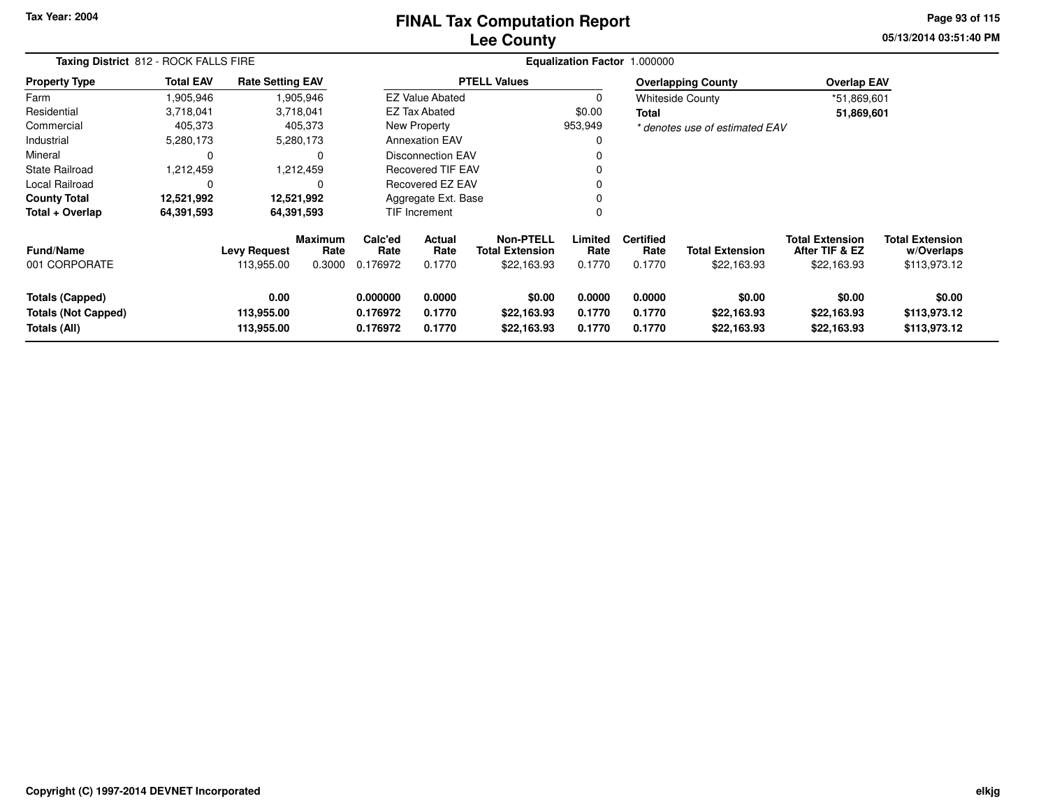### **Lee CountyFINAL Tax Computation Report**

**05/13/2014 03:51:40 PM Page 93 of 115**

|                                                                      | Taxing District 812 - ROCK FALLS FIRE |                                   |                           |                                  |                            |                                                           |                            | Equalization Factor 1.000000       |                                       |                                                         |                                                      |
|----------------------------------------------------------------------|---------------------------------------|-----------------------------------|---------------------------|----------------------------------|----------------------------|-----------------------------------------------------------|----------------------------|------------------------------------|---------------------------------------|---------------------------------------------------------|------------------------------------------------------|
| <b>Property Type</b>                                                 | <b>Total EAV</b>                      | <b>Rate Setting EAV</b>           |                           |                                  |                            | <b>PTELL Values</b>                                       |                            |                                    | <b>Overlapping County</b>             | <b>Overlap EAV</b>                                      |                                                      |
| Farm                                                                 | 1,905,946                             |                                   | 1,905,946                 |                                  | <b>EZ Value Abated</b>     |                                                           | 0                          |                                    | <b>Whiteside County</b>               | *51,869,601                                             |                                                      |
| Residential                                                          | 3,718,041                             |                                   | 3,718,041                 |                                  | EZ Tax Abated              |                                                           | \$0.00                     | Total                              |                                       | 51,869,601                                              |                                                      |
| Commercial                                                           | 405,373                               |                                   | 405,373                   |                                  | New Property               |                                                           | 953,949                    |                                    | * denotes use of estimated EAV        |                                                         |                                                      |
| Industrial                                                           | 5,280,173                             |                                   | 5,280,173                 |                                  | <b>Annexation EAV</b>      |                                                           |                            |                                    |                                       |                                                         |                                                      |
| Mineral                                                              | 0                                     |                                   |                           |                                  | <b>Disconnection EAV</b>   |                                                           |                            |                                    |                                       |                                                         |                                                      |
| State Railroad                                                       | 1,212,459                             |                                   | 1,212,459                 |                                  | <b>Recovered TIF EAV</b>   |                                                           |                            |                                    |                                       |                                                         |                                                      |
| Local Railroad                                                       | 0                                     |                                   | $\Omega$                  |                                  | Recovered EZ EAV           |                                                           |                            |                                    |                                       |                                                         |                                                      |
| <b>County Total</b>                                                  | 12,521,992                            |                                   | 12,521,992                | Aggregate Ext. Base              |                            |                                                           |                            |                                    |                                       |                                                         |                                                      |
| Total + Overlap                                                      | 64,391,593                            |                                   | 64,391,593                |                                  | <b>TIF Increment</b>       |                                                           | $\Omega$                   |                                    |                                       |                                                         |                                                      |
| <b>Fund/Name</b><br>001 CORPORATE                                    |                                       | <b>Levy Request</b><br>113,955.00 | Maximum<br>Rate<br>0.3000 | Calc'ed<br>Rate<br>0.176972      | Actual<br>Rate<br>0.1770   | <b>Non-PTELL</b><br><b>Total Extension</b><br>\$22,163.93 | Limited<br>Rate<br>0.1770  | <b>Certified</b><br>Rate<br>0.1770 | <b>Total Extension</b><br>\$22,163.93 | <b>Total Extension</b><br>After TIF & EZ<br>\$22,163.93 | <b>Total Extension</b><br>w/Overlaps<br>\$113,973.12 |
| <b>Totals (Capped)</b><br><b>Totals (Not Capped)</b><br>Totals (All) |                                       | 0.00<br>113,955.00<br>113,955.00  |                           | 0.000000<br>0.176972<br>0.176972 | 0.0000<br>0.1770<br>0.1770 | \$0.00<br>\$22,163.93<br>\$22,163.93                      | 0.0000<br>0.1770<br>0.1770 | 0.0000<br>0.1770<br>0.1770         | \$0.00<br>\$22,163.93<br>\$22,163.93  | \$0.00<br>\$22,163.93<br>\$22,163.93                    | \$0.00<br>\$113,973.12<br>\$113,973.12               |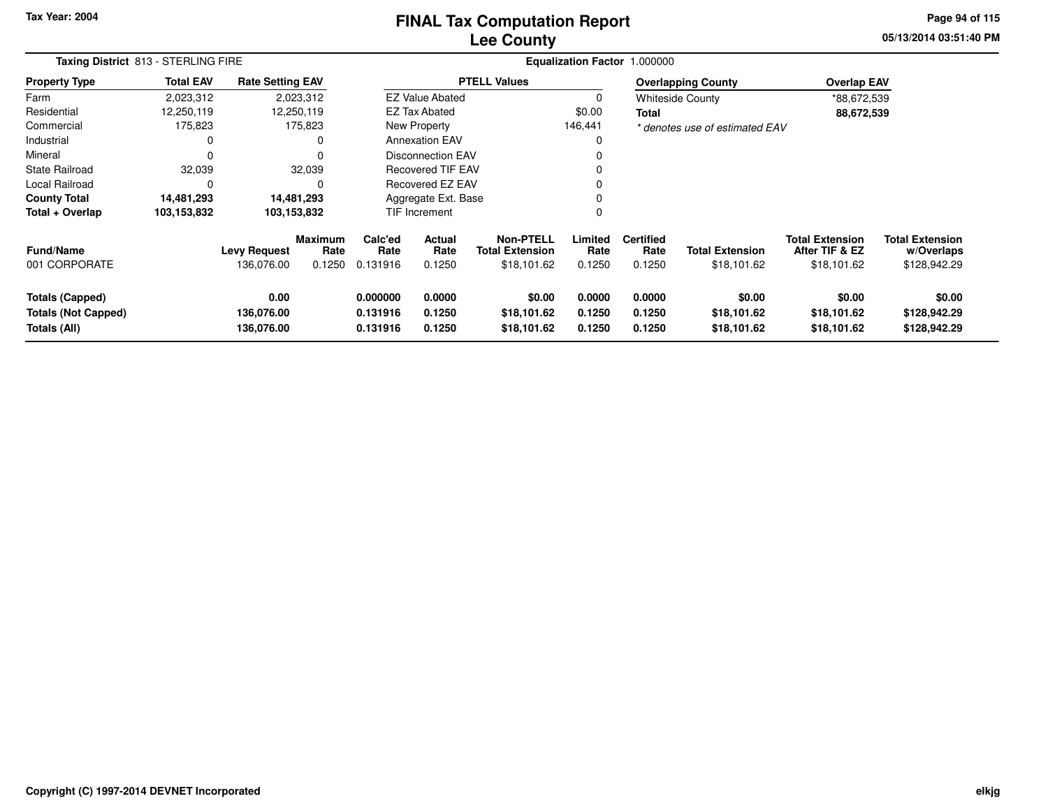# **Lee CountyFINAL Tax Computation Report**

**05/13/2014 03:51:40 PM Page 94 of 115**

| Taxing District 813 - STERLING FIRE                           |                  |                                   |                                  |                                  |                                 | <b>Equalization Factor 1.000000</b>                       |                            |                                    |                                       |                                                         |                                                      |
|---------------------------------------------------------------|------------------|-----------------------------------|----------------------------------|----------------------------------|---------------------------------|-----------------------------------------------------------|----------------------------|------------------------------------|---------------------------------------|---------------------------------------------------------|------------------------------------------------------|
| <b>Property Type</b>                                          | <b>Total EAV</b> | <b>Rate Setting EAV</b>           |                                  |                                  |                                 | <b>PTELL Values</b>                                       |                            |                                    | <b>Overlapping County</b>             | <b>Overlap EAV</b>                                      |                                                      |
| Farm                                                          | 2,023,312        |                                   | 2,023,312                        |                                  | <b>EZ Value Abated</b>          |                                                           |                            |                                    | <b>Whiteside County</b>               | *88,672,539                                             |                                                      |
| Residential                                                   | 12,250,119       |                                   | 12,250,119                       |                                  | EZ Tax Abated                   |                                                           | \$0.00                     | Total                              |                                       | 88,672,539                                              |                                                      |
| Commercial                                                    | 175,823          |                                   | 175,823                          |                                  | New Property                    |                                                           | 146,441                    |                                    | * denotes use of estimated EAV        |                                                         |                                                      |
| Industrial                                                    | 0                |                                   | 0                                |                                  | <b>Annexation EAV</b>           |                                                           |                            |                                    |                                       |                                                         |                                                      |
| Mineral                                                       | 0                |                                   | 0                                |                                  | <b>Disconnection EAV</b>        |                                                           |                            |                                    |                                       |                                                         |                                                      |
| <b>State Railroad</b>                                         | 32,039           |                                   | 32,039                           |                                  | <b>Recovered TIF EAV</b>        |                                                           |                            |                                    |                                       |                                                         |                                                      |
| Local Railroad                                                | 0                |                                   | $\Omega$                         |                                  | <b>Recovered EZ EAV</b>         |                                                           |                            |                                    |                                       |                                                         |                                                      |
| <b>County Total</b>                                           | 14,481,293       |                                   | 14,481,293                       | Aggregate Ext. Base              |                                 |                                                           |                            |                                    |                                       |                                                         |                                                      |
| Total + Overlap                                               | 103,153,832      |                                   | 103,153,832                      |                                  | <b>TIF Increment</b>            |                                                           |                            |                                    |                                       |                                                         |                                                      |
| <b>Fund/Name</b><br>001 CORPORATE                             |                  | <b>Levy Request</b><br>136,076.00 | <b>Maximum</b><br>Rate<br>0.1250 | Calc'ed<br>Rate<br>0.131916      | <b>Actual</b><br>Rate<br>0.1250 | <b>Non-PTELL</b><br><b>Total Extension</b><br>\$18,101.62 | Limited<br>Rate<br>0.1250  | <b>Certified</b><br>Rate<br>0.1250 | <b>Total Extension</b><br>\$18,101.62 | <b>Total Extension</b><br>After TIF & EZ<br>\$18,101.62 | <b>Total Extension</b><br>w/Overlaps<br>\$128,942.29 |
| Totals (Capped)<br><b>Totals (Not Capped)</b><br>Totals (All) |                  | 0.00<br>136,076.00<br>136,076.00  |                                  | 0.000000<br>0.131916<br>0.131916 | 0.0000<br>0.1250<br>0.1250      | \$0.00<br>\$18,101.62<br>\$18,101.62                      | 0.0000<br>0.1250<br>0.1250 | 0.0000<br>0.1250<br>0.1250         | \$0.00<br>\$18,101.62<br>\$18,101.62  | \$0.00<br>\$18,101.62<br>\$18,101.62                    | \$0.00<br>\$128,942.29<br>\$128,942.29               |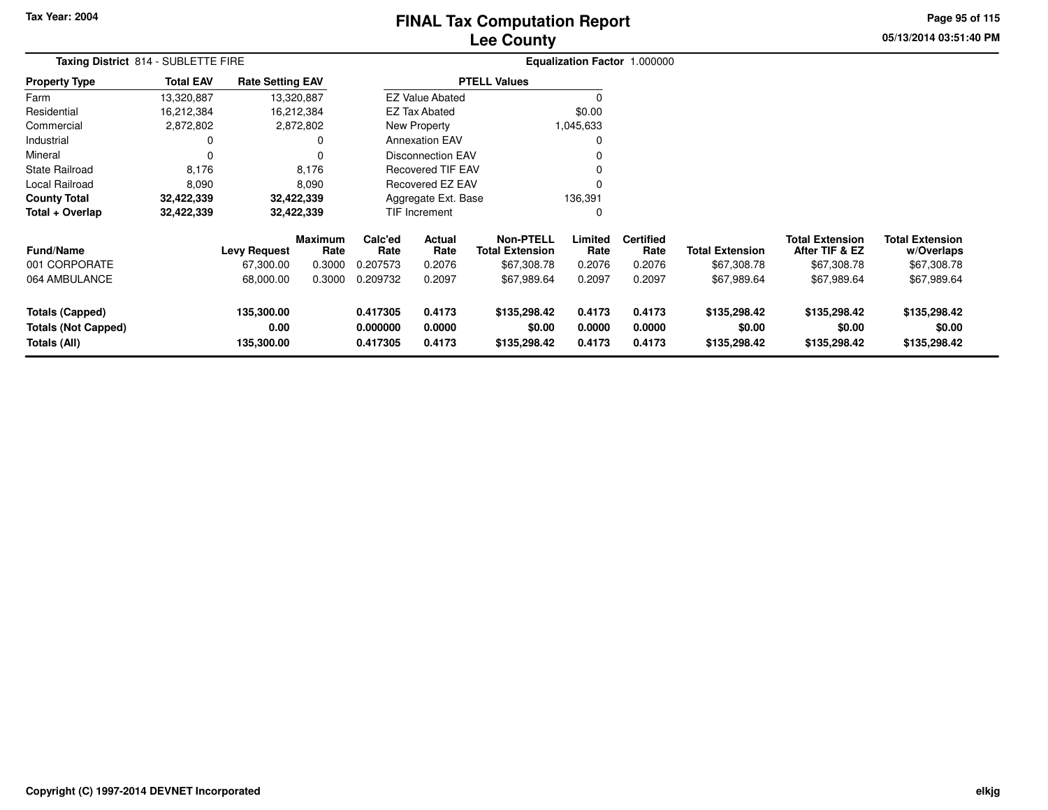# **Lee CountyFINAL Tax Computation Report**

**05/13/2014 03:51:40 PM Page 95 of 115**

| Taxing District 814 - SUBLETTE FIRE                           |                  |                                  |                        |                                  |                            | Equalization Factor 1.000000               |                            |                            |                                        |                                          |                                        |  |
|---------------------------------------------------------------|------------------|----------------------------------|------------------------|----------------------------------|----------------------------|--------------------------------------------|----------------------------|----------------------------|----------------------------------------|------------------------------------------|----------------------------------------|--|
| <b>Property Type</b>                                          | <b>Total EAV</b> | <b>Rate Setting EAV</b>          |                        |                                  |                            | <b>PTELL Values</b>                        |                            |                            |                                        |                                          |                                        |  |
| Farm                                                          | 13,320,887       |                                  | 13,320,887             |                                  | <b>EZ Value Abated</b>     |                                            |                            |                            |                                        |                                          |                                        |  |
| Residential                                                   | 16,212,384       |                                  | 16,212,384             |                                  | <b>EZ Tax Abated</b>       |                                            | \$0.00                     |                            |                                        |                                          |                                        |  |
| Commercial                                                    | 2,872,802        |                                  | 2,872,802              |                                  | <b>New Property</b>        |                                            | 1,045,633                  |                            |                                        |                                          |                                        |  |
| Industrial                                                    | 0                |                                  | 0                      |                                  | <b>Annexation EAV</b>      |                                            |                            |                            |                                        |                                          |                                        |  |
| Mineral                                                       | 0                |                                  | 0                      |                                  | <b>Disconnection EAV</b>   |                                            |                            |                            |                                        |                                          |                                        |  |
| <b>State Railroad</b>                                         | 8,176            |                                  | 8,176                  |                                  | Recovered TIF EAV          |                                            |                            |                            |                                        |                                          |                                        |  |
| Local Railroad                                                | 8,090            |                                  | 8,090                  |                                  | <b>Recovered EZ EAV</b>    |                                            | $\Omega$                   |                            |                                        |                                          |                                        |  |
| <b>County Total</b>                                           | 32,422,339       |                                  | 32,422,339             | 136,391<br>Aggregate Ext. Base   |                            |                                            |                            |                            |                                        |                                          |                                        |  |
| Total + Overlap                                               | 32,422,339       |                                  | 32,422,339             |                                  | <b>TIF Increment</b>       |                                            | 0                          |                            |                                        |                                          |                                        |  |
| <b>Fund/Name</b>                                              |                  | <b>Levy Request</b>              | <b>Maximum</b><br>Rate | Calc'ed<br>Rate                  | Actual<br>Rate             | <b>Non-PTELL</b><br><b>Total Extension</b> | Limited<br>Rate            | <b>Certified</b><br>Rate   | <b>Total Extension</b>                 | <b>Total Extension</b><br>After TIF & EZ | <b>Total Extension</b><br>w/Overlaps   |  |
| 001 CORPORATE                                                 |                  | 67,300.00                        | 0.3000                 | 0.207573                         | 0.2076                     | \$67,308.78                                | 0.2076                     | 0.2076                     | \$67,308.78                            | \$67,308.78                              | \$67,308.78                            |  |
| 064 AMBULANCE                                                 |                  | 68,000.00                        | 0.3000                 | 0.209732                         | 0.2097                     | \$67,989.64                                | 0.2097                     | 0.2097                     | \$67,989.64                            | \$67,989.64                              | \$67,989.64                            |  |
| Totals (Capped)<br><b>Totals (Not Capped)</b><br>Totals (All) |                  | 135,300.00<br>0.00<br>135,300.00 |                        | 0.417305<br>0.000000<br>0.417305 | 0.4173<br>0.0000<br>0.4173 | \$135,298.42<br>\$0.00<br>\$135,298.42     | 0.4173<br>0.0000<br>0.4173 | 0.4173<br>0.0000<br>0.4173 | \$135,298.42<br>\$0.00<br>\$135,298.42 | \$135,298.42<br>\$0.00<br>\$135,298.42   | \$135,298.42<br>\$0.00<br>\$135,298.42 |  |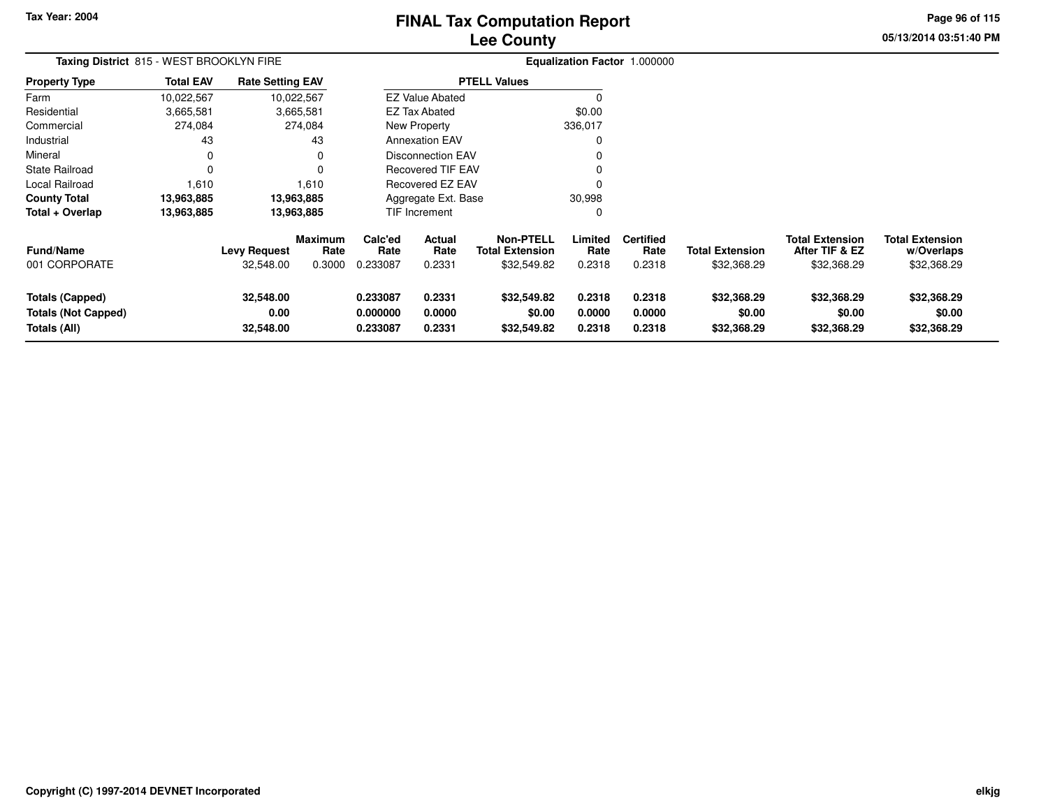# **Lee CountyFINAL Tax Computation Report**

**05/13/2014 03:51:40 PM Page 96 of 115**

| Taxing District 815 - WEST BROOKLYN FIRE                             |                  |                                  |                                  |                                  |                            |                                                           |                            | Equalization Factor 1.000000       |                                       |                                                         |                                                     |  |  |
|----------------------------------------------------------------------|------------------|----------------------------------|----------------------------------|----------------------------------|----------------------------|-----------------------------------------------------------|----------------------------|------------------------------------|---------------------------------------|---------------------------------------------------------|-----------------------------------------------------|--|--|
| <b>Property Type</b>                                                 | <b>Total EAV</b> | <b>Rate Setting EAV</b>          |                                  |                                  |                            | <b>PTELL Values</b>                                       |                            |                                    |                                       |                                                         |                                                     |  |  |
| Farm                                                                 | 10,022,567       |                                  | 10,022,567                       |                                  | <b>EZ Value Abated</b>     |                                                           | $\Omega$                   |                                    |                                       |                                                         |                                                     |  |  |
| Residential                                                          | 3,665,581        |                                  | 3,665,581                        |                                  | <b>EZ Tax Abated</b>       |                                                           | \$0.00                     |                                    |                                       |                                                         |                                                     |  |  |
| Commercial                                                           | 274,084          |                                  | 274,084                          |                                  | New Property               |                                                           | 336,017                    |                                    |                                       |                                                         |                                                     |  |  |
| Industrial                                                           | 43               |                                  | 43                               |                                  | <b>Annexation EAV</b>      |                                                           | 0                          |                                    |                                       |                                                         |                                                     |  |  |
| Mineral                                                              | 0                |                                  | 0                                |                                  | <b>Disconnection EAV</b>   |                                                           | 0                          |                                    |                                       |                                                         |                                                     |  |  |
| <b>State Railroad</b>                                                | $\Omega$         |                                  | 0                                |                                  | <b>Recovered TIF EAV</b>   |                                                           | 0                          |                                    |                                       |                                                         |                                                     |  |  |
| Local Railroad                                                       | 1,610            |                                  | 1,610                            | Recovered EZ EAV                 |                            |                                                           |                            |                                    |                                       |                                                         |                                                     |  |  |
| <b>County Total</b>                                                  | 13,963,885       |                                  | 13,963,885                       | 30,998<br>Aggregate Ext. Base    |                            |                                                           |                            |                                    |                                       |                                                         |                                                     |  |  |
| Total + Overlap                                                      | 13,963,885       |                                  | 13,963,885                       |                                  | <b>TIF Increment</b>       |                                                           | 0                          |                                    |                                       |                                                         |                                                     |  |  |
| <b>Fund/Name</b><br>001 CORPORATE                                    |                  | <b>Levy Request</b><br>32,548.00 | <b>Maximum</b><br>Rate<br>0.3000 | Calc'ed<br>Rate<br>0.233087      | Actual<br>Rate<br>0.2331   | <b>Non-PTELL</b><br><b>Total Extension</b><br>\$32,549.82 | Limited<br>Rate<br>0.2318  | <b>Certified</b><br>Rate<br>0.2318 | <b>Total Extension</b><br>\$32,368.29 | <b>Total Extension</b><br>After TIF & EZ<br>\$32,368.29 | <b>Total Extension</b><br>w/Overlaps<br>\$32,368.29 |  |  |
| <b>Totals (Capped)</b><br><b>Totals (Not Capped)</b><br>Totals (All) |                  | 32,548.00<br>0.00<br>32,548.00   |                                  | 0.233087<br>0.000000<br>0.233087 | 0.2331<br>0.0000<br>0.2331 | \$32,549.82<br>\$0.00<br>\$32,549.82                      | 0.2318<br>0.0000<br>0.2318 | 0.2318<br>0.0000<br>0.2318         | \$32,368.29<br>\$0.00<br>\$32,368.29  | \$32,368.29<br>\$0.00<br>\$32,368.29                    | \$32,368.29<br>\$0.00<br>\$32,368.29                |  |  |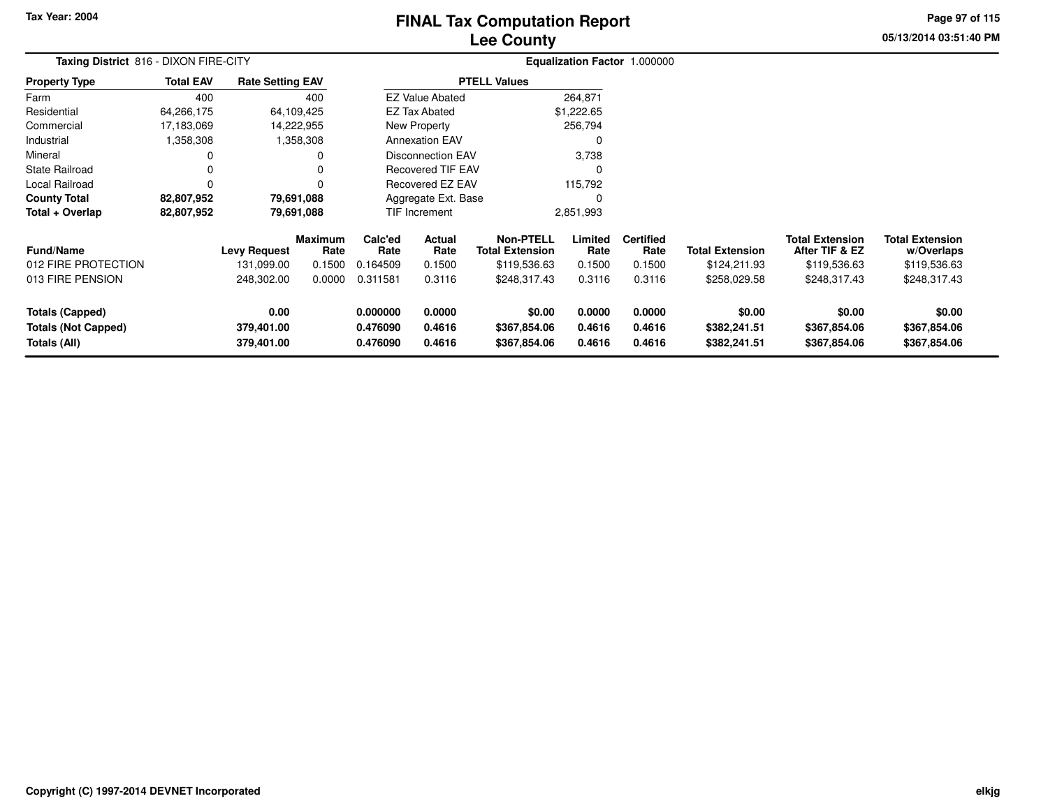# **Lee CountyFINAL Tax Computation Report**

**05/13/2014 03:51:40 PM Page 97 of 115**

|                                                                      | Taxing District 816 - DIXON FIRE-CITY |                                  |                        |                                  |                            |                                            |                            | Equalization Factor 1.000000 |                                        |                                          |                                        |  |
|----------------------------------------------------------------------|---------------------------------------|----------------------------------|------------------------|----------------------------------|----------------------------|--------------------------------------------|----------------------------|------------------------------|----------------------------------------|------------------------------------------|----------------------------------------|--|
| <b>Property Type</b>                                                 | <b>Total EAV</b>                      | <b>Rate Setting EAV</b>          |                        |                                  |                            | <b>PTELL Values</b>                        |                            |                              |                                        |                                          |                                        |  |
| Farm                                                                 | 400                                   |                                  | 400                    |                                  | <b>EZ Value Abated</b>     |                                            | 264,871                    |                              |                                        |                                          |                                        |  |
| Residential                                                          | 64,266,175                            |                                  | 64,109,425             |                                  | EZ Tax Abated              |                                            | \$1,222.65                 |                              |                                        |                                          |                                        |  |
| Commercial                                                           | 17,183,069                            |                                  | 14,222,955             |                                  | New Property               |                                            | 256,794                    |                              |                                        |                                          |                                        |  |
| Industrial                                                           | 1,358,308                             |                                  | 1,358,308              |                                  | <b>Annexation EAV</b>      |                                            | 0                          |                              |                                        |                                          |                                        |  |
| Mineral                                                              |                                       |                                  |                        |                                  | <b>Disconnection EAV</b>   |                                            | 3,738                      |                              |                                        |                                          |                                        |  |
| <b>State Railroad</b>                                                |                                       |                                  |                        | <b>Recovered TIF EAV</b>         |                            |                                            | 0                          |                              |                                        |                                          |                                        |  |
| Local Railroad                                                       |                                       |                                  |                        |                                  | Recovered EZ EAV           |                                            | 115,792                    |                              |                                        |                                          |                                        |  |
| <b>County Total</b>                                                  | 82,807,952                            |                                  | 79,691,088             | Aggregate Ext. Base              |                            |                                            | 0                          |                              |                                        |                                          |                                        |  |
| Total + Overlap                                                      | 82,807,952                            |                                  | 79,691,088             |                                  | TIF Increment              |                                            | 2,851,993                  |                              |                                        |                                          |                                        |  |
| <b>Fund/Name</b>                                                     |                                       | <b>Levy Request</b>              | <b>Maximum</b><br>Rate | Calc'ed<br>Rate                  | Actual<br>Rate             | <b>Non-PTELL</b><br><b>Total Extension</b> | Limited<br>Rate            | <b>Certified</b><br>Rate     | <b>Total Extension</b>                 | <b>Total Extension</b><br>After TIF & EZ | <b>Total Extension</b><br>w/Overlaps   |  |
| 012 FIRE PROTECTION                                                  |                                       | 131,099.00                       | 0.1500                 | 0.164509                         | 0.1500                     | \$119,536.63                               | 0.1500                     | 0.1500                       | \$124,211.93                           | \$119,536.63                             | \$119,536.63                           |  |
| 013 FIRE PENSION                                                     |                                       | 248,302.00                       | 0.0000                 | 0.311581                         | 0.3116                     | \$248,317.43                               | 0.3116                     | 0.3116                       | \$258,029.58                           | \$248,317.43                             | \$248,317.43                           |  |
| <b>Totals (Capped)</b><br><b>Totals (Not Capped)</b><br>Totals (All) |                                       | 0.00<br>379,401.00<br>379,401.00 |                        | 0.000000<br>0.476090<br>0.476090 | 0.0000<br>0.4616<br>0.4616 | \$0.00<br>\$367,854.06<br>\$367,854.06     | 0.0000<br>0.4616<br>0.4616 | 0.0000<br>0.4616<br>0.4616   | \$0.00<br>\$382,241.51<br>\$382,241.51 | \$0.00<br>\$367,854.06<br>\$367,854.06   | \$0.00<br>\$367,854.06<br>\$367,854.06 |  |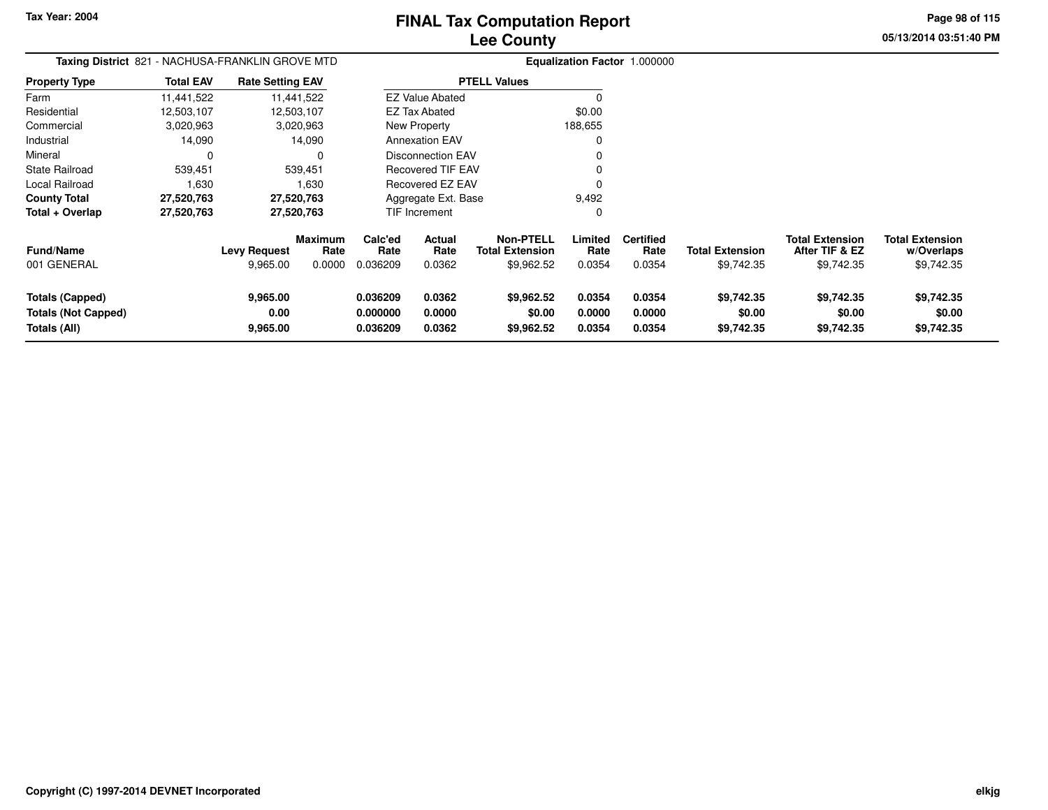$\sim$ 

# **Lee CountyFINAL Tax Computation Report**

**05/13/2014 03:51:40 PM Page 98 of 115**

| Taxing District 821 - NACHUSA-FRANKLIN GROVE MTD |                  |                         |                        |                 |                                |                                            |                 | Equalization Factor 1.000000 |                        |                                          |                                      |
|--------------------------------------------------|------------------|-------------------------|------------------------|-----------------|--------------------------------|--------------------------------------------|-----------------|------------------------------|------------------------|------------------------------------------|--------------------------------------|
| <b>Property Type</b>                             | <b>Total EAV</b> | <b>Rate Setting EAV</b> |                        |                 |                                | <b>PTELL Values</b>                        |                 |                              |                        |                                          |                                      |
| Farm                                             | 11,441,522       |                         | 11,441,522             |                 | <b>EZ Value Abated</b>         |                                            |                 |                              |                        |                                          |                                      |
| Residential                                      | 12,503,107       |                         | 12,503,107             |                 | <b>EZ Tax Abated</b>           |                                            | \$0.00          |                              |                        |                                          |                                      |
| Commercial                                       | 3,020,963        |                         | 3,020,963              |                 | New Property                   |                                            | 188,655         |                              |                        |                                          |                                      |
| Industrial                                       | 14,090           |                         | 14,090                 |                 | <b>Annexation EAV</b>          |                                            | $\Omega$        |                              |                        |                                          |                                      |
| Mineral                                          | $\Omega$         |                         | 0                      |                 | <b>Disconnection EAV</b>       |                                            | $\Omega$        |                              |                        |                                          |                                      |
| <b>State Railroad</b>                            | 539,451          |                         | 539.451                |                 | Recovered TIF EAV              |                                            | $\Omega$        |                              |                        |                                          |                                      |
| Local Railroad                                   | 1,630            |                         | 1,630                  |                 | <b>Recovered EZ EAV</b>        |                                            | $\Omega$        |                              |                        |                                          |                                      |
| <b>County Total</b>                              | 27,520,763       |                         | 27,520,763             |                 | Aggregate Ext. Base            |                                            | 9,492           |                              |                        |                                          |                                      |
| Total + Overlap                                  | 27,520,763       |                         | 27,520,763             |                 | TIF Increment                  |                                            | $\Omega$        |                              |                        |                                          |                                      |
| <b>Fund/Name</b>                                 |                  | <b>Levy Request</b>     | <b>Maximum</b><br>Rate | Calc'ed<br>Rate | <b>Actual</b><br>Rate          | <b>Non-PTELL</b><br><b>Total Extension</b> | Limited<br>Rate | <b>Certified</b><br>Rate     | <b>Total Extension</b> | <b>Total Extension</b><br>After TIF & EZ | <b>Total Extension</b><br>w/Overlaps |
| 001 GENERAL                                      |                  | 9,965.00                | 0.0000                 | 0.036209        | 0.0362                         | \$9,962.52                                 | 0.0354          | 0.0354                       | \$9,742.35             | \$9,742.35                               | \$9,742.35                           |
| Totals (Capped)                                  |                  | 9,965.00                |                        | 0.036209        | 0.0362                         | \$9,962.52                                 | 0.0354          | 0.0354                       | \$9,742.35             | \$9,742.35                               | \$9,742.35                           |
| <b>Totals (Not Capped)</b>                       |                  | 0.00                    |                        | 0.000000        | 0.0000                         | \$0.00                                     | 0.0000          | 0.0000                       | \$0.00                 | \$0.00                                   | \$0.00                               |
| Totals (All)                                     |                  | 9,965.00                |                        | 0.036209        | 0.0362<br>0.0354<br>\$9,962.52 |                                            |                 |                              | \$9,742.35             | \$9,742.35                               | \$9,742.35                           |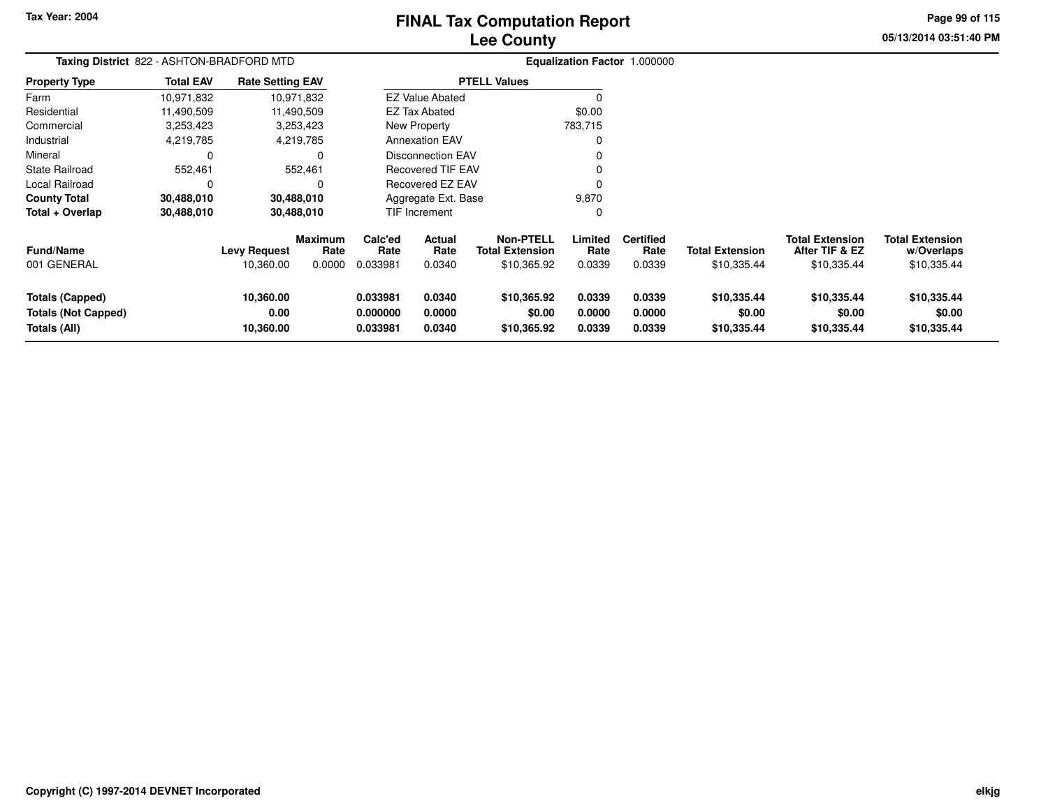# **Lee CountyFINAL Tax Computation Report**

**05/13/2014 03:51:40 PM Page 99 of 115**

| Taxing District 822 - ASHTON-BRADFORD MTD                     |                  |                                  |                                  |                                  |                                 |                                                           |                            | Equalization Factor 1.000000       |                                       |                                                         |                                                     |
|---------------------------------------------------------------|------------------|----------------------------------|----------------------------------|----------------------------------|---------------------------------|-----------------------------------------------------------|----------------------------|------------------------------------|---------------------------------------|---------------------------------------------------------|-----------------------------------------------------|
| <b>Property Type</b>                                          | <b>Total EAV</b> | <b>Rate Setting EAV</b>          |                                  |                                  |                                 | <b>PTELL Values</b>                                       |                            |                                    |                                       |                                                         |                                                     |
| Farm                                                          | 10,971,832       |                                  | 10,971,832                       |                                  | <b>EZ Value Abated</b>          |                                                           |                            |                                    |                                       |                                                         |                                                     |
| Residential                                                   | 11,490,509       |                                  | 11,490,509                       |                                  | <b>EZ Tax Abated</b>            |                                                           | \$0.00                     |                                    |                                       |                                                         |                                                     |
| Commercial                                                    | 3,253,423        |                                  | 3,253,423                        |                                  | New Property                    |                                                           | 783,715                    |                                    |                                       |                                                         |                                                     |
| Industrial                                                    | 4,219,785        |                                  | 4,219,785                        |                                  | <b>Annexation EAV</b>           |                                                           |                            |                                    |                                       |                                                         |                                                     |
| Mineral                                                       | 0                |                                  |                                  |                                  | Disconnection EAV               |                                                           |                            |                                    |                                       |                                                         |                                                     |
| State Railroad                                                | 552,461          |                                  | 552,461                          |                                  | <b>Recovered TIF EAV</b>        |                                                           |                            |                                    |                                       |                                                         |                                                     |
| Local Railroad                                                | C                |                                  |                                  |                                  | Recovered EZ EAV                |                                                           |                            |                                    |                                       |                                                         |                                                     |
| <b>County Total</b>                                           | 30,488,010       |                                  | 30,488,010                       |                                  | Aggregate Ext. Base             |                                                           | 9,870                      |                                    |                                       |                                                         |                                                     |
| Total + Overlap                                               | 30,488,010       |                                  | 30,488,010                       |                                  | TIF Increment                   |                                                           |                            |                                    |                                       |                                                         |                                                     |
| <b>Fund/Name</b><br>001 GENERAL                               |                  | <b>Levy Request</b><br>10,360.00 | <b>Maximum</b><br>Rate<br>0.0000 | Calc'ed<br>Rate<br>0.033981      | <b>Actual</b><br>Rate<br>0.0340 | <b>Non-PTELL</b><br><b>Total Extension</b><br>\$10,365.92 | Limited<br>Rate<br>0.0339  | <b>Certified</b><br>Rate<br>0.0339 | <b>Total Extension</b><br>\$10,335.44 | <b>Total Extension</b><br>After TIF & EZ<br>\$10,335.44 | <b>Total Extension</b><br>w/Overlaps<br>\$10,335.44 |
| Totals (Capped)<br><b>Totals (Not Capped)</b><br>Totals (All) |                  | 10,360.00<br>0.00<br>10,360.00   |                                  | 0.033981<br>0.000000<br>0.033981 | 0.0340<br>0.0000<br>0.0340      | \$10,365.92<br>\$0.00<br>\$10,365.92                      | 0.0339<br>0.0000<br>0.0339 | 0.0339<br>0.0000<br>0.0339         | \$10,335.44<br>\$0.00<br>\$10,335.44  | \$10,335.44<br>\$0.00<br>\$10,335.44                    | \$10,335.44<br>\$0.00<br>\$10,335.44                |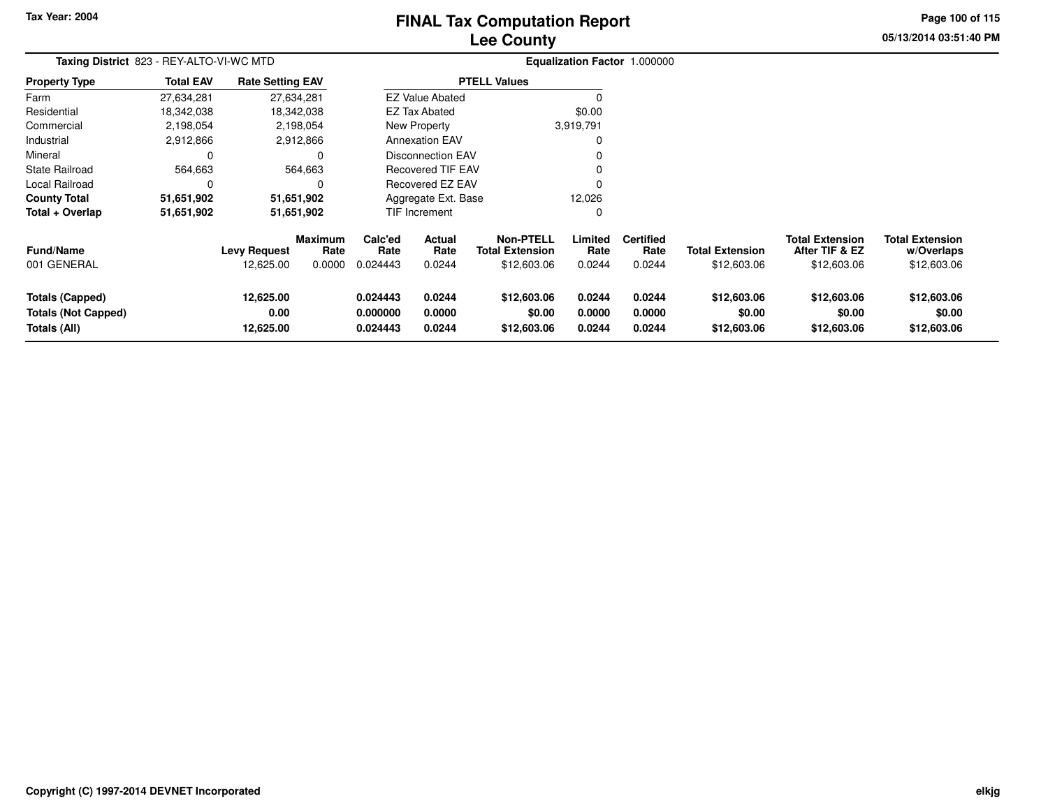# **Lee CountyFINAL Tax Computation Report**

**05/13/2014 03:51:40 PM Page 100 of 115**

| Taxing District 823 - REY-ALTO-VI-WC MTD                             |                  |                                |                 |                                  |                            |                                            | Equalization Factor 1.000000 |                            |                                      |                                          |                                      |  |
|----------------------------------------------------------------------|------------------|--------------------------------|-----------------|----------------------------------|----------------------------|--------------------------------------------|------------------------------|----------------------------|--------------------------------------|------------------------------------------|--------------------------------------|--|
| <b>Property Type</b>                                                 | <b>Total EAV</b> | <b>Rate Setting EAV</b>        |                 |                                  |                            | <b>PTELL Values</b>                        |                              |                            |                                      |                                          |                                      |  |
| Farm                                                                 | 27,634,281       |                                | 27,634,281      |                                  | <b>EZ Value Abated</b>     |                                            |                              |                            |                                      |                                          |                                      |  |
| Residential                                                          | 18,342,038       |                                | 18,342,038      |                                  | <b>EZ Tax Abated</b>       |                                            | \$0.00                       |                            |                                      |                                          |                                      |  |
| Commercial                                                           | 2,198,054        |                                | 2,198,054       |                                  | New Property               |                                            | 3,919,791                    |                            |                                      |                                          |                                      |  |
| Industrial                                                           | 2,912,866        |                                | 2,912,866       |                                  | <b>Annexation EAV</b>      |                                            | 0                            |                            |                                      |                                          |                                      |  |
| Mineral                                                              | 0                |                                | 0               |                                  | Disconnection EAV          |                                            | 0                            |                            |                                      |                                          |                                      |  |
| <b>State Railroad</b>                                                | 564,663          |                                | 564,663         |                                  | <b>Recovered TIF EAV</b>   |                                            | 0                            |                            |                                      |                                          |                                      |  |
| Local Railroad                                                       | 0                |                                |                 |                                  | Recovered EZ EAV           |                                            | 0                            |                            |                                      |                                          |                                      |  |
| <b>County Total</b>                                                  | 51,651,902       |                                | 51,651,902      |                                  | Aggregate Ext. Base        |                                            | 12,026                       |                            |                                      |                                          |                                      |  |
| Total + Overlap                                                      | 51,651,902       |                                | 51,651,902      |                                  | TIF Increment              |                                            | 0                            |                            |                                      |                                          |                                      |  |
| <b>Fund/Name</b>                                                     |                  | <b>Levy Request</b>            | Maximum<br>Rate | Calc'ed<br>Rate                  | Actual<br>Rate             | <b>Non-PTELL</b><br><b>Total Extension</b> | Limited<br>Rate              | <b>Certified</b><br>Rate   | <b>Total Extension</b>               | <b>Total Extension</b><br>After TIF & EZ | <b>Total Extension</b><br>w/Overlaps |  |
| 001 GENERAL                                                          |                  | 12,625.00                      | 0.0000          | 0.024443                         | 0.0244                     | \$12,603.06                                | 0.0244                       | 0.0244                     | \$12,603.06                          | \$12,603.06                              | \$12,603.06                          |  |
| <b>Totals (Capped)</b><br><b>Totals (Not Capped)</b><br>Totals (All) |                  | 12,625.00<br>0.00<br>12,625.00 |                 | 0.024443<br>0.000000<br>0.024443 | 0.0244<br>0.0000<br>0.0244 | \$12,603.06<br>\$0.00<br>\$12,603.06       | 0.0244<br>0.0000<br>0.0244   | 0.0244<br>0.0000<br>0.0244 | \$12,603.06<br>\$0.00<br>\$12,603.06 | \$12,603.06<br>\$0.00<br>\$12,603.06     | \$12,603.06<br>\$0.00<br>\$12,603.06 |  |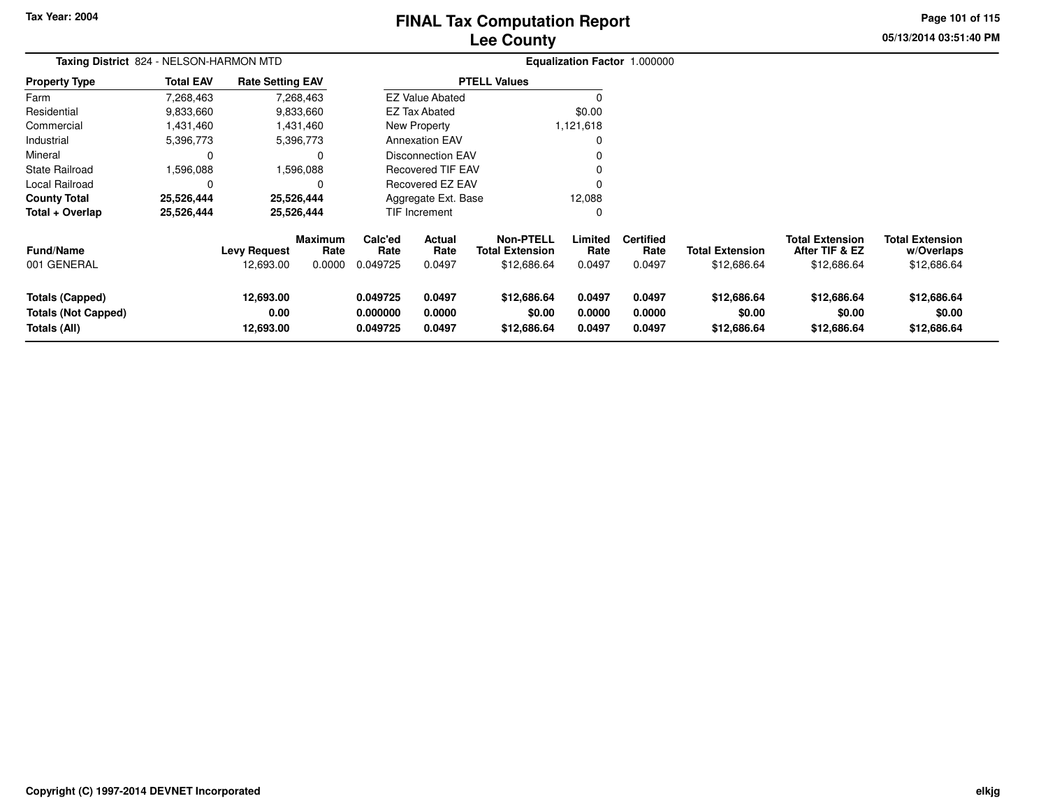# **Lee CountyFINAL Tax Computation Report**

**05/13/2014 03:51:40 PM Page 101 of 115**

|                                                               | Taxing District 824 - NELSON-HARMON MTD |                                |                        |                                  |                            |                                            |                            | Equalization Factor 1.000000 |                                      |                                          |                                      |  |
|---------------------------------------------------------------|-----------------------------------------|--------------------------------|------------------------|----------------------------------|----------------------------|--------------------------------------------|----------------------------|------------------------------|--------------------------------------|------------------------------------------|--------------------------------------|--|
| <b>Property Type</b>                                          | <b>Total EAV</b>                        | <b>Rate Setting EAV</b>        |                        |                                  |                            | <b>PTELL Values</b>                        |                            |                              |                                      |                                          |                                      |  |
| Farm                                                          | 7,268,463                               |                                | 7,268,463              |                                  | <b>EZ Value Abated</b>     |                                            | 0                          |                              |                                      |                                          |                                      |  |
| Residential                                                   | 9,833,660                               |                                | 9,833,660              |                                  | <b>EZ Tax Abated</b>       |                                            | \$0.00                     |                              |                                      |                                          |                                      |  |
| Commercial                                                    | 1,431,460                               |                                | 1,431,460              |                                  | New Property               |                                            | 1,121,618                  |                              |                                      |                                          |                                      |  |
| Industrial                                                    | 5,396,773                               |                                | 5,396,773              |                                  | <b>Annexation EAV</b>      |                                            | $\mathbf 0$                |                              |                                      |                                          |                                      |  |
| Mineral                                                       | $\Omega$                                |                                | $\Omega$               |                                  | Disconnection EAV          |                                            | 0                          |                              |                                      |                                          |                                      |  |
| <b>State Railroad</b>                                         | 1,596,088                               |                                | 1,596,088              |                                  | <b>Recovered TIF EAV</b>   |                                            | 0                          |                              |                                      |                                          |                                      |  |
| Local Railroad                                                |                                         |                                | $\Omega$               |                                  | Recovered EZ EAV           |                                            | $\Omega$                   |                              |                                      |                                          |                                      |  |
| <b>County Total</b>                                           | 25,526,444                              |                                | 25,526,444             |                                  | Aggregate Ext. Base        |                                            | 12,088                     |                              |                                      |                                          |                                      |  |
| Total + Overlap                                               | 25,526,444                              |                                | 25,526,444             |                                  | <b>TIF Increment</b>       |                                            | $\Omega$                   |                              |                                      |                                          |                                      |  |
| <b>Fund/Name</b>                                              |                                         | <b>Levy Request</b>            | <b>Maximum</b><br>Rate | Calc'ed<br>Rate                  | Actual<br>Rate             | <b>Non-PTELL</b><br><b>Total Extension</b> | Limited<br>Rate            | <b>Certified</b><br>Rate     | <b>Total Extension</b>               | <b>Total Extension</b><br>After TIF & EZ | <b>Total Extension</b><br>w/Overlaps |  |
| 001 GENERAL                                                   |                                         | 12,693.00                      | 0.0000                 | 0.049725                         | 0.0497                     | \$12,686.64                                | 0.0497                     | 0.0497                       | \$12,686.64                          | \$12,686.64                              | \$12,686.64                          |  |
| <b>Totals (Capped)</b><br>Totals (Not Capped)<br>Totals (All) |                                         | 12,693.00<br>0.00<br>12,693.00 |                        | 0.049725<br>0.000000<br>0.049725 | 0.0497<br>0.0000<br>0.0497 | \$12,686.64<br>\$0.00<br>\$12,686.64       | 0.0497<br>0.0000<br>0.0497 | 0.0497<br>0.0000<br>0.0497   | \$12,686.64<br>\$0.00<br>\$12,686.64 | \$12,686.64<br>\$0.00<br>\$12,686.64     | \$12,686.64<br>\$0.00<br>\$12,686.64 |  |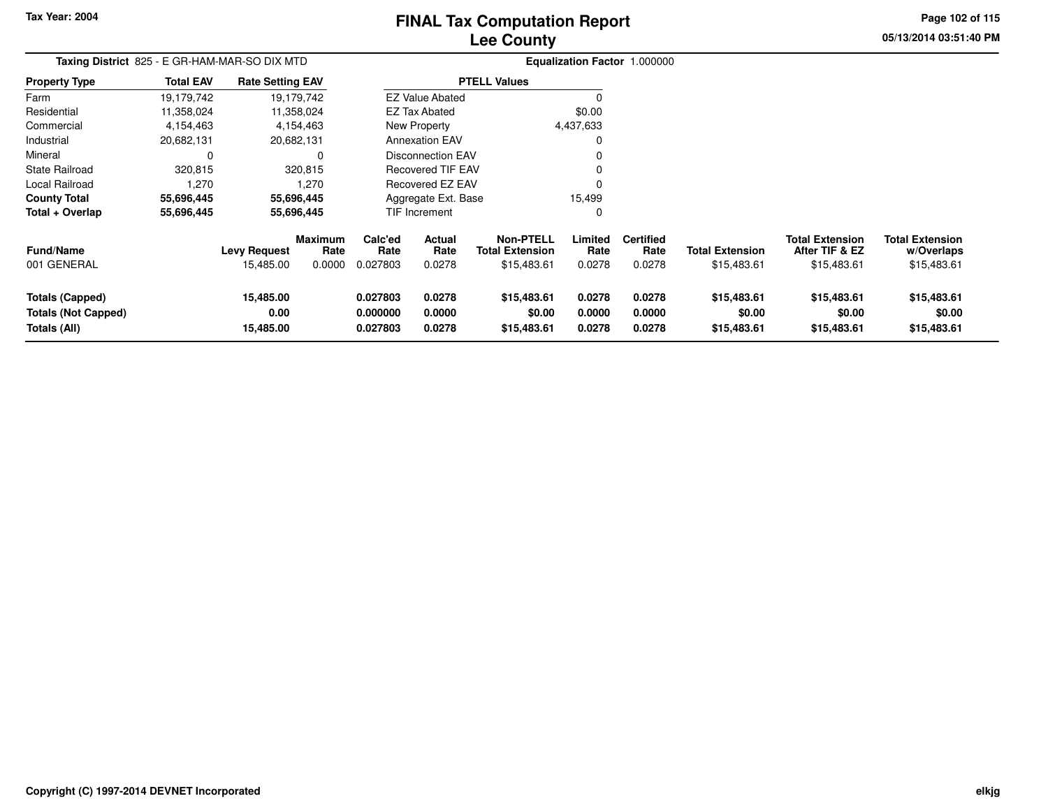# **Lee CountyFINAL Tax Computation Report**

**05/13/2014 03:51:40 PM Page 102 of 115**

| Taxing District 825 - E GR-HAM-MAR-SO DIX MTD                        |                  |                                  |                                  |                                  |                            |                                                           |                            | <b>Equalization Factor 1.000000</b> |                                       |                                                         |                                                     |
|----------------------------------------------------------------------|------------------|----------------------------------|----------------------------------|----------------------------------|----------------------------|-----------------------------------------------------------|----------------------------|-------------------------------------|---------------------------------------|---------------------------------------------------------|-----------------------------------------------------|
| <b>Property Type</b>                                                 | <b>Total EAV</b> | <b>Rate Setting EAV</b>          |                                  |                                  |                            | <b>PTELL Values</b>                                       |                            |                                     |                                       |                                                         |                                                     |
| Farm                                                                 | 19,179,742       |                                  | 19,179,742                       |                                  | <b>EZ Value Abated</b>     |                                                           |                            |                                     |                                       |                                                         |                                                     |
| Residential                                                          | 11,358,024       |                                  | 11,358,024                       |                                  | <b>EZ Tax Abated</b>       |                                                           | \$0.00                     |                                     |                                       |                                                         |                                                     |
| Commercial                                                           | 4,154,463        |                                  | 4,154,463                        |                                  | New Property               |                                                           | 4,437,633                  |                                     |                                       |                                                         |                                                     |
| Industrial                                                           | 20,682,131       |                                  | 20,682,131                       |                                  | <b>Annexation EAV</b>      |                                                           |                            |                                     |                                       |                                                         |                                                     |
| Mineral                                                              | 0                |                                  | $\Omega$                         |                                  | <b>Disconnection EAV</b>   |                                                           |                            |                                     |                                       |                                                         |                                                     |
| <b>State Railroad</b>                                                | 320,815          |                                  | 320,815                          | <b>Recovered TIF EAV</b>         |                            |                                                           |                            |                                     |                                       |                                                         |                                                     |
| Local Railroad                                                       | 1,270            |                                  | 1,270                            |                                  | Recovered EZ EAV           |                                                           |                            |                                     |                                       |                                                         |                                                     |
| <b>County Total</b>                                                  | 55,696,445       |                                  | 55,696,445                       |                                  | Aggregate Ext. Base        |                                                           | 15,499                     |                                     |                                       |                                                         |                                                     |
| Total + Overlap                                                      | 55,696,445       |                                  | 55,696,445                       |                                  | TIF Increment              |                                                           |                            |                                     |                                       |                                                         |                                                     |
| <b>Fund/Name</b><br>001 GENERAL                                      |                  | <b>Levy Request</b><br>15,485.00 | <b>Maximum</b><br>Rate<br>0.0000 | Calc'ed<br>Rate<br>0.027803      | Actual<br>Rate<br>0.0278   | <b>Non-PTELL</b><br><b>Total Extension</b><br>\$15,483.61 | Limited<br>Rate<br>0.0278  | <b>Certified</b><br>Rate<br>0.0278  | <b>Total Extension</b><br>\$15,483.61 | <b>Total Extension</b><br>After TIF & EZ<br>\$15,483.61 | <b>Total Extension</b><br>w/Overlaps<br>\$15,483.61 |
| <b>Totals (Capped)</b><br><b>Totals (Not Capped)</b><br>Totals (All) |                  | 15,485.00<br>0.00<br>15,485.00   |                                  | 0.027803<br>0.000000<br>0.027803 | 0.0278<br>0.0000<br>0.0278 | \$15,483.61<br>\$0.00<br>\$15,483.61                      | 0.0278<br>0.0000<br>0.0278 | 0.0278<br>0.0000<br>0.0278          | \$15,483.61<br>\$0.00<br>\$15,483.61  | \$15,483.61<br>\$0.00<br>\$15,483.61                    | \$15,483.61<br>\$0.00<br>\$15,483.61                |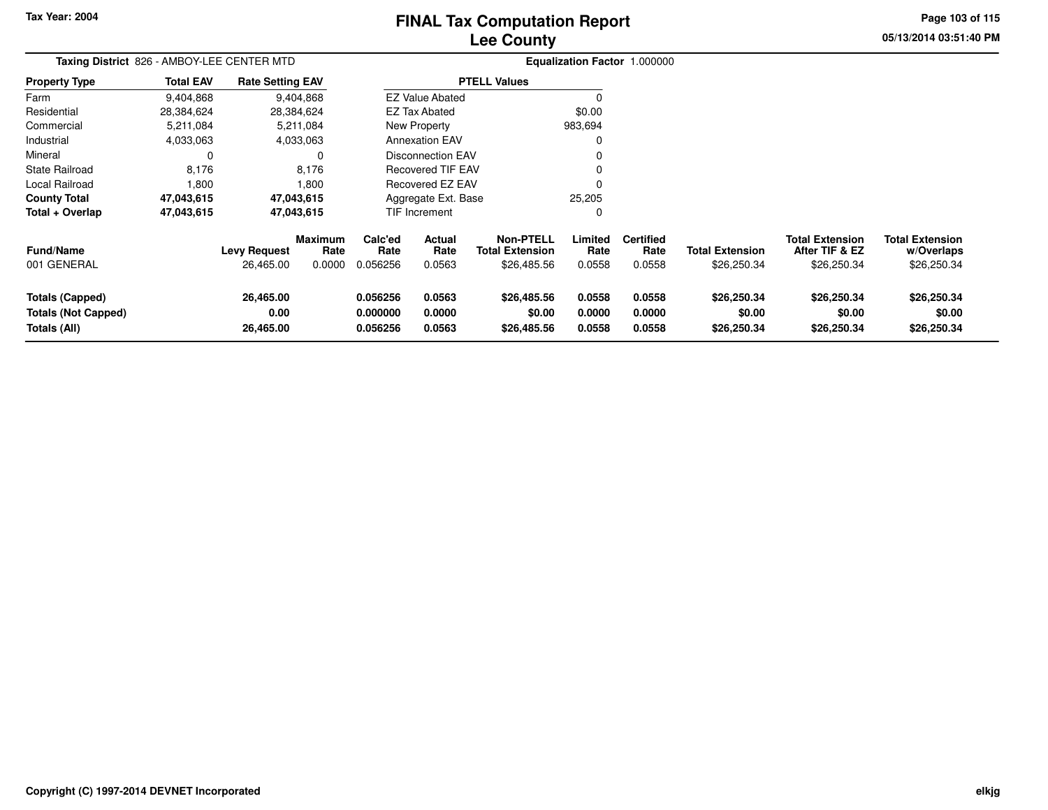# **Lee CountyFINAL Tax Computation Report**

**05/13/2014 03:51:40 PM Page 103 of 115**

| Taxing District 826 - AMBOY-LEE CENTER MTD                           |                  |                                  |                                  |                                  |                                 |                                                           |                            | Equalization Factor 1.000000       |                                       |                                                         |                                                     |
|----------------------------------------------------------------------|------------------|----------------------------------|----------------------------------|----------------------------------|---------------------------------|-----------------------------------------------------------|----------------------------|------------------------------------|---------------------------------------|---------------------------------------------------------|-----------------------------------------------------|
| <b>Property Type</b>                                                 | <b>Total EAV</b> | <b>Rate Setting EAV</b>          |                                  |                                  |                                 | <b>PTELL Values</b>                                       |                            |                                    |                                       |                                                         |                                                     |
| Farm                                                                 | 9,404,868        |                                  | 9,404,868                        |                                  | <b>EZ Value Abated</b>          |                                                           |                            |                                    |                                       |                                                         |                                                     |
| Residential                                                          | 28,384,624       |                                  | 28,384,624                       |                                  | EZ Tax Abated                   |                                                           | \$0.00                     |                                    |                                       |                                                         |                                                     |
| Commercial                                                           | 5,211,084        |                                  | 5,211,084                        |                                  | New Property                    |                                                           | 983,694                    |                                    |                                       |                                                         |                                                     |
| Industrial                                                           | 4,033,063        |                                  | 4,033,063                        |                                  | <b>Annexation EAV</b>           |                                                           |                            |                                    |                                       |                                                         |                                                     |
| Mineral                                                              | 0                |                                  | 0                                |                                  | <b>Disconnection EAV</b>        |                                                           |                            |                                    |                                       |                                                         |                                                     |
| State Railroad                                                       | 8,176            |                                  | 8,176                            |                                  | <b>Recovered TIF EAV</b>        |                                                           |                            |                                    |                                       |                                                         |                                                     |
| Local Railroad                                                       | 1,800            |                                  | 1,800                            |                                  | <b>Recovered EZ EAV</b>         |                                                           |                            |                                    |                                       |                                                         |                                                     |
| <b>County Total</b>                                                  | 47,043,615       |                                  | 47,043,615                       |                                  | Aggregate Ext. Base             |                                                           | 25,205                     |                                    |                                       |                                                         |                                                     |
| Total + Overlap                                                      | 47,043,615       |                                  | 47,043,615                       |                                  | <b>TIF Increment</b>            |                                                           |                            |                                    |                                       |                                                         |                                                     |
| <b>Fund/Name</b><br>001 GENERAL                                      |                  | <b>Levy Request</b><br>26,465.00 | <b>Maximum</b><br>Rate<br>0.0000 | Calc'ed<br>Rate<br>0.056256      | <b>Actual</b><br>Rate<br>0.0563 | <b>Non-PTELL</b><br><b>Total Extension</b><br>\$26,485.56 | Limited<br>Rate<br>0.0558  | <b>Certified</b><br>Rate<br>0.0558 | <b>Total Extension</b><br>\$26,250.34 | <b>Total Extension</b><br>After TIF & EZ<br>\$26,250.34 | <b>Total Extension</b><br>w/Overlaps<br>\$26,250.34 |
| <b>Totals (Capped)</b><br><b>Totals (Not Capped)</b><br>Totals (All) |                  | 26,465.00<br>0.00<br>26,465.00   |                                  | 0.056256<br>0.000000<br>0.056256 | 0.0563<br>0.0000<br>0.0563      | \$26,485.56<br>\$0.00<br>\$26,485.56                      | 0.0558<br>0.0000<br>0.0558 | 0.0558<br>0.0000<br>0.0558         | \$26,250.34<br>\$0.00<br>\$26,250.34  | \$26,250.34<br>\$0.00<br>\$26,250.34                    | \$26,250.34<br>\$0.00<br>\$26,250.34                |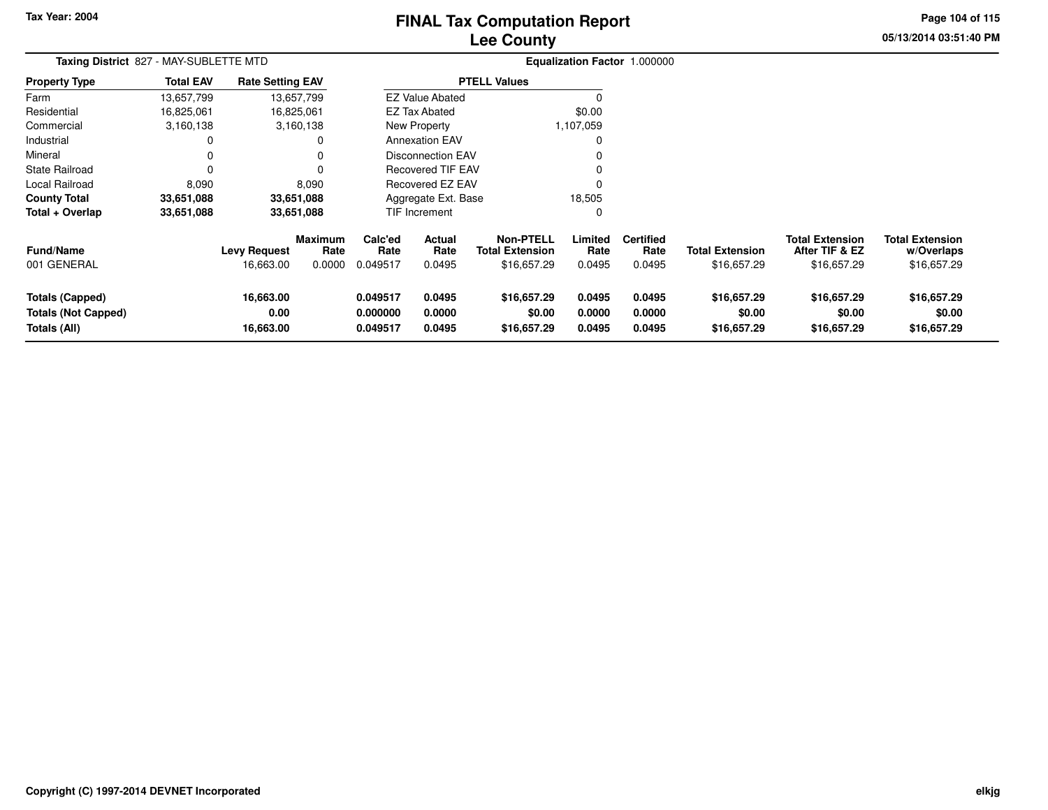**Totals (All)**

**16,663.00**

# **Lee CountyFINAL Tax Computation Report**

**05/13/2014 03:51:40 PMPage 104 of 115**

| Taxing District 827 - MAY-SUBLETTE MTD |                  |                         |                        |                 |                          |                                            |                 | Equalization Factor 1.000000 |                        |                                          |                                      |
|----------------------------------------|------------------|-------------------------|------------------------|-----------------|--------------------------|--------------------------------------------|-----------------|------------------------------|------------------------|------------------------------------------|--------------------------------------|
| <b>Property Type</b>                   | <b>Total EAV</b> | <b>Rate Setting EAV</b> |                        |                 |                          | <b>PTELL Values</b>                        |                 |                              |                        |                                          |                                      |
| Farm                                   | 13,657,799       | 13,657,799              |                        |                 | <b>EZ Value Abated</b>   |                                            |                 |                              |                        |                                          |                                      |
| Residential                            | 16,825,061       | 16,825,061              |                        |                 | <b>EZ Tax Abated</b>     |                                            | \$0.00          |                              |                        |                                          |                                      |
| Commercial                             | 3,160,138        | 3,160,138               |                        |                 | New Property             |                                            | 1,107,059       |                              |                        |                                          |                                      |
| Industrial                             | 0                |                         |                        |                 | <b>Annexation EAV</b>    |                                            |                 |                              |                        |                                          |                                      |
| Mineral                                | 0                |                         |                        |                 | <b>Disconnection EAV</b> |                                            |                 |                              |                        |                                          |                                      |
| State Railroad                         | 0                |                         |                        |                 | <b>Recovered TIF EAV</b> |                                            |                 |                              |                        |                                          |                                      |
| Local Railroad                         | 8,090            |                         | 8,090                  |                 | Recovered EZ EAV         |                                            |                 |                              |                        |                                          |                                      |
| <b>County Total</b>                    | 33,651,088       | 33,651,088              |                        |                 | Aggregate Ext. Base      |                                            | 18,505          |                              |                        |                                          |                                      |
| Total + Overlap                        | 33,651,088       | 33,651,088              |                        |                 | TIF Increment            |                                            |                 |                              |                        |                                          |                                      |
| <b>Fund/Name</b>                       |                  | <b>Levy Request</b>     | <b>Maximum</b><br>Rate | Calc'ed<br>Rate | <b>Actual</b><br>Rate    | <b>Non-PTELL</b><br><b>Total Extension</b> | Limited<br>Rate | <b>Certified</b><br>Rate     | <b>Total Extension</b> | <b>Total Extension</b><br>After TIF & EZ | <b>Total Extension</b><br>w/Overlaps |
| 001 GENERAL                            |                  | 16,663.00               | 0.0000                 | 0.049517        | 0.0495                   | \$16,657.29                                | 0.0495          | 0.0495                       | \$16,657.29            | \$16,657.29                              | \$16,657.29                          |
| <b>Totals (Capped)</b>                 |                  | 16,663.00               |                        | 0.049517        | 0.0495                   | \$16,657.29                                | 0.0495          | 0.0495                       | \$16,657.29            | \$16,657.29                              | \$16,657.29                          |
| <b>Totals (Not Capped)</b>             |                  | 0.00                    | 0.000000<br>0.0000     |                 |                          | \$0.00                                     | 0.0000          | 0.0000                       | \$0.00                 | \$0.00                                   | \$0.00                               |

**0.000000 0.0000 \$0.00 0.0000 0.0000 \$0.00 \$0.00 \$0.00**

**0.049517 0.0495 \$16,657.29 0.0495 0.0495 \$16,657.29 \$16,657.29 \$16,657.29**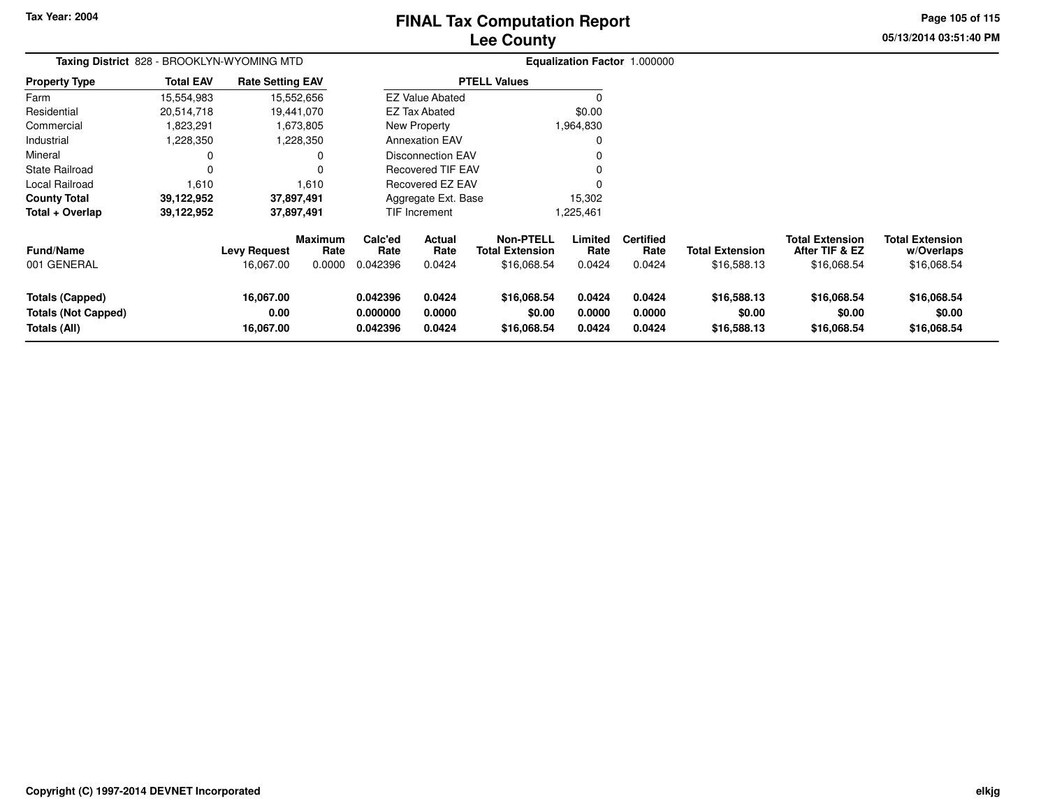# **Lee CountyFINAL Tax Computation Report**

**05/13/2014 03:51:40 PMPage 105 of 115**

| Taxing District 828 - BROOKLYN-WYOMING MTD                           |                  |                                  |                                  |                                  |                            |                                                           | Equalization Factor 1.000000 |                                    |                                       |                                                         |                                                     |
|----------------------------------------------------------------------|------------------|----------------------------------|----------------------------------|----------------------------------|----------------------------|-----------------------------------------------------------|------------------------------|------------------------------------|---------------------------------------|---------------------------------------------------------|-----------------------------------------------------|
| <b>Property Type</b>                                                 | <b>Total EAV</b> | <b>Rate Setting EAV</b>          |                                  |                                  |                            | <b>PTELL Values</b>                                       |                              |                                    |                                       |                                                         |                                                     |
| Farm                                                                 | 15,554,983       |                                  | 15,552,656                       |                                  | <b>EZ Value Abated</b>     |                                                           |                              |                                    |                                       |                                                         |                                                     |
| Residential                                                          | 20,514,718       |                                  | 19,441,070                       |                                  | EZ Tax Abated              |                                                           | \$0.00                       |                                    |                                       |                                                         |                                                     |
| Commercial                                                           | 1,823,291        |                                  | 1,673,805                        |                                  | New Property               |                                                           | 1,964,830                    |                                    |                                       |                                                         |                                                     |
| Industrial                                                           | 1,228,350        |                                  | 1,228,350                        |                                  | <b>Annexation EAV</b>      |                                                           |                              |                                    |                                       |                                                         |                                                     |
| Mineral                                                              | 0                |                                  | 0                                |                                  | <b>Disconnection EAV</b>   |                                                           |                              |                                    |                                       |                                                         |                                                     |
| <b>State Railroad</b>                                                | $\Omega$         |                                  | 0                                |                                  | <b>Recovered TIF EAV</b>   |                                                           |                              |                                    |                                       |                                                         |                                                     |
| <b>Local Railroad</b>                                                | 1,610            |                                  | 1,610                            |                                  | Recovered EZ EAV           |                                                           |                              |                                    |                                       |                                                         |                                                     |
| <b>County Total</b>                                                  | 39,122,952       |                                  | 37,897,491                       |                                  | Aggregate Ext. Base        |                                                           | 15,302                       |                                    |                                       |                                                         |                                                     |
| Total + Overlap                                                      | 39,122,952       |                                  | 37,897,491                       |                                  | TIF Increment              |                                                           | 1,225,461                    |                                    |                                       |                                                         |                                                     |
| <b>Fund/Name</b><br>001 GENERAL                                      |                  | <b>Levy Request</b><br>16,067.00 | <b>Maximum</b><br>Rate<br>0.0000 | Calc'ed<br>Rate<br>0.042396      | Actual<br>Rate<br>0.0424   | <b>Non-PTELL</b><br><b>Total Extension</b><br>\$16,068.54 | Limited<br>Rate<br>0.0424    | <b>Certified</b><br>Rate<br>0.0424 | <b>Total Extension</b><br>\$16,588.13 | <b>Total Extension</b><br>After TIF & EZ<br>\$16,068.54 | <b>Total Extension</b><br>w/Overlaps<br>\$16,068.54 |
| <b>Totals (Capped)</b><br><b>Totals (Not Capped)</b><br>Totals (All) |                  | 16,067.00<br>0.00<br>16,067.00   |                                  | 0.042396<br>0.000000<br>0.042396 | 0.0424<br>0.0000<br>0.0424 | \$16,068.54<br>\$0.00<br>\$16,068.54                      | 0.0424<br>0.0000<br>0.0424   | 0.0424<br>0.0000<br>0.0424         | \$16,588.13<br>\$0.00<br>\$16,588.13  | \$16,068.54<br>\$0.00<br>\$16,068.54                    | \$16,068.54<br>\$0.00<br>\$16,068.54                |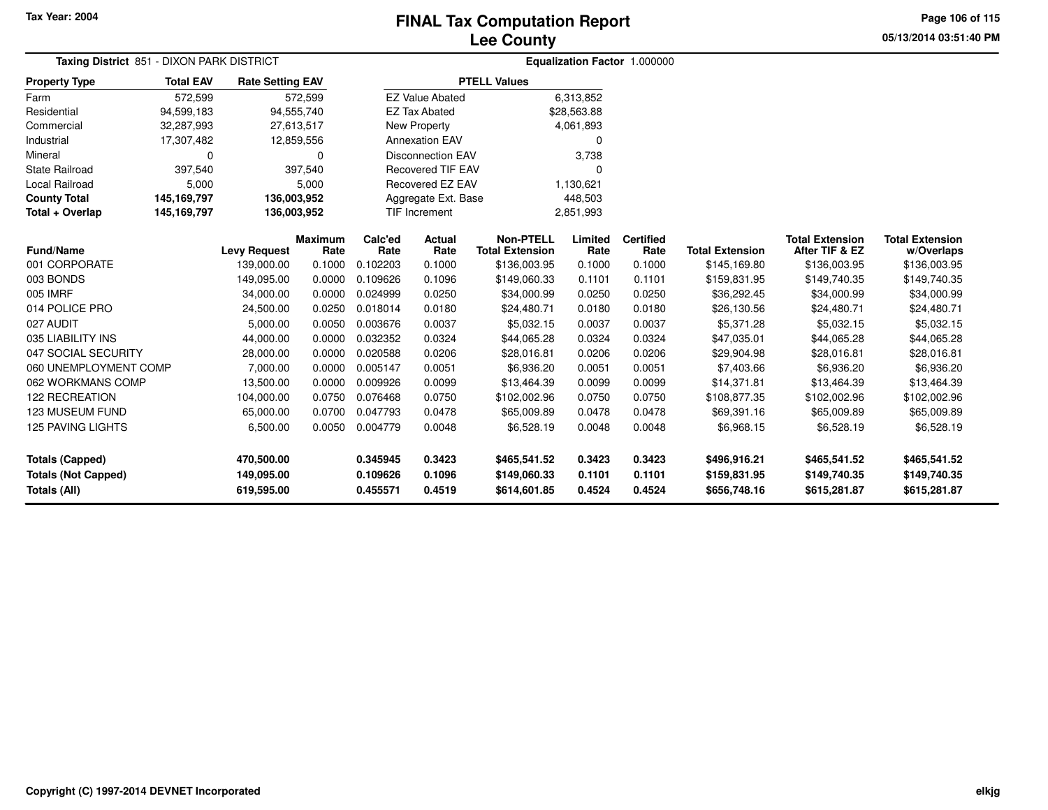**Page 106 of 115**

|                            | Taxing District 851 - DIXON PARK DISTRICT |                         |                        |                    |                          |                                            |                 | Equalization Factor 1.000000 |                        |                                          |                                      |
|----------------------------|-------------------------------------------|-------------------------|------------------------|--------------------|--------------------------|--------------------------------------------|-----------------|------------------------------|------------------------|------------------------------------------|--------------------------------------|
| <b>Property Type</b>       | <b>Total EAV</b>                          | <b>Rate Setting EAV</b> |                        |                    |                          | <b>PTELL Values</b>                        |                 |                              |                        |                                          |                                      |
| Farm                       | 572,599                                   |                         | 572,599                |                    | <b>EZ Value Abated</b>   |                                            | 6,313,852       |                              |                        |                                          |                                      |
| Residential                | 94,599,183                                |                         | 94,555,740             |                    | <b>EZ Tax Abated</b>     |                                            | \$28,563.88     |                              |                        |                                          |                                      |
| Commercial                 | 32,287,993                                | 27,613,517              |                        |                    | New Property             |                                            | 4,061,893       |                              |                        |                                          |                                      |
| Industrial                 | 17,307,482                                |                         | 12,859,556             |                    | <b>Annexation EAV</b>    |                                            | $\mathbf 0$     |                              |                        |                                          |                                      |
| Mineral                    | $\mathbf 0$                               |                         | 0                      |                    | <b>Disconnection EAV</b> |                                            | 3,738           |                              |                        |                                          |                                      |
| <b>State Railroad</b>      | 397,540                                   |                         | 397,540                |                    | <b>Recovered TIF EAV</b> |                                            | $\Omega$        |                              |                        |                                          |                                      |
| Local Railroad             | 5,000                                     |                         | 5,000                  |                    | Recovered EZ EAV         |                                            | 1,130,621       |                              |                        |                                          |                                      |
| <b>County Total</b>        | 145,169,797                               | 136,003,952             |                        |                    | Aggregate Ext. Base      |                                            | 448,503         |                              |                        |                                          |                                      |
| Total + Overlap            | 145,169,797                               | 136,003,952             |                        |                    | <b>TIF Increment</b>     |                                            | 2,851,993       |                              |                        |                                          |                                      |
| <b>Fund/Name</b>           |                                           | <b>Levy Request</b>     | <b>Maximum</b><br>Rate | Calc'ed<br>Rate    | Actual<br>Rate           | <b>Non-PTELL</b><br><b>Total Extension</b> | Limited<br>Rate | <b>Certified</b><br>Rate     | <b>Total Extension</b> | <b>Total Extension</b><br>After TIF & EZ | <b>Total Extension</b><br>w/Overlaps |
| 001 CORPORATE              |                                           | 139,000.00              | 0.1000                 | 0.102203           | 0.1000                   | \$136,003.95                               | 0.1000          | 0.1000                       | \$145,169.80           | \$136,003.95                             | \$136,003.95                         |
| 003 BONDS                  |                                           | 149,095.00              | 0.0000                 | 0.109626           | 0.1096                   | \$149,060.33                               | 0.1101          | 0.1101                       | \$159,831.95           | \$149,740.35                             | \$149,740.35                         |
| 005 IMRF                   |                                           | 34,000.00               | 0.0000                 | 0.024999           | 0.0250                   | \$34,000.99                                | 0.0250          | 0.0250                       | \$36,292.45            | \$34,000.99                              | \$34,000.99                          |
| 014 POLICE PRO             |                                           | 24,500.00               | 0.0250                 | 0.018014           | 0.0180                   | \$24,480.71                                | 0.0180          | 0.0180                       | \$26,130.56            | \$24,480.71                              | \$24,480.71                          |
| 027 AUDIT                  |                                           | 5,000.00                | 0.0050                 | 0.003676           | 0.0037                   | \$5,032.15                                 | 0.0037          | 0.0037                       | \$5,371.28             | \$5,032.15                               | \$5,032.15                           |
| 035 LIABILITY INS          |                                           | 44,000.00               | 0.0000                 | 0.032352           | 0.0324                   | \$44,065.28                                | 0.0324          | 0.0324                       | \$47,035.01            | \$44,065.28                              | \$44,065.28                          |
| 047 SOCIAL SECURITY        |                                           | 28,000.00               | 0.0000                 | 0.020588           | 0.0206                   | \$28,016.81                                | 0.0206          | 0.0206                       | \$29,904.98            | \$28,016.81                              | \$28,016.81                          |
| 060 UNEMPLOYMENT COMP      |                                           | 7,000.00                | 0.0000                 | 0.005147           | 0.0051                   | \$6,936.20                                 | 0.0051          | 0.0051                       | \$7,403.66             | \$6,936.20                               | \$6,936.20                           |
| 062 WORKMANS COMP          |                                           | 13,500.00               | 0.0000                 | 0.009926           | 0.0099                   | \$13,464.39                                | 0.0099          | 0.0099                       | \$14,371.81            | \$13,464.39                              | \$13,464.39                          |
| 122 RECREATION             |                                           | 104,000.00              | 0.0750                 | 0.076468           | 0.0750                   | \$102,002.96                               | 0.0750          | 0.0750                       | \$108,877.35           | \$102,002.96                             | \$102,002.96                         |
| 123 MUSEUM FUND            |                                           | 65,000.00               | 0.0700                 | 0.047793           | 0.0478                   | \$65,009.89                                | 0.0478          | 0.0478                       | \$69,391.16            | \$65,009.89                              | \$65,009.89                          |
| <b>125 PAVING LIGHTS</b>   |                                           | 6,500.00                | 0.0050                 | 0.004779           | 0.0048                   | \$6,528.19                                 | 0.0048          | 0.0048                       | \$6,968.15             | \$6,528.19                               | \$6,528.19                           |
| <b>Totals (Capped)</b>     |                                           | 470,500.00              |                        | 0.3423<br>0.345945 |                          | \$465,541.52                               | 0.3423          | 0.3423                       | \$496,916.21           | \$465,541.52                             | \$465,541.52                         |
| <b>Totals (Not Capped)</b> |                                           | 149,095.00              |                        | 0.109626           | 0.1096                   | \$149,060.33                               | 0.1101          | 0.1101                       | \$159,831.95           | \$149,740.35                             | \$149,740.35                         |
| <b>Totals (All)</b>        |                                           | 619,595.00              |                        | 0.455571           | 0.4519                   | \$614,601.85                               | 0.4524          | 0.4524                       | \$656,748.16           | \$615,281.87                             | \$615,281.87                         |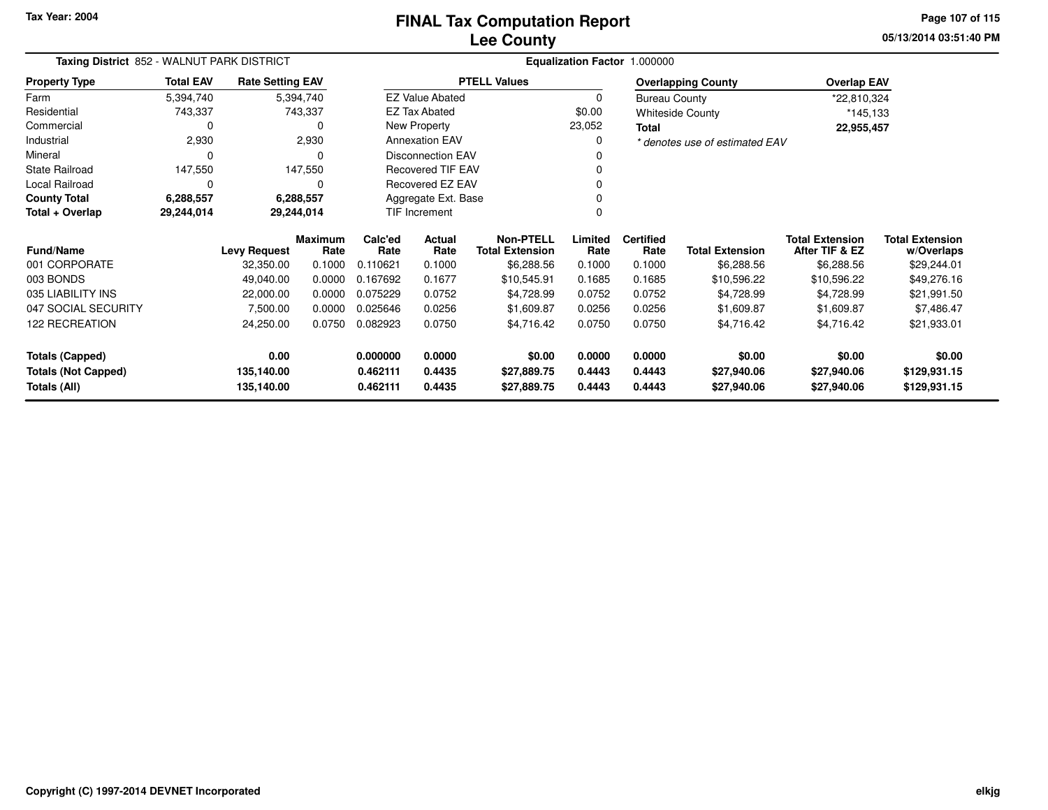**05/13/2014 03:51:40 PM Page 107 of 115**

|                            | Taxing District 852 - WALNUT PARK DISTRICT<br><b>Total EAV</b><br><b>Rate Setting EAV</b><br>5,394,740<br>5,394,740<br>743,337<br>743,337<br>$\Omega$<br>2,930<br>$\Omega$<br>147,550<br>147,550<br>$\Omega$<br>6,288,557<br>6,288,557<br>29,244,014<br>29,244,014<br><b>Levy Request</b><br>32,350.00<br>49,040.00<br>22,000.00<br>7,500.00<br>24,250.00 |            |                 |                 |                          |                                            |                 | Equalization Factor 1.000000 |                                |                                          |                                      |
|----------------------------|-----------------------------------------------------------------------------------------------------------------------------------------------------------------------------------------------------------------------------------------------------------------------------------------------------------------------------------------------------------|------------|-----------------|-----------------|--------------------------|--------------------------------------------|-----------------|------------------------------|--------------------------------|------------------------------------------|--------------------------------------|
| <b>Property Type</b>       |                                                                                                                                                                                                                                                                                                                                                           |            |                 |                 |                          | <b>PTELL Values</b>                        |                 |                              | <b>Overlapping County</b>      | <b>Overlap EAV</b>                       |                                      |
| Farm                       |                                                                                                                                                                                                                                                                                                                                                           |            |                 |                 | <b>EZ Value Abated</b>   |                                            | 0               | <b>Bureau County</b>         |                                | *22,810,324                              |                                      |
| Residential                |                                                                                                                                                                                                                                                                                                                                                           |            |                 |                 | <b>EZ Tax Abated</b>     |                                            | \$0.00          |                              | <b>Whiteside County</b>        | *145,133                                 |                                      |
| Commercial                 |                                                                                                                                                                                                                                                                                                                                                           |            | 0               |                 | New Property             |                                            | 23,052          | Total                        |                                | 22,955,457                               |                                      |
| Industrial                 |                                                                                                                                                                                                                                                                                                                                                           |            | 2,930           |                 | <b>Annexation EAV</b>    |                                            | 0               |                              | * denotes use of estimated EAV |                                          |                                      |
| Mineral                    |                                                                                                                                                                                                                                                                                                                                                           |            | 0               |                 | <b>Disconnection EAV</b> |                                            | 0               |                              |                                |                                          |                                      |
| <b>State Railroad</b>      |                                                                                                                                                                                                                                                                                                                                                           |            |                 |                 | <b>Recovered TIF EAV</b> |                                            | 0               |                              |                                |                                          |                                      |
| Local Railroad             |                                                                                                                                                                                                                                                                                                                                                           |            | $\Omega$        |                 | <b>Recovered EZ EAV</b>  |                                            | $\Omega$        |                              |                                |                                          |                                      |
| <b>County Total</b>        |                                                                                                                                                                                                                                                                                                                                                           |            |                 |                 | Aggregate Ext. Base      |                                            | 0               |                              |                                |                                          |                                      |
| Total + Overlap            |                                                                                                                                                                                                                                                                                                                                                           |            |                 |                 | TIF Increment            |                                            | 0               |                              |                                |                                          |                                      |
| <b>Fund/Name</b>           |                                                                                                                                                                                                                                                                                                                                                           |            | Maximum<br>Rate | Calc'ed<br>Rate | Actual<br>Rate           | <b>Non-PTELL</b><br><b>Total Extension</b> | Limited<br>Rate | <b>Certified</b><br>Rate     | <b>Total Extension</b>         | <b>Total Extension</b><br>After TIF & EZ | <b>Total Extension</b><br>w/Overlaps |
| 001 CORPORATE              |                                                                                                                                                                                                                                                                                                                                                           |            | 0.1000          | 0.110621        | 0.1000                   | \$6,288.56                                 | 0.1000          | 0.1000                       | \$6,288.56                     | \$6,288.56                               | \$29,244.01                          |
| 003 BONDS                  |                                                                                                                                                                                                                                                                                                                                                           |            | 0.0000          | 0.167692        | 0.1677                   | \$10,545.91                                | 0.1685          | 0.1685                       | \$10,596.22                    | \$10,596.22                              | \$49,276.16                          |
| 035 LIABILITY INS          |                                                                                                                                                                                                                                                                                                                                                           |            | 0.0000          | 0.075229        | 0.0752                   | \$4,728.99                                 | 0.0752          | 0.0752                       | \$4,728.99                     | \$4,728.99                               | \$21,991.50                          |
| 047 SOCIAL SECURITY        |                                                                                                                                                                                                                                                                                                                                                           |            | 0.0000          | 0.025646        | 0.0256                   | \$1,609.87                                 | 0.0256          | 0.0256                       | \$1,609.87                     | \$1,609.87                               | \$7,486.47                           |
| 122 RECREATION             |                                                                                                                                                                                                                                                                                                                                                           |            | 0.0750          | 0.082923        | 0.0750                   | \$4,716.42                                 | 0.0750          | 0.0750                       | \$4,716.42                     | \$4,716.42                               | \$21,933.01                          |
| <b>Totals (Capped)</b>     |                                                                                                                                                                                                                                                                                                                                                           | 0.00       |                 | 0.000000        | 0.0000                   | \$0.00                                     | 0.0000          | 0.0000                       | \$0.00                         | \$0.00                                   | \$0.00                               |
| <b>Totals (Not Capped)</b> |                                                                                                                                                                                                                                                                                                                                                           | 135,140.00 |                 | 0.462111        | 0.4435                   | \$27,889.75                                | 0.4443          | 0.4443                       | \$27,940.06                    | \$27,940.06                              | \$129,931.15                         |
| Totals (All)               |                                                                                                                                                                                                                                                                                                                                                           | 135,140.00 |                 | 0.462111        | 0.4435                   | \$27,889.75                                | 0.4443          | 0.4443                       | \$27,940.06                    | \$27,940.06                              | \$129,931.15                         |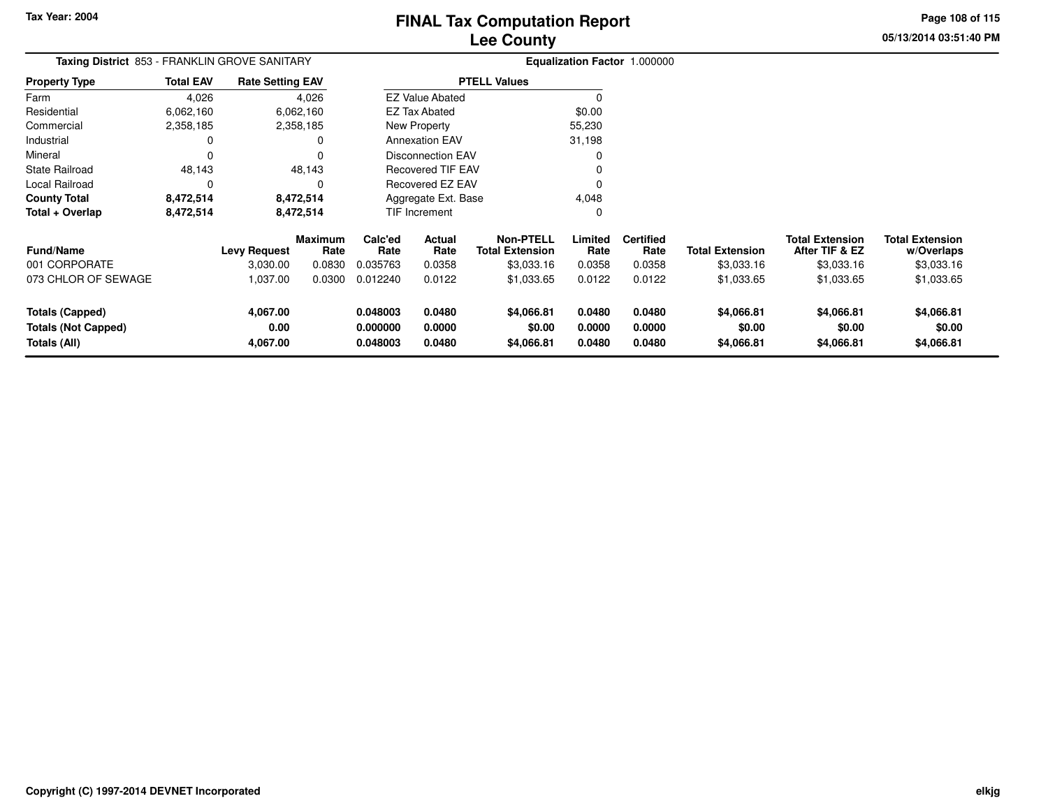**05/13/2014 03:51:40 PM Page 108 of 115**

| Taxing District 853 - FRANKLIN GROVE SANITARY                        |                  |                              |                        |                                  |                            |                                            |                            | Equalization Factor 1.000000 |                                    |                                          |                                      |
|----------------------------------------------------------------------|------------------|------------------------------|------------------------|----------------------------------|----------------------------|--------------------------------------------|----------------------------|------------------------------|------------------------------------|------------------------------------------|--------------------------------------|
| <b>Property Type</b>                                                 | <b>Total EAV</b> | <b>Rate Setting EAV</b>      |                        |                                  |                            | <b>PTELL Values</b>                        |                            |                              |                                    |                                          |                                      |
| Farm                                                                 | 4,026            |                              | 4,026                  |                                  | <b>EZ Value Abated</b>     |                                            |                            |                              |                                    |                                          |                                      |
| Residential                                                          | 6,062,160        |                              | 6,062,160              |                                  | <b>EZ Tax Abated</b>       |                                            | \$0.00                     |                              |                                    |                                          |                                      |
| Commercial                                                           | 2,358,185        |                              | 2,358,185              |                                  | New Property               |                                            | 55,230                     |                              |                                    |                                          |                                      |
| Industrial                                                           | 0                |                              | 0                      |                                  | <b>Annexation EAV</b>      |                                            | 31,198                     |                              |                                    |                                          |                                      |
| Mineral                                                              | 0                |                              | $\Omega$               |                                  | Disconnection EAV          |                                            |                            |                              |                                    |                                          |                                      |
| <b>State Railroad</b>                                                | 48,143           |                              | 48,143                 |                                  | Recovered TIF EAV          |                                            |                            |                              |                                    |                                          |                                      |
| Local Railroad                                                       |                  |                              | 0                      |                                  | Recovered EZ EAV           |                                            |                            |                              |                                    |                                          |                                      |
| <b>County Total</b>                                                  | 8,472,514        |                              | 8,472,514              |                                  | Aggregate Ext. Base        |                                            | 4,048                      |                              |                                    |                                          |                                      |
| Total + Overlap                                                      | 8,472,514        |                              | 8,472,514              |                                  | TIF Increment              |                                            | 0                          |                              |                                    |                                          |                                      |
| <b>Fund/Name</b>                                                     |                  | <b>Levy Request</b>          | <b>Maximum</b><br>Rate | Calc'ed<br>Rate                  | Actual<br>Rate             | <b>Non-PTELL</b><br><b>Total Extension</b> | Limited<br>Rate            | <b>Certified</b><br>Rate     | <b>Total Extension</b>             | <b>Total Extension</b><br>After TIF & EZ | <b>Total Extension</b><br>w/Overlaps |
| 001 CORPORATE                                                        |                  | 3,030.00                     | 0.0830                 | 0.035763                         | 0.0358                     | \$3,033.16                                 | 0.0358                     | 0.0358                       | \$3,033.16                         | \$3,033.16                               | \$3,033.16                           |
| 073 CHLOR OF SEWAGE                                                  |                  | 1,037.00                     | 0.0300                 | 0.012240                         | 0.0122                     | \$1,033.65                                 | 0.0122                     | 0.0122                       | \$1,033.65                         | \$1,033.65                               | \$1,033.65                           |
| <b>Totals (Capped)</b><br><b>Totals (Not Capped)</b><br>Totals (All) |                  | 4,067.00<br>0.00<br>4,067.00 |                        | 0.048003<br>0.000000<br>0.048003 | 0.0480<br>0.0000<br>0.0480 | \$4,066.81<br>\$0.00<br>\$4,066.81         | 0.0480<br>0.0000<br>0.0480 | 0.0480<br>0.0000<br>0.0480   | \$4,066.81<br>\$0.00<br>\$4,066.81 | \$4,066.81<br>\$0.00<br>\$4,066.81       | \$4,066.81<br>\$0.00<br>\$4,066.81   |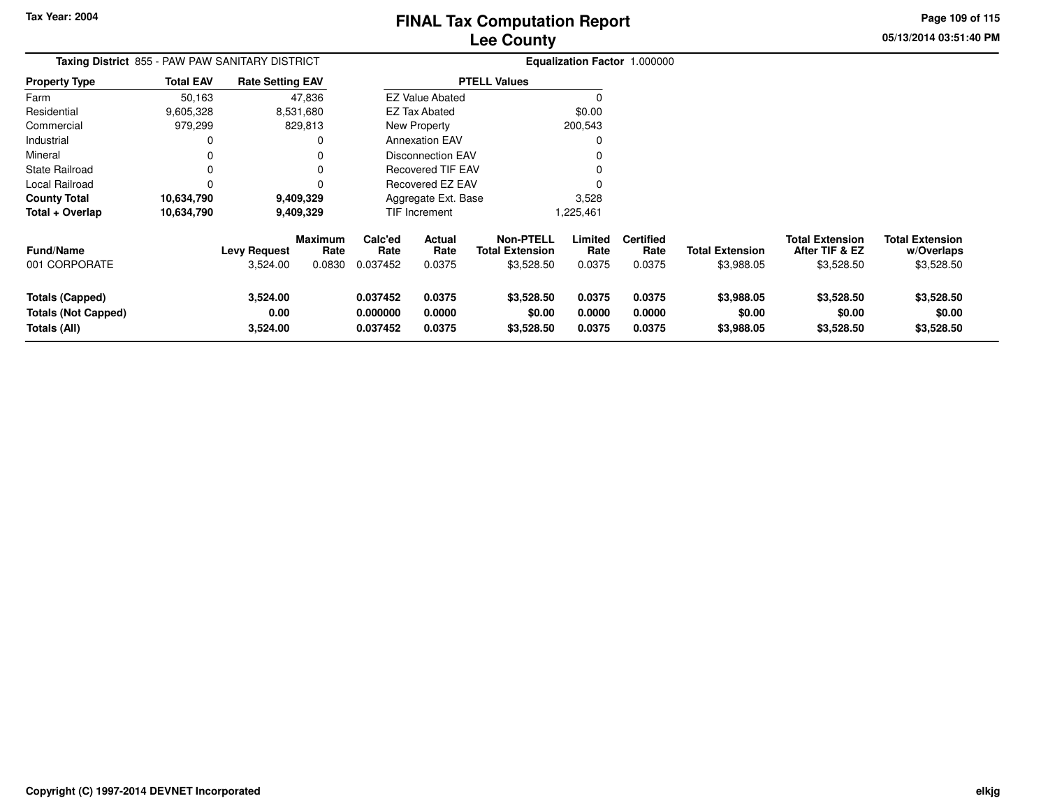**Page 109 of 115**

**05/13/2014 03:51:40 PM**

| <b>Taxing District</b> 855 - PAW PAW SANITARY DISTRICT               |                  |                                 |                           |                                  |                            |                                                          |                            | <b>Equalization Factor 1.000000</b> |                                      |                                                        |                                                    |
|----------------------------------------------------------------------|------------------|---------------------------------|---------------------------|----------------------------------|----------------------------|----------------------------------------------------------|----------------------------|-------------------------------------|--------------------------------------|--------------------------------------------------------|----------------------------------------------------|
| <b>Property Type</b>                                                 | <b>Total EAV</b> | <b>Rate Setting EAV</b>         |                           |                                  |                            | <b>PTELL Values</b>                                      |                            |                                     |                                      |                                                        |                                                    |
| Farm                                                                 | 50,163           |                                 | 47,836                    |                                  | <b>EZ Value Abated</b>     |                                                          |                            |                                     |                                      |                                                        |                                                    |
| Residential                                                          | 9,605,328        |                                 | 8,531,680                 |                                  | EZ Tax Abated              |                                                          | \$0.00                     |                                     |                                      |                                                        |                                                    |
| Commercial                                                           | 979,299          |                                 | 829,813                   |                                  | New Property               |                                                          | 200,543                    |                                     |                                      |                                                        |                                                    |
| Industrial                                                           | $\Omega$         |                                 |                           |                                  | <b>Annexation EAV</b>      |                                                          |                            |                                     |                                      |                                                        |                                                    |
| Mineral                                                              | $\Omega$         |                                 |                           |                                  | Disconnection EAV          |                                                          |                            |                                     |                                      |                                                        |                                                    |
| <b>State Railroad</b>                                                | $\Omega$         |                                 |                           |                                  | <b>Recovered TIF EAV</b>   |                                                          |                            |                                     |                                      |                                                        |                                                    |
| Local Railroad                                                       | 0                |                                 |                           |                                  | Recovered EZ EAV           |                                                          |                            |                                     |                                      |                                                        |                                                    |
| <b>County Total</b>                                                  | 10,634,790       |                                 | 9,409,329                 |                                  | Aggregate Ext. Base        |                                                          | 3,528                      |                                     |                                      |                                                        |                                                    |
| Total + Overlap                                                      | 10,634,790       | 9,409,329                       |                           |                                  | TIF Increment              |                                                          | 1,225,461                  |                                     |                                      |                                                        |                                                    |
| <b>Fund/Name</b><br>001 CORPORATE                                    |                  | <b>Levy Request</b><br>3,524.00 | Maximum<br>Rate<br>0.0830 | Calc'ed<br>Rate<br>0.037452      | Actual<br>Rate<br>0.0375   | <b>Non-PTELL</b><br><b>Total Extension</b><br>\$3,528.50 | Limited<br>Rate<br>0.0375  | <b>Certified</b><br>Rate<br>0.0375  | <b>Total Extension</b><br>\$3,988.05 | <b>Total Extension</b><br>After TIF & EZ<br>\$3,528.50 | <b>Total Extension</b><br>w/Overlaps<br>\$3,528.50 |
| <b>Totals (Capped)</b><br><b>Totals (Not Capped)</b><br>Totals (All) |                  | 3,524.00<br>0.00<br>3,524.00    |                           | 0.037452<br>0.000000<br>0.037452 | 0.0375<br>0.0000<br>0.0375 | \$3,528.50<br>\$0.00<br>\$3,528.50                       | 0.0375<br>0.0000<br>0.0375 | 0.0375<br>0.0000<br>0.0375          | \$3,988.05<br>\$0.00<br>\$3,988.05   | \$3,528.50<br>\$0.00<br>\$3,528.50                     | \$3,528.50<br>\$0.00<br>\$3,528.50                 |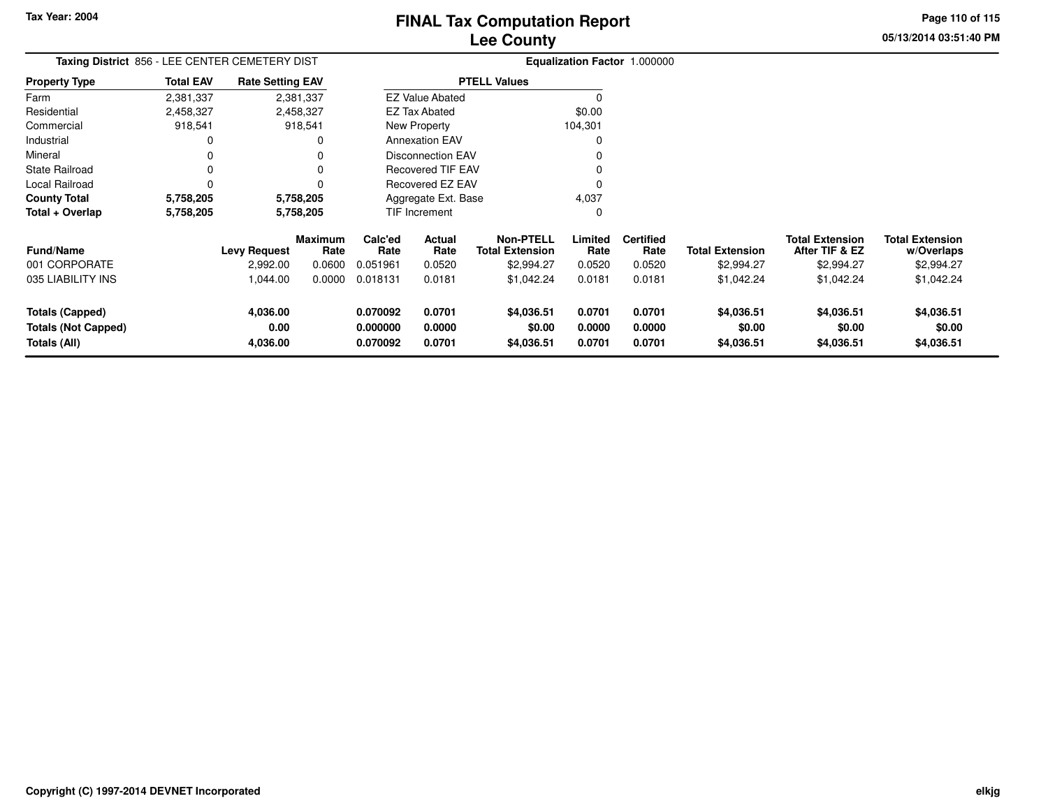**05/13/2014 03:51:40 PM Page 110 of 115**

| Taxing District 856 - LEE CENTER CEMETERY DIST                       |                  |                              |                        |                                  |                            |                                            |                            | Equalization Factor 1.000000 |                                    |                                          |                                      |
|----------------------------------------------------------------------|------------------|------------------------------|------------------------|----------------------------------|----------------------------|--------------------------------------------|----------------------------|------------------------------|------------------------------------|------------------------------------------|--------------------------------------|
| <b>Property Type</b>                                                 | <b>Total EAV</b> | <b>Rate Setting EAV</b>      |                        |                                  |                            | <b>PTELL Values</b>                        |                            |                              |                                    |                                          |                                      |
| Farm                                                                 | 2,381,337        |                              | 2,381,337              |                                  | <b>EZ Value Abated</b>     |                                            | $\Omega$                   |                              |                                    |                                          |                                      |
| Residential                                                          | 2,458,327        |                              | 2,458,327              |                                  | EZ Tax Abated              |                                            | \$0.00                     |                              |                                    |                                          |                                      |
| Commercial                                                           | 918,541          |                              | 918,541                |                                  | New Property               |                                            | 104,301                    |                              |                                    |                                          |                                      |
| Industrial                                                           | 0                |                              | 0                      |                                  | <b>Annexation EAV</b>      |                                            | $\Omega$                   |                              |                                    |                                          |                                      |
| Mineral                                                              | 0                |                              | 0                      |                                  | <b>Disconnection EAV</b>   |                                            |                            |                              |                                    |                                          |                                      |
| <b>State Railroad</b>                                                | 0                |                              | 0                      |                                  | <b>Recovered TIF EAV</b>   |                                            |                            |                              |                                    |                                          |                                      |
| Local Railroad                                                       | 0                |                              | 0                      |                                  | Recovered EZ EAV           |                                            | $\Omega$                   |                              |                                    |                                          |                                      |
| <b>County Total</b>                                                  | 5,758,205        |                              | 5,758,205              |                                  | Aggregate Ext. Base        |                                            | 4,037                      |                              |                                    |                                          |                                      |
| Total + Overlap                                                      | 5,758,205        | 5,758,205                    |                        | TIF Increment                    |                            |                                            | 0                          |                              |                                    |                                          |                                      |
| <b>Fund/Name</b>                                                     |                  | <b>Levy Request</b>          | <b>Maximum</b><br>Rate | Calc'ed<br>Rate                  | Actual<br>Rate             | <b>Non-PTELL</b><br><b>Total Extension</b> | Limited<br>Rate            | <b>Certified</b><br>Rate     | <b>Total Extension</b>             | <b>Total Extension</b><br>After TIF & EZ | <b>Total Extension</b><br>w/Overlaps |
| 001 CORPORATE                                                        |                  | 2,992.00                     | 0.0600                 | 0.051961                         | 0.0520                     | \$2,994.27                                 | 0.0520                     | 0.0520                       | \$2,994.27                         | \$2,994.27                               | \$2,994.27                           |
| 035 LIABILITY INS                                                    |                  | 1,044.00                     | 0.0000                 | 0.018131                         | 0.0181                     | \$1,042.24                                 | 0.0181                     | 0.0181                       | \$1,042.24                         | \$1,042.24                               | \$1,042.24                           |
| <b>Totals (Capped)</b><br><b>Totals (Not Capped)</b><br>Totals (All) |                  | 4,036.00<br>0.00<br>4,036.00 |                        | 0.070092<br>0.000000<br>0.070092 | 0.0701<br>0.0000<br>0.0701 | \$4,036.51<br>\$0.00<br>\$4,036.51         | 0.0701<br>0.0000<br>0.0701 | 0.0701<br>0.0000<br>0.0701   | \$4,036.51<br>\$0.00<br>\$4,036.51 | \$4,036.51<br>\$0.00<br>\$4,036.51       | \$4,036.51<br>\$0.00<br>\$4,036.51   |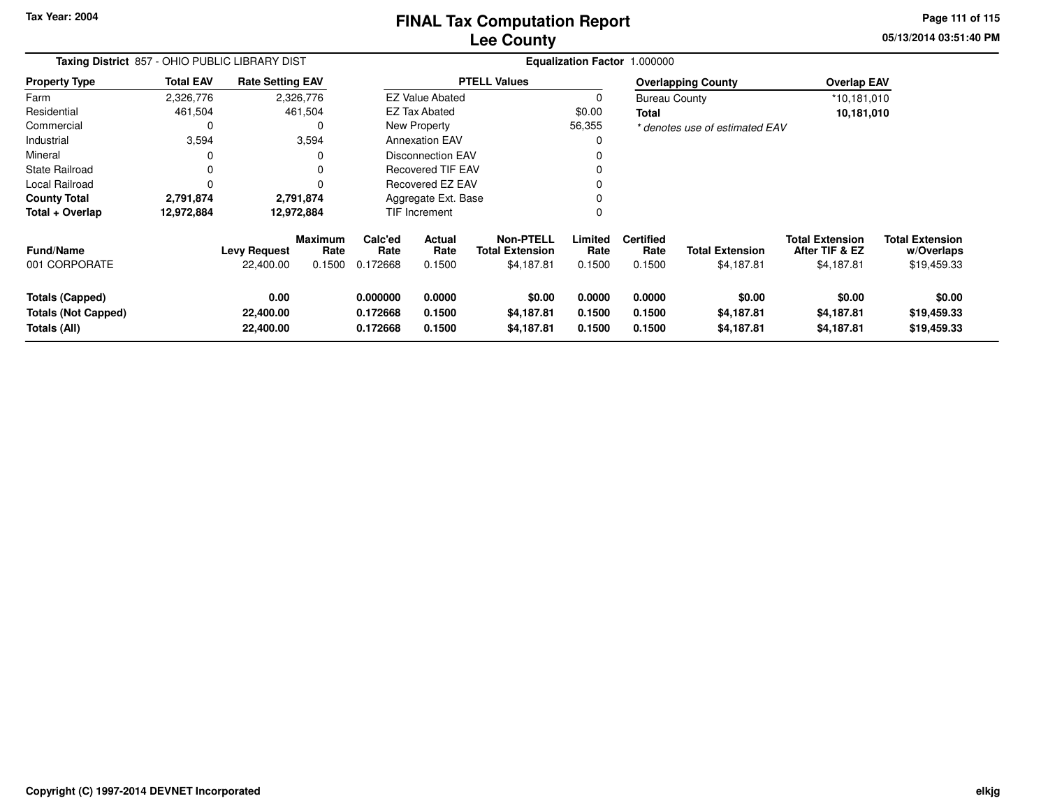**Tax Year: 2004**

# **Lee CountyFINAL Tax Computation Report**

**05/13/2014 03:51:40 PM Page 111 of 115**

| Taxing District 857 - OHIO PUBLIC LIBRARY DIST                       |                  |                                  |                                  | Equalization Factor 1.000000     |                            |                                                          |                            |                                    |                                      |                                                        |                                                     |  |
|----------------------------------------------------------------------|------------------|----------------------------------|----------------------------------|----------------------------------|----------------------------|----------------------------------------------------------|----------------------------|------------------------------------|--------------------------------------|--------------------------------------------------------|-----------------------------------------------------|--|
| <b>Property Type</b>                                                 | <b>Total EAV</b> | <b>Rate Setting EAV</b>          |                                  |                                  |                            | <b>PTELL Values</b>                                      |                            |                                    | <b>Overlapping County</b>            | <b>Overlap EAV</b>                                     |                                                     |  |
| Farm                                                                 | 2,326,776        |                                  | 2,326,776                        |                                  | <b>EZ Value Abated</b>     |                                                          | 0                          | <b>Bureau County</b>               |                                      | *10,181,010                                            |                                                     |  |
| Residential                                                          | 461,504          |                                  | 461,504                          |                                  | EZ Tax Abated              |                                                          | \$0.00                     | Total                              |                                      | 10,181,010                                             |                                                     |  |
| Commercial                                                           | 0                |                                  | 0                                |                                  | New Property               |                                                          | 56,355                     |                                    | * denotes use of estimated EAV       |                                                        |                                                     |  |
| Industrial                                                           | 3,594            |                                  | 3,594                            |                                  | <b>Annexation EAV</b>      |                                                          | 0                          |                                    |                                      |                                                        |                                                     |  |
| Mineral                                                              |                  |                                  |                                  |                                  | <b>Disconnection EAV</b>   |                                                          | $\Omega$                   |                                    |                                      |                                                        |                                                     |  |
| <b>State Railroad</b>                                                | 0                |                                  |                                  |                                  | <b>Recovered TIF EAV</b>   |                                                          | $\Omega$                   |                                    |                                      |                                                        |                                                     |  |
| Local Railroad                                                       | $\Omega$         |                                  |                                  |                                  | <b>Recovered EZ EAV</b>    |                                                          | 0                          |                                    |                                      |                                                        |                                                     |  |
| <b>County Total</b>                                                  | 2,791,874        |                                  | 2,791,874                        | Aggregate Ext. Base              |                            |                                                          | 0                          |                                    |                                      |                                                        |                                                     |  |
| Total + Overlap                                                      | 12,972,884       |                                  | 12,972,884                       |                                  | TIF Increment              |                                                          | $\mathbf 0$                |                                    |                                      |                                                        |                                                     |  |
| Fund/Name<br>001 CORPORATE                                           |                  | <b>Levy Request</b><br>22,400.00 | <b>Maximum</b><br>Rate<br>0.1500 | Calc'ed<br>Rate<br>0.172668      | Actual<br>Rate<br>0.1500   | <b>Non-PTELL</b><br><b>Total Extension</b><br>\$4,187.81 | Limited<br>Rate<br>0.1500  | <b>Certified</b><br>Rate<br>0.1500 | <b>Total Extension</b><br>\$4,187.81 | <b>Total Extension</b><br>After TIF & EZ<br>\$4,187.81 | <b>Total Extension</b><br>w/Overlaps<br>\$19,459.33 |  |
| <b>Totals (Capped)</b><br><b>Totals (Not Capped)</b><br>Totals (All) |                  | 0.00<br>22,400.00<br>22,400.00   |                                  | 0.000000<br>0.172668<br>0.172668 | 0.0000<br>0.1500<br>0.1500 | \$0.00<br>\$4,187.81<br>\$4,187.81                       | 0.0000<br>0.1500<br>0.1500 | 0.0000<br>0.1500<br>0.1500         | \$0.00<br>\$4,187.81<br>\$4,187.81   | \$0.00<br>\$4,187.81<br>\$4,187.81                     | \$0.00<br>\$19,459.33<br>\$19,459.33                |  |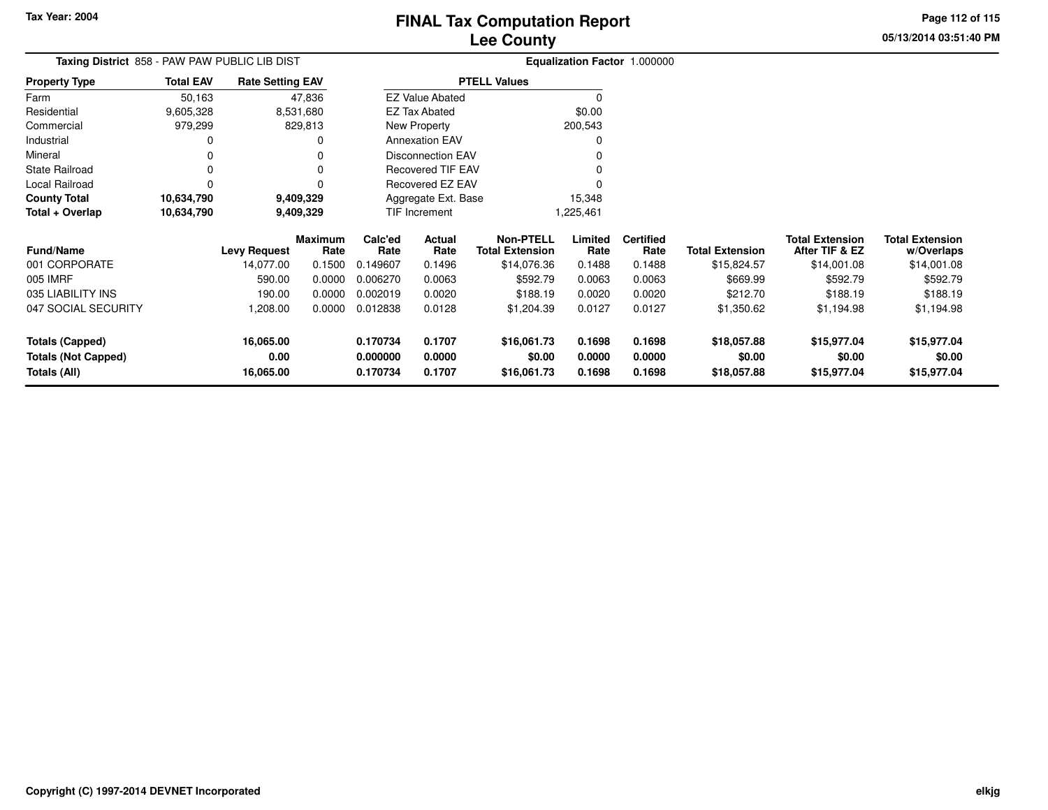**05/13/2014 03:51:40 PMPage 112 of 115**

|                                          | Taxing District 858 - PAW PAW PUBLIC LIB DIST |                         | Equalization Factor 1.000000 |           |  |  |  |  |  |
|------------------------------------------|-----------------------------------------------|-------------------------|------------------------------|-----------|--|--|--|--|--|
| <b>Total EAV</b><br><b>Property Type</b> |                                               | <b>Rate Setting EAV</b> | <b>PTELL Values</b>          |           |  |  |  |  |  |
| Farm                                     | 50.163                                        | 47.836                  | <b>EZ Value Abated</b>       |           |  |  |  |  |  |
| Residential                              | 9,605,328                                     | 8,531,680               | EZ Tax Abated                | \$0.00    |  |  |  |  |  |
| Commercial                               | 979.299                                       | 829,813                 | New Property                 | 200,543   |  |  |  |  |  |
| Industrial                               | 0                                             | 0                       | <b>Annexation EAV</b>        |           |  |  |  |  |  |
| Mineral                                  |                                               | 0                       | Disconnection EAV            |           |  |  |  |  |  |
| State Railroad                           |                                               | 0                       | Recovered TIF EAV            |           |  |  |  |  |  |
| Local Railroad                           |                                               | 0                       | Recovered EZ EAV             |           |  |  |  |  |  |
| <b>County Total</b>                      | 10,634,790                                    | 9,409,329               | Aggregate Ext. Base          | 15,348    |  |  |  |  |  |
| Total + Overlap                          | 10,634,790                                    | 9,409,329               | <b>TIF Increment</b>         | 1,225,461 |  |  |  |  |  |

| <b>Fund/Name</b>                                              | <b>Levy Request</b>            | <b>Maximum</b><br>Rate | Calc'ed<br>Rate                  | Actual<br>Rate             | Non-PTELL<br><b>Total Extension</b>  | Limited<br>Rate            | <b>Certified</b><br>Rate   | <b>Total Extension</b>               | <b>Total Extension</b><br>After TIF & EZ | <b>Total Extension</b><br>w/Overlaps |
|---------------------------------------------------------------|--------------------------------|------------------------|----------------------------------|----------------------------|--------------------------------------|----------------------------|----------------------------|--------------------------------------|------------------------------------------|--------------------------------------|
| 001 CORPORATE                                                 | 14,077.00                      | 0.1500                 | 0.149607                         | 0.1496                     | \$14,076.36                          | 0.1488                     | 0.1488                     | \$15,824.57                          | \$14,001.08                              | \$14,001.08                          |
| 005 IMRF                                                      | 590.00                         | 0.0000                 | 0.006270                         | 0.0063                     | \$592.79                             | 0.0063                     | 0.0063                     | \$669.99                             | \$592.79                                 | \$592.79                             |
| 035 LIABILITY INS                                             | 190.00                         | 0.0000                 | 0.002019                         | 0.0020                     | \$188.19                             | 0.0020                     | 0.0020                     | \$212.70                             | \$188.19                                 | \$188.19                             |
| 047 SOCIAL SECURITY                                           | .208.00                        | 0.0000                 | 0.012838                         | 0.0128                     | \$1,204.39                           | 0.0127                     | 0.0127                     | \$1,350.62                           | \$1,194.98                               | \$1,194.98                           |
| Totals (Capped)<br><b>Totals (Not Capped)</b><br>Totals (All) | 16,065.00<br>0.00<br>16,065.00 |                        | 0.170734<br>0.000000<br>0.170734 | 0.1707<br>0.0000<br>0.1707 | \$16,061.73<br>\$0.00<br>\$16,061.73 | 0.1698<br>0.0000<br>0.1698 | 0.1698<br>0.0000<br>0.1698 | \$18,057.88<br>\$0.00<br>\$18,057.88 | \$15,977.04<br>\$0.00<br>\$15,977.04     | \$15,977.04<br>\$0.00<br>\$15,977.04 |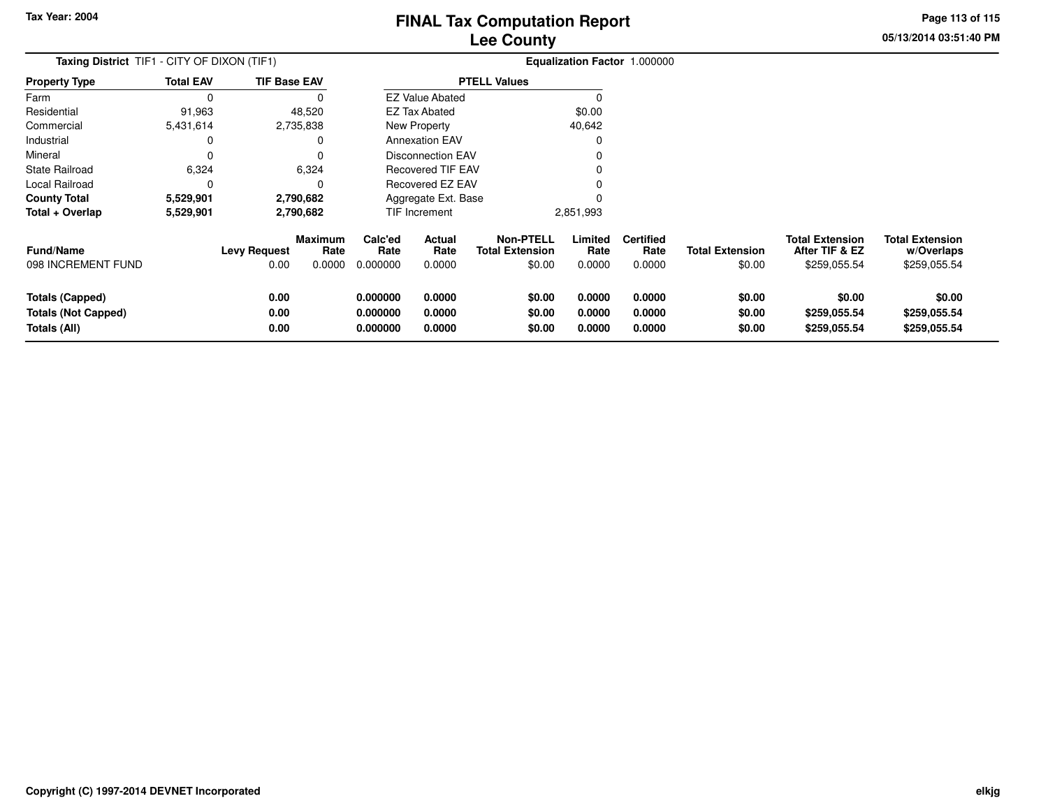**05/13/2014 03:51:40 PMPage 113 of 115**

| <b>Taxing District</b> TIF1 - CITY OF DIXON (TIF1)   |                  |                      |                           |                             |                          |                                                      |                           | Equalization Factor 1.000000       |                                  |                                                          |                                                      |
|------------------------------------------------------|------------------|----------------------|---------------------------|-----------------------------|--------------------------|------------------------------------------------------|---------------------------|------------------------------------|----------------------------------|----------------------------------------------------------|------------------------------------------------------|
| <b>Property Type</b>                                 | <b>Total EAV</b> | <b>TIF Base EAV</b>  |                           |                             |                          | <b>PTELL Values</b>                                  |                           |                                    |                                  |                                                          |                                                      |
| Farm                                                 | 0                |                      |                           |                             | <b>EZ Value Abated</b>   |                                                      | 0                         |                                    |                                  |                                                          |                                                      |
| Residential                                          | 91,963           |                      | 48,520                    |                             | <b>EZ Tax Abated</b>     |                                                      | \$0.00                    |                                    |                                  |                                                          |                                                      |
| Commercial                                           | 5,431,614        |                      | 2,735,838                 |                             | New Property             |                                                      | 40,642                    |                                    |                                  |                                                          |                                                      |
| Industrial                                           | 0                |                      | O                         |                             | <b>Annexation EAV</b>    |                                                      | O                         |                                    |                                  |                                                          |                                                      |
| Mineral                                              | 0                |                      |                           |                             | <b>Disconnection EAV</b> |                                                      |                           |                                    |                                  |                                                          |                                                      |
| State Railroad                                       | 6,324            |                      | 6,324                     | Recovered TIF EAV           |                          |                                                      |                           |                                    |                                  |                                                          |                                                      |
| Local Railroad                                       | 0                |                      |                           | Recovered EZ EAV            |                          |                                                      |                           |                                    |                                  |                                                          |                                                      |
| County Total                                         | 5,529,901        |                      | 2,790,682                 |                             | Aggregate Ext. Base      |                                                      |                           |                                    |                                  |                                                          |                                                      |
| Total + Overlap                                      | 5,529,901        | 2,790,682            |                           |                             | <b>TIF Increment</b>     |                                                      | 2,851,993                 |                                    |                                  |                                                          |                                                      |
| Fund/Name<br>098 INCREMENT FUND                      |                  | Levy Request<br>0.00 | Maximum<br>Rate<br>0.0000 | Calc'ed<br>Rate<br>0.000000 | Actual<br>Rate<br>0.0000 | <b>Non-PTELL</b><br><b>Total Extension</b><br>\$0.00 | Limited<br>Rate<br>0.0000 | <b>Certified</b><br>Rate<br>0.0000 | <b>Total Extension</b><br>\$0.00 | <b>Total Extension</b><br>After TIF & EZ<br>\$259,055.54 | <b>Total Extension</b><br>w/Overlaps<br>\$259,055.54 |
|                                                      |                  |                      |                           |                             |                          |                                                      |                           |                                    |                                  |                                                          |                                                      |
| <b>Totals (Capped)</b><br><b>Totals (Not Capped)</b> |                  | 0.00<br>0.00         |                           | 0.000000<br>0.000000        | 0.0000<br>0.0000         | \$0.00<br>\$0.00                                     | 0.0000<br>0.0000          | 0.0000<br>0.0000                   | \$0.00<br>\$0.00                 | \$0.00<br>\$259,055.54                                   | \$0.00<br>\$259,055.54                               |
| <b>Totals (All)</b>                                  |                  | 0.00                 |                           | 0.000000                    | 0.0000                   | \$0.00                                               | 0.0000                    | 0.0000                             | \$0.00                           | \$259,055.54                                             | \$259,055.54                                         |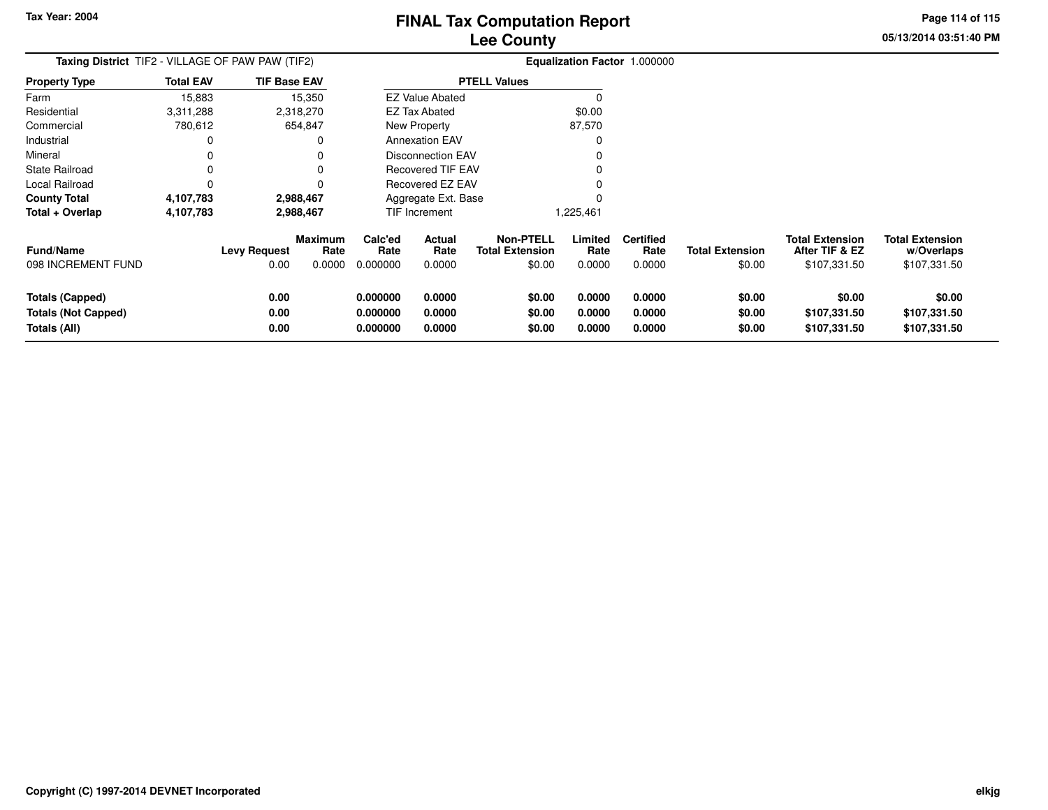**05/13/2014 03:51:40 PMPage 114 of 115**

| Taxing District TIF2 - VILLAGE OF PAW PAW (TIF2)                     |                  |                      |                        |                                  |                            |                                            |                            | Equalization Factor 1.000000 |                            |                                          |                                        |
|----------------------------------------------------------------------|------------------|----------------------|------------------------|----------------------------------|----------------------------|--------------------------------------------|----------------------------|------------------------------|----------------------------|------------------------------------------|----------------------------------------|
| <b>Property Type</b>                                                 | <b>Total EAV</b> | <b>TIF Base EAV</b>  |                        |                                  |                            | <b>PTELL Values</b>                        |                            |                              |                            |                                          |                                        |
| Farm                                                                 | 15,883           |                      | 15,350                 |                                  | <b>EZ Value Abated</b>     |                                            |                            |                              |                            |                                          |                                        |
| Residential                                                          | 3,311,288        |                      | 2,318,270              |                                  | <b>EZ Tax Abated</b>       |                                            | \$0.00                     |                              |                            |                                          |                                        |
| Commercial                                                           | 780,612          |                      | 654,847                |                                  | New Property               |                                            | 87,570                     |                              |                            |                                          |                                        |
| Industrial                                                           |                  |                      |                        |                                  | <b>Annexation EAV</b>      |                                            |                            |                              |                            |                                          |                                        |
| Mineral                                                              |                  |                      |                        |                                  | <b>Disconnection EAV</b>   |                                            |                            |                              |                            |                                          |                                        |
| State Railroad                                                       |                  |                      |                        |                                  | <b>Recovered TIF EAV</b>   |                                            |                            |                              |                            |                                          |                                        |
| Local Railroad                                                       |                  |                      |                        |                                  | Recovered EZ EAV           |                                            |                            |                              |                            |                                          |                                        |
| <b>County Total</b>                                                  | 4,107,783        |                      | 2,988,467              |                                  | Aggregate Ext. Base        |                                            |                            |                              |                            |                                          |                                        |
| Total + Overlap                                                      | 4,107,783        | 2,988,467            |                        | TIF Increment                    |                            |                                            | 225,461.                   |                              |                            |                                          |                                        |
| Fund/Name                                                            |                  | <b>Levy Request</b>  | <b>Maximum</b><br>Rate | Calc'ed<br>Rate                  | Actual<br>Rate             | <b>Non-PTELL</b><br><b>Total Extension</b> | Limited<br>Rate            | <b>Certified</b><br>Rate     | <b>Total Extension</b>     | <b>Total Extension</b><br>After TIF & EZ | <b>Total Extension</b><br>w/Overlaps   |
| 098 INCREMENT FUND                                                   |                  | 0.00                 | 0.0000                 | 0.000000                         | 0.0000                     | \$0.00                                     | 0.0000                     | 0.0000                       | \$0.00                     | \$107,331.50                             | \$107,331.50                           |
| <b>Totals (Capped)</b><br><b>Totals (Not Capped)</b><br>Totals (All) |                  | 0.00<br>0.00<br>0.00 |                        | 0.000000<br>0.000000<br>0.000000 | 0.0000<br>0.0000<br>0.0000 | \$0.00<br>\$0.00<br>\$0.00                 | 0.0000<br>0.0000<br>0.0000 | 0.0000<br>0.0000<br>0.0000   | \$0.00<br>\$0.00<br>\$0.00 | \$0.00<br>\$107,331.50<br>\$107,331.50   | \$0.00<br>\$107,331.50<br>\$107,331.50 |